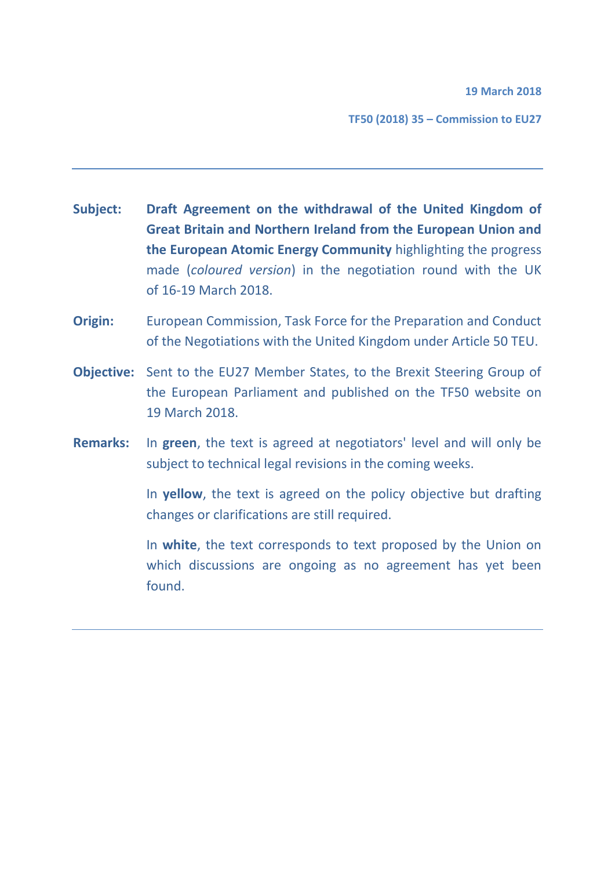### **19 March 2018**

**TF50 (2018) 35 – Commission to EU27**

- **Subject: Draft Agreement on the withdrawal of the United Kingdom of Great Britain and Northern Ireland from the European Union and the European Atomic Energy Community** highlighting the progress made (*coloured version*) in the negotiation round with the UK of 16-19 March 2018.
- **Origin:** European Commission, Task Force for the Preparation and Conduct of the Negotiations with the United Kingdom under Article 50 TEU.
- **Objective:** Sent to the EU27 Member States, to the Brexit Steering Group of the European Parliament and published on the TF50 website on 19 March 2018.
- **Remarks:** In **green**, the text is agreed at negotiators' level and will only be subject to technical legal revisions in the coming weeks.

In **yellow**, the text is agreed on the policy objective but drafting changes or clarifications are still required.

In **white**, the text corresponds to text proposed by the Union on which discussions are ongoing as no agreement has yet been found.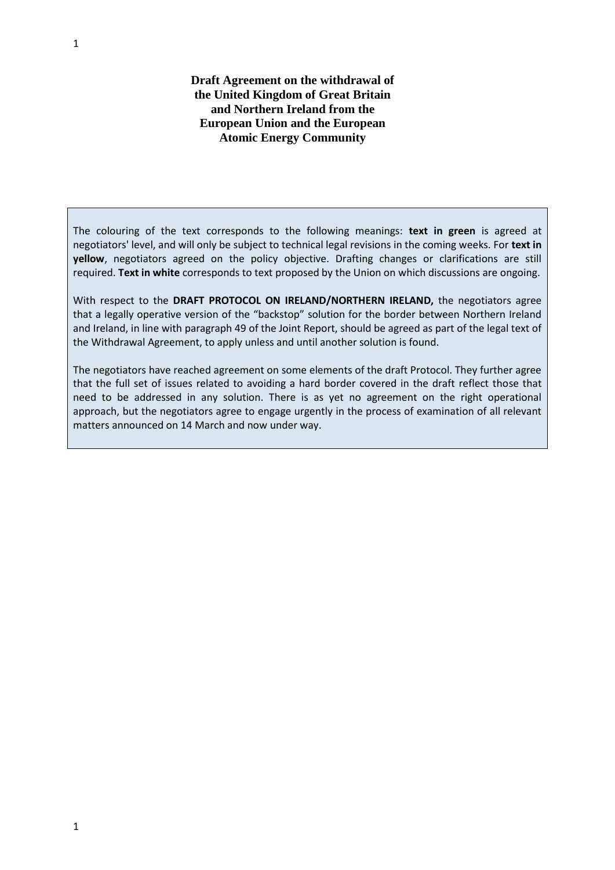**Draft Agreement on the withdrawal of the United Kingdom of Great Britain and Northern Ireland from the European Union and the European Atomic Energy Community**

The colouring of the text corresponds to the following meanings: **text in green** is agreed at negotiators' level, and will only be subject to technical legal revisions in the coming weeks. For **text in yellow**, negotiators agreed on the policy objective. Drafting changes or clarifications are still required. **Text in white** corresponds to text proposed by the Union on which discussions are ongoing.

With respect to the **DRAFT PROTOCOL ON IRELAND/NORTHERN IRELAND,** the negotiators agree that a legally operative version of the "backstop" solution for the border between Northern Ireland and Ireland, in line with paragraph 49 of the Joint Report, should be agreed as part of the legal text of the Withdrawal Agreement, to apply unless and until another solution is found.

The negotiators have reached agreement on some elements of the draft Protocol. They further agree that the full set of issues related to avoiding a hard border covered in the draft reflect those that need to be addressed in any solution. There is as yet no agreement on the right operational approach, but the negotiators agree to engage urgently in the process of examination of all relevant matters announced on 14 March and now under way.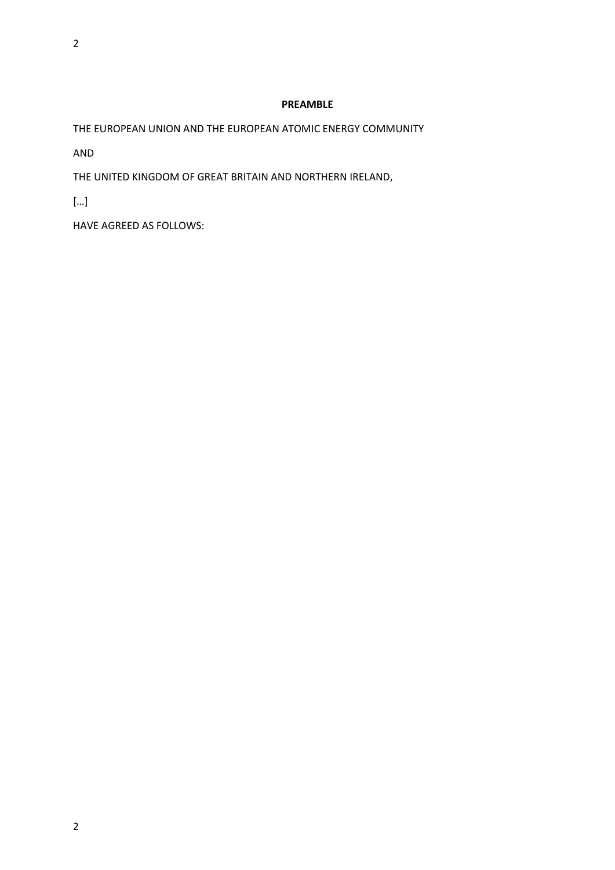#### **PREAMBLE**

THE EUROPEAN UNION AND THE EUROPEAN ATOMIC ENERGY COMMUNITY

AND

2

THE UNITED KINGDOM OF GREAT BRITAIN AND NORTHERN IRELAND,

[…]

HAVE AGREED AS FOLLOWS: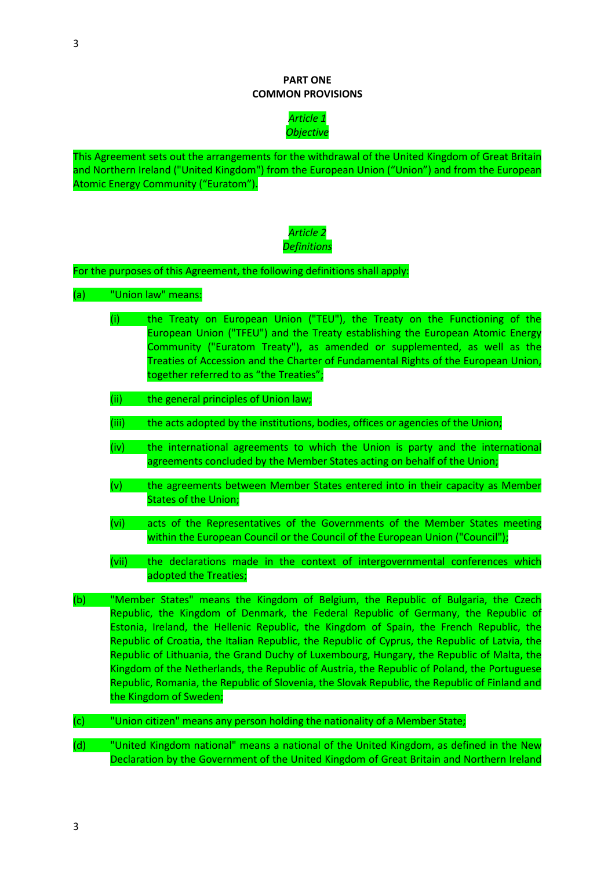#### **PART ONE COMMON PROVISIONS**



This Agreement sets out the arrangements for the withdrawal of the United Kingdom of Great Britain and Northern Ireland ("United Kingdom") from the European Union ("Union") and from the European Atomic Energy Community ("Euratom").

### *Article 2 Definitions*

For the purposes of this Agreement, the following definitions shall apply:

#### (a) "Union law" means:

- (i) the Treaty on European Union ("TEU"), the Treaty on the Functioning of the European Union ("TFEU") and the Treaty establishing the European Atomic Energy Community ("Euratom Treaty"), as amended or supplemented, as well as the Treaties of Accession and the Charter of Fundamental Rights of the European Union, together referred to as "the Treaties";
- (ii) the general principles of Union law;
- (iii) the acts adopted by the institutions, bodies, offices or agencies of the Union;
- (iv) the international agreements to which the Union is party and the international agreements concluded by the Member States acting on behalf of the Union;
- (v) the agreements between Member States entered into in their capacity as Member States of the Union;
- (vi) acts of the Representatives of the Governments of the Member States meeting within the European Council or the Council of the European Union ("Council");
- (vii) the declarations made in the context of intergovernmental conferences which adopted the Treaties;
- (b) "Member States" means the Kingdom of Belgium, the Republic of Bulgaria, the Czech Republic, the Kingdom of Denmark, the Federal Republic of Germany, the Republic of Estonia, Ireland, the Hellenic Republic, the Kingdom of Spain, the French Republic, the Republic of Croatia, the Italian Republic, the Republic of Cyprus, the Republic of Latvia, the Republic of Lithuania, the Grand Duchy of Luxembourg, Hungary, the Republic of Malta, the Kingdom of the Netherlands, the Republic of Austria, the Republic of Poland, the Portuguese Republic, Romania, the Republic of Slovenia, the Slovak Republic, the Republic of Finland and the Kingdom of Sweden;
- (c) "Union citizen" means any person holding the nationality of a Member State;
- (d) "United Kingdom national" means a national of the United Kingdom, as defined in the New Declaration by the Government of the United Kingdom of Great Britain and Northern Ireland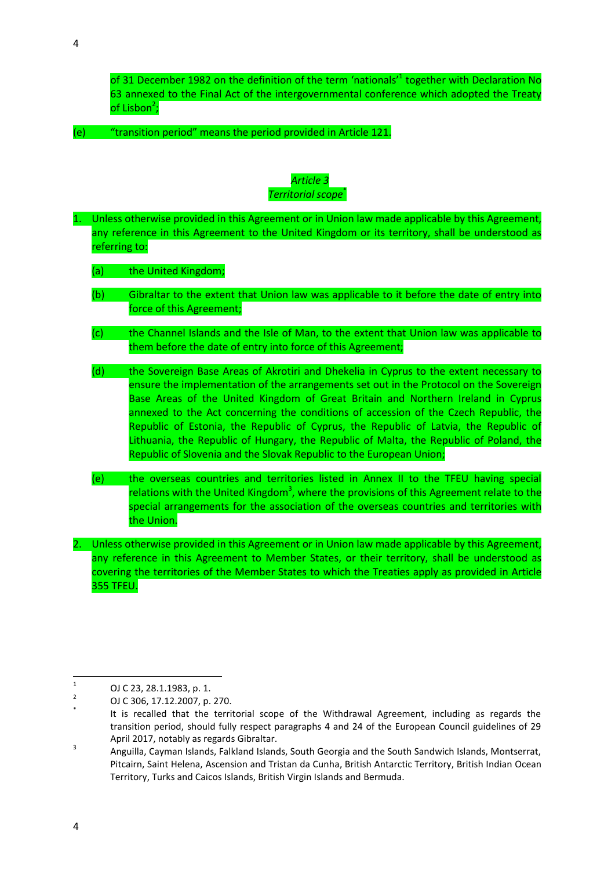of 31 December 1982 on the definition of the term 'nationals'<sup>1</sup> together with Declaration No 63 annexed to the Final Act of the intergovernmental conference which adopted the Treaty of Lisbon<sup>2</sup>;

(e) "transition period" means the period provided in Article 121.

### *Article 3 Territorial scope*\*

1. Unless otherwise provided in this Agreement or in Union law made applicable by this Agreement, any reference in this Agreement to the United Kingdom or its territory, shall be understood as referring to:

(a) the United Kingdom;

- (b) Gibraltar to the extent that Union law was applicable to it before the date of entry into force of this Agreement;
- (c) the Channel Islands and the Isle of Man, to the extent that Union law was applicable to them before the date of entry into force of this Agreement;
- (d) the Sovereign Base Areas of Akrotiri and Dhekelia in Cyprus to the extent necessary to ensure the implementation of the arrangements set out in the Protocol on the Sovereign Base Areas of the United Kingdom of Great Britain and Northern Ireland in Cyprus annexed to the Act concerning the conditions of accession of the Czech Republic, the Republic of Estonia, the Republic of Cyprus, the Republic of Latvia, the Republic of Lithuania, the Republic of Hungary, the Republic of Malta, the Republic of Poland, the Republic of Slovenia and the Slovak Republic to the European Union;
- (e) the overseas countries and territories listed in Annex II to the TFEU having special relations with the United Kingdom<sup>3</sup>, where the provisions of this Agreement relate to the special arrangements for the association of the overseas countries and territories with the Union.
- 2. Unless otherwise provided in this Agreement or in Union law made applicable by this Agreement, any reference in this Agreement to Member States, or their territory, shall be understood as covering the territories of the Member States to which the Treaties apply as provided in Article 355 TFEU.

 $\frac{1}{1}$ OJ C 23, 28.1.1983, p. 1.

<sup>2</sup> OJ C 306, 17.12.2007, p. 270.

<sup>\*</sup> It is recalled that the territorial scope of the Withdrawal Agreement, including as regards the transition period, should fully respect paragraphs 4 and 24 of the European Council guidelines of 29 April 2017, notably as regards Gibraltar.

<sup>3</sup> Anguilla, Cayman Islands, Falkland Islands, South Georgia and the South Sandwich Islands, Montserrat, Pitcairn, Saint Helena, Ascension and Tristan da Cunha, British Antarctic Territory, British Indian Ocean Territory, Turks and Caicos Islands, British Virgin Islands and Bermuda.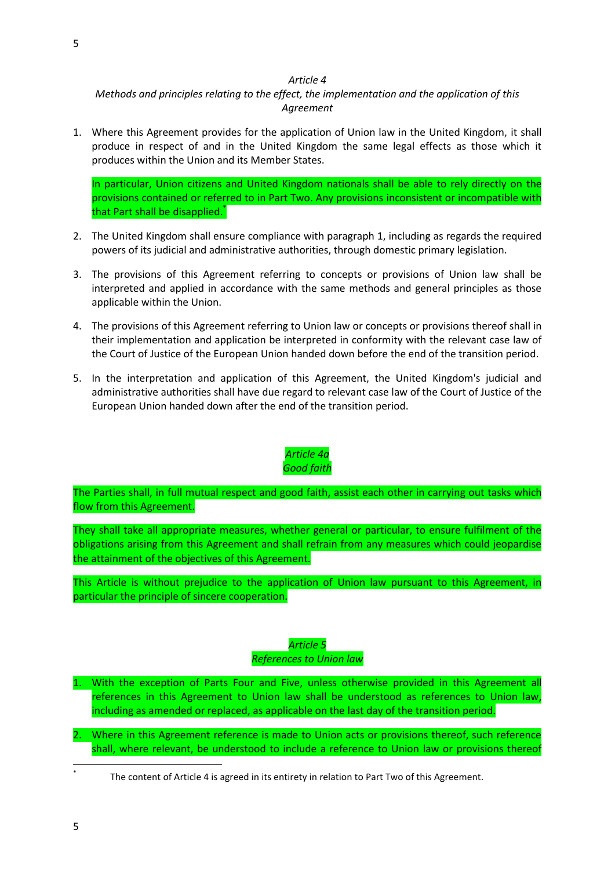#### *Article 4*

*Methods and principles relating to the effect, the implementation and the application of this Agreement*

1. Where this Agreement provides for the application of Union law in the United Kingdom, it shall produce in respect of and in the United Kingdom the same legal effects as those which it produces within the Union and its Member States.

In particular, Union citizens and United Kingdom nationals shall be able to rely directly on the provisions contained or referred to in Part Two. Any provisions inconsistent or incompatible with that Part shall be disapplied. $\tilde{a}$ 

- 2. The United Kingdom shall ensure compliance with paragraph 1, including as regards the required powers of its judicial and administrative authorities, through domestic primary legislation.
- 3. The provisions of this Agreement referring to concepts or provisions of Union law shall be interpreted and applied in accordance with the same methods and general principles as those applicable within the Union.
- 4. The provisions of this Agreement referring to Union law or concepts or provisions thereof shall in their implementation and application be interpreted in conformity with the relevant case law of the Court of Justice of the European Union handed down before the end of the transition period.
- 5. In the interpretation and application of this Agreement, the United Kingdom's judicial and administrative authorities shall have due regard to relevant case law of the Court of Justice of the European Union handed down after the end of the transition period.

*Article 4a Good faith*

The Parties shall, in full mutual respect and good faith, assist each other in carrying out tasks which flow from this Agreement.

They shall take all appropriate measures, whether general or particular, to ensure fulfilment of the obligations arising from this Agreement and shall refrain from any measures which could jeopardise the attainment of the objectives of this Agreement.

This Article is without prejudice to the application of Union law pursuant to this Agreement, in particular the principle of sincere cooperation.

#### *Article 5*

*References to Union law*

- 1. With the exception of Parts Four and Five, unless otherwise provided in this Agreement all references in this Agreement to Union law shall be understood as references to Union law, including as amended or replaced, as applicable on the last day of the transition period.
- 2. Where in this Agreement reference is made to Union acts or provisions thereof, such reference shall, where relevant, be understood to include a reference to Union law or provisions thereof

**.** \*

The content of Article 4 is agreed in its entirety in relation to Part Two of this Agreement.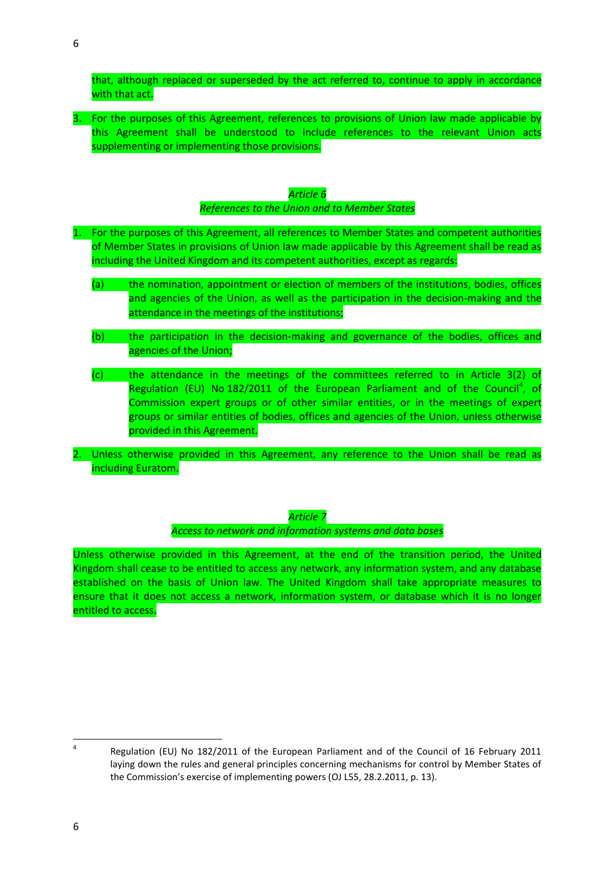that, although replaced or superseded by the act referred to, continue to apply in accordance with that act.

3. For the purposes of this Agreement, references to provisions of Union law made applicable by this Agreement shall be understood to include references to the relevant Union acts supplementing or implementing those provisions.

#### *Article 6*

#### *References to the Union and to Member States*

- 1. For the purposes of this Agreement, all references to Member States and competent authorities of Member States in provisions of Union law made applicable by this Agreement shall be read as including the United Kingdom and its competent authorities, except as regards:
	- (a) the nomination, appointment or election of members of the institutions, bodies, offices and agencies of the Union, as well as the participation in the decision-making and the attendance in the meetings of the institutions;
	- (b) the participation in the decision-making and governance of the bodies, offices and agencies of the Union;
	- (c) the attendance in the meetings of the committees referred to in Article 3(2) of Regulation (EU) No  $182/2011$  of the European Parliament and of the Council<sup>4</sup>, of Commission expert groups or of other similar entities, or in the meetings of expert groups or similar entities of bodies, offices and agencies of the Union, unless otherwise provided in this Agreement.
- 2. Unless otherwise provided in this Agreement, any reference to the Union shall be read as including Euratom.

#### *Article 7*

*Access to network and information systems and data bases*

Unless otherwise provided in this Agreement, at the end of the transition period, the United Kingdom shall cease to be entitled to access any network, any information system, and any database established on the basis of Union law. The United Kingdom shall take appropriate measures to ensure that it does not access a network, information system, or database which it is no longer entitled to access.

**<sup>.</sup>** 4

Regulation (EU) No 182/2011 of the European Parliament and of the Council of 16 February 2011 laying down the rules and general principles concerning mechanisms for control by Member States of the Commission's exercise of implementing powers (OJ L55, 28.2.2011, p. 13).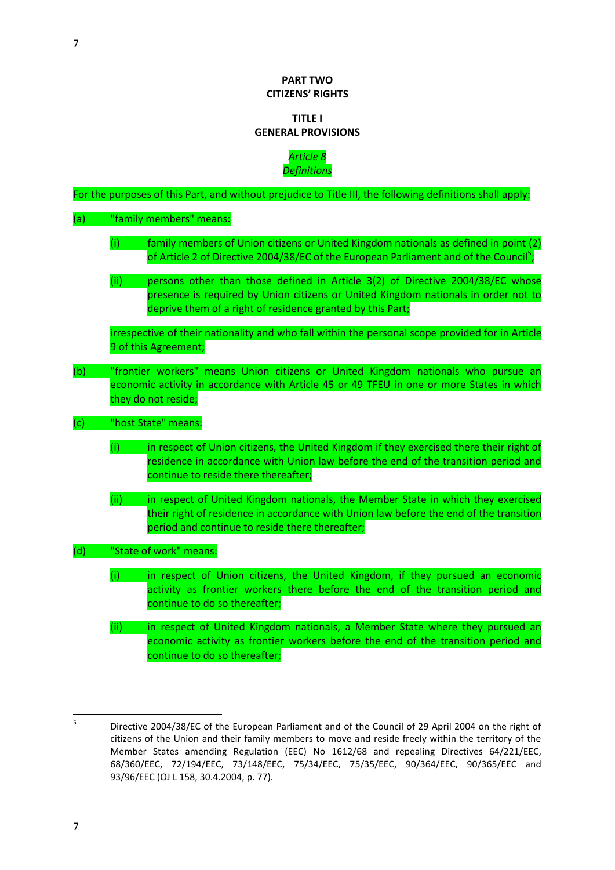#### **PART TWO CITIZENS' RIGHTS**

#### **TITLE I GENERAL PROVISIONS**

# *Article 8*

### *Definitions*

|     |      | For the purposes of this Part, and without prejudice to Title III, the following definitions shall apply:                                                                                                                          |
|-----|------|------------------------------------------------------------------------------------------------------------------------------------------------------------------------------------------------------------------------------------|
| (a) |      | "family members" means:                                                                                                                                                                                                            |
|     | (i)  | family members of Union citizens or United Kingdom nationals as defined in point (2)<br>of Article 2 of Directive 2004/38/EC of the European Parliament and of the Council <sup>5</sup> ;                                          |
|     | (ii) | persons other than those defined in Article 3(2) of Directive 2004/38/EC whose<br>presence is required by Union citizens or United Kingdom nationals in order not to<br>deprive them of a right of residence granted by this Part; |
|     |      | irrespective of their nationality and who fall within the personal scope provided for in Article<br>9 of this Agreement;                                                                                                           |
| (b) |      | "frontier workers" means Union citizens or United Kingdom nationals who pursue an<br>economic activity in accordance with Article 45 or 49 TFEU in one or more States in which<br>they do not reside;                              |
| (c) |      | "host State" means:                                                                                                                                                                                                                |
|     | (i)  | in respect of Union citizens, the United Kingdom if they exercised there their right of<br>residence in accordance with Union law before the end of the transition period and<br>continue to reside there thereafter;              |
|     | (ii) | in respect of United Kingdom nationals, the Member State in which they exercised<br>their right of residence in accordance with Union law before the end of the transition<br>period and continue to reside there thereafter;      |
| (d) |      | "State of work" means:                                                                                                                                                                                                             |
|     | (i)  | in respect of Union citizens, the United Kingdom, if they pursued an economic<br>activity as frontier workers there before the end of the transition period and                                                                    |

(ii) in respect of United Kingdom nationals, a Member State where they pursued an economic activity as frontier workers before the end of the transition period and continue to do so thereafter;

continue to do so thereafter;

<sup>—&</sup>lt;br>5 Directive 2004/38/EC of the European Parliament and of the Council of 29 April 2004 on the right of citizens of the Union and their family members to move and reside freely within the territory of the Member States amending Regulation (EEC) No 1612/68 and repealing Directives 64/221/EEC, 68/360/EEC, 72/194/EEC, 73/148/EEC, 75/34/EEC, 75/35/EEC, 90/364/EEC, 90/365/EEC and 93/96/EEC (OJ L 158, 30.4.2004, p. 77).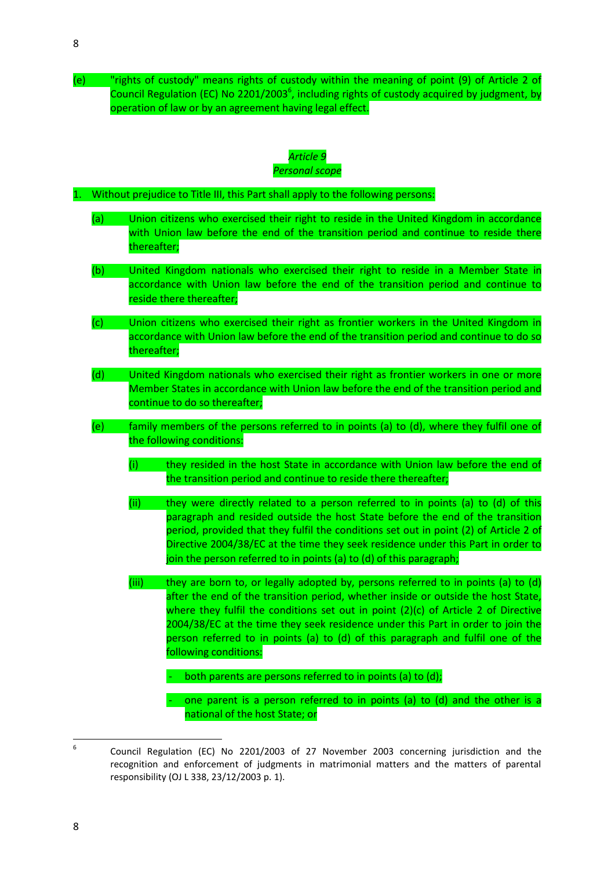(e) "rights of custody" means rights of custody within the meaning of point (9) of Article 2 of Council Regulation (EC) No 2201/2003<sup>6</sup>, including rights of custody acquired by judgment, by operation of law or by an agreement having legal effect.

#### *Article 9 Personal scope*

- 1. Without prejudice to Title III, this Part shall apply to the following persons: (a) Union citizens who exercised their right to reside in the United Kingdom in accordance with Union law before the end of the transition period and continue to reside there thereafter; (b) United Kingdom nationals who exercised their right to reside in a Member State in accordance with Union law before the end of the transition period and continue to reside there thereafter; (c) Union citizens who exercised their right as frontier workers in the United Kingdom in accordance with Union law before the end of the transition period and continue to do so thereafter; (d) United Kingdom nationals who exercised their right as frontier workers in one or more Member States in accordance with Union law before the end of the transition period and continue to do so thereafter; (e) family members of the persons referred to in points (a) to (d), where they fulfil one of the following conditions: (i) they resided in the host State in accordance with Union law before the end of the transition period and continue to reside there thereafter; (ii) they were directly related to a person referred to in points (a) to (d) of this paragraph and resided outside the host State before the end of the transition period, provided that they fulfil the conditions set out in point (2) of Article 2 of Directive 2004/38/EC at the time they seek residence under this Part in order to join the person referred to in points (a) to (d) of this paragraph; (iii) they are born to, or legally adopted by, persons referred to in points (a) to  $(d)$ after the end of the transition period, whether inside or outside the host State, where they fulfil the conditions set out in point  $(2)(c)$  of Article 2 of Directive 2004/38/EC at the time they seek residence under this Part in order to join the person referred to in points (a) to (d) of this paragraph and fulfil one of the following conditions: - both parents are persons referred to in points (a) to (d);
	- one parent is a person referred to in points (a) to (d) and the other is a national of the host State; or

**<sup>.</sup>** 6 Council Regulation (EC) No 2201/2003 of 27 November 2003 concerning jurisdiction and the recognition and enforcement of judgments in matrimonial matters and the matters of parental responsibility (OJ L 338, 23/12/2003 p. 1).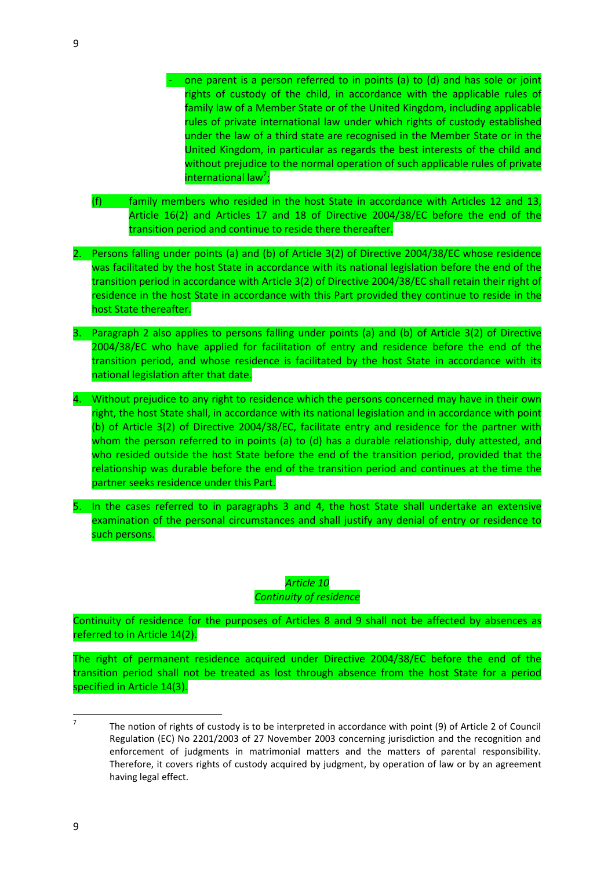- one parent is a person referred to in points (a) to (d) and has sole or joint rights of custody of the child, in accordance with the applicable rules of family law of a Member State or of the United Kingdom, including applicable rules of private international law under which rights of custody established under the law of a third state are recognised in the Member State or in the United Kingdom, in particular as regards the best interests of the child and without prejudice to the normal operation of such applicable rules of private international law<sup>7</sup>;
- (f) family members who resided in the host State in accordance with Articles 12 and 13, Article 16(2) and Articles 17 and 18 of Directive 2004/38/EC before the end of the transition period and continue to reside there thereafter.
- 2. Persons falling under points (a) and (b) of Article 3(2) of Directive 2004/38/EC whose residence was facilitated by the host State in accordance with its national legislation before the end of the transition period in accordance with Article 3(2) of Directive 2004/38/EC shall retain their right of residence in the host State in accordance with this Part provided they continue to reside in the host State thereafter.
- 3. Paragraph 2 also applies to persons falling under points (a) and (b) of Article 3(2) of Directive 2004/38/EC who have applied for facilitation of entry and residence before the end of the transition period, and whose residence is facilitated by the host State in accordance with its national legislation after that date.
- 4. Without prejudice to any right to residence which the persons concerned may have in their own right, the host State shall, in accordance with its national legislation and in accordance with point (b) of Article 3(2) of Directive 2004/38/EC, facilitate entry and residence for the partner with whom the person referred to in points (a) to (d) has a durable relationship, duly attested, and who resided outside the host State before the end of the transition period, provided that the relationship was durable before the end of the transition period and continues at the time the partner seeks residence under this Part.
- 5. In the cases referred to in paragraphs 3 and 4, the host State shall undertake an extensive examination of the personal circumstances and shall justify any denial of entry or residence to such persons.

*Article 10 Continuity of residence*

Continuity of residence for the purposes of Articles 8 and 9 shall not be affected by absences as referred to in Article 14(2).

The right of permanent residence acquired under Directive 2004/38/EC before the end of the transition period shall not be treated as lost through absence from the host State for a period specified in Article 14(3).

<sup>-&</sup>lt;br>7 The notion of rights of custody is to be interpreted in accordance with point (9) of Article 2 of Council Regulation (EC) No 2201/2003 of 27 November 2003 concerning jurisdiction and the recognition and enforcement of judgments in matrimonial matters and the matters of parental responsibility. Therefore, it covers rights of custody acquired by judgment, by operation of law or by an agreement having legal effect.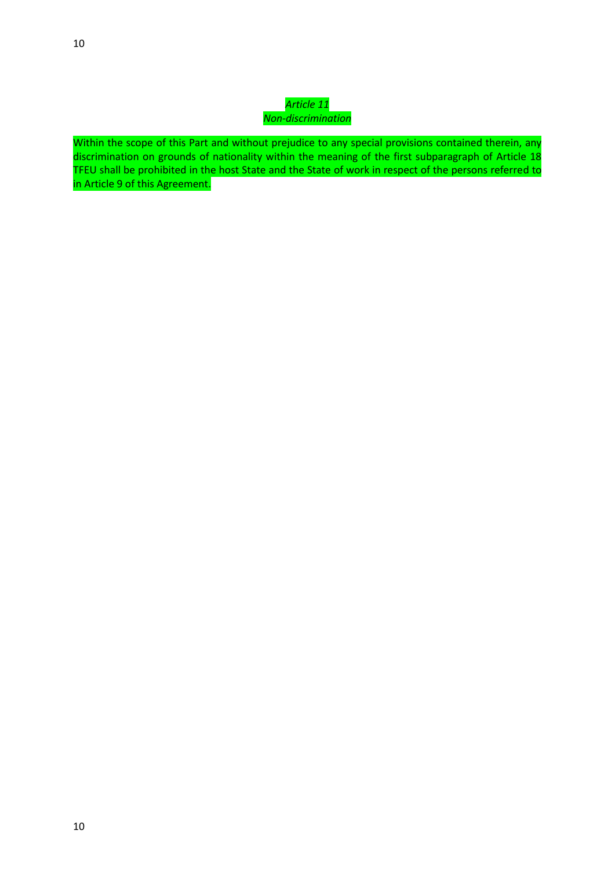### *Article 11 Non-discrimination*

Within the scope of this Part and without prejudice to any special provisions contained therein, any discrimination on grounds of nationality within the meaning of the first subparagraph of Article 18 TFEU shall be prohibited in the host State and the State of work in respect of the persons referred to in Article 9 of this Agreement.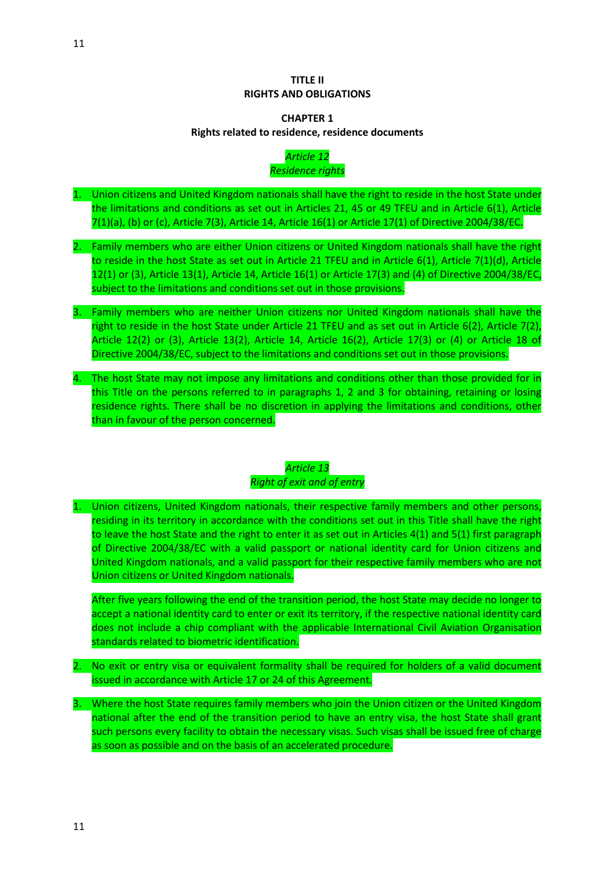#### **TITLE II RIGHTS AND OBLIGATIONS**

#### **CHAPTER 1 Rights related to residence, residence documents**

# *Article 12 Residence rights*

- 1. Union citizens and United Kingdom nationals shall have the right to reside in the host State under the limitations and conditions as set out in Articles 21, 45 or 49 TFEU and in Article 6(1), Article 7(1)(a), (b) or (c), Article 7(3), Article 14, Article 16(1) or Article 17(1) of Directive 2004/38/EC.
- 2. Family members who are either Union citizens or United Kingdom nationals shall have the right to reside in the host State as set out in Article 21 TFEU and in Article 6(1), Article 7(1)(d), Article 12(1) or (3), Article 13(1), Article 14, Article 16(1) or Article 17(3) and (4) of Directive 2004/38/EC, subject to the limitations and conditions set out in those provisions.
- 3. Family members who are neither Union citizens nor United Kingdom nationals shall have the right to reside in the host State under Article 21 TFEU and as set out in Article 6(2), Article 7(2), Article 12(2) or (3), Article 13(2), Article 14, Article 16(2), Article 17(3) or (4) or Article 18 of Directive 2004/38/EC, subject to the limitations and conditions set out in those provisions.
- 4. The host State may not impose any limitations and conditions other than those provided for in this Title on the persons referred to in paragraphs 1, 2 and 3 for obtaining, retaining or losing residence rights. There shall be no discretion in applying the limitations and conditions, other than in favour of the person concerned.

### *Article 13 Right of exit and of entry*

1. Union citizens, United Kingdom nationals, their respective family members and other persons, residing in its territory in accordance with the conditions set out in this Title shall have the right to leave the host State and the right to enter it as set out in Articles 4(1) and 5(1) first paragraph of Directive 2004/38/EC with a valid passport or national identity card for Union citizens and United Kingdom nationals, and a valid passport for their respective family members who are not Union citizens or United Kingdom nationals.

After five years following the end of the transition period, the host State may decide no longer to accept a national identity card to enter or exit its territory, if the respective national identity card does not include a chip compliant with the applicable International Civil Aviation Organisation standards related to biometric identification.

- 2. No exit or entry visa or equivalent formality shall be required for holders of a valid document issued in accordance with Article 17 or 24 of this Agreement.
- 3. Where the host State requires family members who join the Union citizen or the United Kingdom national after the end of the transition period to have an entry visa, the host State shall grant such persons every facility to obtain the necessary visas. Such visas shall be issued free of charge as soon as possible and on the basis of an accelerated procedure.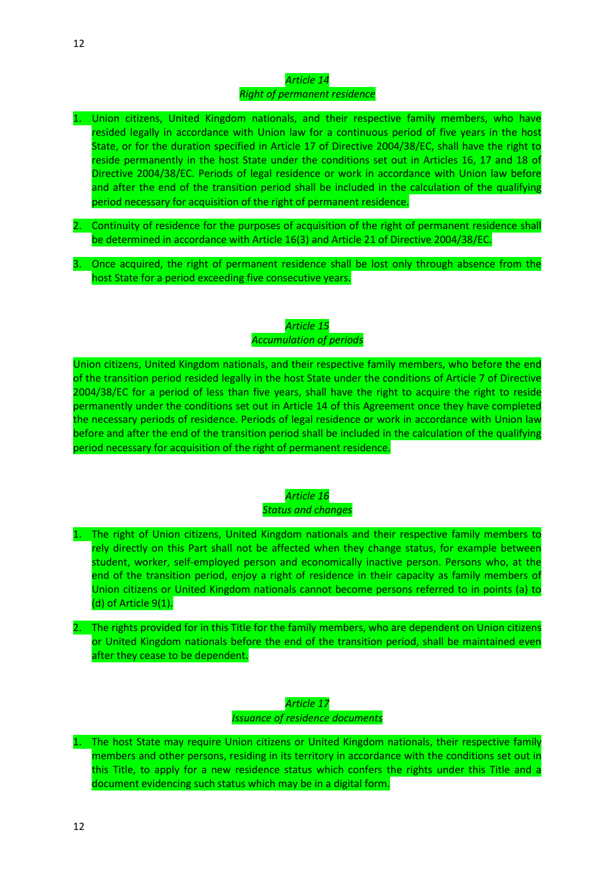12

### *Article 14 Right of permanent residence*

- 1. Union citizens, United Kingdom nationals, and their respective family members, who have resided legally in accordance with Union law for a continuous period of five years in the host State, or for the duration specified in Article 17 of Directive 2004/38/EC, shall have the right to reside permanently in the host State under the conditions set out in Articles 16, 17 and 18 of Directive 2004/38/EC. Periods of legal residence or work in accordance with Union law before and after the end of the transition period shall be included in the calculation of the qualifying period necessary for acquisition of the right of permanent residence.
- 2. Continuity of residence for the purposes of acquisition of the right of permanent residence shall be determined in accordance with Article 16(3) and Article 21 of Directive 2004/38/EC.
- 3. Once acquired, the right of permanent residence shall be lost only through absence from the host State for a period exceeding five consecutive years.

### *Article 15 Accumulation of periods*

Union citizens, United Kingdom nationals, and their respective family members, who before the end of the transition period resided legally in the host State under the conditions of Article 7 of Directive 2004/38/EC for a period of less than five years, shall have the right to acquire the right to reside permanently under the conditions set out in Article 14 of this Agreement once they have completed the necessary periods of residence. Periods of legal residence or work in accordance with Union law before and after the end of the transition period shall be included in the calculation of the qualifying period necessary for acquisition of the right of permanent residence.

### *Article 16 Status and changes*

- 1. The right of Union citizens, United Kingdom nationals and their respective family members to rely directly on this Part shall not be affected when they change status, for example between student, worker, self-employed person and economically inactive person. Persons who, at the end of the transition period, enjoy a right of residence in their capacity as family members of Union citizens or United Kingdom nationals cannot become persons referred to in points (a) to (d) of Article 9(1).
- 2. The rights provided for in this Title for the family members, who are dependent on Union citizens or United Kingdom nationals before the end of the transition period, shall be maintained even after they cease to be dependent.

#### *Article 17*

#### *Issuance of residence documents*

1. The host State may require Union citizens or United Kingdom nationals, their respective family members and other persons, residing in its territory in accordance with the conditions set out in this Title, to apply for a new residence status which confers the rights under this Title and a document evidencing such status which may be in a digital form.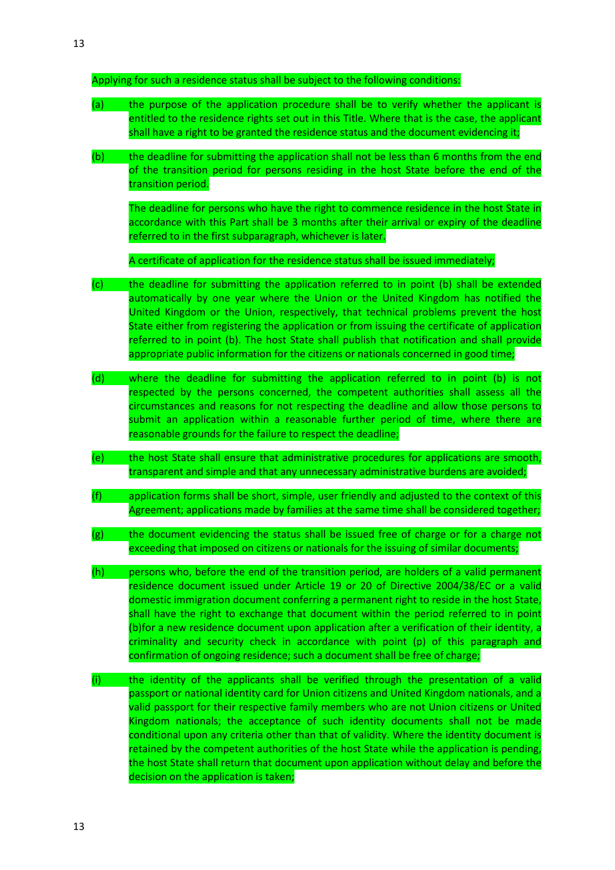Applying for such a residence status shall be subject to the following conditions:

- (a) the purpose of the application procedure shall be to verify whether the applicant is entitled to the residence rights set out in this Title. Where that is the case, the applicant shall have a right to be granted the residence status and the document evidencing it;
- (b) the deadline for submitting the application shall not be less than 6 months from the end of the transition period for persons residing in the host State before the end of the transition period.

The deadline for persons who have the right to commence residence in the host State in accordance with this Part shall be 3 months after their arrival or expiry of the deadline referred to in the first subparagraph, whichever is later.

A certificate of application for the residence status shall be issued immediately;

- (c) the deadline for submitting the application referred to in point (b) shall be extended automatically by one year where the Union or the United Kingdom has notified the United Kingdom or the Union, respectively, that technical problems prevent the host State either from registering the application or from issuing the certificate of application referred to in point (b). The host State shall publish that notification and shall provide appropriate public information for the citizens or nationals concerned in good time;
- (d) where the deadline for submitting the application referred to in point (b) is not respected by the persons concerned, the competent authorities shall assess all the circumstances and reasons for not respecting the deadline and allow those persons to submit an application within a reasonable further period of time, where there are reasonable grounds for the failure to respect the deadline;
- (e) the host State shall ensure that administrative procedures for applications are smooth, transparent and simple and that any unnecessary administrative burdens are avoided;
- (f) application forms shall be short, simple, user friendly and adjusted to the context of this Agreement; applications made by families at the same time shall be considered together;
- (g) the document evidencing the status shall be issued free of charge or for a charge not exceeding that imposed on citizens or nationals for the issuing of similar documents;
- (h) persons who, before the end of the transition period, are holders of a valid permanent residence document issued under Article 19 or 20 of Directive 2004/38/EC or a valid domestic immigration document conferring a permanent right to reside in the host State, shall have the right to exchange that document within the period referred to in point (b)for a new residence document upon application after a verification of their identity, a criminality and security check in accordance with point (p) of this paragraph and confirmation of ongoing residence; such a document shall be free of charge;
- (i) the identity of the applicants shall be verified through the presentation of a valid passport or national identity card for Union citizens and United Kingdom nationals, and a valid passport for their respective family members who are not Union citizens or United Kingdom nationals; the acceptance of such identity documents shall not be made conditional upon any criteria other than that of validity. Where the identity document is retained by the competent authorities of the host State while the application is pending, the host State shall return that document upon application without delay and before the decision on the application is taken;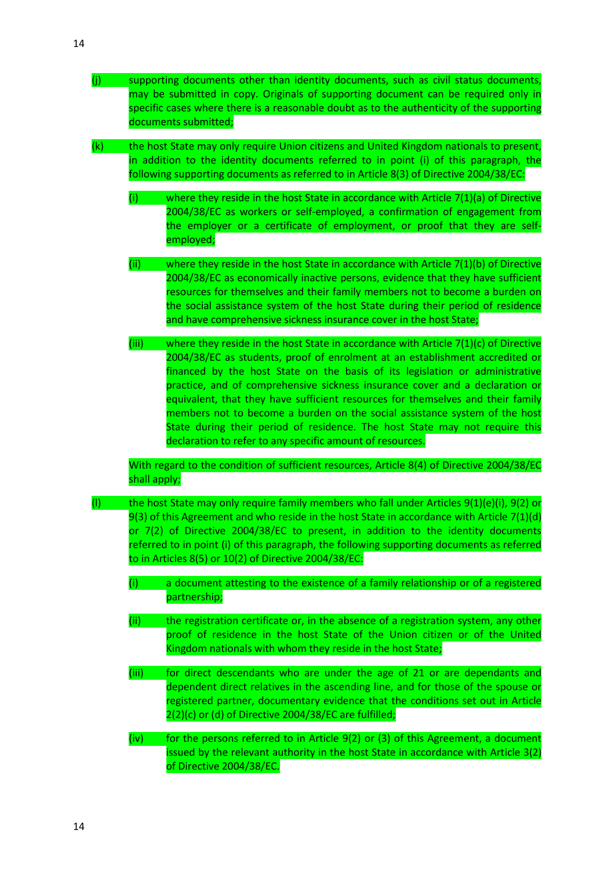(j) supporting documents other than identity documents, such as civil status documents, may be submitted in copy. Originals of supporting document can be required only in specific cases where there is a reasonable doubt as to the authenticity of the supporting documents submitted; (k) the host State may only require Union citizens and United Kingdom nationals to present, in addition to the identity documents referred to in point (i) of this paragraph, the following supporting documents as referred to in Article 8(3) of Directive 2004/38/EC: (i) where they reside in the host State in accordance with Article  $7(1)(a)$  of Directive 2004/38/EC as workers or self-employed, a confirmation of engagement from the employer or a certificate of employment, or proof that they are selfemployed; (ii) where they reside in the host State in accordance with Article  $7(1)(b)$  of Directive 2004/38/EC as economically inactive persons, evidence that they have sufficient resources for themselves and their family members not to become a burden on the social assistance system of the host State during their period of residence and have comprehensive sickness insurance cover in the host State; (iii) where they reside in the host State in accordance with Article  $7(1)(c)$  of Directive 2004/38/EC as students, proof of enrolment at an establishment accredited or financed by the host State on the basis of its legislation or administrative practice, and of comprehensive sickness insurance cover and a declaration or equivalent, that they have sufficient resources for themselves and their family members not to become a burden on the social assistance system of the host State during their period of residence. The host State may not require this declaration to refer to any specific amount of resources. With regard to the condition of sufficient resources, Article 8(4) of Directive 2004/38/EC shall apply; (I) the host State may only require family members who fall under Articles  $9(1)(e)(i)$ ,  $9(2)$  or 9(3) of this Agreement and who reside in the host State in accordance with Article 7(1)(d) or 7(2) of Directive 2004/38/EC to present, in addition to the identity documents referred to in point (i) of this paragraph, the following supporting documents as referred to in Articles 8(5) or 10(2) of Directive 2004/38/EC: (i) a document attesting to the existence of a family relationship or of a registered partnership; (ii) the registration certificate or, in the absence of a registration system, any other proof of residence in the host State of the Union citizen or of the United Kingdom nationals with whom they reside in the host State; (iii) for direct descendants who are under the age of 21 or are dependants and dependent direct relatives in the ascending line, and for those of the spouse or registered partner, documentary evidence that the conditions set out in Article 2(2)(c) or (d) of Directive 2004/38/EC are fulfilled;  $(iv)$  for the persons referred to in Article 9(2) or (3) of this Agreement, a document issued by the relevant authority in the host State in accordance with Article 3(2) of Directive 2004/38/EC.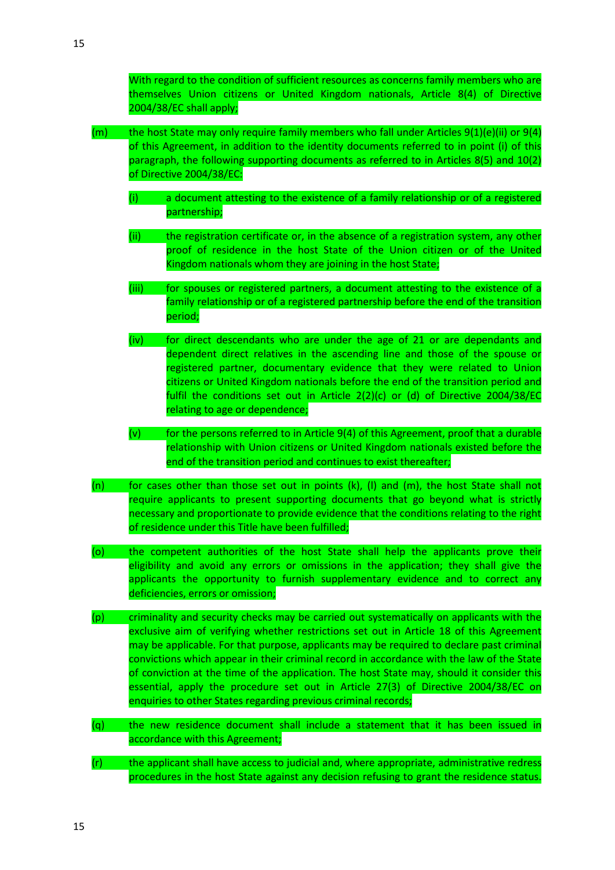With regard to the condition of sufficient resources as concerns family members who are themselves Union citizens or United Kingdom nationals, Article 8(4) of Directive 2004/38/EC shall apply; (m) the host State may only require family members who fall under Articles 9(1)(e)(ii) or 9(4) of this Agreement, in addition to the identity documents referred to in point (i) of this paragraph, the following supporting documents as referred to in Articles 8(5) and 10(2) of Directive 2004/38/EC: (i) a document attesting to the existence of a family relationship or of a registered partnership; (ii) the registration certificate or, in the absence of a registration system, any other proof of residence in the host State of the Union citizen or of the United Kingdom nationals whom they are joining in the host State; (iii) for spouses or registered partners, a document attesting to the existence of a family relationship or of a registered partnership before the end of the transition period; (iv) for direct descendants who are under the age of 21 or are dependants and dependent direct relatives in the ascending line and those of the spouse or registered partner, documentary evidence that they were related to Union citizens or United Kingdom nationals before the end of the transition period and fulfil the conditions set out in Article 2(2)(c) or (d) of Directive 2004/38/EC relating to age or dependence;  $(v)$  for the persons referred to in Article  $9(4)$  of this Agreement, proof that a durable relationship with Union citizens or United Kingdom nationals existed before the end of the transition period and continues to exist thereafter; (n) for cases other than those set out in points  $(k)$ , (I) and (m), the host State shall not require applicants to present supporting documents that go beyond what is strictly necessary and proportionate to provide evidence that the conditions relating to the right of residence under this Title have been fulfilled; (o) the competent authorities of the host State shall help the applicants prove their eligibility and avoid any errors or omissions in the application; they shall give the applicants the opportunity to furnish supplementary evidence and to correct any deficiencies, errors or omission; (p) criminality and security checks may be carried out systematically on applicants with the exclusive aim of verifying whether restrictions set out in Article 18 of this Agreement may be applicable. For that purpose, applicants may be required to declare past criminal convictions which appear in their criminal record in accordance with the law of the State of conviction at the time of the application. The host State may, should it consider this essential, apply the procedure set out in Article 27(3) of Directive 2004/38/EC on enquiries to other States regarding previous criminal records; (q) the new residence document shall include a statement that it has been issued in accordance with this Agreement; (r) the applicant shall have access to judicial and, where appropriate, administrative redress procedures in the host State against any decision refusing to grant the residence status.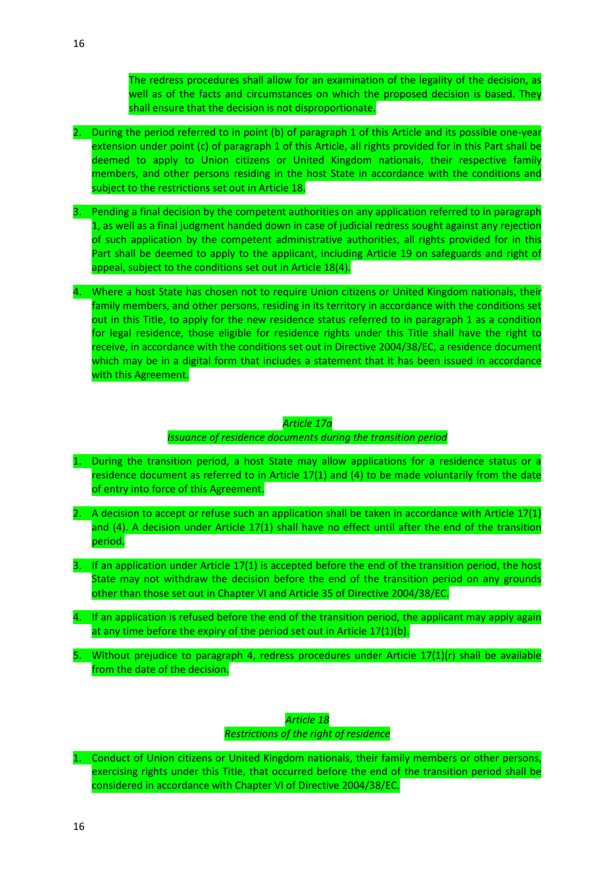The redress procedures shall allow for an examination of the legality of the decision, as well as of the facts and circumstances on which the proposed decision is based. They shall ensure that the decision is not disproportionate.

- 2. During the period referred to in point (b) of paragraph 1 of this Article and its possible one-year extension under point (c) of paragraph 1 of this Article, all rights provided for in this Part shall be deemed to apply to Union citizens or United Kingdom nationals, their respective family members, and other persons residing in the host State in accordance with the conditions and subject to the restrictions set out in Article 18.
- 3. Pending a final decision by the competent authorities on any application referred to in paragraph 1, as well as a final judgment handed down in case of judicial redress sought against any rejection of such application by the competent administrative authorities, all rights provided for in this Part shall be deemed to apply to the applicant, including Article 19 on safeguards and right of appeal, subject to the conditions set out in Article 18(4).
- 4. Where a host State has chosen not to require Union citizens or United Kingdom nationals, their family members, and other persons, residing in its territory in accordance with the conditions set out in this Title, to apply for the new residence status referred to in paragraph 1 as a condition for legal residence, those eligible for residence rights under this Title shall have the right to receive, in accordance with the conditions set out in Directive 2004/38/EC, a residence document which may be in a digital form that includes a statement that it has been issued in accordance with this Agreement.

#### *Article 17a*

*Issuance of residence documents during the transition period*

- 1. During the transition period, a host State may allow applications for a residence status or a residence document as referred to in Article 17(1) and (4) to be made voluntarily from the date of entry into force of this Agreement.
- 2. A decision to accept or refuse such an application shall be taken in accordance with Article 17(1) and (4). A decision under Article 17(1) shall have no effect until after the end of the transition period.
- 3. If an application under Article 17(1) is accepted before the end of the transition period, the host State may not withdraw the decision before the end of the transition period on any grounds other than those set out in Chapter VI and Article 35 of Directive 2004/38/EC.
- 4. If an application is refused before the end of the transition period, the applicant may apply again at any time before the expiry of the period set out in Article 17(1)(b).
- 5. Without prejudice to paragraph 4, redress procedures under Article 17(1)(r) shall be available from the date of the decision.

### *Article 18 Restrictions of the right of residence*

1. Conduct of Union citizens or United Kingdom nationals, their family members or other persons, exercising rights under this Title, that occurred before the end of the transition period shall be considered in accordance with Chapter VI of Directive 2004/38/EC.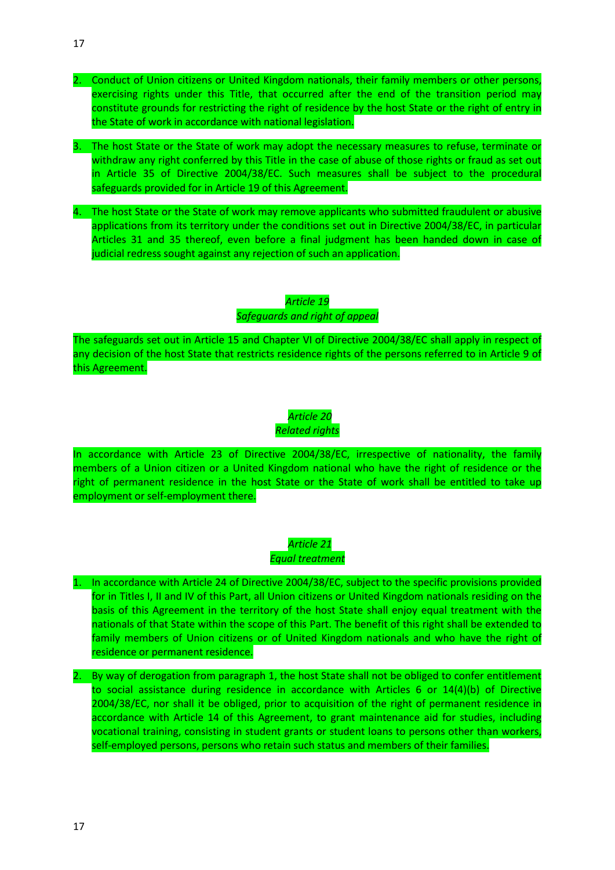- 2. Conduct of Union citizens or United Kingdom nationals, their family members or other persons, exercising rights under this Title, that occurred after the end of the transition period may constitute grounds for restricting the right of residence by the host State or the right of entry in the State of work in accordance with national legislation.
- 3. The host State or the State of work may adopt the necessary measures to refuse, terminate or withdraw any right conferred by this Title in the case of abuse of those rights or fraud as set out in Article 35 of Directive 2004/38/EC. Such measures shall be subject to the procedural safeguards provided for in Article 19 of this Agreement.
- 4. The host State or the State of work may remove applicants who submitted fraudulent or abusive applications from its territory under the conditions set out in Directive 2004/38/EC, in particular Articles 31 and 35 thereof, even before a final judgment has been handed down in case of judicial redress sought against any rejection of such an application.

#### *Article 19*

# *Safeguards and right of appeal*

The safeguards set out in Article 15 and Chapter VI of Directive 2004/38/EC shall apply in respect of any decision of the host State that restricts residence rights of the persons referred to in Article 9 of this Agreement.

### *Article 20 Related rights*

In accordance with Article 23 of Directive 2004/38/EC, irrespective of nationality, the family members of a Union citizen or a United Kingdom national who have the right of residence or the right of permanent residence in the host State or the State of work shall be entitled to take up employment or self-employment there.

### *Article 21 Equal treatment*

- 1. In accordance with Article 24 of Directive 2004/38/EC, subject to the specific provisions provided for in Titles I, II and IV of this Part, all Union citizens or United Kingdom nationals residing on the basis of this Agreement in the territory of the host State shall enjoy equal treatment with the nationals of that State within the scope of this Part. The benefit of this right shall be extended to family members of Union citizens or of United Kingdom nationals and who have the right of residence or permanent residence.
- 2. By way of derogation from paragraph 1, the host State shall not be obliged to confer entitlement to social assistance during residence in accordance with Articles 6 or 14(4)(b) of Directive 2004/38/EC, nor shall it be obliged, prior to acquisition of the right of permanent residence in accordance with Article 14 of this Agreement, to grant maintenance aid for studies, including vocational training, consisting in student grants or student loans to persons other than workers, self-employed persons, persons who retain such status and members of their families.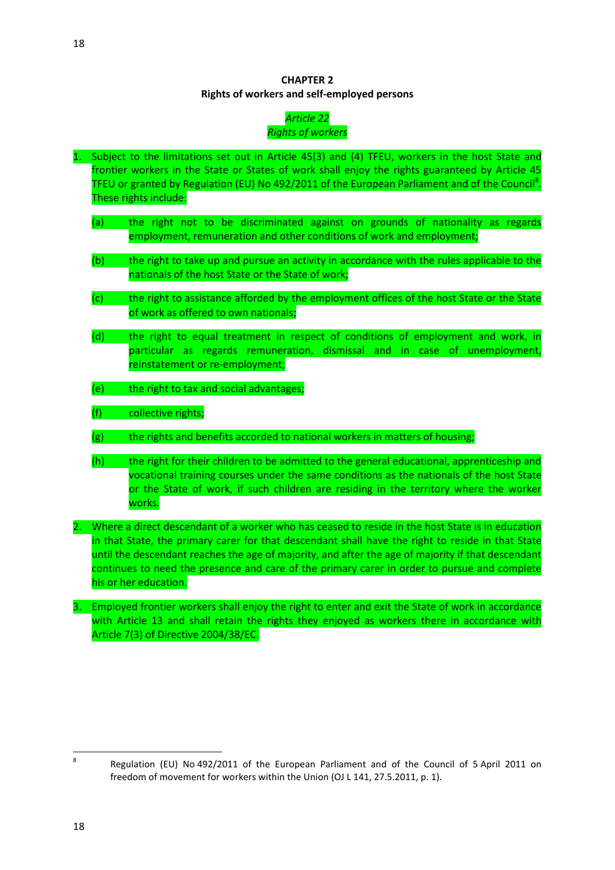### **CHAPTER 2 Rights of workers and self-employed persons**

# *Article 22 Rights of workers*

- 1. Subject to the limitations set out in Article 45(3) and (4) TFEU, workers in the host State and frontier workers in the State or States of work shall enjoy the rights guaranteed by Article 45 TFEU or granted by Regulation (EU) No 492/2011 of the European Parliament and of the Council<sup>8</sup>. These rights include:
	- (a) the right not to be discriminated against on grounds of nationality as regards employment, remuneration and other conditions of work and employment;
	- (b) the right to take up and pursue an activity in accordance with the rules applicable to the nationals of the host State or the State of work;
	- (c) the right to assistance afforded by the employment offices of the host State or the State of work as offered to own nationals;
	- (d) the right to equal treatment in respect of conditions of employment and work, in particular as regards remuneration, dismissal and in case of unemployment, reinstatement or re-employment;
	- $(e)$  the right to tax and social advantages;
	- (f) collective rights;
	- $(g)$  the rights and benefits accorded to national workers in matters of housing;
	- (h) the right for their children to be admitted to the general educational, apprenticeship and vocational training courses under the same conditions as the nationals of the host State or the State of work, if such children are residing in the territory where the worker works.
- 2. Where a direct descendant of a worker who has ceased to reside in the host State is in education in that State, the primary carer for that descendant shall have the right to reside in that State until the descendant reaches the age of majority, and after the age of majority if that descendant continues to need the presence and care of the primary carer in order to pursue and complete his or her education.
- 3. Employed frontier workers shall enjoy the right to enter and exit the State of work in accordance with Article 13 and shall retain the rights they enjoyed as workers there in accordance with Article 7(3) of Directive 2004/38/EC.

 $\overline{a}$ 

<sup>8</sup> Regulation (EU) No 492/2011 of the European Parliament and of the Council of 5 April 2011 on freedom of movement for workers within the Union (OJ L 141, 27.5.2011, p. 1).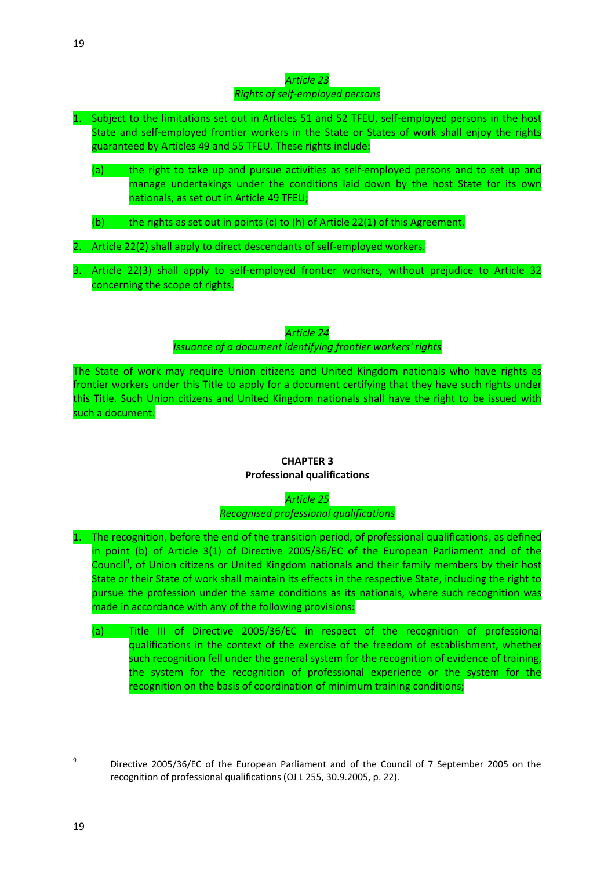### *Article 23 Rights of self-employed persons*

- 1. Subject to the limitations set out in Articles 51 and 52 TFEU, self-employed persons in the host State and self-employed frontier workers in the State or States of work shall enjoy the rights guaranteed by Articles 49 and 55 TFEU. These rights include:
	- (a) the right to take up and pursue activities as self-employed persons and to set up and manage undertakings under the conditions laid down by the host State for its own nationals, as set out in Article 49 TFEU;
	- (b) the rights as set out in points (c) to (h) of Article 22(1) of this Agreement.
- 2. Article 22(2) shall apply to direct descendants of self-employed workers.
- 3. Article 22(3) shall apply to self-employed frontier workers, without prejudice to Article 32 concerning the scope of rights.

*Article 24 Issuance of a document identifying frontier workers' rights*

The State of work may require Union citizens and United Kingdom nationals who have rights as frontier workers under this Title to apply for a document certifying that they have such rights under this Title. Such Union citizens and United Kingdom nationals shall have the right to be issued with such a document.

### **CHAPTER 3 Professional qualifications**

*Article 25 Recognised professional qualifications*

- 1. The recognition, before the end of the transition period, of professional qualifications, as defined in point (b) of Article 3(1) of Directive 2005/36/EC of the European Parliament and of the Council<sup>9</sup>, of Union citizens or United Kingdom nationals and their family members by their host State or their State of work shall maintain its effects in the respective State, including the right to pursue the profession under the same conditions as its nationals, where such recognition was made in accordance with any of the following provisions:
	- (a) Title III of Directive 2005/36/EC in respect of the recognition of professional qualifications in the context of the exercise of the freedom of establishment, whether such recognition fell under the general system for the recognition of evidence of training, the system for the recognition of professional experience or the system for the recognition on the basis of coordination of minimum training conditions;

 $\overline{a}$ 

<sup>9</sup> Directive 2005/36/EC of the European Parliament and of the Council of 7 September 2005 on the recognition of professional qualifications (OJ L 255, 30.9.2005, p. 22).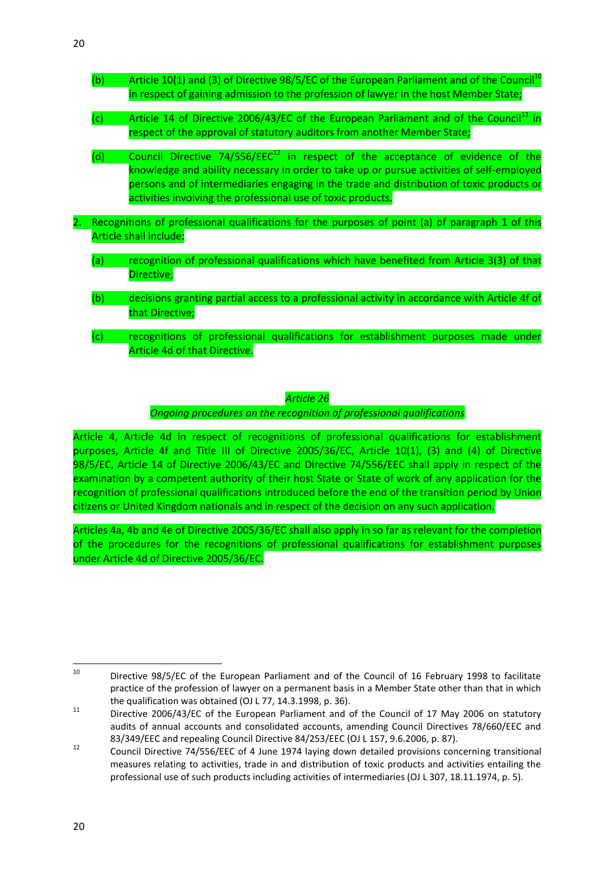| (b) | Article 10(1) and (3) of Directive 98/5/EC of the European Parliament and of the Council <sup>10</sup><br>in respect of gaining admission to the profession of lawyer in the host Member State;                                                                                                                                                      |
|-----|------------------------------------------------------------------------------------------------------------------------------------------------------------------------------------------------------------------------------------------------------------------------------------------------------------------------------------------------------|
| (c) | Article 14 of Directive 2006/43/EC of the European Parliament and of the Council <sup>11</sup> in<br>respect of the approval of statutory auditors from another Member State;                                                                                                                                                                        |
| (d) | Council Directive 74/556/EEC <sup>12</sup> in respect of the acceptance of evidence of the<br>knowledge and ability necessary in order to take up or pursue activities of self-employed<br>persons and of intermediaries engaging in the trade and distribution of toxic products or<br>activities involving the professional use of toxic products. |
|     | Recognitions of professional qualifications for the purposes of point (a) of paragraph 1 of this<br><b>Article shall include:</b>                                                                                                                                                                                                                    |
| (a) | recognition of professional qualifications which have benefited from Article 3(3) of that<br>Directive;                                                                                                                                                                                                                                              |
| (b) | decisions granting partial access to a professional activity in accordance with Article 4f of<br>that Directive;                                                                                                                                                                                                                                     |
| (c) | recognitions of professional qualifications for establishment purposes made under<br><b>Article 4d of that Directive.</b>                                                                                                                                                                                                                            |

#### *Article 26*

*Ongoing procedures on the recognition of professional qualifications*

Article 4, Article 4d in respect of recognitions of professional qualifications for establishment purposes, Article 4f and Title III of Directive 2005/36/EC, Article 10(1), (3) and (4) of Directive 98/5/EC, Article 14 of Directive 2006/43/EC and Directive 74/556/EEC shall apply in respect of the examination by a competent authority of their host State or State of work of any application for the recognition of professional qualifications introduced before the end of the transition period by Union citizens or United Kingdom nationals and in respect of the decision on any such application.

Articles 4a, 4b and 4e of Directive 2005/36/EC shall also apply in so far as relevant for the completion of the procedures for the recognitions of professional qualifications for establishment purposes under Article 4d of Directive 2005/36/EC.

 $10$ Directive 98/5/EC of the European Parliament and of the Council of 16 February 1998 to facilitate practice of the profession of lawyer on a permanent basis in a Member State other than that in which the qualification was obtained (OJ L 77, 14.3.1998, p. 36).

<sup>&</sup>lt;sup>11</sup> Directive 2006/43/EC of the European Parliament and of the Council of 17 May 2006 on statutory audits of annual accounts and consolidated accounts, amending Council Directives 78/660/EEC and 83/349/EEC and repealing Council Directive 84/253/EEC (OJ L 157, 9.6.2006, p. 87).

<sup>12</sup> Council Directive 74/556/EEC of 4 June 1974 laying down detailed provisions concerning transitional measures relating to activities, trade in and distribution of toxic products and activities entailing the professional use of such products including activities of intermediaries (OJ L 307, 18.11.1974, p. 5).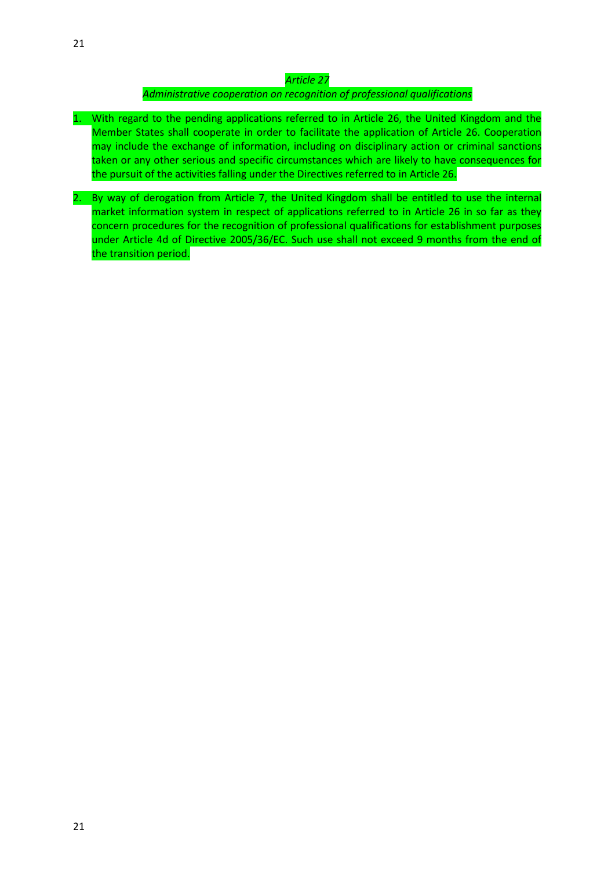### *Article 27*

### *Administrative cooperation on recognition of professional qualifications*

- 1. With regard to the pending applications referred to in Article 26, the United Kingdom and the Member States shall cooperate in order to facilitate the application of Article 26. Cooperation may include the exchange of information, including on disciplinary action or criminal sanctions taken or any other serious and specific circumstances which are likely to have consequences for the pursuit of the activities falling under the Directives referred to in Article 26.
- 2. By way of derogation from Article 7, the United Kingdom shall be entitled to use the internal market information system in respect of applications referred to in Article 26 in so far as they concern procedures for the recognition of professional qualifications for establishment purposes under Article 4d of Directive 2005/36/EC. Such use shall not exceed 9 months from the end of the transition period.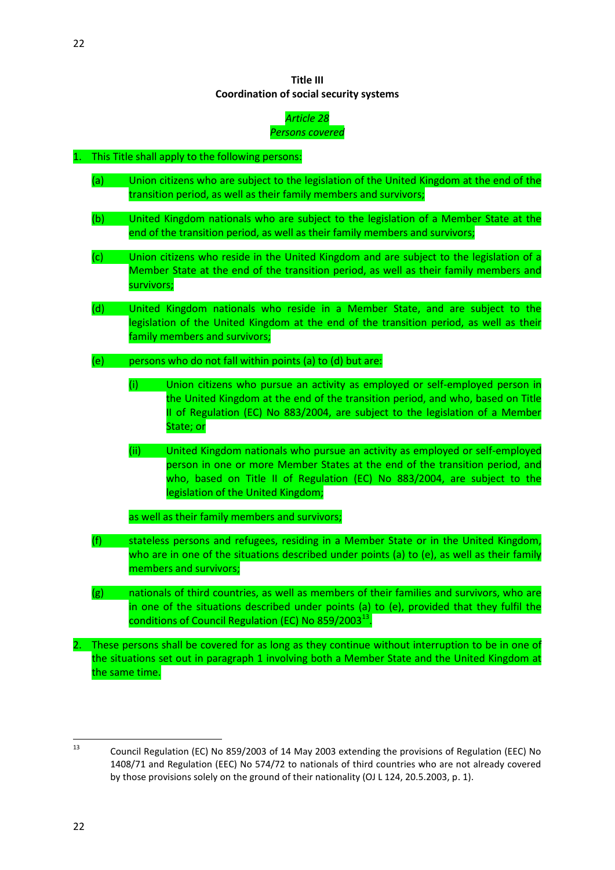### **Title III Coordination of social security systems**



### This Title shall apply to the following persons:

- (a) Union citizens who are subject to the legislation of the United Kingdom at the end of the transition period, as well as their family members and survivors;
- (b) United Kingdom nationals who are subject to the legislation of a Member State at the end of the transition period, as well as their family members and survivors;
- (c) Union citizens who reside in the United Kingdom and are subject to the legislation of a Member State at the end of the transition period, as well as their family members and survivors;
- (d) United Kingdom nationals who reside in a Member State, and are subject to the legislation of the United Kingdom at the end of the transition period, as well as their family members and survivors;
- $(e)$  persons who do not fall within points (a) to (d) but are:
	- Union citizens who pursue an activity as employed or self-employed person in the United Kingdom at the end of the transition period, and who, based on Title II of Regulation (EC) No 883/2004, are subject to the legislation of a Member State; or
	- (ii) United Kingdom nationals who pursue an activity as employed or self-employed person in one or more Member States at the end of the transition period, and who, based on Title II of Regulation (EC) No 883/2004, are subject to the legislation of the United Kingdom;
	- as well as their family members and survivors;
- (f) stateless persons and refugees, residing in a Member State or in the United Kingdom, who are in one of the situations described under points (a) to (e), as well as their family members and survivors;
- (g) nationals of third countries, as well as members of their families and survivors, who are in one of the situations described under points (a) to (e), provided that they fulfil the conditions of Council Regulation (EC) No  $859/2003^{13}$ .
- These persons shall be covered for as long as they continue without interruption to be in one of the situations set out in paragraph 1 involving both a Member State and the United Kingdom at the same time.

<sup>13</sup> <sup>13</sup> Council Regulation (EC) No 859/2003 of 14 May 2003 extending the provisions of Regulation (EEC) No 1408/71 and Regulation (EEC) No 574/72 to nationals of third countries who are not already covered by those provisions solely on the ground of their nationality (OJ L 124, 20.5.2003, p. 1).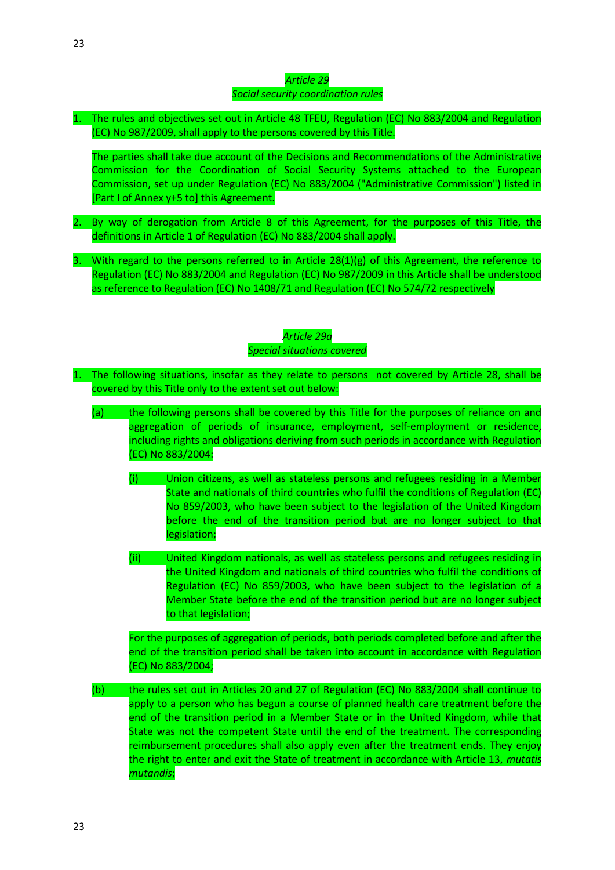### *Article 29 Social security coordination rules*

1. The rules and objectives set out in Article 48 TFEU, Regulation (EC) No 883/2004 and Regulation (EC) No 987/2009, shall apply to the persons covered by this Title.

The parties shall take due account of the Decisions and Recommendations of the Administrative Commission for the Coordination of Social Security Systems attached to the European Commission, set up under Regulation (EC) No 883/2004 ("Administrative Commission") listed in [Part I of Annex y+5 to] this Agreement.

- 2. By way of derogation from Article 8 of this Agreement, for the purposes of this Title, the definitions in Article 1 of Regulation (EC) No 883/2004 shall apply.
- 3. With regard to the persons referred to in Article 28(1)(g) of this Agreement, the reference to Regulation (EC) No 883/2004 and Regulation (EC) No 987/2009 in this Article shall be understood as reference to Regulation (EC) No 1408/71 and Regulation (EC) No 574/72 respectively

### *Article 29a Special situations covered*

- 1. The following situations, insofar as they relate to persons not covered by Article 28, shall be covered by this Title only to the extent set out below:
	- (a) the following persons shall be covered by this Title for the purposes of reliance on and aggregation of periods of insurance, employment, self-employment or residence, including rights and obligations deriving from such periods in accordance with Regulation (EC) No 883/2004:
		- (i) Union citizens, as well as stateless persons and refugees residing in a Member State and nationals of third countries who fulfil the conditions of Regulation (EC) No 859/2003, who have been subject to the legislation of the United Kingdom before the end of the transition period but are no longer subject to that legislation;
		- (ii) United Kingdom nationals, as well as stateless persons and refugees residing in the United Kingdom and nationals of third countries who fulfil the conditions of Regulation (EC) No 859/2003, who have been subject to the legislation of a Member State before the end of the transition period but are no longer subject to that legislation;

For the purposes of aggregation of periods, both periods completed before and after the end of the transition period shall be taken into account in accordance with Regulation (EC) No 883/2004;

(b) the rules set out in Articles 20 and 27 of Regulation (EC) No 883/2004 shall continue to apply to a person who has begun a course of planned health care treatment before the end of the transition period in a Member State or in the United Kingdom, while that State was not the competent State until the end of the treatment. The corresponding reimbursement procedures shall also apply even after the treatment ends. They enjoy the right to enter and exit the State of treatment in accordance with Article 13, *mutatis mutandis*;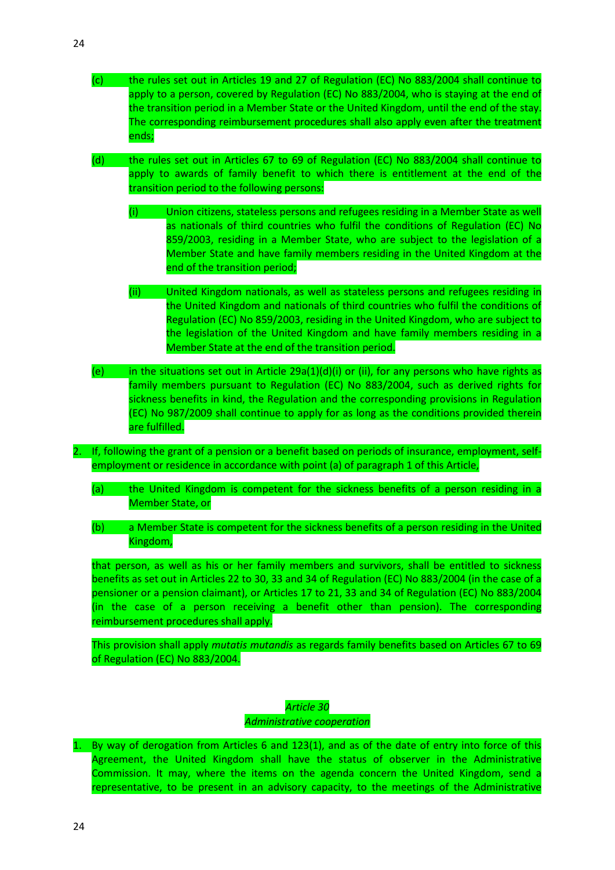- (c) the rules set out in Articles 19 and 27 of Regulation (EC) No 883/2004 shall continue to apply to a person, covered by Regulation (EC) No 883/2004, who is staying at the end of the transition period in a Member State or the United Kingdom, until the end of the stay. The corresponding reimbursement procedures shall also apply even after the treatment ends;
- (d) the rules set out in Articles 67 to 69 of Regulation (EC) No 883/2004 shall continue to apply to awards of family benefit to which there is entitlement at the end of the transition period to the following persons:
	- (i) Union citizens, stateless persons and refugees residing in a Member State as well as nationals of third countries who fulfil the conditions of Regulation (EC) No 859/2003, residing in a Member State, who are subject to the legislation of a Member State and have family members residing in the United Kingdom at the end of the transition period;
	- (ii) United Kingdom nationals, as well as stateless persons and refugees residing in the United Kingdom and nationals of third countries who fulfil the conditions of Regulation (EC) No 859/2003, residing in the United Kingdom, who are subject to the legislation of the United Kingdom and have family members residing in a Member State at the end of the transition period.
- (e) in the situations set out in Article 29a(1)(d)(i) or (ii), for any persons who have rights as family members pursuant to Regulation (EC) No 883/2004, such as derived rights for sickness benefits in kind, the Regulation and the corresponding provisions in Regulation (EC) No 987/2009 shall continue to apply for as long as the conditions provided therein are fulfilled.
- 2. If, following the grant of a pension or a benefit based on periods of insurance, employment, selfemployment or residence in accordance with point (a) of paragraph 1 of this Article,
	- (a) the United Kingdom is competent for the sickness benefits of a person residing in a Member State, or
	- (b) a Member State is competent for the sickness benefits of a person residing in the United Kingdom,

that person, as well as his or her family members and survivors, shall be entitled to sickness benefits as set out in Articles 22 to 30, 33 and 34 of Regulation (EC) No 883/2004 (in the case of a pensioner or a pension claimant), or Articles 17 to 21, 33 and 34 of Regulation (EC) No 883/2004 (in the case of a person receiving a benefit other than pension). The corresponding reimbursement procedures shall apply.

This provision shall apply *mutatis mutandis* as regards family benefits based on Articles 67 to 69 of Regulation (EC) No 883/2004.

### *Article 30 Administrative cooperation*

1. By way of derogation from Articles 6 and 123(1), and as of the date of entry into force of this Agreement, the United Kingdom shall have the status of observer in the Administrative Commission. It may, where the items on the agenda concern the United Kingdom, send a representative, to be present in an advisory capacity, to the meetings of the Administrative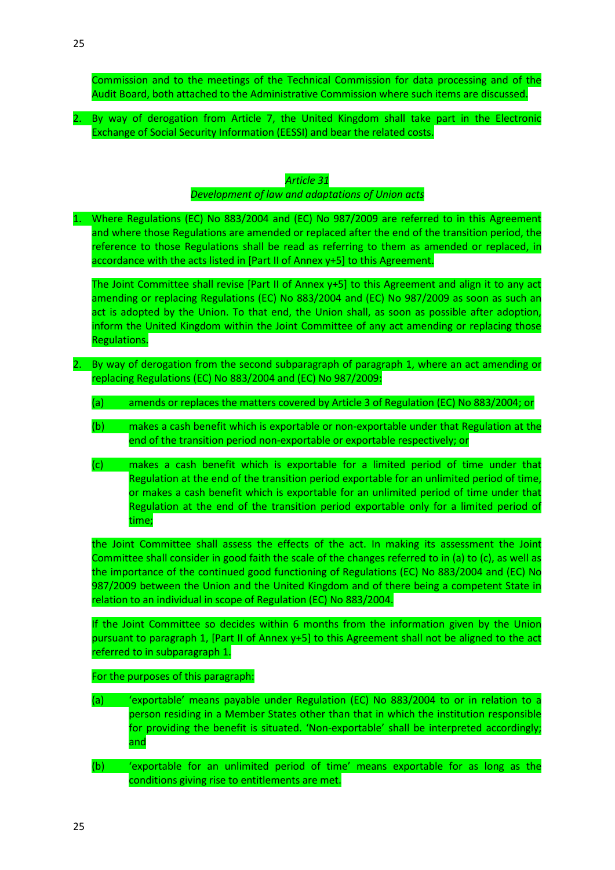Commission and to the meetings of the Technical Commission for data processing and of the Audit Board, both attached to the Administrative Commission where such items are discussed.

2. By way of derogation from Article 7, the United Kingdom shall take part in the Electronic Exchange of Social Security Information (EESSI) and bear the related costs.

#### *Article 31 Development of law and adaptations of Union acts*

1. Where Regulations (EC) No 883/2004 and (EC) No 987/2009 are referred to in this Agreement and where those Regulations are amended or replaced after the end of the transition period, the reference to those Regulations shall be read as referring to them as amended or replaced, in accordance with the acts listed in [Part II of Annex y+5] to this Agreement.

The Joint Committee shall revise [Part II of Annex y+5] to this Agreement and align it to any act amending or replacing Regulations (EC) No 883/2004 and (EC) No 987/2009 as soon as such an act is adopted by the Union. To that end, the Union shall, as soon as possible after adoption, inform the United Kingdom within the Joint Committee of any act amending or replacing those Regulations.

- 2. By way of derogation from the second subparagraph of paragraph 1, where an act amending or replacing Regulations (EC) No 883/2004 and (EC) No 987/2009:
	- (a) amends or replaces the matters covered by Article 3 of Regulation (EC) No 883/2004; or
	- (b) makes a cash benefit which is exportable or non-exportable under that Regulation at the end of the transition period non-exportable or exportable respectively; or
	- (c) makes a cash benefit which is exportable for a limited period of time under that Regulation at the end of the transition period exportable for an unlimited period of time, or makes a cash benefit which is exportable for an unlimited period of time under that Regulation at the end of the transition period exportable only for a limited period of time;

the Joint Committee shall assess the effects of the act. In making its assessment the Joint Committee shall consider in good faith the scale of the changes referred to in (a) to (c), as well as the importance of the continued good functioning of Regulations (EC) No 883/2004 and (EC) No 987/2009 between the Union and the United Kingdom and of there being a competent State in relation to an individual in scope of Regulation (EC) No 883/2004.

If the Joint Committee so decides within 6 months from the information given by the Union pursuant to paragraph 1, [Part II of Annex y+5] to this Agreement shall not be aligned to the act referred to in subparagraph 1.

For the purposes of this paragraph:

- (a) 'exportable' means payable under Regulation (EC) No 883/2004 to or in relation to a person residing in a Member States other than that in which the institution responsible for providing the benefit is situated. 'Non-exportable' shall be interpreted accordingly; and
- (b) 'exportable for an unlimited period of time' means exportable for as long as the conditions giving rise to entitlements are met.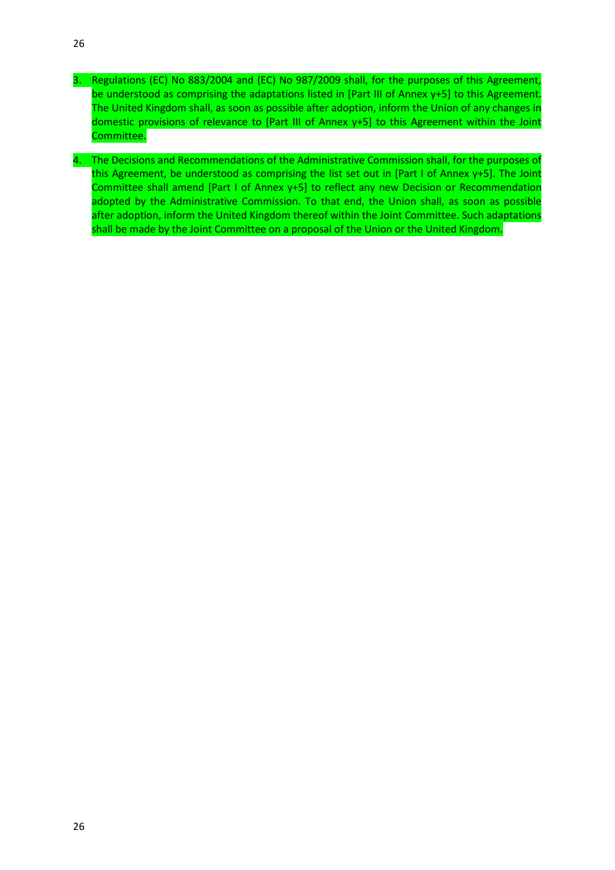- 26
- 3. Regulations (EC) No 883/2004 and (EC) No 987/2009 shall, for the purposes of this Agreement, be understood as comprising the adaptations listed in [Part III of Annex y+5] to this Agreement. The United Kingdom shall, as soon as possible after adoption, inform the Union of any changes in domestic provisions of relevance to [Part III of Annex y+5] to this Agreement within the Joint Committee.
- 4. The Decisions and Recommendations of the Administrative Commission shall, for the purposes of this Agreement, be understood as comprising the list set out in [Part I of Annex y+5]. The Joint Committee shall amend [Part I of Annex y+5] to reflect any new Decision or Recommendation adopted by the Administrative Commission. To that end, the Union shall, as soon as possible after adoption, inform the United Kingdom thereof within the Joint Committee. Such adaptations shall be made by the Joint Committee on a proposal of the Union or the United Kingdom.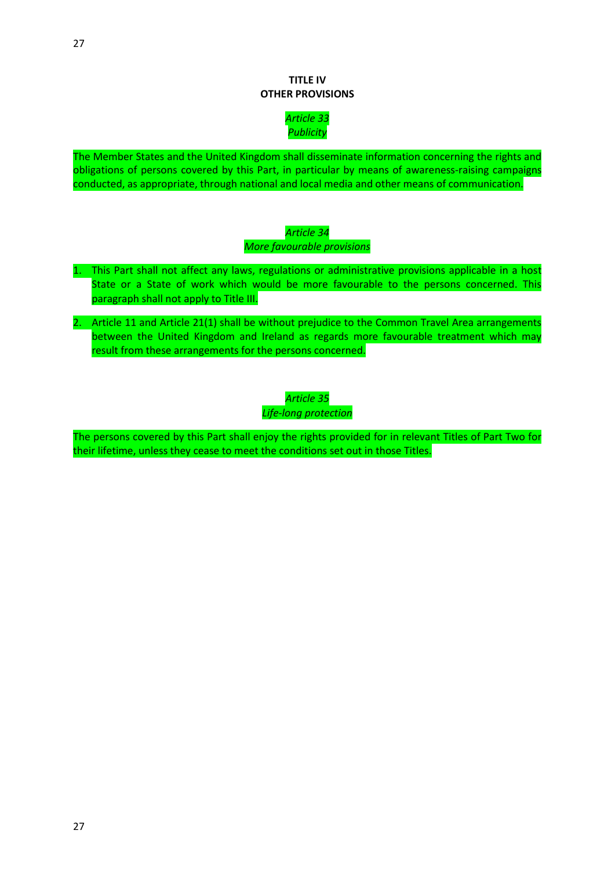#### **TITLE IV OTHER PROVISIONS**

*Article 33 Publicity*

The Member States and the United Kingdom shall disseminate information concerning the rights and obligations of persons covered by this Part, in particular by means of awareness-raising campaigns conducted, as appropriate, through national and local media and other means of communication.

# *Article 34 More favourable provisions*

- 1. This Part shall not affect any laws, regulations or administrative provisions applicable in a host State or a State of work which would be more favourable to the persons concerned. This paragraph shall not apply to Title III.
- 2. Article 11 and Article 21(1) shall be without prejudice to the Common Travel Area arrangements between the United Kingdom and Ireland as regards more favourable treatment which may result from these arrangements for the persons concerned.

*Article 35 Life-long protection*

The persons covered by this Part shall enjoy the rights provided for in relevant Titles of Part Two for their lifetime, unless they cease to meet the conditions set out in those Titles.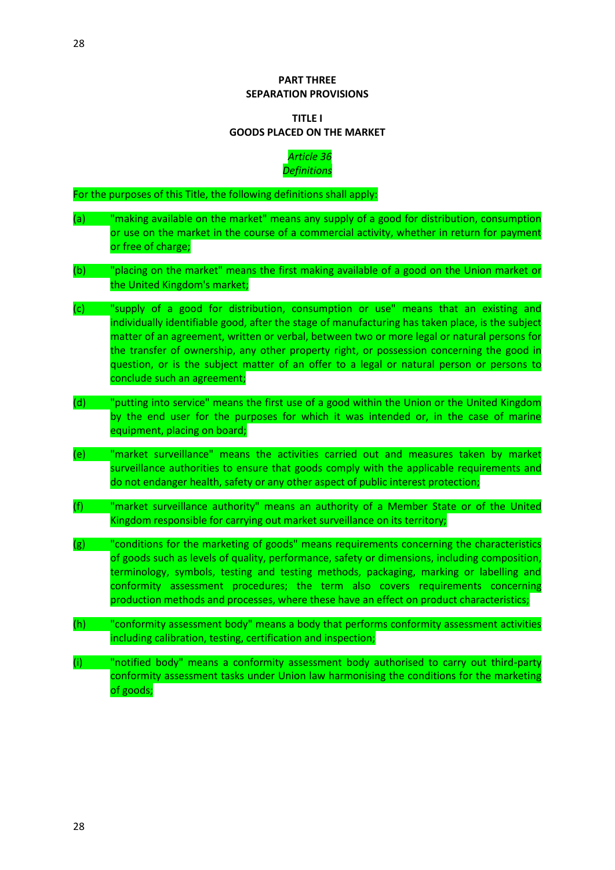#### **PART THREE SEPARATION PROVISIONS**

#### **TITLE I GOODS PLACED ON THE MARKET**

### *Article 36*

### *Definitions*

For the purposes of this Title, the following definitions shall apply:

- (a) "making available on the market" means any supply of a good for distribution, consumption or use on the market in the course of a commercial activity, whether in return for payment or free of charge;
- (b) "placing on the market" means the first making available of a good on the Union market or the United Kingdom's market;
- (c) "supply of a good for distribution, consumption or use" means that an existing and individually identifiable good, after the stage of manufacturing has taken place, is the subject matter of an agreement, written or verbal, between two or more legal or natural persons for the transfer of ownership, any other property right, or possession concerning the good in question, or is the subject matter of an offer to a legal or natural person or persons to conclude such an agreement;
- (d) "putting into service" means the first use of a good within the Union or the United Kingdom by the end user for the purposes for which it was intended or, in the case of marine equipment, placing on board;
- (e) "market surveillance" means the activities carried out and measures taken by market surveillance authorities to ensure that goods comply with the applicable requirements and do not endanger health, safety or any other aspect of public interest protection;
- (f) "market surveillance authority" means an authority of a Member State or of the United Kingdom responsible for carrying out market surveillance on its territory;
- (g) "conditions for the marketing of goods" means requirements concerning the characteristics of goods such as levels of quality, performance, safety or dimensions, including composition, terminology, symbols, testing and testing methods, packaging, marking or labelling and conformity assessment procedures; the term also covers requirements concerning production methods and processes, where these have an effect on product characteristics;
- (h) "conformity assessment body" means a body that performs conformity assessment activities including calibration, testing, certification and inspection;
- (i) "notified body" means a conformity assessment body authorised to carry out third-party conformity assessment tasks under Union law harmonising the conditions for the marketing of goods;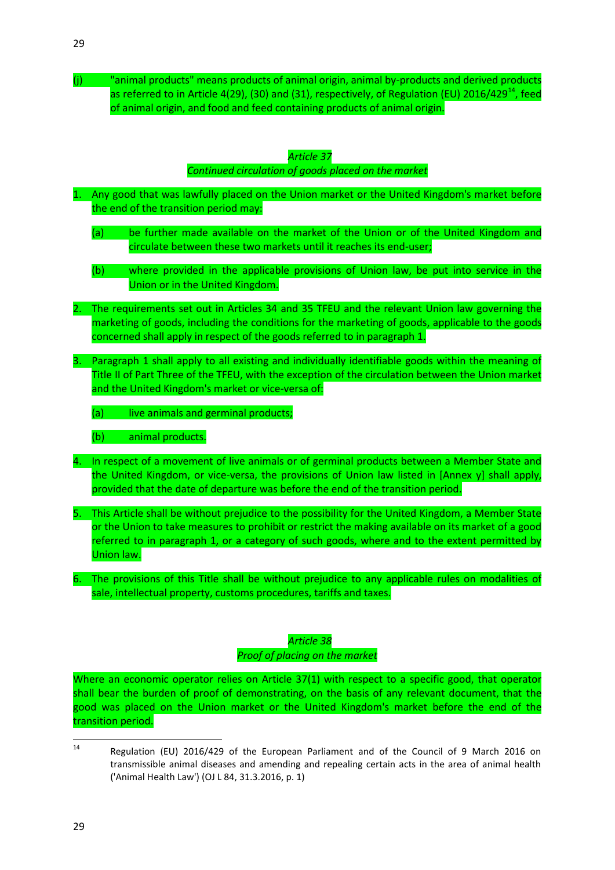(j) "animal products" means products of animal origin, animal by-products and derived products as referred to in Article 4(29), (30) and (31), respectively, of Regulation (EU) 2016/429<sup>14</sup>, feed of animal origin, and food and feed containing products of animal origin.

#### *Article 37*

*Continued circulation of goods placed on the market*

- 1. Any good that was lawfully placed on the Union market or the United Kingdom's market before the end of the transition period may:
	- (a) be further made available on the market of the Union or of the United Kingdom and circulate between these two markets until it reaches its end-user;
	- (b) where provided in the applicable provisions of Union law, be put into service in the Union or in the United Kingdom.
- 2. The requirements set out in Articles 34 and 35 TFEU and the relevant Union law governing the marketing of goods, including the conditions for the marketing of goods, applicable to the goods concerned shall apply in respect of the goods referred to in paragraph 1.
- 3. Paragraph 1 shall apply to all existing and individually identifiable goods within the meaning of Title II of Part Three of the TFEU, with the exception of the circulation between the Union market and the United Kingdom's market or vice-versa of:
	- (a) live animals and germinal products;
	- (b) animal products.
- 4. In respect of a movement of live animals or of germinal products between a Member State and the United Kingdom, or vice-versa, the provisions of Union law listed in [Annex y] shall apply, provided that the date of departure was before the end of the transition period.
- 5. This Article shall be without prejudice to the possibility for the United Kingdom, a Member State or the Union to take measures to prohibit or restrict the making available on its market of a good referred to in paragraph 1, or a category of such goods, where and to the extent permitted by Union law.
- 6. The provisions of this Title shall be without prejudice to any applicable rules on modalities of sale, intellectual property, customs procedures, tariffs and taxes.

### *Article 38 Proof of placing on the market*

Where an economic operator relies on Article 37(1) with respect to a specific good, that operator shall bear the burden of proof of demonstrating, on the basis of any relevant document, that the good was placed on the Union market or the United Kingdom's market before the end of the transition period.

<sup>14</sup> Regulation (EU) 2016/429 of the European Parliament and of the Council of 9 March 2016 on transmissible animal diseases and amending and repealing certain acts in the area of animal health ('Animal Health Law') (OJ L 84, 31.3.2016, p. 1)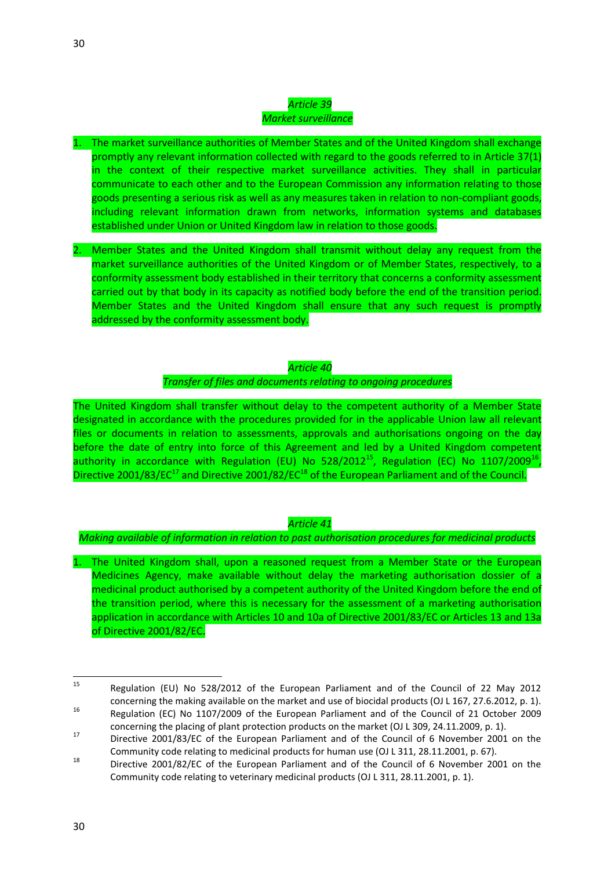### *Article 39 Market surveillance*

- 1. The market surveillance authorities of Member States and of the United Kingdom shall exchange promptly any relevant information collected with regard to the goods referred to in Article 37(1) in the context of their respective market surveillance activities. They shall in particular communicate to each other and to the European Commission any information relating to those goods presenting a serious risk as well as any measures taken in relation to non-compliant goods, including relevant information drawn from networks, information systems and databases established under Union or United Kingdom law in relation to those goods.
- 2. Member States and the United Kingdom shall transmit without delay any request from the market surveillance authorities of the United Kingdom or of Member States, respectively, to a conformity assessment body established in their territory that concerns a conformity assessment carried out by that body in its capacity as notified body before the end of the transition period. Member States and the United Kingdom shall ensure that any such request is promptly addressed by the conformity assessment body.

*Article 40*

#### *Transfer of files and documents relating to ongoing procedures*

The United Kingdom shall transfer without delay to the competent authority of a Member State designated in accordance with the procedures provided for in the applicable Union law all relevant files or documents in relation to assessments, approvals and authorisations ongoing on the day before the date of entry into force of this Agreement and led by a United Kingdom competent authority in accordance with Regulation (EU) No 528/2012<sup>15</sup>, Regulation (EC) No 1107/2009<sup>16</sup>, Directive 2001/83/EC $^{17}$  and Directive 2001/82/EC $^{18}$  of the European Parliament and of the Council.

*Article 41*

*Making available of information in relation to past authorisation procedures for medicinal products* 

1. The United Kingdom shall, upon a reasoned request from a Member State or the European Medicines Agency, make available without delay the marketing authorisation dossier of a medicinal product authorised by a competent authority of the United Kingdom before the end of the transition period, where this is necessary for the assessment of a marketing authorisation application in accordance with Articles 10 and 10a of Directive 2001/83/EC or Articles 13 and 13a of Directive 2001/82/EC.

<sup>15</sup> <sup>15</sup> Regulation (EU) No 528/2012 of the European Parliament and of the Council of 22 May 2012 concerning the making available on the market and use of biocidal products (OJ L 167, 27.6.2012, p. 1).

<sup>16</sup> Regulation (EC) No 1107/2009 of the European Parliament and of the Council of 21 October 2009 concerning the placing of plant protection products on the market (OJ L 309, 24.11.2009, p. 1).

<sup>&</sup>lt;sup>17</sup> Directive 2001/83/EC of the European Parliament and of the Council of 6 November 2001 on the Community code relating to medicinal products for human use (OJ L 311, 28.11.2001, p. 67).

<sup>18</sup> Directive 2001/82/EC of the European Parliament and of the Council of 6 November 2001 on the Community code relating to veterinary medicinal products (OJ L 311, 28.11.2001, p. 1).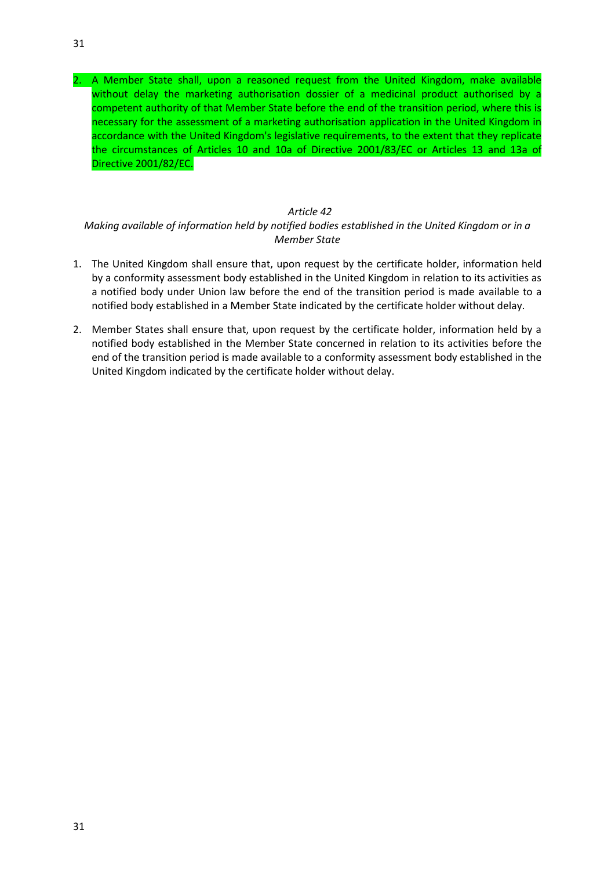2. A Member State shall, upon a reasoned request from the United Kingdom, make available without delay the marketing authorisation dossier of a medicinal product authorised by a competent authority of that Member State before the end of the transition period, where this is necessary for the assessment of a marketing authorisation application in the United Kingdom in accordance with the United Kingdom's legislative requirements, to the extent that they replicate the circumstances of Articles 10 and 10a of Directive 2001/83/EC or Articles 13 and 13a of Directive 2001/82/EC.

#### *Article 42*

### *Making available of information held by notified bodies established in the United Kingdom or in a Member State*

- 1. The United Kingdom shall ensure that, upon request by the certificate holder, information held by a conformity assessment body established in the United Kingdom in relation to its activities as a notified body under Union law before the end of the transition period is made available to a notified body established in a Member State indicated by the certificate holder without delay.
- 2. Member States shall ensure that, upon request by the certificate holder, information held by a notified body established in the Member State concerned in relation to its activities before the end of the transition period is made available to a conformity assessment body established in the United Kingdom indicated by the certificate holder without delay.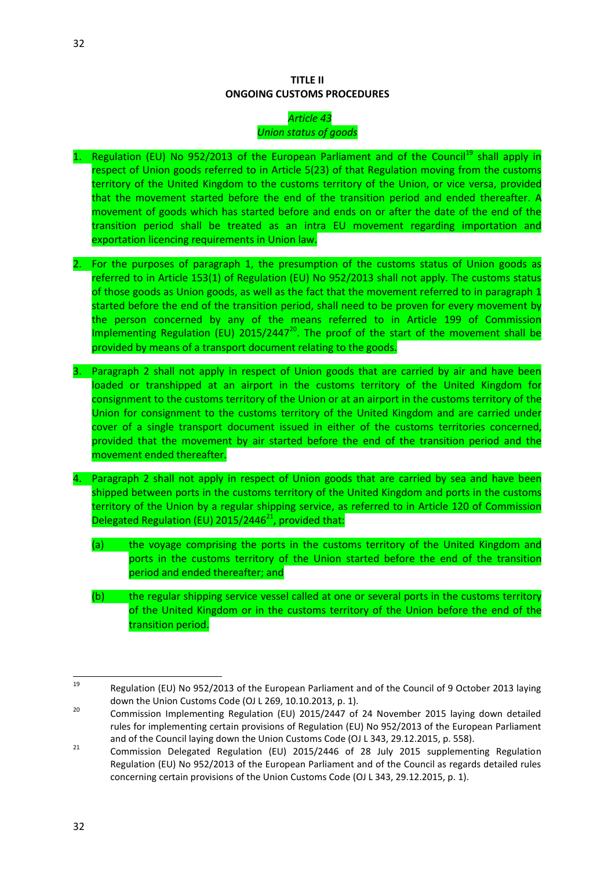### *Article 43 Union status of goods*

- 1. Regulation (EU) No 952/2013 of the European Parliament and of the Council<sup>19</sup> shall apply in respect of Union goods referred to in Article 5(23) of that Regulation moving from the customs territory of the United Kingdom to the customs territory of the Union, or vice versa, provided that the movement started before the end of the transition period and ended thereafter. A movement of goods which has started before and ends on or after the date of the end of the transition period shall be treated as an intra EU movement regarding importation and exportation licencing requirements in Union law.
- 2. For the purposes of paragraph 1, the presumption of the customs status of Union goods as referred to in Article 153(1) of Regulation (EU) No 952/2013 shall not apply. The customs status of those goods as Union goods, as well as the fact that the movement referred to in paragraph 1 started before the end of the transition period, shall need to be proven for every movement by the person concerned by any of the means referred to in Article 199 of Commission Implementing Regulation (EU) 2015/2447<sup>20</sup>. The proof of the start of the movement shall be provided by means of a transport document relating to the goods.
- 3. Paragraph 2 shall not apply in respect of Union goods that are carried by air and have been loaded or transhipped at an airport in the customs territory of the United Kingdom for consignment to the customs territory of the Union or at an airport in the customs territory of the Union for consignment to the customs territory of the United Kingdom and are carried under cover of a single transport document issued in either of the customs territories concerned, provided that the movement by air started before the end of the transition period and the movement ended thereafter.
- 4. Paragraph 2 shall not apply in respect of Union goods that are carried by sea and have been shipped between ports in the customs territory of the United Kingdom and ports in the customs territory of the Union by a regular shipping service, as referred to in Article 120 of Commission Delegated Regulation (EU) 2015/2446 $^{21}$ , provided that:
	- (a) the voyage comprising the ports in the customs territory of the United Kingdom and ports in the customs territory of the Union started before the end of the transition period and ended thereafter; and
	- (b) the regular shipping service vessel called at one or several ports in the customs territory of the United Kingdom or in the customs territory of the Union before the end of the transition period.

<sup>19</sup> Regulation (EU) No 952/2013 of the European Parliament and of the Council of 9 October 2013 laying down the Union Customs Code (OJ L 269, 10.10.2013, p. 1).

<sup>&</sup>lt;sup>20</sup> Commission Implementing Regulation (EU) 2015/2447 of 24 November 2015 laying down detailed rules for implementing certain provisions of Regulation (EU) No 952/2013 of the European Parliament and of the Council laying down the Union Customs Code (OJ L 343, 29.12.2015, p. 558).

<sup>21</sup> Commission Delegated Regulation (EU) 2015/2446 of 28 July 2015 supplementing Regulation Regulation (EU) No 952/2013 of the European Parliament and of the Council as regards detailed rules concerning certain provisions of the Union Customs Code (OJ L 343, 29.12.2015, p. 1).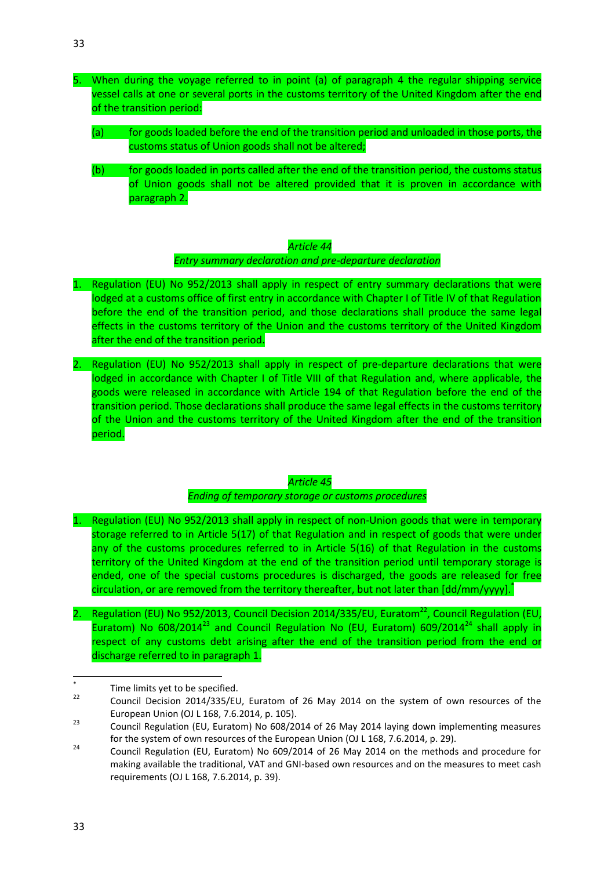- 5. When during the voyage referred to in point (a) of paragraph 4 the regular shipping service vessel calls at one or several ports in the customs territory of the United Kingdom after the end of the transition period:
	- (a) for goods loaded before the end of the transition period and unloaded in those ports, the customs status of Union goods shall not be altered;
	- (b) for goods loaded in ports called after the end of the transition period, the customs status of Union goods shall not be altered provided that it is proven in accordance with paragraph 2.

#### *Article 44*

#### *Entry summary declaration and pre-departure declaration*

- Regulation (EU) No 952/2013 shall apply in respect of entry summary declarations that were lodged at a customs office of first entry in accordance with Chapter I of Title IV of that Regulation before the end of the transition period, and those declarations shall produce the same legal effects in the customs territory of the Union and the customs territory of the United Kingdom after the end of the transition period.
- 2. Regulation (EU) No 952/2013 shall apply in respect of pre-departure declarations that were lodged in accordance with Chapter I of Title VIII of that Regulation and, where applicable, the goods were released in accordance with Article 194 of that Regulation before the end of the transition period. Those declarations shall produce the same legal effects in the customs territory of the Union and the customs territory of the United Kingdom after the end of the transition period.

#### *Article 45*

#### *Ending of temporary storage or customs procedures*

- 1. Regulation (EU) No 952/2013 shall apply in respect of non-Union goods that were in temporary storage referred to in Article 5(17) of that Regulation and in respect of goods that were under any of the customs procedures referred to in Article 5(16) of that Regulation in the customs territory of the United Kingdom at the end of the transition period until temporary storage is ended, one of the special customs procedures is discharged, the goods are released for free circulation, or are removed from the territory thereafter, but not later than [dd/mm/yyyy].<sup>\*</sup>
- 2. Regulation (EU) No 952/2013, Council Decision 2014/335/EU, Euratom<sup>22</sup>, Council Regulation (EU, Euratom) No 608/2014<sup>23</sup> and Council Regulation No (EU, Euratom) 609/2014<sup>24</sup> shall apply in respect of any customs debt arising after the end of the transition period from the end or discharge referred to in paragraph 1.

 \* Time limits yet to be specified.

<sup>&</sup>lt;sup>22</sup> Council Decision 2014/335/EU, Euratom of 26 May 2014 on the system of own resources of the European Union (OJ L 168, 7.6.2014, p. 105).

<sup>&</sup>lt;sup>23</sup> Council Regulation (EU, Euratom) No 608/2014 of 26 May 2014 laying down implementing measures for the system of own resources of the European Union (OJ L 168, 7.6.2014, p. 29).

<sup>&</sup>lt;sup>24</sup> Council Regulation (EU, Euratom) No 609/2014 of 26 May 2014 on the methods and procedure for making available the traditional, VAT and GNI-based own resources and on the measures to meet cash requirements (OJ L 168, 7.6.2014, p. 39).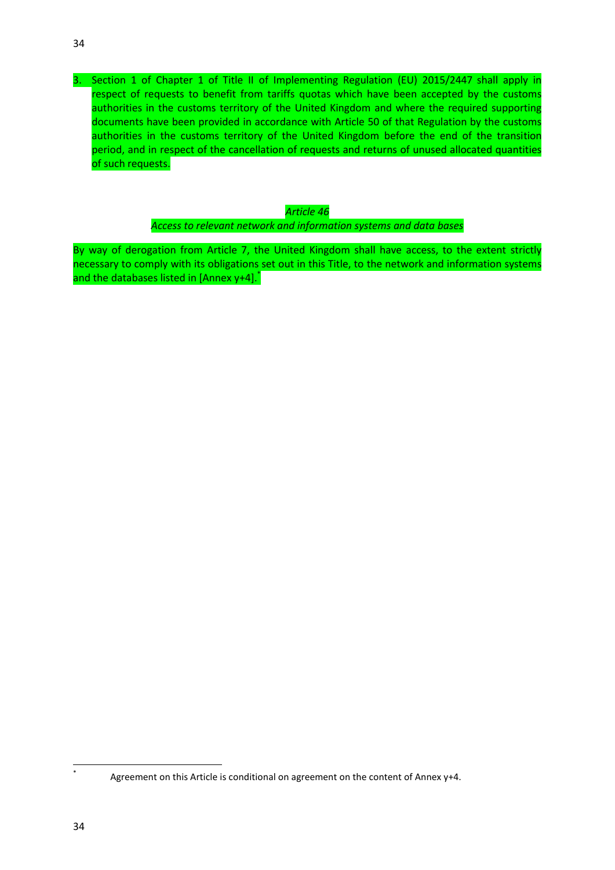3. Section 1 of Chapter 1 of Title II of Implementing Regulation (EU) 2015/2447 shall apply in respect of requests to benefit from tariffs quotas which have been accepted by the customs authorities in the customs territory of the United Kingdom and where the required supporting documents have been provided in accordance with Article 50 of that Regulation by the customs authorities in the customs territory of the United Kingdom before the end of the transition period, and in respect of the cancellation of requests and returns of unused allocated quantities of such requests.

#### *Article 46*

#### *Access to relevant network and information systems and data bases*

By way of derogation from Article 7, the United Kingdom shall have access, to the extent strictly necessary to comply with its obligations set out in this Title, to the network and information systems and the databases listed in [Annex y+4]. $\dot{ }$ 

**.** \*

Agreement on this Article is conditional on agreement on the content of Annex y+4.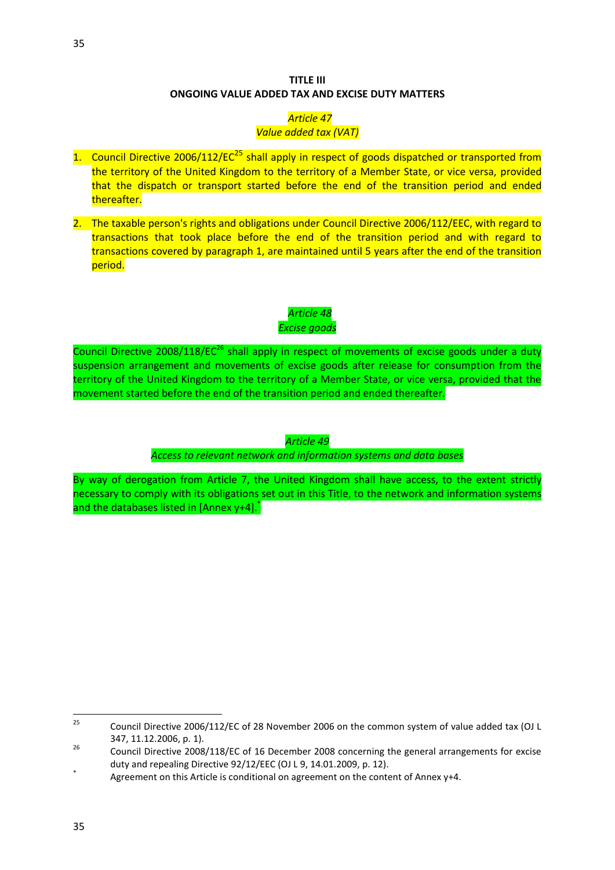### **TITLE III ONGOING VALUE ADDED TAX AND EXCISE DUTY MATTERS**

### *Article 47 Value added tax (VAT)*

- 1. Council Directive 2006/112/EC<sup>25</sup> shall apply in respect of goods dispatched or transported from the territory of the United Kingdom to the territory of a Member State, or vice versa, provided that the dispatch or transport started before the end of the transition period and ended thereafter.
- 2. The taxable person's rights and obligations under Council Directive 2006/112/EEC, with regard to transactions that took place before the end of the transition period and with regard to transactions covered by paragraph 1, are maintained until 5 years after the end of the transition period.

# *Article 48 Excise goods*

Council Directive 2008/118/EC<sup>26</sup> shall apply in respect of movements of excise goods under a duty suspension arrangement and movements of excise goods after release for consumption from the territory of the United Kingdom to the territory of a Member State, or vice versa, provided that the movement started before the end of the transition period and ended thereafter.

*Article 49*

*Access to relevant network and information systems and data bases*

By way of derogation from Article 7, the United Kingdom shall have access, to the extent strictly necessary to comply with its obligations set out in this Title, to the network and information systems and the databases listed in [Annex y+4].<sup>\*</sup>

 $25$ <sup>25</sup> Council Directive 2006/112/EC of 28 November 2006 on the common system of value added tax (OJ L 347, 11.12.2006, p. 1).

<sup>&</sup>lt;sup>26</sup> Council Directive 2008/118/EC of 16 December 2008 concerning the general arrangements for excise duty and repealing Directive 92/12/EEC (OJ L 9, 14.01.2009, p. 12).

<sup>\*</sup> Agreement on this Article is conditional on agreement on the content of Annex y+4.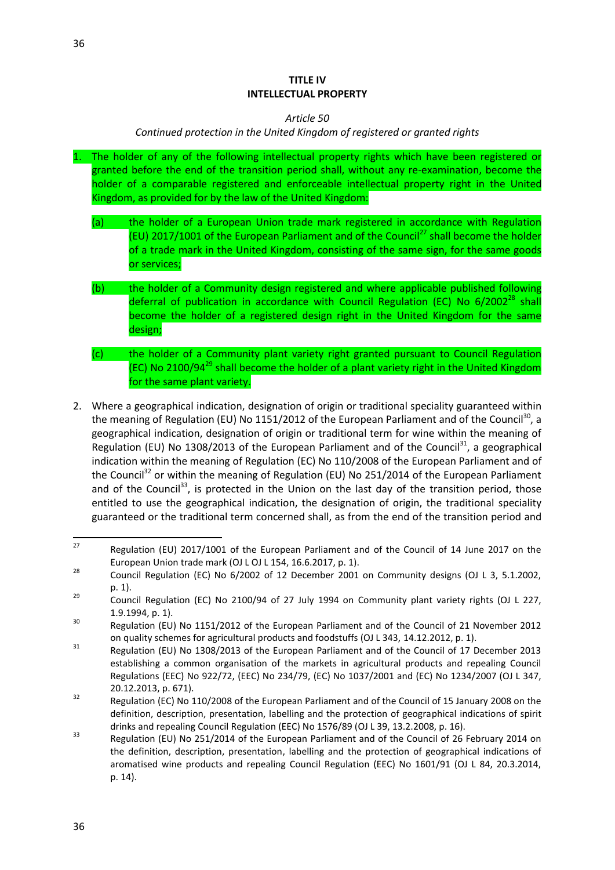#### **TITLE IV INTELLECTUAL PROPERTY**

#### *Article 50*

#### *Continued protection in the United Kingdom of registered or granted rights*

- The holder of any of the following intellectual property rights which have been registered or granted before the end of the transition period shall, without any re-examination, become the holder of a comparable registered and enforceable intellectual property right in the United Kingdom, as provided for by the law of the United Kingdom:
	- (a) the holder of a European Union trade mark registered in accordance with Regulation (EU) 2017/1001 of the European Parliament and of the Council<sup>27</sup> shall become the holder of a trade mark in the United Kingdom, consisting of the same sign, for the same goods or services;
	- (b) the holder of a Community design registered and where applicable published following deferral of publication in accordance with Council Regulation (EC) No  $6/2002^{28}$  shall become the holder of a registered design right in the United Kingdom for the same design;
	- (c) the holder of a Community plant variety right granted pursuant to Council Regulation (EC) No 2100/94 $^{29}$  shall become the holder of a plant variety right in the United Kingdom for the same plant variety.
- 2. Where a geographical indication, designation of origin or traditional speciality guaranteed within the meaning of Regulation (EU) No 1151/2012 of the European Parliament and of the Council<sup>30</sup>, a geographical indication, designation of origin or traditional term for wine within the meaning of Regulation (EU) No 1308/2013 of the European Parliament and of the Council<sup>31</sup>, a geographical indication within the meaning of Regulation (EC) No 110/2008 of the European Parliament and of the Council<sup>32</sup> or within the meaning of Regulation (EU) No 251/2014 of the European Parliament and of the Council<sup>33</sup>, is protected in the Union on the last day of the transition period, those entitled to use the geographical indication, the designation of origin, the traditional speciality guaranteed or the traditional term concerned shall, as from the end of the transition period and

 $27$ <sup>27</sup> Regulation (EU) 2017/1001 of the European Parliament and of the Council of 14 June 2017 on the European Union trade mark (OJ L OJ L 154, 16.6.2017, p. 1).

<sup>&</sup>lt;sup>28</sup> Council Regulation (EC) No 6/2002 of 12 December 2001 on Community designs (OJ L 3, 5.1.2002, p. 1).

<sup>&</sup>lt;sup>29</sup> Council Regulation (EC) No 2100/94 of 27 July 1994 on Community plant variety rights (OJ L 227, 1.9.1994, p. 1).

<sup>&</sup>lt;sup>30</sup> Regulation (EU) No 1151/2012 of the European Parliament and of the Council of 21 November 2012 on quality schemes for agricultural products and foodstuffs (OJ L 343, 14.12.2012, p. 1).

 $31$  Regulation (EU) No 1308/2013 of the European Parliament and of the Council of 17 December 2013 establishing a common organisation of the markets in agricultural products and repealing Council Regulations (EEC) No 922/72, (EEC) No 234/79, (EC) No 1037/2001 and (EC) No 1234/2007 (OJ L 347, 20.12.2013, p. 671).

<sup>32</sup> Regulation (EC) No 110/2008 of the European Parliament and of the Council of 15 January 2008 on the definition, description, presentation, labelling and the protection of geographical indications of spirit drinks and repealing Council Regulation (EEC) No 1576/89 (OJ L 39, 13.2.2008, p. 16).

 $\frac{33}{13}$  Regulation (EU) No 251/2014 of the European Parliament and of the Council of 26 February 2014 on the definition, description, presentation, labelling and the protection of geographical indications of aromatised wine products and repealing Council Regulation (EEC) No 1601/91 (OJ L 84, 20.3.2014, p. 14).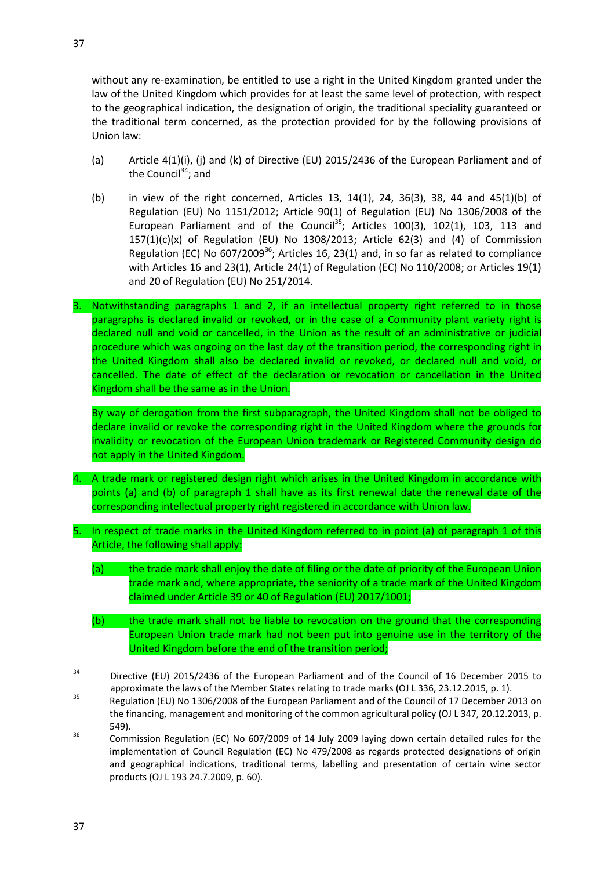37

without any re-examination, be entitled to use a right in the United Kingdom granted under the law of the United Kingdom which provides for at least the same level of protection, with respect to the geographical indication, the designation of origin, the traditional speciality guaranteed or the traditional term concerned, as the protection provided for by the following provisions of Union law:

- (a) Article 4(1)(i), (j) and (k) of Directive (EU) 2015/2436 of the European Parliament and of the Council<sup>34</sup>; and
- (b) in view of the right concerned, Articles 13, 14(1), 24, 36(3), 38, 44 and 45(1)(b) of Regulation (EU) No 1151/2012; Article 90(1) of Regulation (EU) No 1306/2008 of the European Parliament and of the Council<sup>35</sup>; Articles  $100(3)$ ,  $102(1)$ ,  $103$ ,  $113$  and  $157(1)(c)(x)$  of Regulation (EU) No 1308/2013; Article 62(3) and (4) of Commission Regulation (EC) No 607/2009<sup>36</sup>; Articles 16, 23(1) and, in so far as related to compliance with Articles 16 and 23(1), Article 24(1) of Regulation (EC) No 110/2008; or Articles 19(1) and 20 of Regulation (EU) No 251/2014.
- 3. Notwithstanding paragraphs 1 and 2, if an intellectual property right referred to in those paragraphs is declared invalid or revoked, or in the case of a Community plant variety right is declared null and void or cancelled, in the Union as the result of an administrative or judicial procedure which was ongoing on the last day of the transition period, the corresponding right in the United Kingdom shall also be declared invalid or revoked, or declared null and void, or cancelled. The date of effect of the declaration or revocation or cancellation in the United Kingdom shall be the same as in the Union.

By way of derogation from the first subparagraph, the United Kingdom shall not be obliged to declare invalid or revoke the corresponding right in the United Kingdom where the grounds for invalidity or revocation of the European Union trademark or Registered Community design do not apply in the United Kingdom.

- 4. A trade mark or registered design right which arises in the United Kingdom in accordance with points (a) and (b) of paragraph 1 shall have as its first renewal date the renewal date of the corresponding intellectual property right registered in accordance with Union law.
- 5. In respect of trade marks in the United Kingdom referred to in point (a) of paragraph 1 of this Article, the following shall apply:
	- (a) the trade mark shall enjoy the date of filing or the date of priority of the European Union trade mark and, where appropriate, the seniority of a trade mark of the United Kingdom claimed under Article 39 or 40 of Regulation (EU) 2017/1001;
	- (b) the trade mark shall not be liable to revocation on the ground that the corresponding European Union trade mark had not been put into genuine use in the territory of the United Kingdom before the end of the transition period;
- 34 Directive (EU) 2015/2436 of the European Parliament and of the Council of 16 December 2015 to approximate the laws of the Member States relating to trade marks (OJ L 336, 23.12.2015, p. 1).
- <sup>35</sup> Regulation (EU) No 1306/2008 of the European Parliament and of the Council of 17 December 2013 on the financing, management and monitoring of the common agricultural policy (OJ L 347, 20.12.2013, p. 549).
- <sup>36</sup> Commission Regulation (EC) No 607/2009 of 14 July 2009 laying down certain detailed rules for the implementation of Council Regulation (EC) No 479/2008 as regards protected designations of origin and geographical indications, traditional terms, labelling and presentation of certain wine sector products (OJ L 193 24.7.2009, p. 60).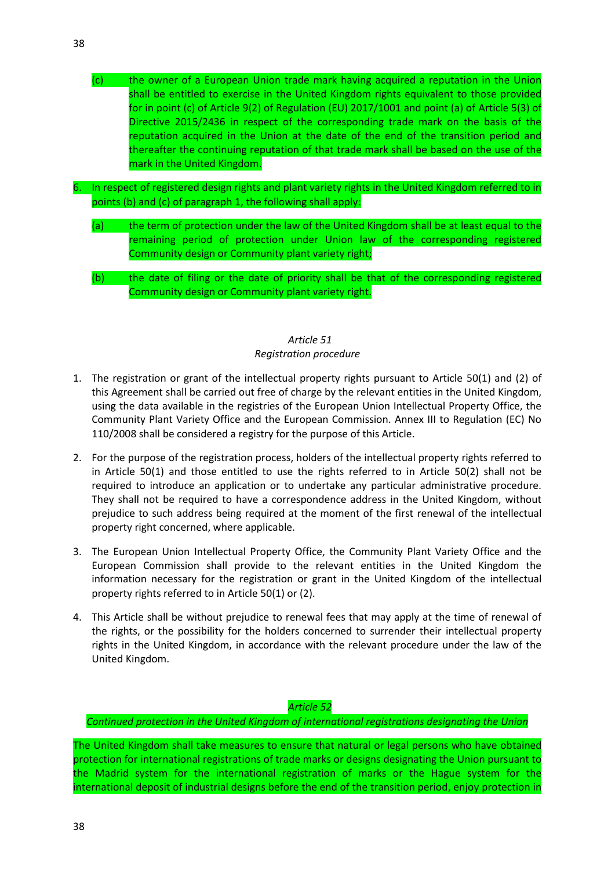- (c) the owner of a European Union trade mark having acquired a reputation in the Union shall be entitled to exercise in the United Kingdom rights equivalent to those provided for in point (c) of Article 9(2) of Regulation (EU) 2017/1001 and point (a) of Article 5(3) of Directive 2015/2436 in respect of the corresponding trade mark on the basis of the reputation acquired in the Union at the date of the end of the transition period and thereafter the continuing reputation of that trade mark shall be based on the use of the mark in the United Kingdom.
- 6. In respect of registered design rights and plant variety rights in the United Kingdom referred to in points (b) and (c) of paragraph 1, the following shall apply:
	- (a) the term of protection under the law of the United Kingdom shall be at least equal to the remaining period of protection under Union law of the corresponding registered Community design or Community plant variety right;
	- (b) the date of filing or the date of priority shall be that of the corresponding registered Community design or Community plant variety right.

## *Article 51 Registration procedure*

- 1. The registration or grant of the intellectual property rights pursuant to Article 50(1) and (2) of this Agreement shall be carried out free of charge by the relevant entities in the United Kingdom, using the data available in the registries of the European Union Intellectual Property Office, the Community Plant Variety Office and the European Commission. Annex III to Regulation (EC) No 110/2008 shall be considered a registry for the purpose of this Article.
- 2. For the purpose of the registration process, holders of the intellectual property rights referred to in Article 50(1) and those entitled to use the rights referred to in Article 50(2) shall not be required to introduce an application or to undertake any particular administrative procedure. They shall not be required to have a correspondence address in the United Kingdom, without prejudice to such address being required at the moment of the first renewal of the intellectual property right concerned, where applicable.
- 3. The European Union Intellectual Property Office, the Community Plant Variety Office and the European Commission shall provide to the relevant entities in the United Kingdom the information necessary for the registration or grant in the United Kingdom of the intellectual property rights referred to in Article 50(1) or (2).
- 4. This Article shall be without prejudice to renewal fees that may apply at the time of renewal of the rights, or the possibility for the holders concerned to surrender their intellectual property rights in the United Kingdom, in accordance with the relevant procedure under the law of the United Kingdom.

### *Article 52*

*Continued protection in the United Kingdom of international registrations designating the Union*

The United Kingdom shall take measures to ensure that natural or legal persons who have obtained protection for international registrations of trade marks or designs designating the Union pursuant to the Madrid system for the international registration of marks or the Hague system for the international deposit of industrial designs before the end of the transition period, enjoy protection in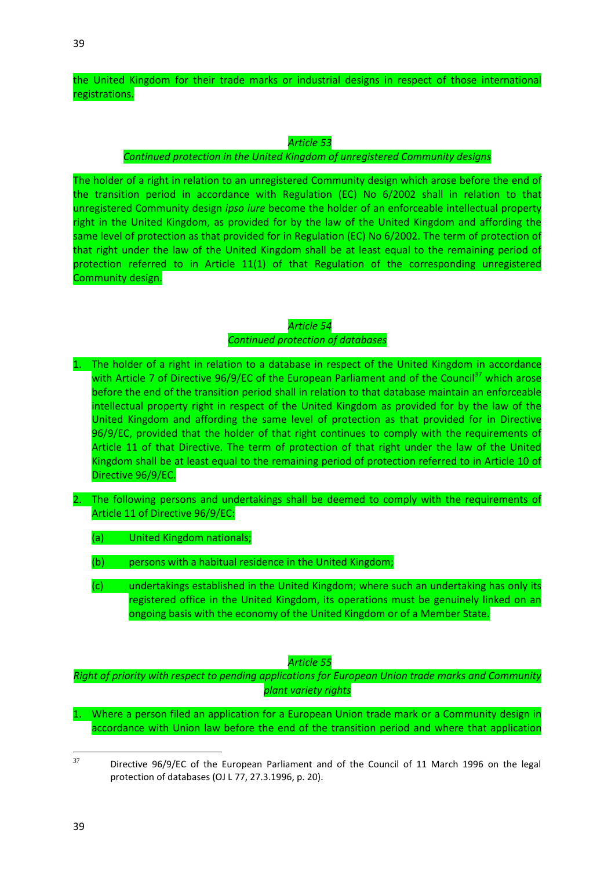the United Kingdom for their trade marks or industrial designs in respect of those international registrations.

#### *Article 53*

### *Continued protection in the United Kingdom of unregistered Community designs*

The holder of a right in relation to an unregistered Community design which arose before the end of the transition period in accordance with Regulation (EC) No 6/2002 shall in relation to that unregistered Community design *ipso iure* become the holder of an enforceable intellectual property right in the United Kingdom, as provided for by the law of the United Kingdom and affording the same level of protection as that provided for in Regulation (EC) No 6/2002. The term of protection of that right under the law of the United Kingdom shall be at least equal to the remaining period of protection referred to in Article 11(1) of that Regulation of the corresponding unregistered Community design.

# *Article 54 Continued protection of databases*

- 1. The holder of a right in relation to a database in respect of the United Kingdom in accordance with Article 7 of Directive  $96/9$ /EC of the European Parliament and of the Council<sup>37</sup> which arose before the end of the transition period shall in relation to that database maintain an enforceable intellectual property right in respect of the United Kingdom as provided for by the law of the United Kingdom and affording the same level of protection as that provided for in Directive 96/9/EC, provided that the holder of that right continues to comply with the requirements of Article 11 of that Directive. The term of protection of that right under the law of the United Kingdom shall be at least equal to the remaining period of protection referred to in Article 10 of Directive 96/9/EC.
- 2. The following persons and undertakings shall be deemed to comply with the requirements of Article 11 of Directive 96/9/EC:
	- (a) United Kingdom nationals;
	- (b) persons with a habitual residence in the United Kingdom;
	- (c) undertakings established in the United Kingdom; where such an undertaking has only its registered office in the United Kingdom, its operations must be genuinely linked on an ongoing basis with the economy of the United Kingdom or of a Member State.

### *Article 55*

*Right of priority with respect to pending applications for European Union trade marks and Community plant variety rights*

1. Where a person filed an application for a European Union trade mark or a Community design in accordance with Union law before the end of the transition period and where that application

<sup>37</sup> Directive 96/9/EC of the European Parliament and of the Council of 11 March 1996 on the legal protection of databases (OJ L 77, 27.3.1996, p. 20).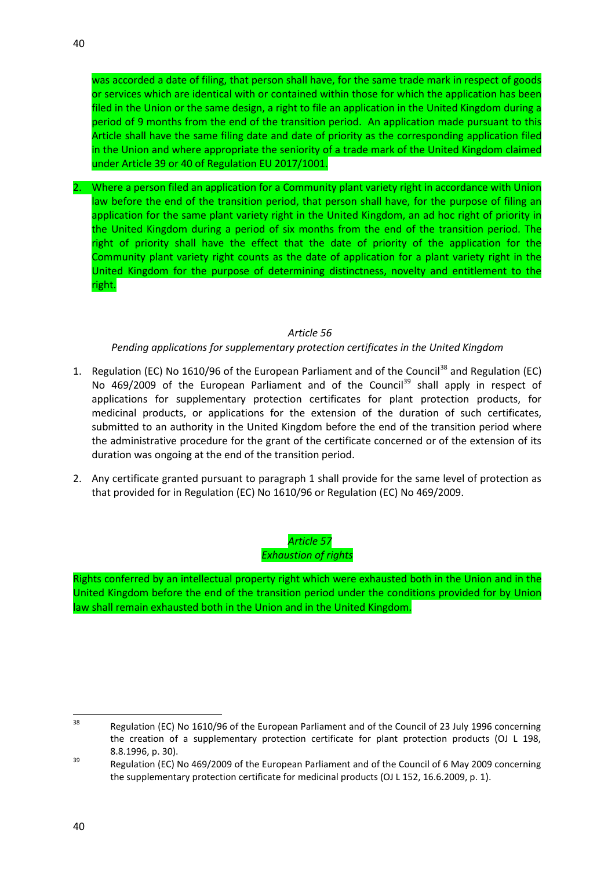40

was accorded a date of filing, that person shall have, for the same trade mark in respect of goods or services which are identical with or contained within those for which the application has been filed in the Union or the same design, a right to file an application in the United Kingdom during a period of 9 months from the end of the transition period. An application made pursuant to this Article shall have the same filing date and date of priority as the corresponding application filed in the Union and where appropriate the seniority of a trade mark of the United Kingdom claimed under Article 39 or 40 of Regulation EU 2017/1001.

2. Where a person filed an application for a Community plant variety right in accordance with Union law before the end of the transition period, that person shall have, for the purpose of filing an application for the same plant variety right in the United Kingdom, an ad hoc right of priority in the United Kingdom during a period of six months from the end of the transition period. The right of priority shall have the effect that the date of priority of the application for the Community plant variety right counts as the date of application for a plant variety right in the United Kingdom for the purpose of determining distinctness, novelty and entitlement to the right.

### *Article 56*

# *Pending applications for supplementary protection certificates in the United Kingdom*

- 1. Regulation (EC) No 1610/96 of the European Parliament and of the Council<sup>38</sup> and Regulation (EC) No 469/2009 of the European Parliament and of the Council<sup>39</sup> shall apply in respect of applications for supplementary protection certificates for plant protection products, for medicinal products, or applications for the extension of the duration of such certificates, submitted to an authority in the United Kingdom before the end of the transition period where the administrative procedure for the grant of the certificate concerned or of the extension of its duration was ongoing at the end of the transition period.
- 2. Any certificate granted pursuant to paragraph 1 shall provide for the same level of protection as that provided for in Regulation (EC) No 1610/96 or Regulation (EC) No 469/2009.

#### *Article 57 Exhaustion of rights*

Rights conferred by an intellectual property right which were exhausted both in the Union and in the United Kingdom before the end of the transition period under the conditions provided for by Union law shall remain exhausted both in the Union and in the United Kingdom.

<sup>38</sup> <sup>38</sup> Regulation (EC) No 1610/96 of the European Parliament and of the Council of 23 July 1996 concerning the creation of a supplementary protection certificate for plant protection products (OJ L 198, 8.8.1996, p. 30).

 $\frac{39}{2}$  Regulation (EC) No 469/2009 of the European Parliament and of the Council of 6 May 2009 concerning the supplementary protection certificate for medicinal products (OJ L 152, 16.6.2009, p. 1).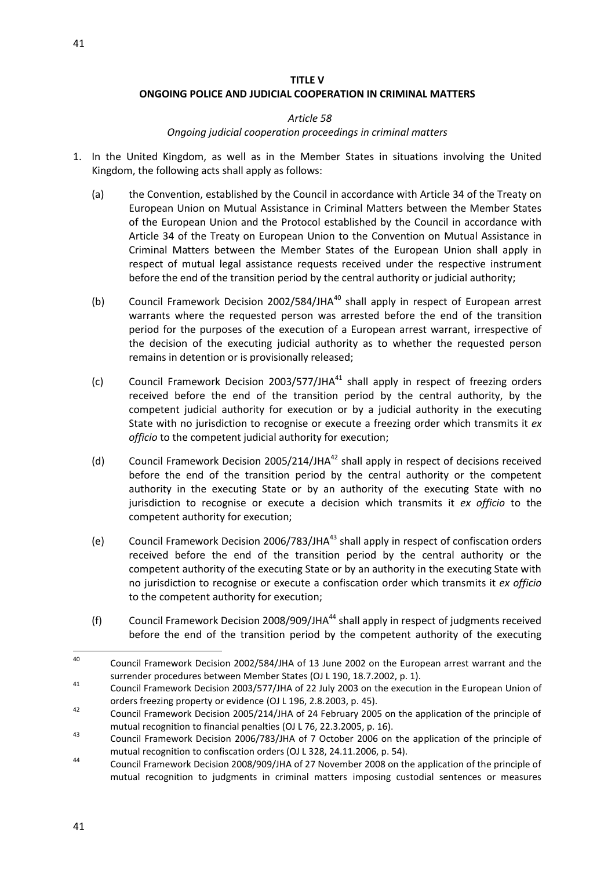### **TITLE V ONGOING POLICE AND JUDICIAL COOPERATION IN CRIMINAL MATTERS**

#### *Article 58*

### *Ongoing judicial cooperation proceedings in criminal matters*

- 1. In the United Kingdom, as well as in the Member States in situations involving the United Kingdom, the following acts shall apply as follows:
	- (a) the Convention, established by the Council in accordance with Article 34 of the Treaty on European Union on Mutual Assistance in Criminal Matters between the Member States of the European Union and the Protocol established by the Council in accordance with Article 34 of the Treaty on European Union to the Convention on Mutual Assistance in Criminal Matters between the Member States of the European Union shall apply in respect of mutual legal assistance requests received under the respective instrument before the end of the transition period by the central authority or judicial authority;
	- (b) Council Framework Decision 2002/584/JHA<sup>40</sup> shall apply in respect of European arrest warrants where the requested person was arrested before the end of the transition period for the purposes of the execution of a European arrest warrant, irrespective of the decision of the executing judicial authority as to whether the requested person remains in detention or is provisionally released;
	- (c) Council Framework Decision 2003/577/JHA $^{41}$  shall apply in respect of freezing orders received before the end of the transition period by the central authority, by the competent judicial authority for execution or by a judicial authority in the executing State with no jurisdiction to recognise or execute a freezing order which transmits it *ex officio* to the competent judicial authority for execution;
	- (d) Council Framework Decision 2005/214/JHA $^{42}$  shall apply in respect of decisions received before the end of the transition period by the central authority or the competent authority in the executing State or by an authority of the executing State with no jurisdiction to recognise or execute a decision which transmits it *ex officio* to the competent authority for execution;
	- (e) Council Framework Decision 2006/783/JHA<sup>43</sup> shall apply in respect of confiscation orders received before the end of the transition period by the central authority or the competent authority of the executing State or by an authority in the executing State with no jurisdiction to recognise or execute a confiscation order which transmits it *ex officio* to the competent authority for execution;
	- (f) Council Framework Decision 2008/909/JHA $44$  shall apply in respect of judgments received before the end of the transition period by the competent authority of the executing

<sup>40</sup> <sup>40</sup> Council Framework Decision 2002/584/JHA of 13 June 2002 on the European arrest warrant and the surrender procedures between Member States (OJ L 190, 18.7.2002, p. 1).

<sup>41</sup> Council Framework Decision 2003/577/JHA of 22 July 2003 on the execution in the European Union of orders freezing property or evidence (OJ L 196, 2.8.2003, p. 45).

<sup>42</sup> Council Framework Decision 2005/214/JHA of 24 February 2005 on the application of the principle of mutual recognition to financial penalties (OJ L 76, 22.3.2005, p. 16).

<sup>&</sup>lt;sup>43</sup> Council Framework Decision 2006/783/JHA of 7 October 2006 on the application of the principle of mutual recognition to confiscation orders (OJ L 328, 24.11.2006, p. 54).

<sup>44</sup> Council Framework Decision 2008/909/JHA of 27 November 2008 on the application of the principle of mutual recognition to judgments in criminal matters imposing custodial sentences or measures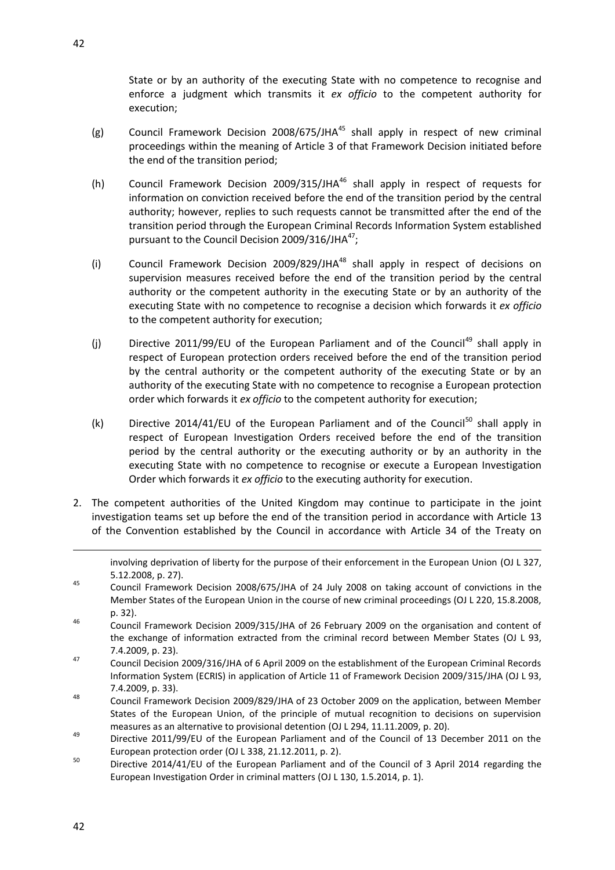State or by an authority of the executing State with no competence to recognise and enforce a judgment which transmits it *ex officio* to the competent authority for execution;

- (g) Council Framework Decision 2008/675/JHA<sup>45</sup> shall apply in respect of new criminal proceedings within the meaning of Article 3 of that Framework Decision initiated before the end of the transition period;
- (h) Council Framework Decision 2009/315/JHA $46$  shall apply in respect of requests for information on conviction received before the end of the transition period by the central authority; however, replies to such requests cannot be transmitted after the end of the transition period through the European Criminal Records Information System established pursuant to the Council Decision 2009/316/JHA $^{47}$ ;
- (i) Council Framework Decision 2009/829/JHA<sup>48</sup> shall apply in respect of decisions on supervision measures received before the end of the transition period by the central authority or the competent authority in the executing State or by an authority of the executing State with no competence to recognise a decision which forwards it *ex officio* to the competent authority for execution;
- (j) Directive 2011/99/EU of the European Parliament and of the Council<sup>49</sup> shall apply in respect of European protection orders received before the end of the transition period by the central authority or the competent authority of the executing State or by an authority of the executing State with no competence to recognise a European protection order which forwards it *ex officio* to the competent authority for execution;
- (k) Directive 2014/41/EU of the European Parliament and of the Council<sup>50</sup> shall apply in respect of European Investigation Orders received before the end of the transition period by the central authority or the executing authority or by an authority in the executing State with no competence to recognise or execute a European Investigation Order which forwards it *ex officio* to the executing authority for execution.
- 2. The competent authorities of the United Kingdom may continue to participate in the joint investigation teams set up before the end of the transition period in accordance with Article 13 of the Convention established by the Council in accordance with Article 34 of the Treaty on

- <sup>45</sup> Council Framework Decision 2008/675/JHA of 24 July 2008 on taking account of convictions in the Member States of the European Union in the course of new criminal proceedings (OJ L 220, 15.8.2008, p. 32).
- <sup>46</sup> Council Framework Decision 2009/315/JHA of 26 February 2009 on the organisation and content of the exchange of information extracted from the criminal record between Member States (OJ L 93, 7.4.2009, p. 23).
- <sup>47</sup> Council Decision 2009/316/JHA of 6 April 2009 on the establishment of the European Criminal Records Information System (ECRIS) in application of Article 11 of Framework Decision 2009/315/JHA (OJ L 93, 7.4.2009, p. 33).
- <sup>48</sup> Council Framework Decision 2009/829/JHA of 23 October 2009 on the application, between Member States of the European Union, of the principle of mutual recognition to decisions on supervision measures as an alternative to provisional detention (OJ L 294, 11.11.2009, p. 20).
- <sup>49</sup> Directive 2011/99/EU of the European Parliament and of the Council of 13 December 2011 on the European protection order (OJ L 338, 21.12.2011, p. 2).
- <sup>50</sup> Directive 2014/41/EU of the European Parliament and of the Council of 3 April 2014 regarding the European Investigation Order in criminal matters (OJ L 130, 1.5.2014, p. 1).

 $\overline{a}$ 

involving deprivation of liberty for the purpose of their enforcement in the European Union (OJ L 327, 5.12.2008, p. 27).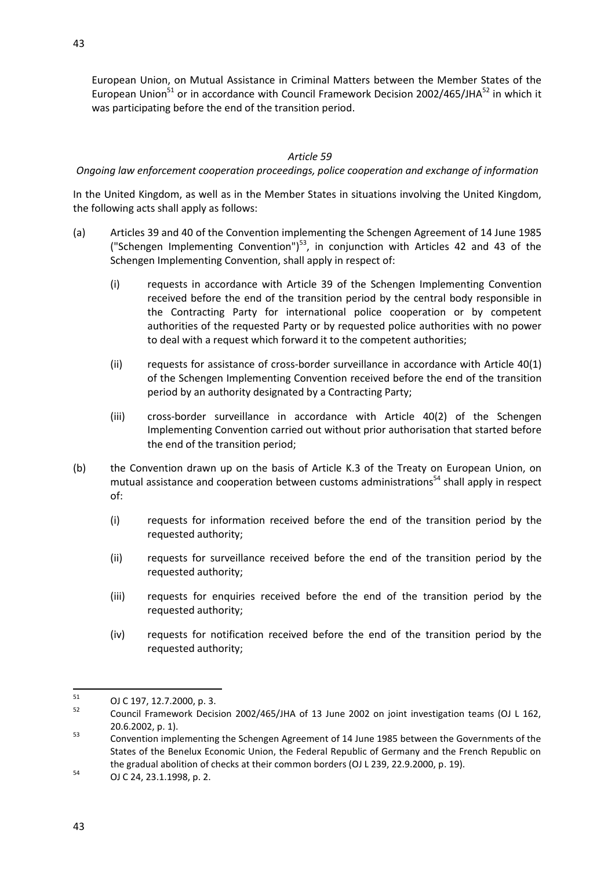European Union, on Mutual Assistance in Criminal Matters between the Member States of the European Union<sup>51</sup> or in accordance with Council Framework Decision 2002/465/JHA<sup>52</sup> in which it was participating before the end of the transition period.

#### *Article 59*

#### *Ongoing law enforcement cooperation proceedings, police cooperation and exchange of information*

In the United Kingdom, as well as in the Member States in situations involving the United Kingdom, the following acts shall apply as follows:

- (a) Articles 39 and 40 of the Convention implementing the Schengen Agreement of 14 June 1985 ("Schengen Implementing Convention") $^{53}$ , in conjunction with Articles 42 and 43 of the Schengen Implementing Convention, shall apply in respect of:
	- (i) requests in accordance with Article 39 of the Schengen Implementing Convention received before the end of the transition period by the central body responsible in the Contracting Party for international police cooperation or by competent authorities of the requested Party or by requested police authorities with no power to deal with a request which forward it to the competent authorities;
	- (ii) requests for assistance of cross-border surveillance in accordance with Article 40(1) of the Schengen Implementing Convention received before the end of the transition period by an authority designated by a Contracting Party;
	- (iii) cross-border surveillance in accordance with Article 40(2) of the Schengen Implementing Convention carried out without prior authorisation that started before the end of the transition period;
- (b) the Convention drawn up on the basis of Article K.3 of the Treaty on European Union, on mutual assistance and cooperation between customs administrations<sup>54</sup> shall apply in respect of:
	- (i) requests for information received before the end of the transition period by the requested authority;
	- (ii) requests for surveillance received before the end of the transition period by the requested authority;
	- (iii) requests for enquiries received before the end of the transition period by the requested authority;
	- (iv) requests for notification received before the end of the transition period by the requested authority;

<sup>51</sup>  $51$  OJ C 197, 12.7.2000, p. 3.

<sup>52</sup> Council Framework Decision 2002/465/JHA of 13 June 2002 on joint investigation teams (OJ L 162, 20.6.2002, p. 1).

<sup>&</sup>lt;sup>53</sup> Convention implementing the Schengen Agreement of 14 June 1985 between the Governments of the States of the Benelux Economic Union, the Federal Republic of Germany and the French Republic on the gradual abolition of checks at their common borders (OJ L 239, 22.9.2000, p. 19).

<sup>54</sup> OJ C 24, 23.1.1998, p. 2.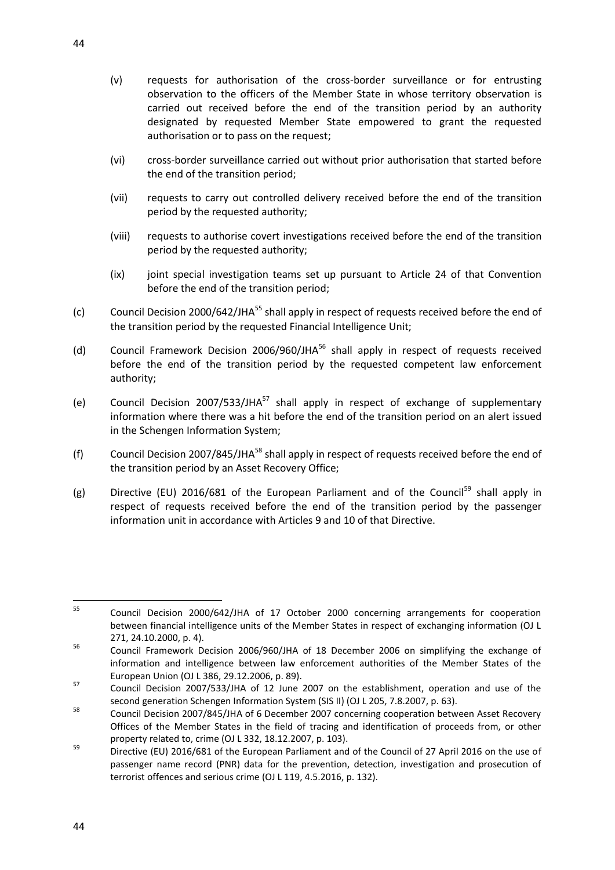- (v) requests for authorisation of the cross-border surveillance or for entrusting observation to the officers of the Member State in whose territory observation is carried out received before the end of the transition period by an authority designated by requested Member State empowered to grant the requested authorisation or to pass on the request;
- (vi) cross-border surveillance carried out without prior authorisation that started before the end of the transition period;
- (vii) requests to carry out controlled delivery received before the end of the transition period by the requested authority;
- (viii) requests to authorise covert investigations received before the end of the transition period by the requested authority;
- (ix) joint special investigation teams set up pursuant to Article 24 of that Convention before the end of the transition period;
- (c) Council Decision 2000/642/JHA<sup>55</sup> shall apply in respect of requests received before the end of the transition period by the requested Financial Intelligence Unit;
- (d) Council Framework Decision 2006/960/JHA<sup>56</sup> shall apply in respect of requests received before the end of the transition period by the requested competent law enforcement authority;
- (e) Council Decision 2007/533/JHA $^{57}$  shall apply in respect of exchange of supplementary information where there was a hit before the end of the transition period on an alert issued in the Schengen Information System;
- (f) Council Decision 2007/845/JHA<sup>58</sup> shall apply in respect of requests received before the end of the transition period by an Asset Recovery Office;
- (g) Directive (EU) 2016/681 of the European Parliament and of the Council<sup>59</sup> shall apply in respect of requests received before the end of the transition period by the passenger information unit in accordance with Articles 9 and 10 of that Directive.

<sup>55</sup> <sup>55</sup> Council Decision 2000/642/JHA of 17 October 2000 concerning arrangements for cooperation between financial intelligence units of the Member States in respect of exchanging information (OJ L 271, 24.10.2000, p. 4).

<sup>56</sup> Council Framework Decision 2006/960/JHA of 18 December 2006 on simplifying the exchange of information and intelligence between law enforcement authorities of the Member States of the European Union (OJ L 386, 29.12.2006, p. 89).

<sup>57</sup> Council Decision 2007/533/JHA of 12 June 2007 on the establishment, operation and use of the second generation Schengen Information System (SIS II) (OJ L 205, 7.8.2007, p. 63).

<sup>58</sup> Council Decision 2007/845/JHA of 6 December 2007 concerning cooperation between Asset Recovery Offices of the Member States in the field of tracing and identification of proceeds from, or other property related to, crime (OJ L 332, 18.12.2007, p. 103).

<sup>59</sup> Directive (EU) 2016/681 of the European Parliament and of the Council of 27 April 2016 on the use of passenger name record (PNR) data for the prevention, detection, investigation and prosecution of terrorist offences and serious crime (OJ L 119, 4.5.2016, p. 132).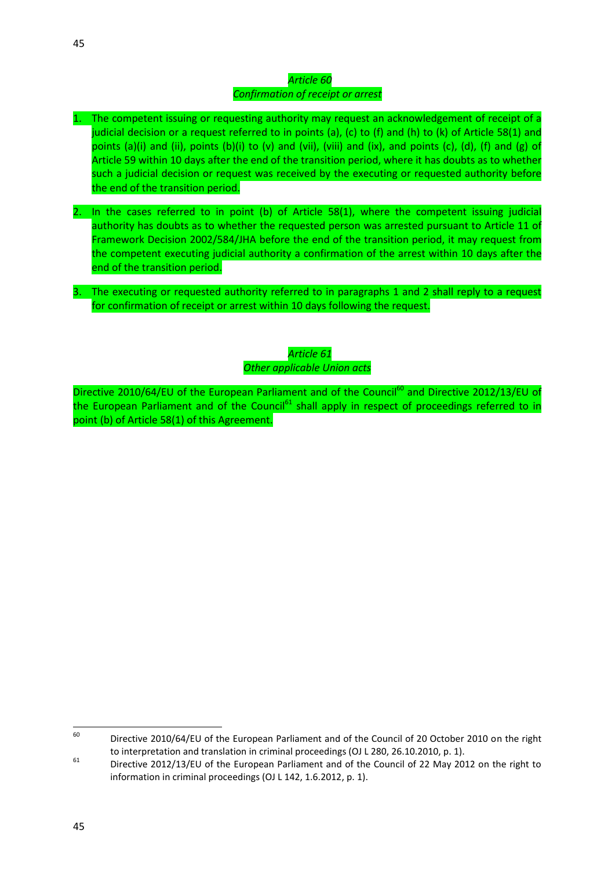45

### *Article 60 Confirmation of receipt or arrest*

- 1. The competent issuing or requesting authority may request an acknowledgement of receipt of a judicial decision or a request referred to in points (a), (c) to (f) and (h) to (k) of Article 58(1) and points (a)(i) and (ii), points (b)(i) to (v) and (vii), (viii) and (ix), and points (c), (d), (f) and (g) of Article 59 within 10 days after the end of the transition period, where it has doubts as to whether such a judicial decision or request was received by the executing or requested authority before the end of the transition period.
- 2. In the cases referred to in point (b) of Article 58(1), where the competent issuing judicial authority has doubts as to whether the requested person was arrested pursuant to Article 11 of Framework Decision 2002/584/JHA before the end of the transition period, it may request from the competent executing judicial authority a confirmation of the arrest within 10 days after the end of the transition period.
- 3. The executing or requested authority referred to in paragraphs 1 and 2 shall reply to a request for confirmation of receipt or arrest within 10 days following the request.

*Article 61 Other applicable Union acts*

Directive 2010/64/EU of the European Parliament and of the Council<sup>60</sup> and Directive 2012/13/EU of the European Parliament and of the Council<sup>61</sup> shall apply in respect of proceedings referred to in point (b) of Article 58(1) of this Agreement.

<sup>60</sup> Directive 2010/64/EU of the European Parliament and of the Council of 20 October 2010 on the right to interpretation and translation in criminal proceedings (OJ L 280, 26.10.2010, p. 1).

<sup>&</sup>lt;sup>61</sup> Directive 2012/13/EU of the European Parliament and of the Council of 22 May 2012 on the right to information in criminal proceedings (OJ L 142, 1.6.2012, p. 1).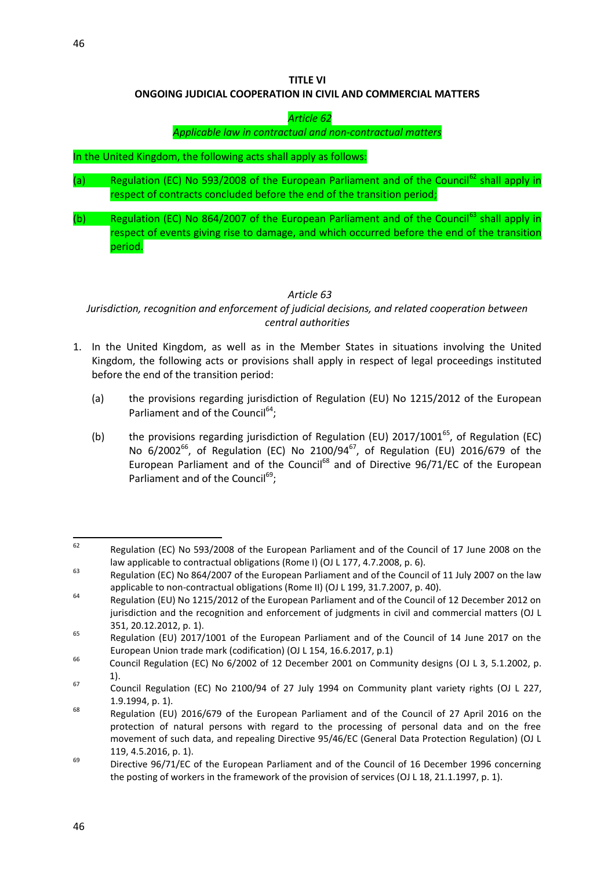*Article 62*

# *Applicable law in contractual and non-contractual matters*

In the United Kingdom, the following acts shall apply as follows:

- (a) Regulation (EC) No 593/2008 of the European Parliament and of the Council<sup>62</sup> shall apply in respect of contracts concluded before the end of the transition period;
- (b) Regulation (EC) No 864/2007 of the European Parliament and of the Council<sup>63</sup> shall apply in respect of events giving rise to damage, and which occurred before the end of the transition period.

# *Article 63*

# *Jurisdiction, recognition and enforcement of judicial decisions, and related cooperation between central authorities*

- 1. In the United Kingdom, as well as in the Member States in situations involving the United Kingdom, the following acts or provisions shall apply in respect of legal proceedings instituted before the end of the transition period:
	- (a) the provisions regarding jurisdiction of Regulation (EU) No 1215/2012 of the European Parliament and of the Council<sup>64</sup>;
	- (b) the provisions regarding jurisdiction of Regulation (EU)  $2017/1001^{65}$ , of Regulation (EC) No  $6/2002^{66}$ , of Regulation (EC) No  $2100/94^{67}$ , of Regulation (EU) 2016/679 of the European Parliament and of the Council<sup>68</sup> and of Directive 96/71/EC of the European Parliament and of the Council<sup>69</sup>;

<sup>62</sup> <sup>62</sup> Regulation (EC) No 593/2008 of the European Parliament and of the Council of 17 June 2008 on the law applicable to contractual obligations (Rome I) (OJ L 177, 4.7.2008, p. 6).

 $\frac{63}{100}$  Regulation (EC) No 864/2007 of the European Parliament and of the Council of 11 July 2007 on the law applicable to non-contractual obligations (Rome II) (OJ L 199, 31.7.2007, p. 40).

<sup>64</sup> Regulation (EU) No 1215/2012 of the European Parliament and of the Council of 12 December 2012 on jurisdiction and the recognition and enforcement of judgments in civil and commercial matters (OJ L 351, 20.12.2012, p. 1).

<sup>&</sup>lt;sup>65</sup> Regulation (EU) 2017/1001 of the European Parliament and of the Council of 14 June 2017 on the European Union trade mark (codification) (OJ L 154, 16.6.2017, p.1)

<sup>66</sup> Council Regulation (EC) No 6/2002 of 12 December 2001 on Community designs (OJ L 3, 5.1.2002, p. 1).

 $\frac{57}{100}$  Council Regulation (EC) No 2100/94 of 27 July 1994 on Community plant variety rights (OJ L 227, 1.9.1994, p. 1).

<sup>&</sup>lt;sup>68</sup> Regulation (EU) 2016/679 of the European Parliament and of the Council of 27 April 2016 on the protection of natural persons with regard to the processing of personal data and on the free movement of such data, and repealing Directive 95/46/EC (General Data Protection Regulation) (OJ L 119, 4.5.2016, p. 1).

 $\frac{69}{2}$  Directive 96/71/EC of the European Parliament and of the Council of 16 December 1996 concerning the posting of workers in the framework of the provision of services (OJ L 18, 21.1.1997, p. 1).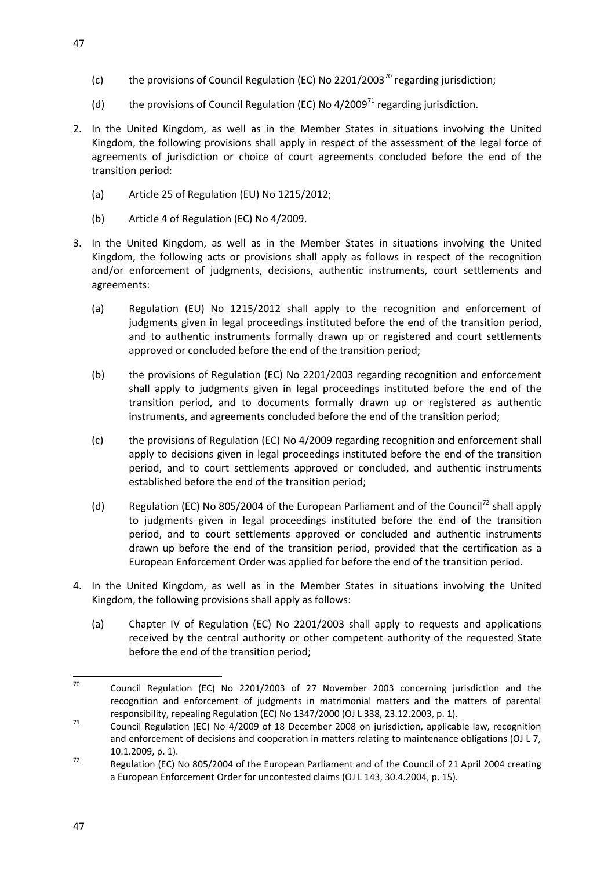- (c) the provisions of Council Regulation (EC) No 2201/2003<sup>70</sup> regarding jurisdiction;
- (d) the provisions of Council Regulation (EC) No  $4/2009^{71}$  regarding jurisdiction.
- 2. In the United Kingdom, as well as in the Member States in situations involving the United Kingdom, the following provisions shall apply in respect of the assessment of the legal force of agreements of jurisdiction or choice of court agreements concluded before the end of the transition period:
	- (a) Article 25 of Regulation (EU) No 1215/2012;
	- (b) Article 4 of Regulation (EC) No 4/2009.
- 3. In the United Kingdom, as well as in the Member States in situations involving the United Kingdom, the following acts or provisions shall apply as follows in respect of the recognition and/or enforcement of judgments, decisions, authentic instruments, court settlements and agreements:
	- (a) Regulation (EU) No 1215/2012 shall apply to the recognition and enforcement of judgments given in legal proceedings instituted before the end of the transition period, and to authentic instruments formally drawn up or registered and court settlements approved or concluded before the end of the transition period;
	- (b) the provisions of Regulation (EC) No 2201/2003 regarding recognition and enforcement shall apply to judgments given in legal proceedings instituted before the end of the transition period, and to documents formally drawn up or registered as authentic instruments, and agreements concluded before the end of the transition period;
	- (c) the provisions of Regulation (EC) No 4/2009 regarding recognition and enforcement shall apply to decisions given in legal proceedings instituted before the end of the transition period, and to court settlements approved or concluded, and authentic instruments established before the end of the transition period;
	- (d) Regulation (EC) No 805/2004 of the European Parliament and of the Council<sup>72</sup> shall apply to judgments given in legal proceedings instituted before the end of the transition period, and to court settlements approved or concluded and authentic instruments drawn up before the end of the transition period, provided that the certification as a European Enforcement Order was applied for before the end of the transition period.
- 4. In the United Kingdom, as well as in the Member States in situations involving the United Kingdom, the following provisions shall apply as follows:
	- (a) Chapter IV of Regulation (EC) No 2201/2003 shall apply to requests and applications received by the central authority or other competent authority of the requested State before the end of the transition period;

<sup>70</sup> <sup>70</sup> Council Regulation (EC) No 2201/2003 of 27 November 2003 concerning jurisdiction and the recognition and enforcement of judgments in matrimonial matters and the matters of parental responsibility, repealing Regulation (EC) No 1347/2000 (OJ L 338, 23.12.2003, p. 1).

 $\frac{1}{2}$  Council Regulation (EC) No 4/2009 of 18 December 2008 on jurisdiction, applicable law, recognition and enforcement of decisions and cooperation in matters relating to maintenance obligations (OJ L 7, 10.1.2009, p. 1).

 $\frac{72}{12}$  Regulation (EC) No 805/2004 of the European Parliament and of the Council of 21 April 2004 creating a European Enforcement Order for uncontested claims (OJ L 143, 30.4.2004, p. 15).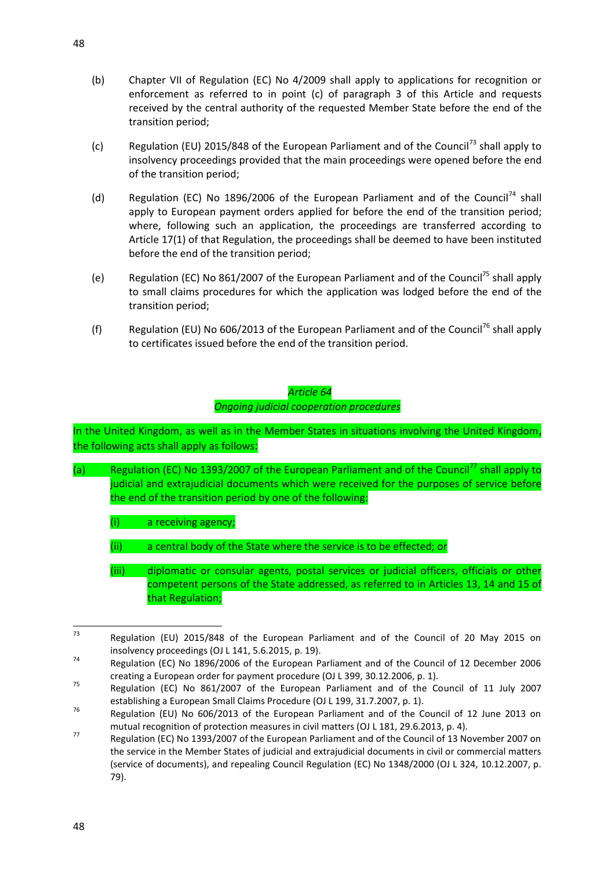- (b) Chapter VII of Regulation (EC) No 4/2009 shall apply to applications for recognition or enforcement as referred to in point (c) of paragraph 3 of this Article and requests received by the central authority of the requested Member State before the end of the transition period;
- (c) Regulation (EU) 2015/848 of the European Parliament and of the Council<sup>73</sup> shall apply to insolvency proceedings provided that the main proceedings were opened before the end of the transition period;
- (d) Regulation (EC) No 1896/2006 of the European Parliament and of the Council<sup>74</sup> shall apply to European payment orders applied for before the end of the transition period; where, following such an application, the proceedings are transferred according to Article 17(1) of that Regulation, the proceedings shall be deemed to have been instituted before the end of the transition period;
- (e) Regulation (EC) No 861/2007 of the European Parliament and of the Council<sup>75</sup> shall apply to small claims procedures for which the application was lodged before the end of the transition period;
- (f) Regulation (EU) No 606/2013 of the European Parliament and of the Council<sup>76</sup> shall apply to certificates issued before the end of the transition period.

#### *Article 64*

#### *Ongoing judicial cooperation procedures*

In the United Kingdom, as well as in the Member States in situations involving the United Kingdom, the following acts shall apply as follows:

- (a) Regulation (EC) No 1393/2007 of the European Parliament and of the Council<sup>77</sup> shall apply to judicial and extrajudicial documents which were received for the purposes of service before the end of the transition period by one of the following:
	- (i) a receiving agency;
	- (ii) a central body of the State where the service is to be effected; or
	- (iii) diplomatic or consular agents, postal services or judicial officers, officials or other competent persons of the State addressed, as referred to in Articles 13, 14 and 15 of that Regulation;

 $73$ Regulation (EU) 2015/848 of the European Parliament and of the Council of 20 May 2015 on insolvency proceedings (OJ L 141, 5.6.2015, p. 19).

<sup>74</sup> Regulation (EC) No 1896/2006 of the European Parliament and of the Council of 12 December 2006 creating a European order for payment procedure (OJ L 399, 30.12.2006, p. 1).

 $\frac{3}{25}$  Regulation (EC) No 861/2007 of the European Parliament and of the Council of 11 July 2007 establishing a European Small Claims Procedure (OJ L 199, 31.7.2007, p. 1).

 $\frac{76}{10}$  Regulation (EU) No 606/2013 of the European Parliament and of the Council of 12 June 2013 on mutual recognition of protection measures in civil matters (OJ L 181, 29.6.2013, p. 4).

 $\frac{37}{77}$  Regulation (EC) No 1393/2007 of the European Parliament and of the Council of 13 November 2007 on the service in the Member States of judicial and extrajudicial documents in civil or commercial matters (service of documents), and repealing Council Regulation (EC) No 1348/2000 (OJ L 324, 10.12.2007, p. 79).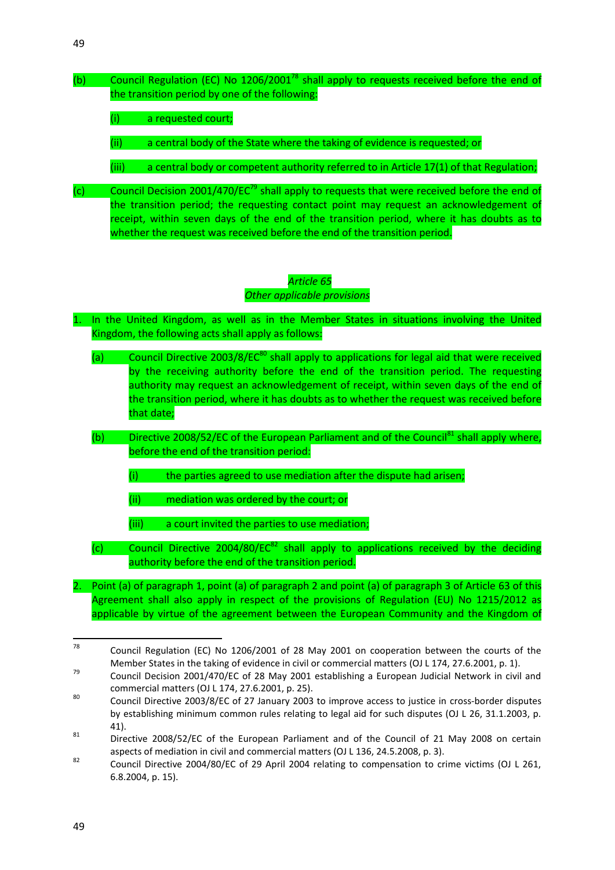- (b) Council Regulation (EC) No  $1206/2001^{78}$  shall apply to requests received before the end of the transition period by one of the following:
	- (i) a requested court;
	- (ii) a central body of the State where the taking of evidence is requested; or
	- (iii) a central body or competent authority referred to in Article 17(1) of that Regulation;
- (c) Council Decision 2001/470/EC<sup>79</sup> shall apply to requests that were received before the end of the transition period; the requesting contact point may request an acknowledgement of receipt, within seven days of the end of the transition period, where it has doubts as to whether the request was received before the end of the transition period.

### *Article 65 Other applicable provisions*

- 1. In the United Kingdom, as well as in the Member States in situations involving the United Kingdom, the following acts shall apply as follows:
	- (a) Council Directive 2003/8/EC $^{80}$  shall apply to applications for legal aid that were received by the receiving authority before the end of the transition period. The requesting authority may request an acknowledgement of receipt, within seven days of the end of the transition period, where it has doubts as to whether the request was received before that date;
	- (b) Directive 2008/52/EC of the European Parliament and of the Council<sup>81</sup> shall apply where, before the end of the transition period:
		- (i) the parties agreed to use mediation after the dispute had arisen;
		- (ii) mediation was ordered by the court; or
		- (iii) a court invited the parties to use mediation;
	- (c) Council Directive 2004/80/EC $^{82}$  shall apply to applications received by the deciding authority before the end of the transition period.
- Point (a) of paragraph 1, point (a) of paragraph 2 and point (a) of paragraph 3 of Article 63 of this Agreement shall also apply in respect of the provisions of Regulation (EU) No 1215/2012 as applicable by virtue of the agreement between the European Community and the Kingdom of

<sup>78</sup> <sup>78</sup> Council Regulation (EC) No 1206/2001 of 28 May 2001 on cooperation between the courts of the Member States in the taking of evidence in civil or commercial matters (OJ L 174, 27.6.2001, p. 1).

<sup>79</sup> Council Decision 2001/470/EC of 28 May 2001 establishing a European Judicial Network in civil and commercial matters (OJ L 174, 27.6.2001, p. 25).

<sup>80</sup> Council Directive 2003/8/EC of 27 January 2003 to improve access to justice in cross-border disputes by establishing minimum common rules relating to legal aid for such disputes (OJ L 26, 31.1.2003, p. 41).

 $81$  Directive 2008/52/EC of the European Parliament and of the Council of 21 May 2008 on certain aspects of mediation in civil and commercial matters (OJ L 136, 24.5.2008, p. 3).

<sup>82</sup> Council Directive 2004/80/EC of 29 April 2004 relating to compensation to crime victims (OJ L 261, 6.8.2004, p. 15).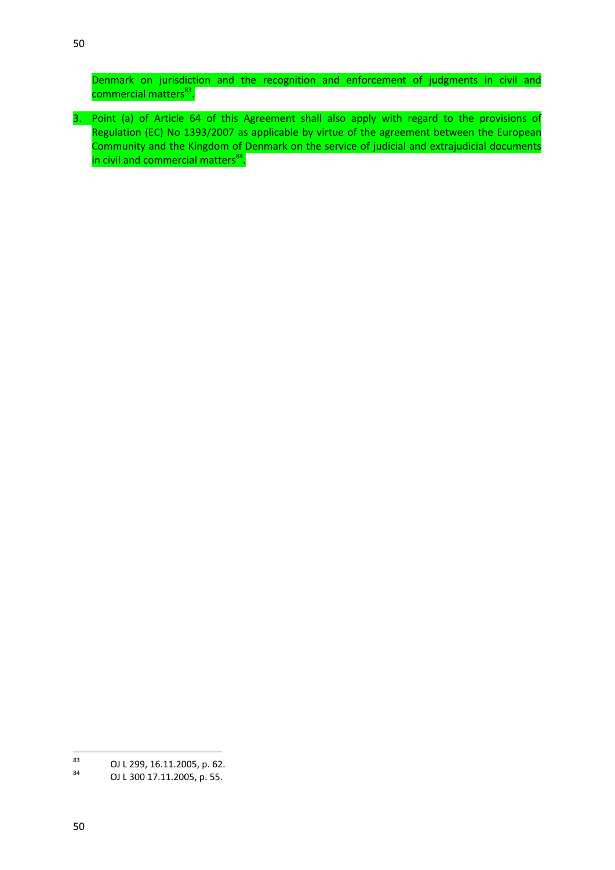Denmark on jurisdiction and the recognition and enforcement of judgments in civil and commercial matters<sup>83</sup>.

3. Point (a) of Article 64 of this Agreement shall also apply with regard to the provisions of Regulation (EC) No 1393/2007 as applicable by virtue of the agreement between the European Community and the Kingdom of Denmark on the service of judicial and extrajudicial documents in civil and commercial matters<sup>84</sup>.

<sup>83</sup>  $^{83}$  OJ L 299, 16.11.2005, p. 62.

<sup>84</sup> OJ L 300 17.11.2005, p. 55.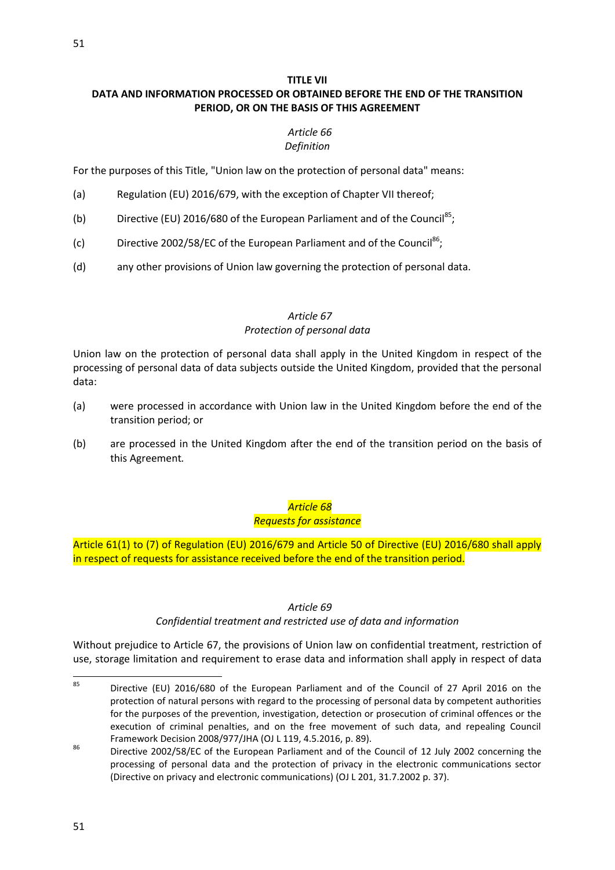#### **TITLE VII**

### **DATA AND INFORMATION PROCESSED OR OBTAINED BEFORE THE END OF THE TRANSITION PERIOD, OR ON THE BASIS OF THIS AGREEMENT**

## *Article 66 Definition*

For the purposes of this Title, "Union law on the protection of personal data" means:

- (a) Regulation (EU) 2016/679, with the exception of Chapter VII thereof;
- (b) Directive (EU) 2016/680 of the European Parliament and of the Council<sup>85</sup>;
- (c) Directive 2002/58/EC of the European Parliament and of the Council<sup>86</sup>;
- (d) any other provisions of Union law governing the protection of personal data.

# *Article 67 Protection of personal data*

Union law on the protection of personal data shall apply in the United Kingdom in respect of the processing of personal data of data subjects outside the United Kingdom, provided that the personal data:

- (a) were processed in accordance with Union law in the United Kingdom before the end of the transition period; or
- (b) are processed in the United Kingdom after the end of the transition period on the basis of this Agreement*.*

### *Article 68 Requests for assistance*

Article 61(1) to (7) of Regulation (EU) 2016/679 and Article 50 of Directive (EU) 2016/680 shall apply in respect of requests for assistance received before the end of the transition period.

#### *Article 69*

#### *Confidential treatment and restricted use of data and information*

Without prejudice to Article 67, the provisions of Union law on confidential treatment, restriction of use, storage limitation and requirement to erase data and information shall apply in respect of data

<sup>85</sup> <sup>85</sup> Directive (EU) 2016/680 of the European Parliament and of the Council of 27 April 2016 on the protection of natural persons with regard to the processing of personal data by competent authorities for the purposes of the prevention, investigation, detection or prosecution of criminal offences or the execution of criminal penalties, and on the free movement of such data, and repealing Council Framework Decision 2008/977/JHA (OJ L 119, 4.5.2016, p. 89).

<sup>86</sup> Directive 2002/58/EC of the European Parliament and of the Council of 12 July 2002 concerning the processing of personal data and the protection of privacy in the electronic communications sector (Directive on privacy and electronic communications) (OJ L 201, 31.7.2002 p. 37).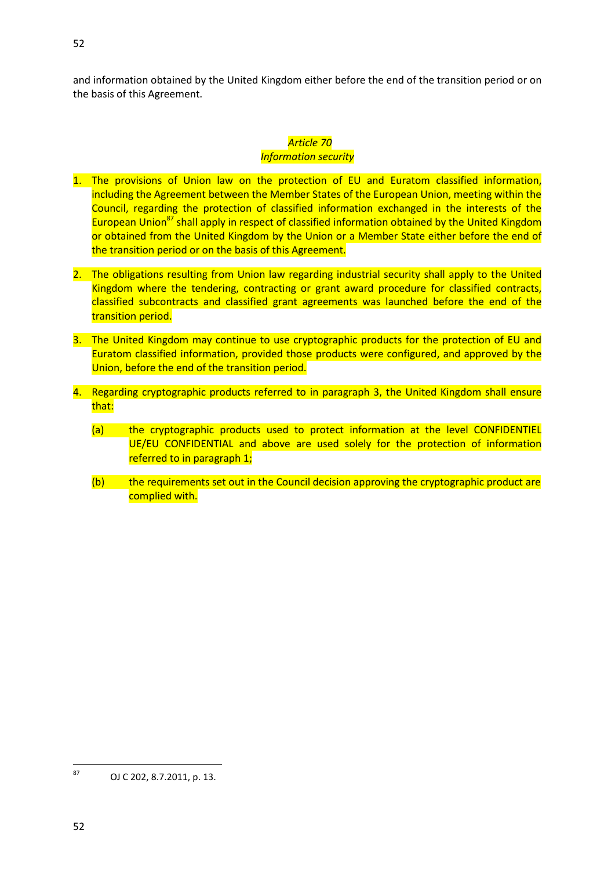and information obtained by the United Kingdom either before the end of the transition period or on the basis of this Agreement.

#### *Article 70 Information security*

- 1. The provisions of Union law on the protection of EU and Euratom classified information, including the Agreement between the Member States of the European Union, meeting within the Council, regarding the protection of classified information exchanged in the interests of the European Union<sup>87</sup> shall apply in respect of classified information obtained by the United Kingdom or obtained from the United Kingdom by the Union or a Member State either before the end of the transition period or on the basis of this Agreement.
- 2. The obligations resulting from Union law regarding industrial security shall apply to the United Kingdom where the tendering, contracting or grant award procedure for classified contracts, classified subcontracts and classified grant agreements was launched before the end of the transition period.
- 3. The United Kingdom may continue to use cryptographic products for the protection of EU and Euratom classified information, provided those products were configured, and approved by the Union, before the end of the transition period.
- 4. Regarding cryptographic products referred to in paragraph 3, the United Kingdom shall ensure that:
	- (a) the cryptographic products used to protect information at the level CONFIDENTIEL UE/EU CONFIDENTIAL and above are used solely for the protection of information referred to in paragraph 1;
	- $(b)$  the requirements set out in the Council decision approving the cryptographic product are complied with.

<sup>87</sup> <sup>87</sup> OJ C 202, 8.7.2011, p. 13.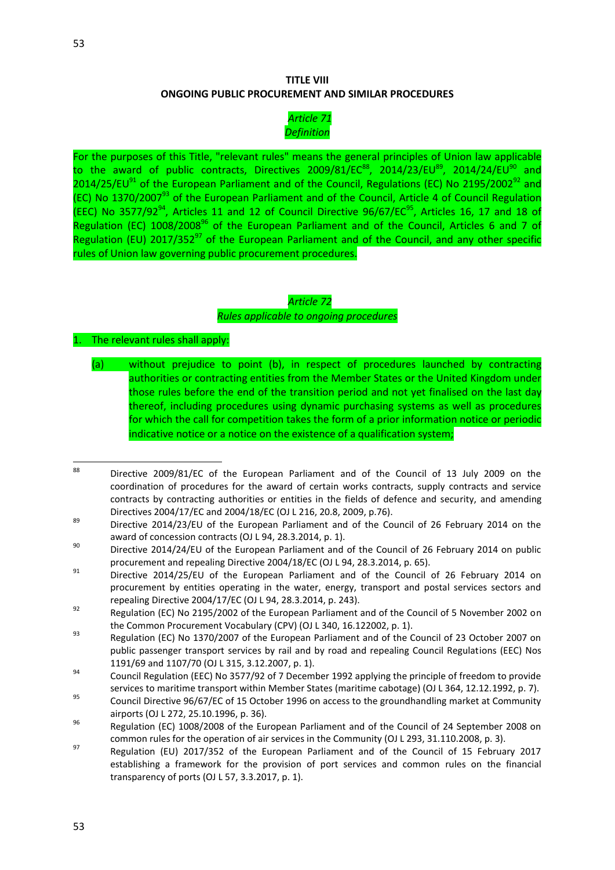### **TITLE VIII ONGOING PUBLIC PROCUREMENT AND SIMILAR PROCEDURES**



For the purposes of this Title, "relevant rules" means the general principles of Union law applicable to the award of public contracts, Directives 2009/81/EC<sup>88</sup>, 2014/23/EU<sup>89</sup>, 2014/24/EU<sup>90</sup> and 2014/25/EU $^{91}$  of the European Parliament and of the Council, Regulations (EC) No 2195/2002<sup>92</sup> and (EC) No 1370/2007 $^{93}$  of the European Parliament and of the Council, Article 4 of Council Regulation (EEC) No 3577/92 $^{94}$ , Articles 11 and 12 of Council Directive 96/67/EC $^{95}$ , Articles 16, 17 and 18 of Regulation (EC) 1008/2008<sup>96</sup> of the European Parliament and of the Council, Articles 6 and 7 of Regulation (EU) 2017/352 $^{97}$  of the European Parliament and of the Council, and any other specific rules of Union law governing public procurement procedures.

#### *Article 72*

#### *Rules applicable to ongoing procedures*

#### 1. The relevant rules shall apply:

(a) without prejudice to point (b), in respect of procedures launched by contracting authorities or contracting entities from the Member States or the United Kingdom under those rules before the end of the transition period and not yet finalised on the last day thereof, including procedures using dynamic purchasing systems as well as procedures for which the call for competition takes the form of a prior information notice or periodic indicative notice or a notice on the existence of a qualification system;

<sup>88</sup> <sup>88</sup> Directive 2009/81/EC of the European Parliament and of the Council of 13 July 2009 on the coordination of procedures for the award of certain works contracts, supply contracts and service contracts by contracting authorities or entities in the fields of defence and security, and amending Directives 2004/17/EC and 2004/18/EC (OJ L 216, 20.8, 2009, p.76).

<sup>&</sup>lt;sup>89</sup> Directive 2014/23/EU of the European Parliament and of the Council of 26 February 2014 on the award of concession contracts (OJ L 94, 28.3.2014, p. 1).

<sup>90</sup> Directive 2014/24/EU of the European Parliament and of the Council of 26 February 2014 on public procurement and repealing Directive 2004/18/EC (OJ L 94, 28.3.2014, p. 65).

 $^{91}$  Directive 2014/25/EU of the European Parliament and of the Council of 26 February 2014 on procurement by entities operating in the water, energy, transport and postal services sectors and repealing Directive 2004/17/EC (OJ L 94, 28.3.2014, p. 243).

<sup>92</sup> Regulation (EC) No 2195/2002 of the European Parliament and of the Council of 5 November 2002 on the Common Procurement Vocabulary (CPV) (OJ L 340, 16.122002, p. 1).

<sup>93</sup> Regulation (EC) No 1370/2007 of the European Parliament and of the Council of 23 October 2007 on public passenger transport services by rail and by road and repealing Council Regulations (EEC) Nos 1191/69 and 1107/70 (OJ L 315, 3.12.2007, p. 1).

 $\frac{94}{2}$  Council Regulation (EEC) No 3577/92 of 7 December 1992 applying the principle of freedom to provide services to maritime transport within Member States (maritime cabotage) (OJ L 364, 12.12.1992, p. 7).

<sup>&</sup>lt;sup>95</sup> Council Directive 96/67/EC of 15 October 1996 on access to the groundhandling market at Community airports (OJ L 272, 25.10.1996, p. 36).

<sup>96</sup> Regulation (EC) 1008/2008 of the European Parliament and of the Council of 24 September 2008 on common rules for the operation of air services in the Community (OJ L 293, 31.110.2008, p. 3).

<sup>97</sup> Regulation (EU) 2017/352 of the European Parliament and of the Council of 15 February 2017 establishing a framework for the provision of port services and common rules on the financial transparency of ports (OJ L 57, 3.3.2017, p. 1).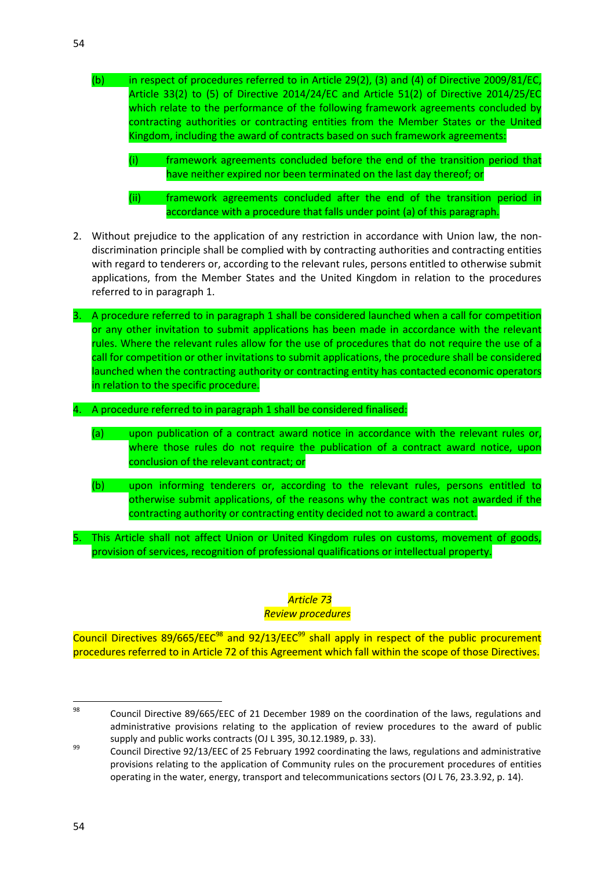- (b) in respect of procedures referred to in Article 29(2), (3) and (4) of Directive 2009/81/EC, Article 33(2) to (5) of Directive 2014/24/EC and Article 51(2) of Directive 2014/25/EC which relate to the performance of the following framework agreements concluded by contracting authorities or contracting entities from the Member States or the United Kingdom, including the award of contracts based on such framework agreements:
	- (i) framework agreements concluded before the end of the transition period that have neither expired nor been terminated on the last day thereof; or
	- (ii) framework agreements concluded after the end of the transition period in accordance with a procedure that falls under point (a) of this paragraph.
- 2. Without prejudice to the application of any restriction in accordance with Union law, the nondiscrimination principle shall be complied with by contracting authorities and contracting entities with regard to tenderers or, according to the relevant rules, persons entitled to otherwise submit applications, from the Member States and the United Kingdom in relation to the procedures referred to in paragraph 1.
- 3. A procedure referred to in paragraph 1 shall be considered launched when a call for competition or any other invitation to submit applications has been made in accordance with the relevant rules. Where the relevant rules allow for the use of procedures that do not require the use of a call for competition or other invitations to submit applications, the procedure shall be considered launched when the contracting authority or contracting entity has contacted economic operators in relation to the specific procedure.
- 4. A procedure referred to in paragraph 1 shall be considered finalised:
	- (a) upon publication of a contract award notice in accordance with the relevant rules or, where those rules do not require the publication of a contract award notice, upon conclusion of the relevant contract; or
	- (b) upon informing tenderers or, according to the relevant rules, persons entitled to otherwise submit applications, of the reasons why the contract was not awarded if the contracting authority or contracting entity decided not to award a contract.
- 5. This Article shall not affect Union or United Kingdom rules on customs, movement of goods, provision of services, recognition of professional qualifications or intellectual property.

# *Article 73 Review procedures*

Council Directives 89/665/EEC<sup>98</sup> and 92/13/EEC<sup>99</sup> shall apply in respect of the public procurement procedures referred to in Article 72 of this Agreement which fall within the scope of those Directives.

<sup>98</sup> Council Directive 89/665/EEC of 21 December 1989 on the coordination of the laws, regulations and administrative provisions relating to the application of review procedures to the award of public supply and public works contracts (OJ L 395, 30.12.1989, p. 33).

<sup>&</sup>lt;sup>99</sup> Council Directive 92/13/EEC of 25 February 1992 coordinating the laws, regulations and administrative provisions relating to the application of Community rules on the procurement procedures of entities operating in the water, energy, transport and telecommunications sectors (OJ L 76, 23.3.92, p. 14).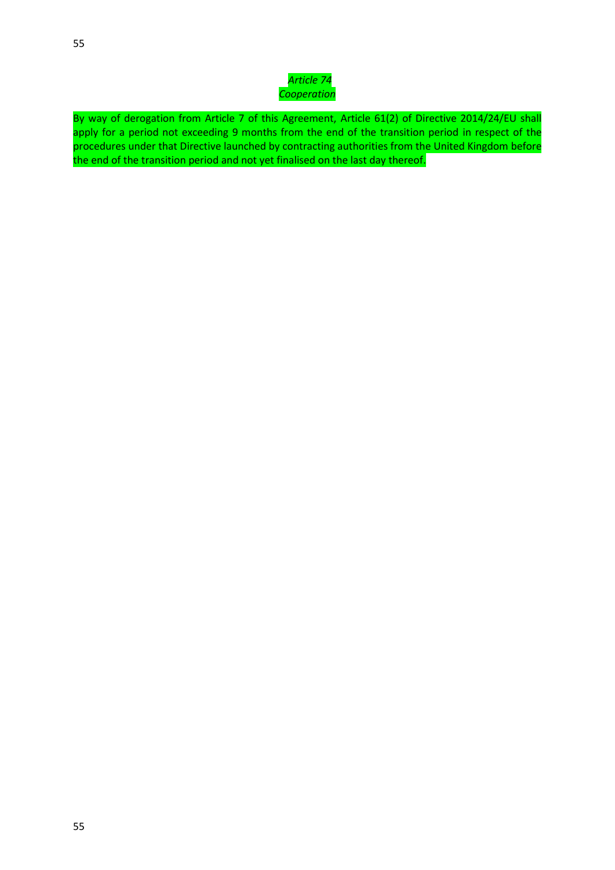# *Article 74 Cooperation*

By way of derogation from Article 7 of this Agreement, Article 61(2) of Directive 2014/24/EU shall apply for a period not exceeding 9 months from the end of the transition period in respect of the procedures under that Directive launched by contracting authorities from the United Kingdom before the end of the transition period and not yet finalised on the last day thereof.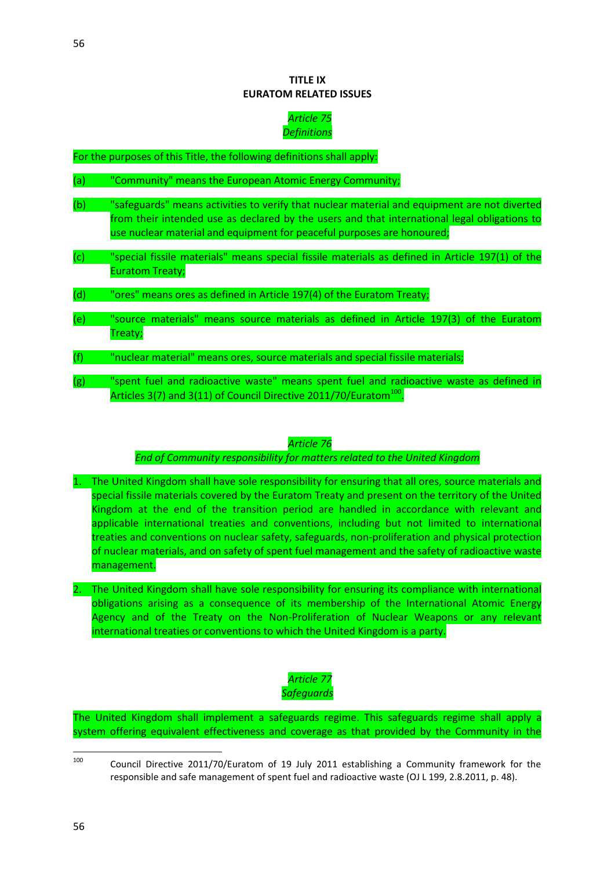#### **TITLE IX EURATOM RELATED ISSUES**



For the purposes of this Title, the following definitions shall apply:

- (a) "Community" means the European Atomic Energy Community;
- (b) "safeguards" means activities to verify that nuclear material and equipment are not diverted from their intended use as declared by the users and that international legal obligations to use nuclear material and equipment for peaceful purposes are honoured;
- (c) "special fissile materials" means special fissile materials as defined in Article 197(1) of the Euratom Treaty;
- (d) "ores" means ores as defined in Article 197(4) of the Euratom Treaty;
- (e) "source materials" means source materials as defined in Article 197(3) of the Euratom Treaty;
- (f) "nuclear material" means ores, source materials and special fissile materials;
- (g) "spent fuel and radioactive waste" means spent fuel and radioactive waste as defined in Articles 3(7) and 3(11) of Council Directive 2011/70/Euratom $^{100}$ .

#### *Article 76*

*End of Community responsibility for matters related to the United Kingdom*

- 1. The United Kingdom shall have sole responsibility for ensuring that all ores, source materials and special fissile materials covered by the Euratom Treaty and present on the territory of the United Kingdom at the end of the transition period are handled in accordance with relevant and applicable international treaties and conventions, including but not limited to international treaties and conventions on nuclear safety, safeguards, non-proliferation and physical protection of nuclear materials, and on safety of spent fuel management and the safety of radioactive waste management.
- 2. The United Kingdom shall have sole responsibility for ensuring its compliance with international obligations arising as a consequence of its membership of the International Atomic Energy Agency and of the Treaty on the Non-Proliferation of Nuclear Weapons or any relevant international treaties or conventions to which the United Kingdom is a party.

# *Article 77 Safeguards*

The United Kingdom shall implement a safeguards regime. This safeguards regime shall apply a system offering equivalent effectiveness and coverage as that provided by the Community in the

<sup>100</sup> Council Directive 2011/70/Euratom of 19 July 2011 establishing a Community framework for the responsible and safe management of spent fuel and radioactive waste (OJ L 199, 2.8.2011, p. 48).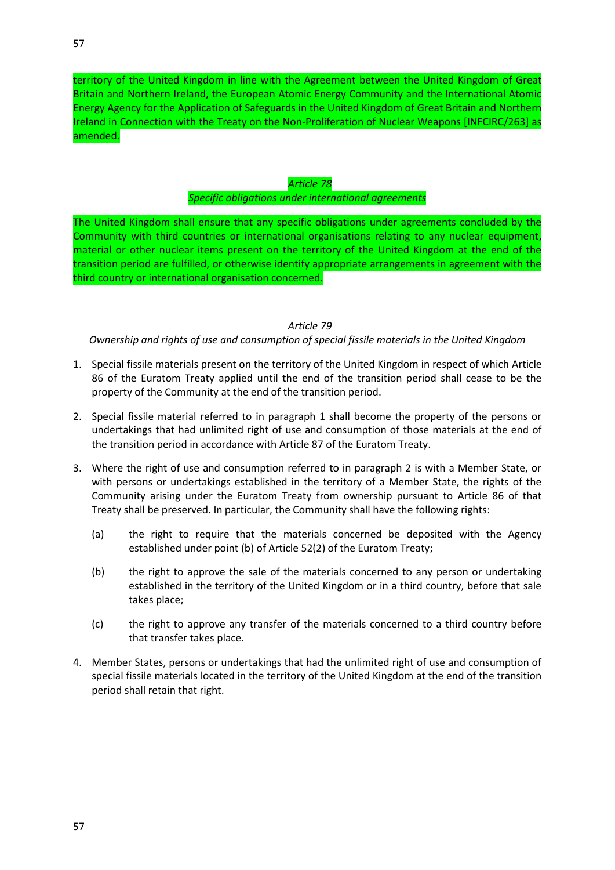territory of the United Kingdom in line with the Agreement between the United Kingdom of Great Britain and Northern Ireland, the European Atomic Energy Community and the International Atomic Energy Agency for the Application of Safeguards in the United Kingdom of Great Britain and Northern Ireland in Connection with the Treaty on the Non-Proliferation of Nuclear Weapons [INFCIRC/263] as amended.

### *Article 78 Specific obligations under international agreements*

The United Kingdom shall ensure that any specific obligations under agreements concluded by the Community with third countries or international organisations relating to any nuclear equipment, material or other nuclear items present on the territory of the United Kingdom at the end of the transition period are fulfilled, or otherwise identify appropriate arrangements in agreement with the third country or international organisation concerned.

# *Article 79*

# *Ownership and rights of use and consumption of special fissile materials in the United Kingdom*

- 1. Special fissile materials present on the territory of the United Kingdom in respect of which Article 86 of the Euratom Treaty applied until the end of the transition period shall cease to be the property of the Community at the end of the transition period.
- 2. Special fissile material referred to in paragraph 1 shall become the property of the persons or undertakings that had unlimited right of use and consumption of those materials at the end of the transition period in accordance with Article 87 of the Euratom Treaty.
- 3. Where the right of use and consumption referred to in paragraph 2 is with a Member State, or with persons or undertakings established in the territory of a Member State, the rights of the Community arising under the Euratom Treaty from ownership pursuant to Article 86 of that Treaty shall be preserved. In particular, the Community shall have the following rights:
	- (a) the right to require that the materials concerned be deposited with the Agency established under point (b) of Article 52(2) of the Euratom Treaty;
	- (b) the right to approve the sale of the materials concerned to any person or undertaking established in the territory of the United Kingdom or in a third country, before that sale takes place;
	- (c) the right to approve any transfer of the materials concerned to a third country before that transfer takes place.
- 4. Member States, persons or undertakings that had the unlimited right of use and consumption of special fissile materials located in the territory of the United Kingdom at the end of the transition period shall retain that right.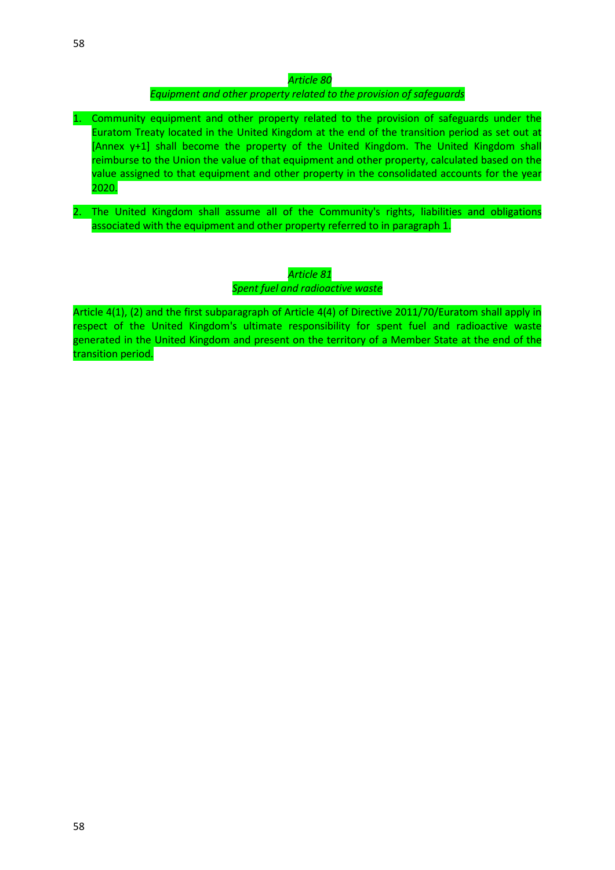#### *Article 80*

### *Equipment and other property related to the provision of safeguards*

- 1. Community equipment and other property related to the provision of safeguards under the Euratom Treaty located in the United Kingdom at the end of the transition period as set out at [Annex y+1] shall become the property of the United Kingdom. The United Kingdom shall reimburse to the Union the value of that equipment and other property, calculated based on the value assigned to that equipment and other property in the consolidated accounts for the year 2020.
- 2. The United Kingdom shall assume all of the Community's rights, liabilities and obligations associated with the equipment and other property referred to in paragraph 1.

# *Article 81 Spent fuel and radioactive waste*

Article 4(1), (2) and the first subparagraph of Article 4(4) of Directive 2011/70/Euratom shall apply in respect of the United Kingdom's ultimate responsibility for spent fuel and radioactive waste generated in the United Kingdom and present on the territory of a Member State at the end of the transition period.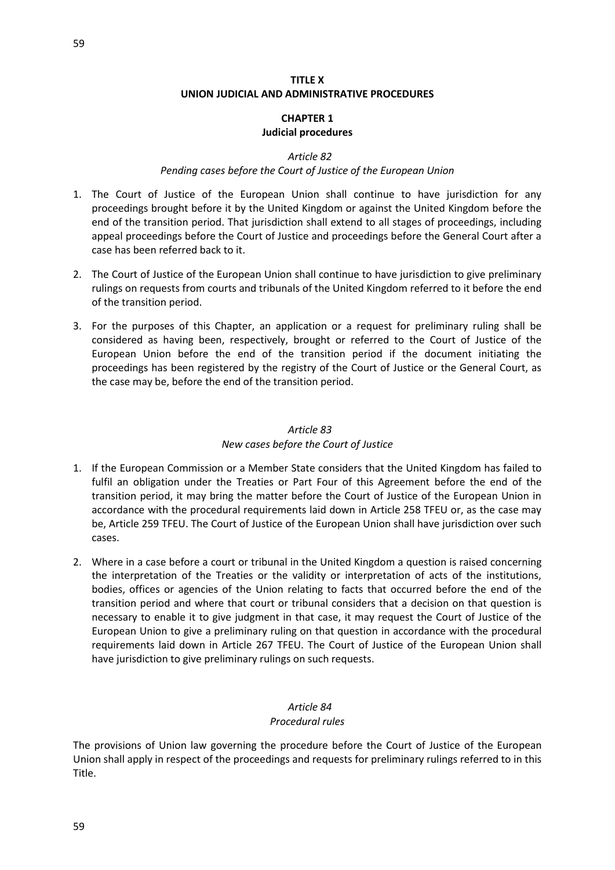#### **TITLE X UNION JUDICIAL AND ADMINISTRATIVE PROCEDURES**

### **CHAPTER 1 Judicial procedures**

#### *Article 82*

#### *Pending cases before the Court of Justice of the European Union*

- 1. The Court of Justice of the European Union shall continue to have jurisdiction for any proceedings brought before it by the United Kingdom or against the United Kingdom before the end of the transition period. That jurisdiction shall extend to all stages of proceedings, including appeal proceedings before the Court of Justice and proceedings before the General Court after a case has been referred back to it.
- 2. The Court of Justice of the European Union shall continue to have jurisdiction to give preliminary rulings on requests from courts and tribunals of the United Kingdom referred to it before the end of the transition period.
- 3. For the purposes of this Chapter, an application or a request for preliminary ruling shall be considered as having been, respectively, brought or referred to the Court of Justice of the European Union before the end of the transition period if the document initiating the proceedings has been registered by the registry of the Court of Justice or the General Court, as the case may be, before the end of the transition period.

#### *Article 83*

#### *New cases before the Court of Justice*

- 1. If the European Commission or a Member State considers that the United Kingdom has failed to fulfil an obligation under the Treaties or Part Four of this Agreement before the end of the transition period, it may bring the matter before the Court of Justice of the European Union in accordance with the procedural requirements laid down in Article 258 TFEU or, as the case may be, Article 259 TFEU. The Court of Justice of the European Union shall have jurisdiction over such cases.
- 2. Where in a case before a court or tribunal in the United Kingdom a question is raised concerning the interpretation of the Treaties or the validity or interpretation of acts of the institutions, bodies, offices or agencies of the Union relating to facts that occurred before the end of the transition period and where that court or tribunal considers that a decision on that question is necessary to enable it to give judgment in that case, it may request the Court of Justice of the European Union to give a preliminary ruling on that question in accordance with the procedural requirements laid down in Article 267 TFEU. The Court of Justice of the European Union shall have jurisdiction to give preliminary rulings on such requests.

#### *Article 84 Procedural rules*

The provisions of Union law governing the procedure before the Court of Justice of the European Union shall apply in respect of the proceedings and requests for preliminary rulings referred to in this Title.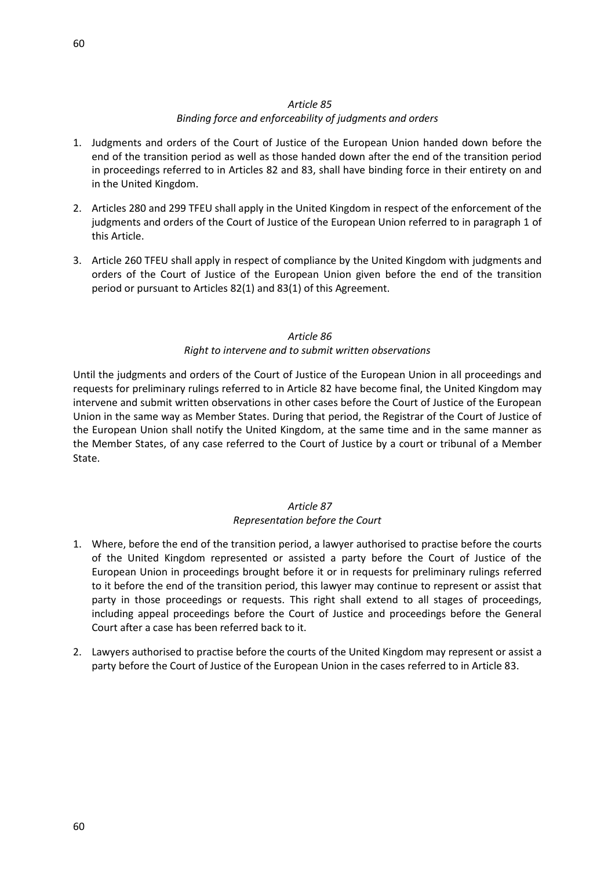#### *Article 85*

### *Binding force and enforceability of judgments and orders*

- 1. Judgments and orders of the Court of Justice of the European Union handed down before the end of the transition period as well as those handed down after the end of the transition period in proceedings referred to in Articles 82 and 83, shall have binding force in their entirety on and in the United Kingdom.
- 2. Articles 280 and 299 TFEU shall apply in the United Kingdom in respect of the enforcement of the judgments and orders of the Court of Justice of the European Union referred to in paragraph 1 of this Article.
- 3. Article 260 TFEU shall apply in respect of compliance by the United Kingdom with judgments and orders of the Court of Justice of the European Union given before the end of the transition period or pursuant to Articles 82(1) and 83(1) of this Agreement.

#### *Article 86*

### *Right to intervene and to submit written observations*

Until the judgments and orders of the Court of Justice of the European Union in all proceedings and requests for preliminary rulings referred to in Article 82 have become final, the United Kingdom may intervene and submit written observations in other cases before the Court of Justice of the European Union in the same way as Member States. During that period, the Registrar of the Court of Justice of the European Union shall notify the United Kingdom, at the same time and in the same manner as the Member States, of any case referred to the Court of Justice by a court or tribunal of a Member State.

### *Article 87 Representation before the Court*

- 1. Where, before the end of the transition period, a lawyer authorised to practise before the courts of the United Kingdom represented or assisted a party before the Court of Justice of the European Union in proceedings brought before it or in requests for preliminary rulings referred to it before the end of the transition period, this lawyer may continue to represent or assist that party in those proceedings or requests. This right shall extend to all stages of proceedings, including appeal proceedings before the Court of Justice and proceedings before the General Court after a case has been referred back to it.
- 2. Lawyers authorised to practise before the courts of the United Kingdom may represent or assist a party before the Court of Justice of the European Union in the cases referred to in Article 83.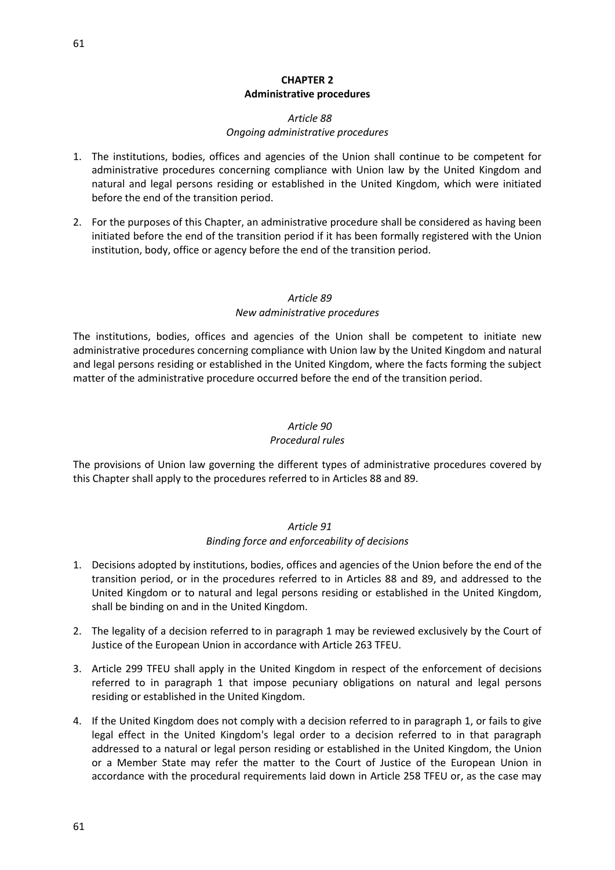61

#### **CHAPTER 2 Administrative procedures**

### *Article 88 Ongoing administrative procedures*

- 1. The institutions, bodies, offices and agencies of the Union shall continue to be competent for administrative procedures concerning compliance with Union law by the United Kingdom and natural and legal persons residing or established in the United Kingdom, which were initiated before the end of the transition period.
- 2. For the purposes of this Chapter, an administrative procedure shall be considered as having been initiated before the end of the transition period if it has been formally registered with the Union institution, body, office or agency before the end of the transition period.

# *Article 89*

# *New administrative procedures*

The institutions, bodies, offices and agencies of the Union shall be competent to initiate new administrative procedures concerning compliance with Union law by the United Kingdom and natural and legal persons residing or established in the United Kingdom, where the facts forming the subject matter of the administrative procedure occurred before the end of the transition period.

# *Article 90*

### *Procedural rules*

The provisions of Union law governing the different types of administrative procedures covered by this Chapter shall apply to the procedures referred to in Articles 88 and 89.

# *Article 91 Binding force and enforceability of decisions*

- 1. Decisions adopted by institutions, bodies, offices and agencies of the Union before the end of the transition period, or in the procedures referred to in Articles 88 and 89, and addressed to the United Kingdom or to natural and legal persons residing or established in the United Kingdom, shall be binding on and in the United Kingdom.
- 2. The legality of a decision referred to in paragraph 1 may be reviewed exclusively by the Court of Justice of the European Union in accordance with Article 263 TFEU.
- 3. Article 299 TFEU shall apply in the United Kingdom in respect of the enforcement of decisions referred to in paragraph 1 that impose pecuniary obligations on natural and legal persons residing or established in the United Kingdom.
- 4. If the United Kingdom does not comply with a decision referred to in paragraph 1, or fails to give legal effect in the United Kingdom's legal order to a decision referred to in that paragraph addressed to a natural or legal person residing or established in the United Kingdom, the Union or a Member State may refer the matter to the Court of Justice of the European Union in accordance with the procedural requirements laid down in Article 258 TFEU or, as the case may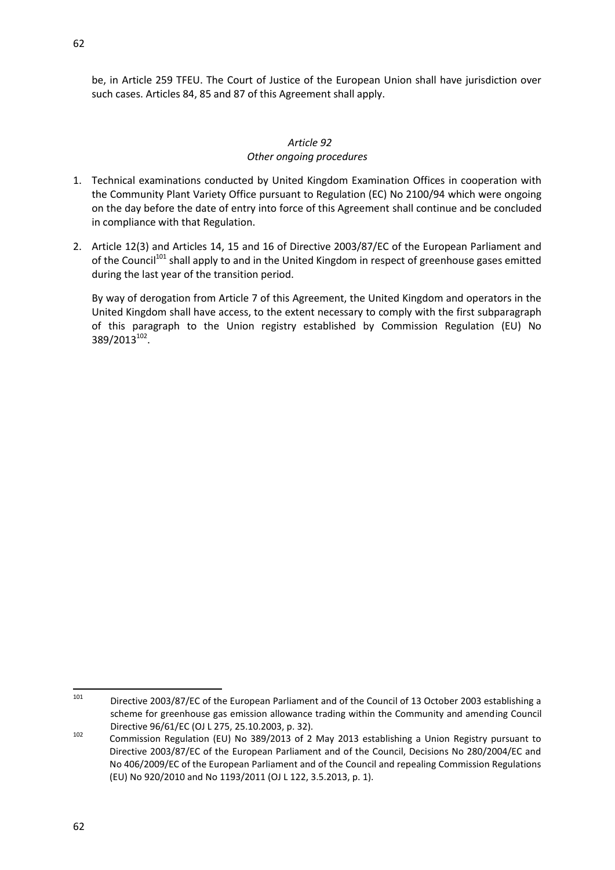be, in Article 259 TFEU. The Court of Justice of the European Union shall have jurisdiction over such cases. Articles 84, 85 and 87 of this Agreement shall apply.

## *Article 92*

### *Other ongoing procedures*

- 1. Technical examinations conducted by United Kingdom Examination Offices in cooperation with the Community Plant Variety Office pursuant to Regulation (EC) No 2100/94 which were ongoing on the day before the date of entry into force of this Agreement shall continue and be concluded in compliance with that Regulation.
- 2. Article 12(3) and Articles 14, 15 and 16 of Directive 2003/87/EC of the European Parliament and of the Council<sup>101</sup> shall apply to and in the United Kingdom in respect of greenhouse gases emitted during the last year of the transition period.

By way of derogation from Article 7 of this Agreement, the United Kingdom and operators in the United Kingdom shall have access, to the extent necessary to comply with the first subparagraph of this paragraph to the Union registry established by Commission Regulation (EU) No  $389/2013^{102}$ .

<sup>101</sup> Directive 2003/87/EC of the European Parliament and of the Council of 13 October 2003 establishing a scheme for greenhouse gas emission allowance trading within the Community and amending Council Directive 96/61/EC (OJ L 275, 25.10.2003, p. 32).

<sup>&</sup>lt;sup>102</sup> Commission Regulation (EU) No 389/2013 of 2 May 2013 establishing a Union Registry pursuant to Directive 2003/87/EC of the European Parliament and of the Council, Decisions No 280/2004/EC and No 406/2009/EC of the European Parliament and of the Council and repealing Commission Regulations (EU) No 920/2010 and No 1193/2011 (OJ L 122, 3.5.2013, p. 1).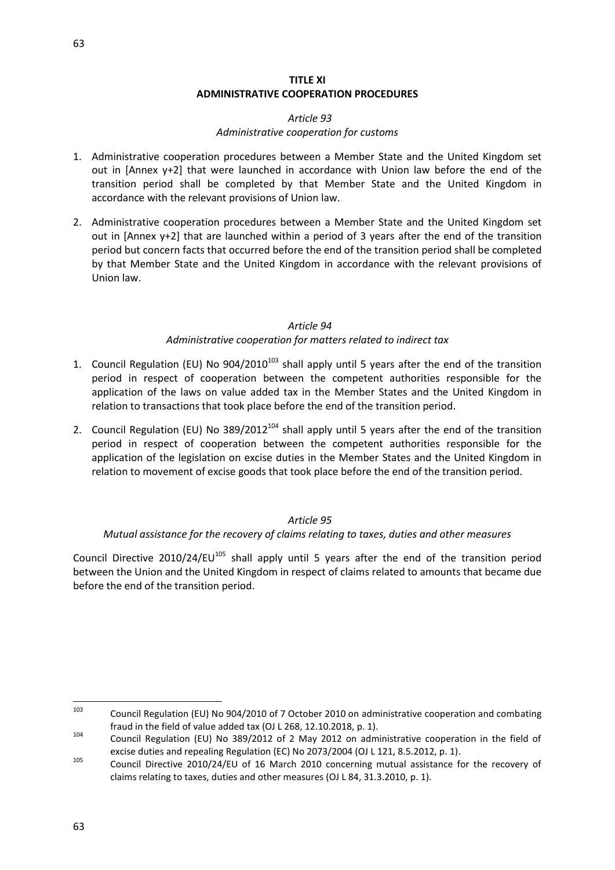#### **TITLE XI ADMINISTRATIVE COOPERATION PROCEDURES**

### *Article 93 Administrative cooperation for customs*

- 1. Administrative cooperation procedures between a Member State and the United Kingdom set out in [Annex y+2] that were launched in accordance with Union law before the end of the transition period shall be completed by that Member State and the United Kingdom in accordance with the relevant provisions of Union law.
- 2. Administrative cooperation procedures between a Member State and the United Kingdom set out in [Annex y+2] that are launched within a period of 3 years after the end of the transition period but concern facts that occurred before the end of the transition period shall be completed by that Member State and the United Kingdom in accordance with the relevant provisions of Union law.

#### *Article 94*

### *Administrative cooperation for matters related to indirect tax*

- 1. Council Regulation (EU) No  $904/2010^{103}$  shall apply until 5 years after the end of the transition period in respect of cooperation between the competent authorities responsible for the application of the laws on value added tax in the Member States and the United Kingdom in relation to transactions that took place before the end of the transition period.
- 2. Council Regulation (EU) No 389/2012<sup>104</sup> shall apply until 5 years after the end of the transition period in respect of cooperation between the competent authorities responsible for the application of the legislation on excise duties in the Member States and the United Kingdom in relation to movement of excise goods that took place before the end of the transition period.

### *Article 95*

### *Mutual assistance for the recovery of claims relating to taxes, duties and other measures*

Council Directive 2010/24/EU<sup>105</sup> shall apply until 5 years after the end of the transition period between the Union and the United Kingdom in respect of claims related to amounts that became due before the end of the transition period.

 $103$ Council Regulation (EU) No 904/2010 of 7 October 2010 on administrative cooperation and combating fraud in the field of value added tax (OJ L 268, 12.10.2018, p. 1).

 $104$  Council Regulation (EU) No 389/2012 of 2 May 2012 on administrative cooperation in the field of excise duties and repealing Regulation (EC) No 2073/2004 (OJ L 121, 8.5.2012, p. 1).

<sup>105</sup> Council Directive 2010/24/EU of 16 March 2010 concerning mutual assistance for the recovery of claims relating to taxes, duties and other measures (OJ L 84, 31.3.2010, p. 1).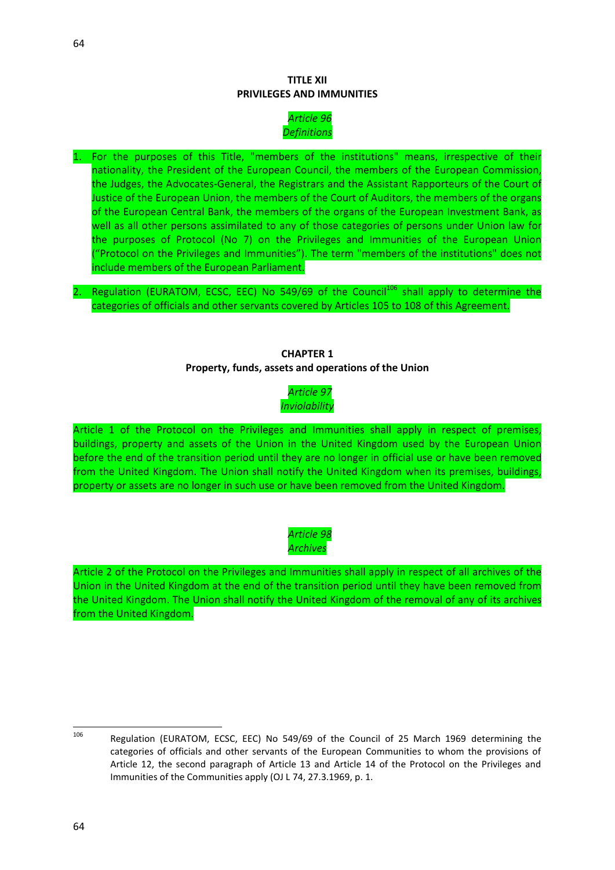### **TITLE XII PRIVILEGES AND IMMUNITIES**



- 1. For the purposes of this Title, "members of the institutions" means, irrespective of their nationality, the President of the European Council, the members of the European Commission, the Judges, the Advocates-General, the Registrars and the Assistant Rapporteurs of the Court of Justice of the European Union, the members of the Court of Auditors, the members of the organs of the European Central Bank, the members of the organs of the European Investment Bank, as well as all other persons assimilated to any of those categories of persons under Union law for the purposes of Protocol (No 7) on the Privileges and Immunities of the European Union ("Protocol on the Privileges and Immunities"). The term "members of the institutions" does not include members of the European Parliament.
- 2. Regulation (EURATOM, ECSC, EEC) No 549/69 of the Council<sup>106</sup> shall apply to determine the categories of officials and other servants covered by Articles 105 to 108 of this Agreement.

### **CHAPTER 1 Property, funds, assets and operations of the Union**

*Article 97 Inviolability*

Article 1 of the Protocol on the Privileges and Immunities shall apply in respect of premises, buildings, property and assets of the Union in the United Kingdom used by the European Union before the end of the transition period until they are no longer in official use or have been removed from the United Kingdom. The Union shall notify the United Kingdom when its premises, buildings, property or assets are no longer in such use or have been removed from the United Kingdom.

# *Article 98 Archives*

Article 2 of the Protocol on the Privileges and Immunities shall apply in respect of all archives of the Union in the United Kingdom at the end of the transition period until they have been removed from the United Kingdom. The Union shall notify the United Kingdom of the removal of any of its archives from the United Kingdom.

106

Regulation (EURATOM, ECSC, EEC) No 549/69 of the Council of 25 March 1969 determining the categories of officials and other servants of the European Communities to whom the provisions of Article 12, the second paragraph of Article 13 and Article 14 of the Protocol on the Privileges and Immunities of the Communities apply (OJ L 74, 27.3.1969, p. 1.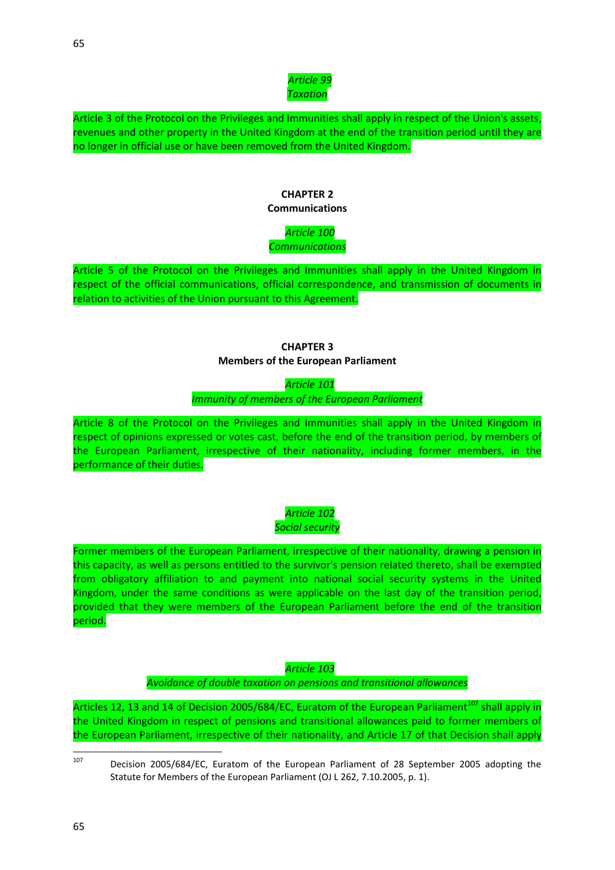# *Article 99 Taxation*

Article 3 of the Protocol on the Privileges and Immunities shall apply in respect of the Union's assets, revenues and other property in the United Kingdom at the end of the transition period until they are no longer in official use or have been removed from the United Kingdom.

## **CHAPTER 2 Communications**

## *Article 100 Communications*

Article 5 of the Protocol on the Privileges and Immunities shall apply in the United Kingdom in respect of the official communications, official correspondence, and transmission of documents in relation to activities of the Union pursuant to this Agreement.

# **CHAPTER 3 Members of the European Parliament**

*Article 101*

*Immunity of members of the European Parliament*

Article 8 of the Protocol on the Privileges and Immunities shall apply in the United Kingdom in respect of opinions expressed or votes cast, before the end of the transition period, by members of the European Parliament, irrespective of their nationality, including former members, in the performance of their duties.

# *Article 102 Social security*

Former members of the European Parliament, irrespective of their nationality, drawing a pension in this capacity, as well as persons entitled to the survivor's pension related thereto, shall be exempted from obligatory affiliation to and payment into national social security systems in the United Kingdom, under the same conditions as were applicable on the last day of the transition period, provided that they were members of the European Parliament before the end of the transition period.

### *Article 103*

*Avoidance of double taxation on pensions and transitional allowances*

Articles 12, 13 and 14 of Decision 2005/684/EC, Euratom of the European Parliament<sup>107</sup> shall apply in the United Kingdom in respect of pensions and transitional allowances paid to former members of the European Parliament, irrespective of their nationality, and Article 17 of that Decision shall apply

<sup>107</sup> Decision 2005/684/EC, Euratom of the European Parliament of 28 September 2005 adopting the Statute for Members of the European Parliament (OJ L 262, 7.10.2005, p. 1).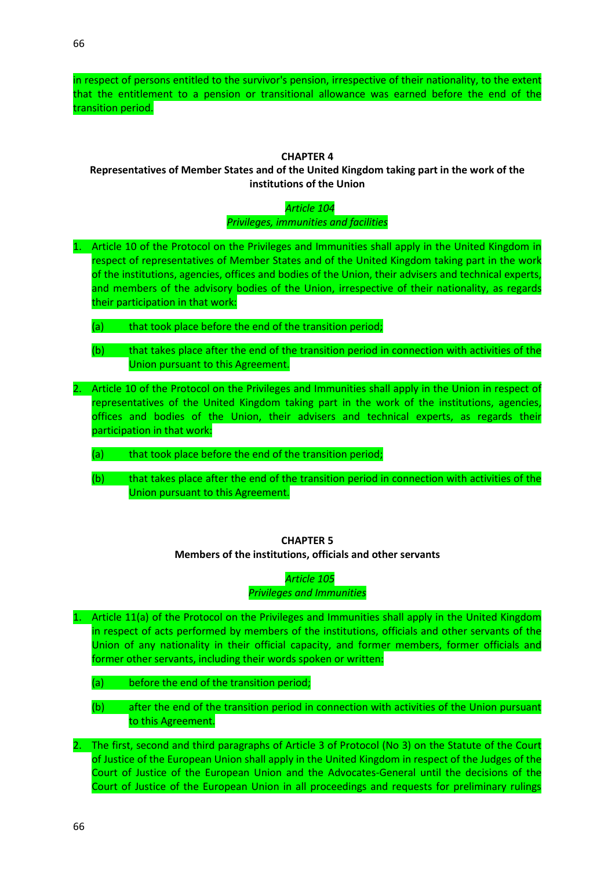in respect of persons entitled to the survivor's pension, irrespective of their nationality, to the extent that the entitlement to a pension or transitional allowance was earned before the end of the transition period.

### **CHAPTER 4**

## **Representatives of Member States and of the United Kingdom taking part in the work of the institutions of the Union**

#### *Article 104*

*Privileges, immunities and facilities* 

- 1. Article 10 of the Protocol on the Privileges and Immunities shall apply in the United Kingdom in respect of representatives of Member States and of the United Kingdom taking part in the work of the institutions, agencies, offices and bodies of the Union, their advisers and technical experts, and members of the advisory bodies of the Union, irrespective of their nationality, as regards their participation in that work:
	- (a) that took place before the end of the transition period;
	- (b) that takes place after the end of the transition period in connection with activities of the Union pursuant to this Agreement.
- 2. Article 10 of the Protocol on the Privileges and Immunities shall apply in the Union in respect of representatives of the United Kingdom taking part in the work of the institutions, agencies, offices and bodies of the Union, their advisers and technical experts, as regards their participation in that work:
	- (a) that took place before the end of the transition period;
	- (b) that takes place after the end of the transition period in connection with activities of the Union pursuant to this Agreement.

#### **CHAPTER 5**

#### **Members of the institutions, officials and other servants**

# *Article 105 Privileges and Immunities*

- 1. Article 11(a) of the Protocol on the Privileges and Immunities shall apply in the United Kingdom in respect of acts performed by members of the institutions, officials and other servants of the Union of any nationality in their official capacity, and former members, former officials and former other servants, including their words spoken or written: (a) before the end of the transition period; (b) after the end of the transition period in connection with activities of the Union pursuant to this Agreement.
- 2. The first, second and third paragraphs of Article 3 of Protocol (No 3) on the Statute of the Court of Justice of the European Union shall apply in the United Kingdom in respect of the Judges of the Court of Justice of the European Union and the Advocates-General until the decisions of the Court of Justice of the European Union in all proceedings and requests for preliminary rulings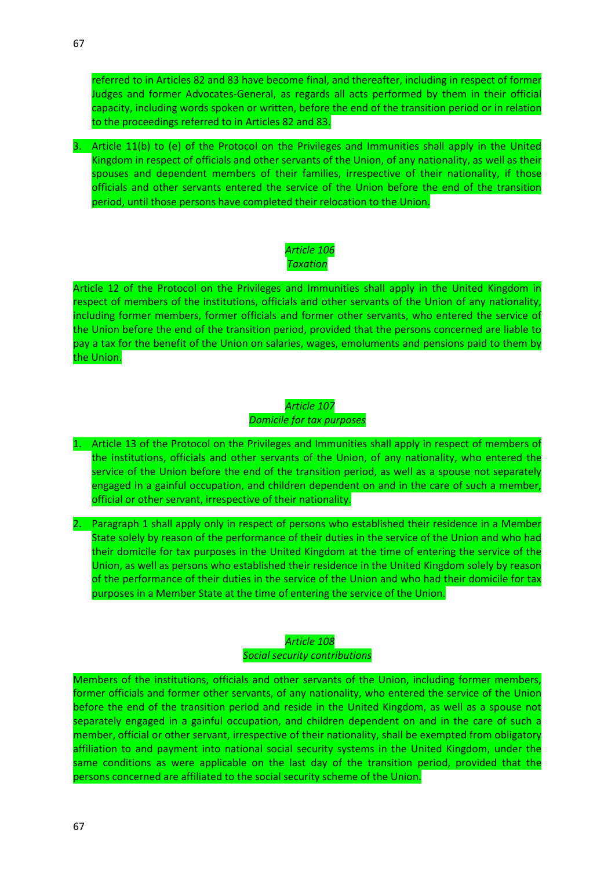referred to in Articles 82 and 83 have become final, and thereafter, including in respect of former Judges and former Advocates-General, as regards all acts performed by them in their official capacity, including words spoken or written, before the end of the transition period or in relation to the proceedings referred to in Articles 82 and 83.

3. Article 11(b) to (e) of the Protocol on the Privileges and Immunities shall apply in the United Kingdom in respect of officials and other servants of the Union, of any nationality, as well as their spouses and dependent members of their families, irrespective of their nationality, if those officials and other servants entered the service of the Union before the end of the transition period, until those persons have completed their relocation to the Union.

### *Article 106 Taxation*

Article 12 of the Protocol on the Privileges and Immunities shall apply in the United Kingdom in respect of members of the institutions, officials and other servants of the Union of any nationality, including former members, former officials and former other servants, who entered the service of the Union before the end of the transition period, provided that the persons concerned are liable to pay a tax for the benefit of the Union on salaries, wages, emoluments and pensions paid to them by the Union.

### *Article 107 Domicile for tax purposes*

- 1. Article 13 of the Protocol on the Privileges and Immunities shall apply in respect of members of the institutions, officials and other servants of the Union, of any nationality, who entered the service of the Union before the end of the transition period, as well as a spouse not separately engaged in a gainful occupation, and children dependent on and in the care of such a member, official or other servant, irrespective of their nationality.
- 2. Paragraph 1 shall apply only in respect of persons who established their residence in a Member State solely by reason of the performance of their duties in the service of the Union and who had their domicile for tax purposes in the United Kingdom at the time of entering the service of the Union, as well as persons who established their residence in the United Kingdom solely by reason of the performance of their duties in the service of the Union and who had their domicile for tax purposes in a Member State at the time of entering the service of the Union.

## *Article 108 Social security contributions*

Members of the institutions, officials and other servants of the Union, including former members, former officials and former other servants, of any nationality, who entered the service of the Union before the end of the transition period and reside in the United Kingdom, as well as a spouse not separately engaged in a gainful occupation, and children dependent on and in the care of such a member, official or other servant, irrespective of their nationality, shall be exempted from obligatory affiliation to and payment into national social security systems in the United Kingdom, under the same conditions as were applicable on the last day of the transition period, provided that the persons concerned are affiliated to the social security scheme of the Union.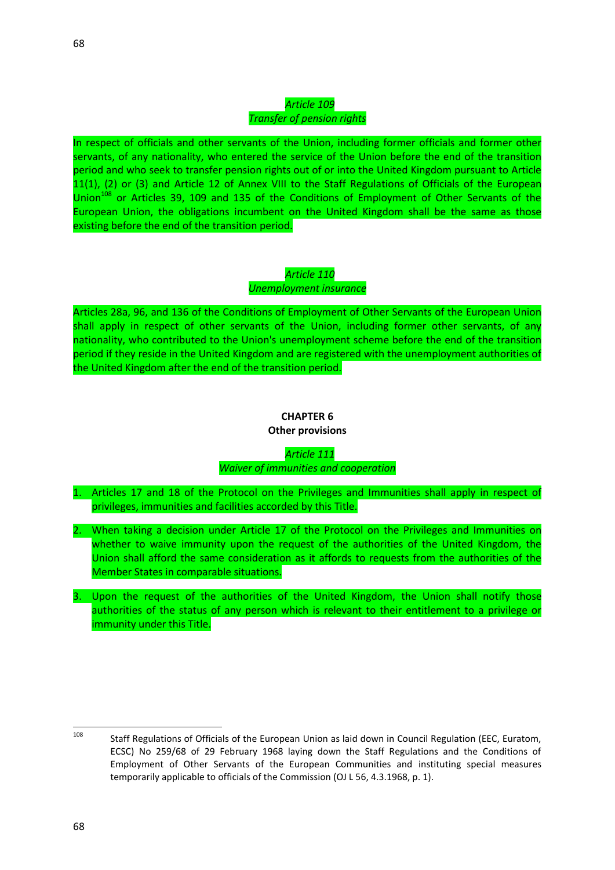68

### *Article 109 Transfer of pension rights*

In respect of officials and other servants of the Union, including former officials and former other servants, of any nationality, who entered the service of the Union before the end of the transition period and who seek to transfer pension rights out of or into the United Kingdom pursuant to Article 11(1), (2) or (3) and Article 12 of Annex VIII to the Staff Regulations of Officials of the European Union<sup>108</sup> or Articles 39, 109 and 135 of the Conditions of Employment of Other Servants of the European Union, the obligations incumbent on the United Kingdom shall be the same as those existing before the end of the transition period.

# *Article 110 Unemployment insurance*

Articles 28a, 96, and 136 of the Conditions of Employment of Other Servants of the European Union shall apply in respect of other servants of the Union, including former other servants, of any nationality, who contributed to the Union's unemployment scheme before the end of the transition period if they reside in the United Kingdom and are registered with the unemployment authorities of the United Kingdom after the end of the transition period.

#### **CHAPTER 6 Other provisions**

# *Article 111 Waiver of immunities and cooperation*

- 1. Articles 17 and 18 of the Protocol on the Privileges and Immunities shall apply in respect of privileges, immunities and facilities accorded by this Title.
- 2. When taking a decision under Article 17 of the Protocol on the Privileges and Immunities on whether to waive immunity upon the request of the authorities of the United Kingdom, the Union shall afford the same consideration as it affords to requests from the authorities of the Member States in comparable situations.
- 3. Upon the request of the authorities of the United Kingdom, the Union shall notify those authorities of the status of any person which is relevant to their entitlement to a privilege or immunity under this Title.

<sup>108</sup> 

Staff Regulations of Officials of the European Union as laid down in Council Regulation (EEC, Euratom, ECSC) No 259/68 of 29 February 1968 laying down the Staff Regulations and the Conditions of Employment of Other Servants of the European Communities and instituting special measures temporarily applicable to officials of the Commission (OJ L 56, 4.3.1968, p. 1).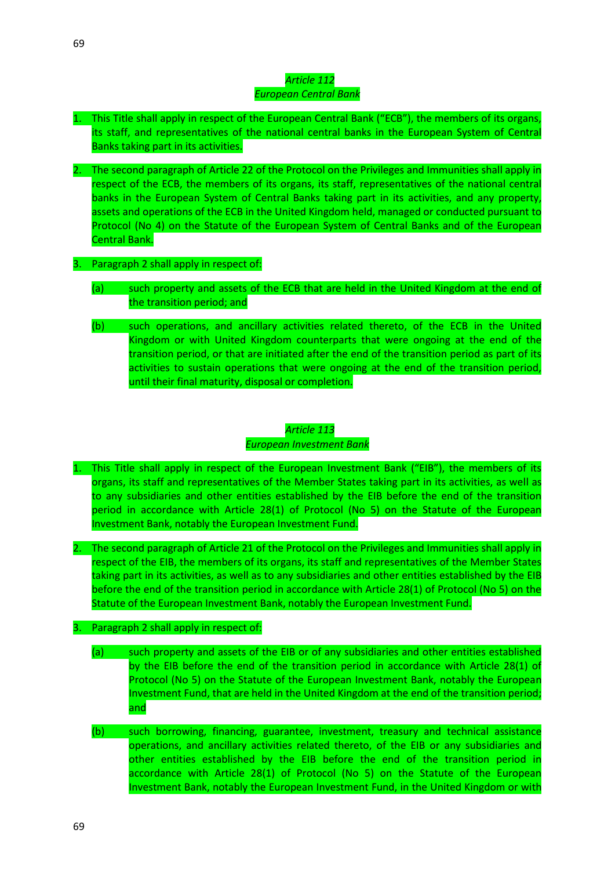### *Article 112 European Central Bank*

- 1. This Title shall apply in respect of the European Central Bank ("ECB"), the members of its organs, its staff, and representatives of the national central banks in the European System of Central Banks taking part in its activities.
- 2. The second paragraph of Article 22 of the Protocol on the Privileges and Immunities shall apply in respect of the ECB, the members of its organs, its staff, representatives of the national central banks in the European System of Central Banks taking part in its activities, and any property, assets and operations of the ECB in the United Kingdom held, managed or conducted pursuant to Protocol (No 4) on the Statute of the European System of Central Banks and of the European Central Bank.
- 3. Paragraph 2 shall apply in respect of:
	- (a) such property and assets of the ECB that are held in the United Kingdom at the end of the transition period; and
	- (b) such operations, and ancillary activities related thereto, of the ECB in the United Kingdom or with United Kingdom counterparts that were ongoing at the end of the transition period, or that are initiated after the end of the transition period as part of its activities to sustain operations that were ongoing at the end of the transition period, until their final maturity, disposal or completion.

#### *Article 113 European Investment Bank*

- 1. This Title shall apply in respect of the European Investment Bank ("EIB"), the members of its organs, its staff and representatives of the Member States taking part in its activities, as well as to any subsidiaries and other entities established by the EIB before the end of the transition period in accordance with Article 28(1) of Protocol (No 5) on the Statute of the European Investment Bank, notably the European Investment Fund.
- 2. The second paragraph of Article 21 of the Protocol on the Privileges and Immunities shall apply in respect of the EIB, the members of its organs, its staff and representatives of the Member States taking part in its activities, as well as to any subsidiaries and other entities established by the EIB before the end of the transition period in accordance with Article 28(1) of Protocol (No 5) on the Statute of the European Investment Bank, notably the European Investment Fund.
- 3. Paragraph 2 shall apply in respect of:
	- (a) such property and assets of the EIB or of any subsidiaries and other entities established by the EIB before the end of the transition period in accordance with Article 28(1) of Protocol (No 5) on the Statute of the European Investment Bank, notably the European Investment Fund, that are held in the United Kingdom at the end of the transition period; and
	- (b) such borrowing, financing, guarantee, investment, treasury and technical assistance operations, and ancillary activities related thereto, of the EIB or any subsidiaries and other entities established by the EIB before the end of the transition period in accordance with Article 28(1) of Protocol (No 5) on the Statute of the European Investment Bank, notably the European Investment Fund, in the United Kingdom or with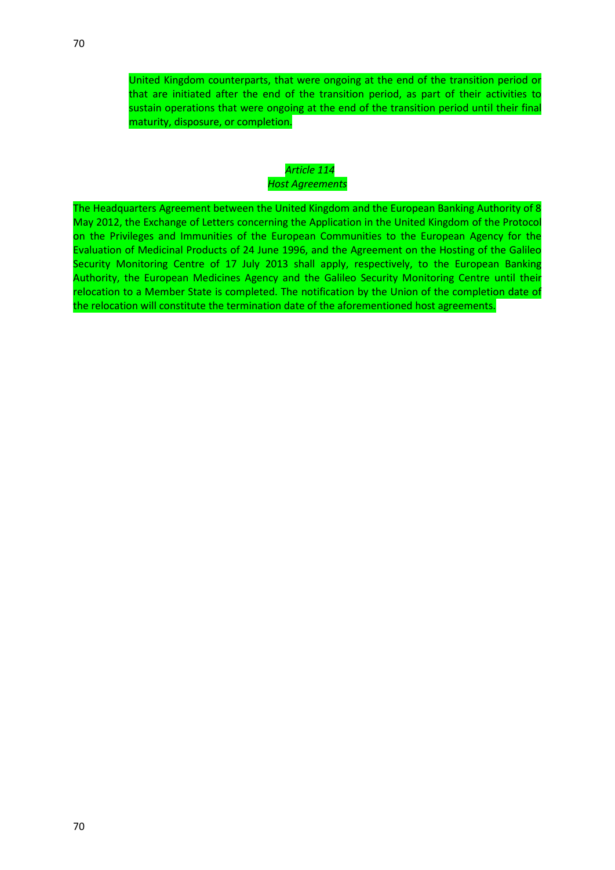United Kingdom counterparts, that were ongoing at the end of the transition period or that are initiated after the end of the transition period, as part of their activities to sustain operations that were ongoing at the end of the transition period until their final maturity, disposure, or completion.

# *Article 114 Host Agreements*

The Headquarters Agreement between the United Kingdom and the European Banking Authority of 8 May 2012, the Exchange of Letters concerning the Application in the United Kingdom of the Protocol on the Privileges and Immunities of the European Communities to the European Agency for the Evaluation of Medicinal Products of 24 June 1996, and the Agreement on the Hosting of the Galileo Security Monitoring Centre of 17 July 2013 shall apply, respectively, to the European Banking Authority, the European Medicines Agency and the Galileo Security Monitoring Centre until their relocation to a Member State is completed. The notification by the Union of the completion date of the relocation will constitute the termination date of the aforementioned host agreements.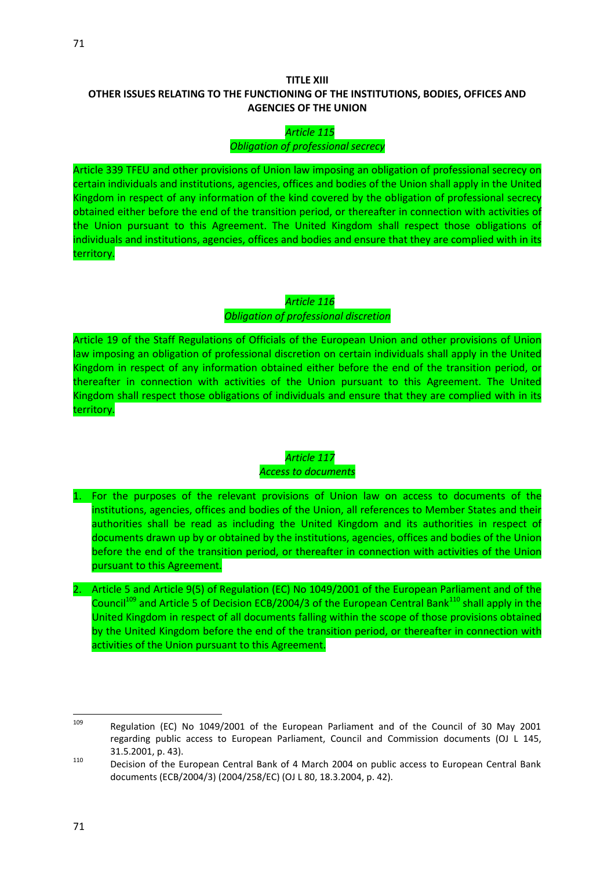# **TITLE XIII OTHER ISSUES RELATING TO THE FUNCTIONING OF THE INSTITUTIONS, BODIES, OFFICES AND AGENCIES OF THE UNION**

# *Article 115 Obligation of professional secrecy*

Article 339 TFEU and other provisions of Union law imposing an obligation of professional secrecy on certain individuals and institutions, agencies, offices and bodies of the Union shall apply in the United Kingdom in respect of any information of the kind covered by the obligation of professional secrecy obtained either before the end of the transition period, or thereafter in connection with activities of the Union pursuant to this Agreement. The United Kingdom shall respect those obligations of individuals and institutions, agencies, offices and bodies and ensure that they are complied with in its territory.

## *Article 116*

### *Obligation of professional discretion*

Article 19 of the Staff Regulations of Officials of the European Union and other provisions of Union law imposing an obligation of professional discretion on certain individuals shall apply in the United Kingdom in respect of any information obtained either before the end of the transition period, or thereafter in connection with activities of the Union pursuant to this Agreement. The United Kingdom shall respect those obligations of individuals and ensure that they are complied with in its territory.

### *Article 117 Access to documents*

- 1. For the purposes of the relevant provisions of Union law on access to documents of the institutions, agencies, offices and bodies of the Union, all references to Member States and their authorities shall be read as including the United Kingdom and its authorities in respect of documents drawn up by or obtained by the institutions, agencies, offices and bodies of the Union before the end of the transition period, or thereafter in connection with activities of the Union pursuant to this Agreement.
- 2. Article 5 and Article 9(5) of Regulation (EC) No 1049/2001 of the European Parliament and of the Council<sup>109</sup> and Article 5 of Decision ECB/2004/3 of the European Central Bank<sup>110</sup> shall apply in the United Kingdom in respect of all documents falling within the scope of those provisions obtained by the United Kingdom before the end of the transition period, or thereafter in connection with activities of the Union pursuant to this Agreement.

<sup>109</sup> Regulation (EC) No 1049/2001 of the European Parliament and of the Council of 30 May 2001 regarding public access to European Parliament, Council and Commission documents (OJ L 145, 31.5.2001, p. 43).

<sup>110</sup> Decision of the European Central Bank of 4 March 2004 on public access to European Central Bank documents (ECB/2004/3) (2004/258/EC) (OJ L 80, 18.3.2004, p. 42).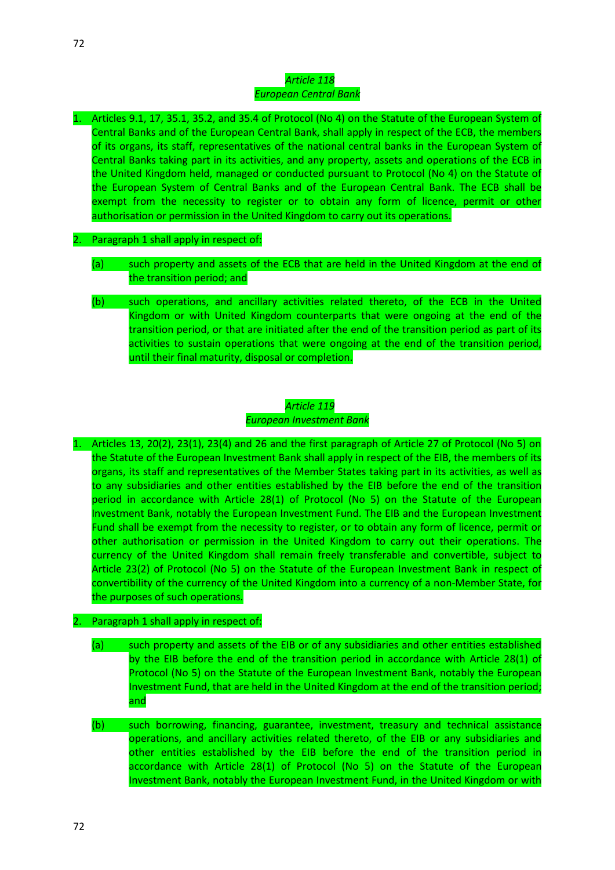## *Article 118 European Central Bank*

1. Articles 9.1, 17, 35.1, 35.2, and 35.4 of Protocol (No 4) on the Statute of the European System of Central Banks and of the European Central Bank, shall apply in respect of the ECB, the members of its organs, its staff, representatives of the national central banks in the European System of Central Banks taking part in its activities, and any property, assets and operations of the ECB in the United Kingdom held, managed or conducted pursuant to Protocol (No 4) on the Statute of the European System of Central Banks and of the European Central Bank. The ECB shall be exempt from the necessity to register or to obtain any form of licence, permit or other authorisation or permission in the United Kingdom to carry out its operations.

#### 2. Paragraph 1 shall apply in respect of:

- (a) such property and assets of the ECB that are held in the United Kingdom at the end of the transition period; and
- (b) such operations, and ancillary activities related thereto, of the ECB in the United Kingdom or with United Kingdom counterparts that were ongoing at the end of the transition period, or that are initiated after the end of the transition period as part of its activities to sustain operations that were ongoing at the end of the transition period, until their final maturity, disposal or completion.

### *Article 119 European Investment Bank*

1. Articles 13, 20(2), 23(1), 23(4) and 26 and the first paragraph of Article 27 of Protocol (No 5) on the Statute of the European Investment Bank shall apply in respect of the EIB, the members of its organs, its staff and representatives of the Member States taking part in its activities, as well as to any subsidiaries and other entities established by the EIB before the end of the transition period in accordance with Article 28(1) of Protocol (No 5) on the Statute of the European Investment Bank, notably the European Investment Fund. The EIB and the European Investment Fund shall be exempt from the necessity to register, or to obtain any form of licence, permit or other authorisation or permission in the United Kingdom to carry out their operations. The currency of the United Kingdom shall remain freely transferable and convertible, subject to Article 23(2) of Protocol (No 5) on the Statute of the European Investment Bank in respect of convertibility of the currency of the United Kingdom into a currency of a non-Member State, for the purposes of such operations.

#### Paragraph 1 shall apply in respect of:

- (a) such property and assets of the EIB or of any subsidiaries and other entities established by the EIB before the end of the transition period in accordance with Article 28(1) of Protocol (No 5) on the Statute of the European Investment Bank, notably the European Investment Fund, that are held in the United Kingdom at the end of the transition period; and
- (b) such borrowing, financing, guarantee, investment, treasury and technical assistance operations, and ancillary activities related thereto, of the EIB or any subsidiaries and other entities established by the EIB before the end of the transition period in accordance with Article 28(1) of Protocol (No 5) on the Statute of the European Investment Bank, notably the European Investment Fund, in the United Kingdom or with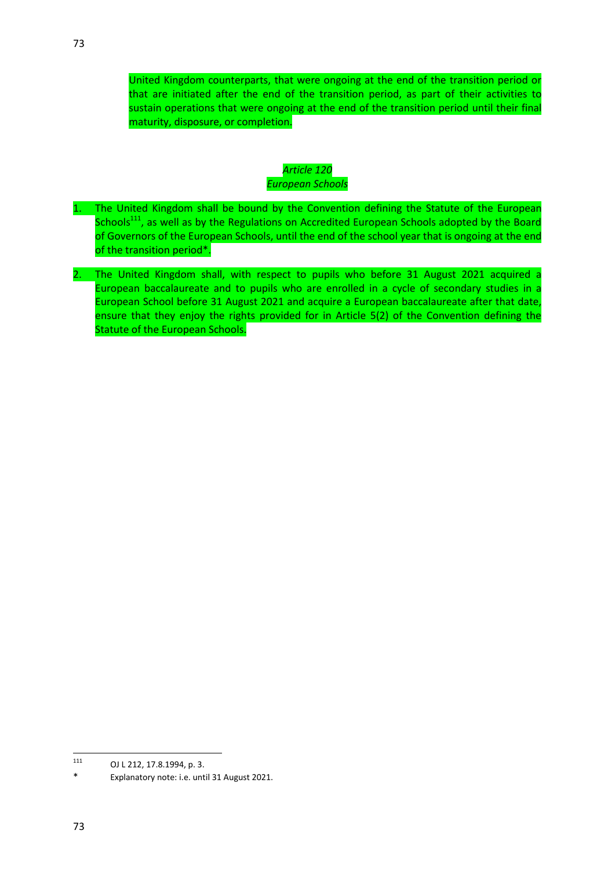United Kingdom counterparts, that were ongoing at the end of the transition period or that are initiated after the end of the transition period, as part of their activities to sustain operations that were ongoing at the end of the transition period until their final maturity, disposure, or completion.

# *Article 120 European Schools*

- 1. The United Kingdom shall be bound by the Convention defining the Statute of the European Schools $^{111}$ , as well as by the Regulations on Accredited European Schools adopted by the Board of Governors of the European Schools, until the end of the school year that is ongoing at the end of the transition period\*.
- 2. The United Kingdom shall, with respect to pupils who before 31 August 2021 acquired a European baccalaureate and to pupils who are enrolled in a cycle of secondary studies in a European School before 31 August 2021 and acquire a European baccalaureate after that date, ensure that they enjoy the rights provided for in Article 5(2) of the Convention defining the Statute of the European Schools.

 $111$  $111$  OJ L 212, 17.8.1994, p. 3.<br>\* Explanatory note: i.e. unt

Explanatory note: i.e. until 31 August 2021.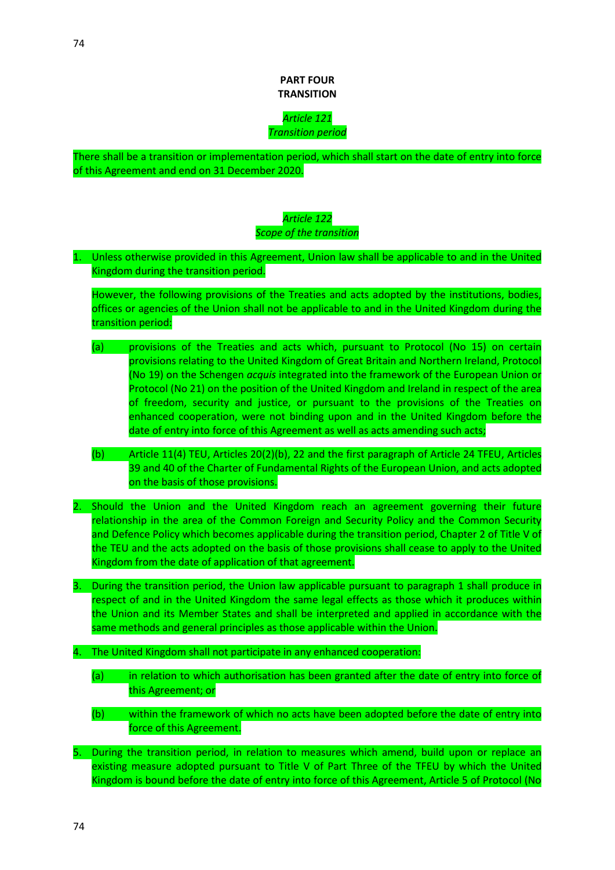#### **PART FOUR TRANSITION**

# *Article 121 Transition period*

There shall be a transition or implementation period, which shall start on the date of entry into force of this Agreement and end on 31 December 2020.

# *Article 122 Scope of the transition*

1. Unless otherwise provided in this Agreement, Union law shall be applicable to and in the United Kingdom during the transition period.

However, the following provisions of the Treaties and acts adopted by the institutions, bodies, offices or agencies of the Union shall not be applicable to and in the United Kingdom during the transition period:

- (a) provisions of the Treaties and acts which, pursuant to Protocol (No 15) on certain provisions relating to the United Kingdom of Great Britain and Northern Ireland, Protocol (No 19) on the Schengen *acquis* integrated into the framework of the European Union or Protocol (No 21) on the position of the United Kingdom and Ireland in respect of the area of freedom, security and justice, or pursuant to the provisions of the Treaties on enhanced cooperation, were not binding upon and in the United Kingdom before the date of entry into force of this Agreement as well as acts amending such acts;
- (b) Article 11(4) TEU, Articles 20(2)(b), 22 and the first paragraph of Article 24 TFEU, Articles 39 and 40 of the Charter of Fundamental Rights of the European Union, and acts adopted on the basis of those provisions.
- 2. Should the Union and the United Kingdom reach an agreement governing their future relationship in the area of the Common Foreign and Security Policy and the Common Security and Defence Policy which becomes applicable during the transition period, Chapter 2 of Title V of the TEU and the acts adopted on the basis of those provisions shall cease to apply to the United Kingdom from the date of application of that agreement.
- 3. During the transition period, the Union law applicable pursuant to paragraph 1 shall produce in respect of and in the United Kingdom the same legal effects as those which it produces within the Union and its Member States and shall be interpreted and applied in accordance with the same methods and general principles as those applicable within the Union.
- 4. The United Kingdom shall not participate in any enhanced cooperation:
	- (a) in relation to which authorisation has been granted after the date of entry into force of this Agreement; or
	- (b) within the framework of which no acts have been adopted before the date of entry into force of this Agreement.
- 5. During the transition period, in relation to measures which amend, build upon or replace an existing measure adopted pursuant to Title V of Part Three of the TFEU by which the United Kingdom is bound before the date of entry into force of this Agreement, Article 5 of Protocol (No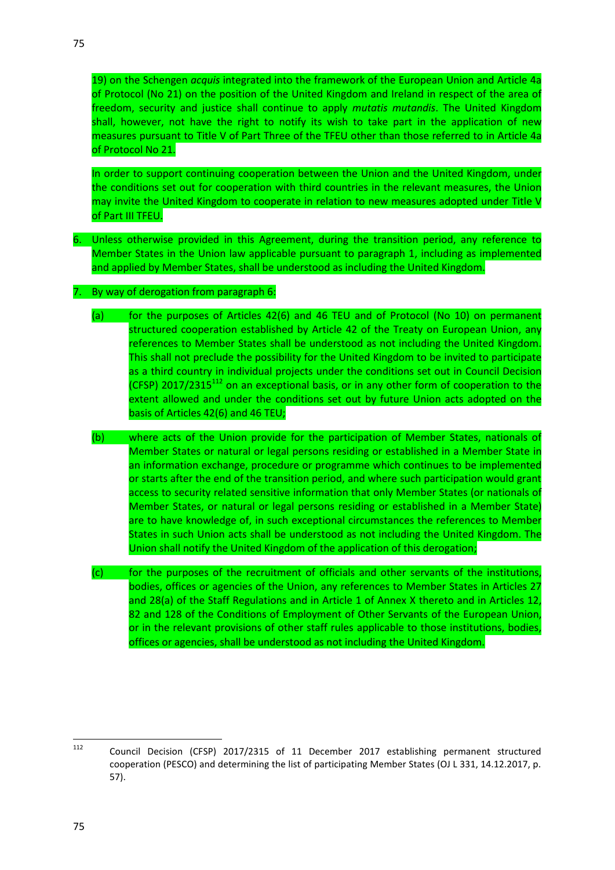19) on the Schengen *acquis* integrated into the framework of the European Union and Article 4a of Protocol (No 21) on the position of the United Kingdom and Ireland in respect of the area of freedom, security and justice shall continue to apply *mutatis mutandis*. The United Kingdom shall, however, not have the right to notify its wish to take part in the application of new measures pursuant to Title V of Part Three of the TFEU other than those referred to in Article 4a of Protocol No 21.

In order to support continuing cooperation between the Union and the United Kingdom, under the conditions set out for cooperation with third countries in the relevant measures, the Union may invite the United Kingdom to cooperate in relation to new measures adopted under Title V of Part III TFEU.

6. Unless otherwise provided in this Agreement, during the transition period, any reference to Member States in the Union law applicable pursuant to paragraph 1, including as implemented and applied by Member States, shall be understood as including the United Kingdom.

#### 7. By way of derogation from paragraph 6:

- (a) for the purposes of Articles 42(6) and 46 TEU and of Protocol (No 10) on permanent structured cooperation established by Article 42 of the Treaty on European Union, any references to Member States shall be understood as not including the United Kingdom. This shall not preclude the possibility for the United Kingdom to be invited to participate as a third country in individual projects under the conditions set out in Council Decision  $(CFSP)$  2017/2315 $^{112}$  on an exceptional basis, or in any other form of cooperation to the extent allowed and under the conditions set out by future Union acts adopted on the basis of Articles 42(6) and 46 TEU;
- (b) where acts of the Union provide for the participation of Member States, nationals of Member States or natural or legal persons residing or established in a Member State in an information exchange, procedure or programme which continues to be implemented or starts after the end of the transition period, and where such participation would grant access to security related sensitive information that only Member States (or nationals of Member States, or natural or legal persons residing or established in a Member State) are to have knowledge of, in such exceptional circumstances the references to Member States in such Union acts shall be understood as not including the United Kingdom. The Union shall notify the United Kingdom of the application of this derogation;
- (c) for the purposes of the recruitment of officials and other servants of the institutions, bodies, offices or agencies of the Union, any references to Member States in Articles 27 and 28(a) of the Staff Regulations and in Article 1 of Annex X thereto and in Articles 12, 82 and 128 of the Conditions of Employment of Other Servants of the European Union, or in the relevant provisions of other staff rules applicable to those institutions, bodies, offices or agencies, shall be understood as not including the United Kingdom.

<sup>112</sup> Council Decision (CFSP) 2017/2315 of 11 December 2017 establishing permanent structured cooperation (PESCO) and determining the list of participating Member States (OJ L 331, 14.12.2017, p. 57).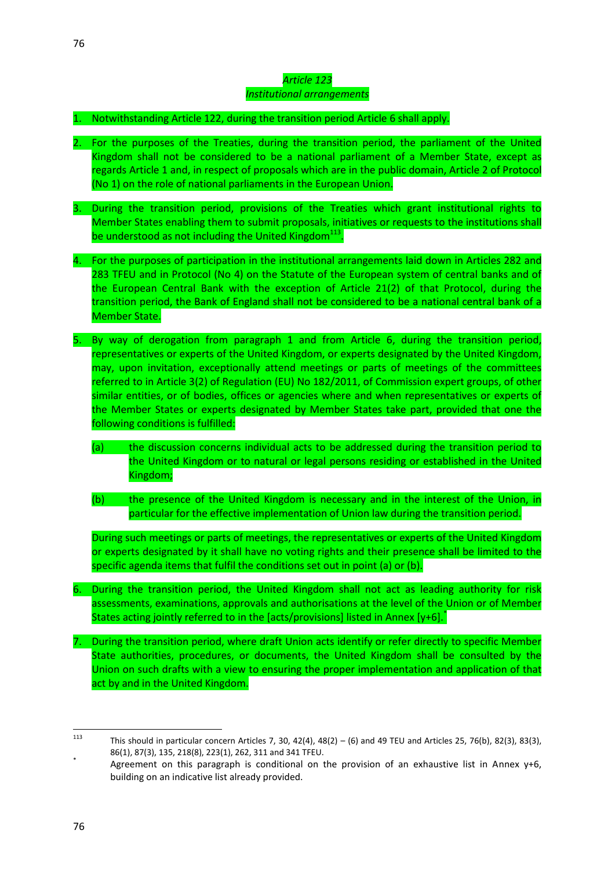## *Article 123 Institutional arrangements*

- 1. Notwithstanding Article 122, during the transition period Article 6 shall apply.
- 2. For the purposes of the Treaties, during the transition period, the parliament of the United Kingdom shall not be considered to be a national parliament of a Member State, except as regards Article 1 and, in respect of proposals which are in the public domain, Article 2 of Protocol (No 1) on the role of national parliaments in the European Union.
- 3. During the transition period, provisions of the Treaties which grant institutional rights to Member States enabling them to submit proposals, initiatives or requests to the institutions shall be understood as not including the United Kingdom $^{113}$ .
- 4. For the purposes of participation in the institutional arrangements laid down in Articles 282 and 283 TFEU and in Protocol (No 4) on the Statute of the European system of central banks and of the European Central Bank with the exception of Article 21(2) of that Protocol, during the transition period, the Bank of England shall not be considered to be a national central bank of a Member State.
- 5. By way of derogation from paragraph 1 and from Article 6, during the transition period, representatives or experts of the United Kingdom, or experts designated by the United Kingdom, may, upon invitation, exceptionally attend meetings or parts of meetings of the committees referred to in Article 3(2) of Regulation (EU) No 182/2011, of Commission expert groups, of other similar entities, or of bodies, offices or agencies where and when representatives or experts of the Member States or experts designated by Member States take part, provided that one the following conditions is fulfilled:
	- (a) the discussion concerns individual acts to be addressed during the transition period to the United Kingdom or to natural or legal persons residing or established in the United Kingdom;
	- (b) the presence of the United Kingdom is necessary and in the interest of the Union, in particular for the effective implementation of Union law during the transition period.

During such meetings or parts of meetings, the representatives or experts of the United Kingdom or experts designated by it shall have no voting rights and their presence shall be limited to the specific agenda items that fulfil the conditions set out in point (a) or (b).

- 6. During the transition period, the United Kingdom shall not act as leading authority for risk assessments, examinations, approvals and authorisations at the level of the Union or of Member States acting jointly referred to in the [acts/provisions] listed in Annex [y+6].<sup>\*</sup>
- 7. During the transition period, where draft Union acts identify or refer directly to specific Member State authorities, procedures, or documents, the United Kingdom shall be consulted by the Union on such drafts with a view to ensuring the proper implementation and application of that act by and in the United Kingdom.

 $113$ This should in particular concern Articles 7, 30, 42(4),  $48(2) - (6)$  and 49 TEU and Articles 25, 76(b), 82(3), 83(3), 86(1), 87(3), 135, 218(8), 223(1), 262, 311 and 341 TFEU.

<sup>\*</sup> Agreement on this paragraph is conditional on the provision of an exhaustive list in Annex  $y+6$ , building on an indicative list already provided.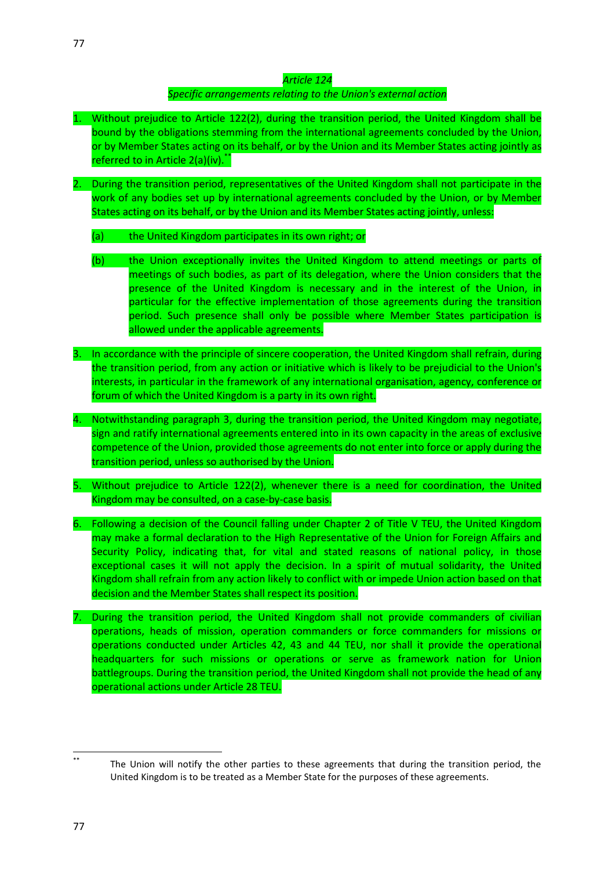77

#### *Article 124*

### *Specific arrangements relating to the Union's external action*

- 1. Without prejudice to Article 122(2), during the transition period, the United Kingdom shall be bound by the obligations stemming from the international agreements concluded by the Union, or by Member States acting on its behalf, or by the Union and its Member States acting jointly as referred to in Article 2(a)(iv).<sup>\*\*</sup>
- 2. During the transition period, representatives of the United Kingdom shall not participate in the work of any bodies set up by international agreements concluded by the Union, or by Member States acting on its behalf, or by the Union and its Member States acting jointly, unless:
	- (a) the United Kingdom participates in its own right; or
	- (b) the Union exceptionally invites the United Kingdom to attend meetings or parts of meetings of such bodies, as part of its delegation, where the Union considers that the presence of the United Kingdom is necessary and in the interest of the Union, in particular for the effective implementation of those agreements during the transition period. Such presence shall only be possible where Member States participation is allowed under the applicable agreements.
- In accordance with the principle of sincere cooperation, the United Kingdom shall refrain, during the transition period, from any action or initiative which is likely to be prejudicial to the Union's interests, in particular in the framework of any international organisation, agency, conference or forum of which the United Kingdom is a party in its own right.
- 4. Notwithstanding paragraph 3, during the transition period, the United Kingdom may negotiate, sign and ratify international agreements entered into in its own capacity in the areas of exclusive competence of the Union, provided those agreements do not enter into force or apply during the transition period, unless so authorised by the Union.
- 5. Without prejudice to Article 122(2), whenever there is a need for coordination, the United Kingdom may be consulted, on a case-by-case basis.
- 6. Following a decision of the Council falling under Chapter 2 of Title V TEU, the United Kingdom may make a formal declaration to the High Representative of the Union for Foreign Affairs and Security Policy, indicating that, for vital and stated reasons of national policy, in those exceptional cases it will not apply the decision. In a spirit of mutual solidarity, the United Kingdom shall refrain from any action likely to conflict with or impede Union action based on that decision and the Member States shall respect its position.
- 7. During the transition period, the United Kingdom shall not provide commanders of civilian operations, heads of mission, operation commanders or force commanders for missions or operations conducted under Articles 42, 43 and 44 TEU, nor shall it provide the operational headquarters for such missions or operations or serve as framework nation for Union battlegroups. During the transition period, the United Kingdom shall not provide the head of any operational actions under Article 28 TEU.

 \*\* The Union will notify the other parties to these agreements that during the transition period, the United Kingdom is to be treated as a Member State for the purposes of these agreements.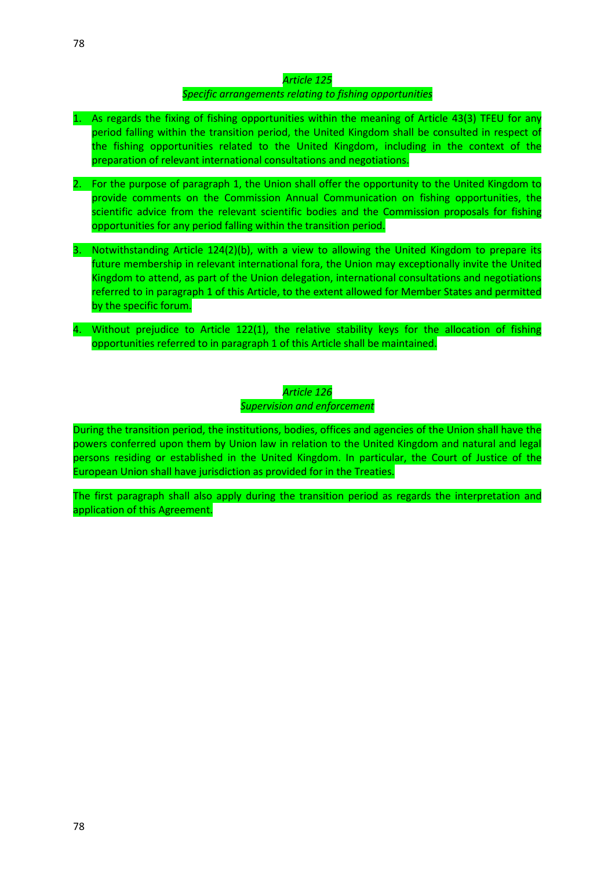#### *Article 125*

#### *Specific arrangements relating to fishing opportunities*

- 1. As regards the fixing of fishing opportunities within the meaning of Article 43(3) TFEU for any period falling within the transition period, the United Kingdom shall be consulted in respect of the fishing opportunities related to the United Kingdom, including in the context of the preparation of relevant international consultations and negotiations.
- 2. For the purpose of paragraph 1, the Union shall offer the opportunity to the United Kingdom to provide comments on the Commission Annual Communication on fishing opportunities, the scientific advice from the relevant scientific bodies and the Commission proposals for fishing opportunities for any period falling within the transition period.
- 3. Notwithstanding Article 124(2)(b), with a view to allowing the United Kingdom to prepare its future membership in relevant international fora, the Union may exceptionally invite the United Kingdom to attend, as part of the Union delegation, international consultations and negotiations referred to in paragraph 1 of this Article, to the extent allowed for Member States and permitted by the specific forum.
- 4. Without prejudice to Article 122(1), the relative stability keys for the allocation of fishing opportunities referred to in paragraph 1 of this Article shall be maintained.

## *Article 126 Supervision and enforcement*

During the transition period, the institutions, bodies, offices and agencies of the Union shall have the powers conferred upon them by Union law in relation to the United Kingdom and natural and legal persons residing or established in the United Kingdom. In particular, the Court of Justice of the European Union shall have jurisdiction as provided for in the Treaties.

The first paragraph shall also apply during the transition period as regards the interpretation and application of this Agreement.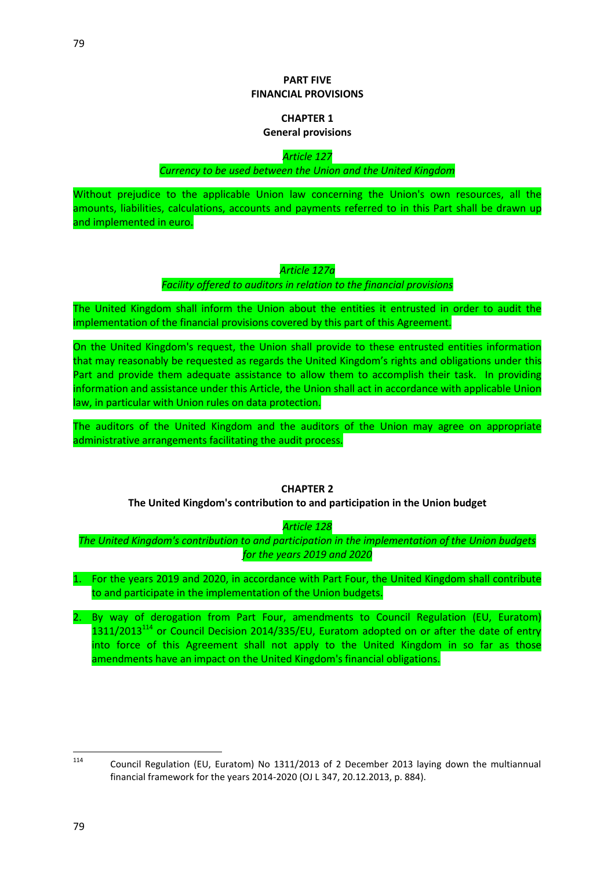# **FINANCIAL PROVISIONS**

#### **CHAPTER 1 General provisions**

## *Article 127*

## *Currency to be used between the Union and the United Kingdom*

Without prejudice to the applicable Union law concerning the Union's own resources, all the amounts, liabilities, calculations, accounts and payments referred to in this Part shall be drawn up and implemented in euro.

## *Article 127a*

## *Facility offered to auditors in relation to the financial provisions*

The United Kingdom shall inform the Union about the entities it entrusted in order to audit the implementation of the financial provisions covered by this part of this Agreement.

On the United Kingdom's request, the Union shall provide to these entrusted entities information that may reasonably be requested as regards the United Kingdom's rights and obligations under this Part and provide them adequate assistance to allow them to accomplish their task. In providing information and assistance under this Article, the Union shall act in accordance with applicable Union law, in particular with Union rules on data protection.

The auditors of the United Kingdom and the auditors of the Union may agree on appropriate administrative arrangements facilitating the audit process.

## **CHAPTER 2**

## **The United Kingdom's contribution to and participation in the Union budget**

## *Article 128*

*The United Kingdom's contribution to and participation in the implementation of the Union budgets for the years 2019 and 2020*

- 1. For the years 2019 and 2020, in accordance with Part Four, the United Kingdom shall contribute to and participate in the implementation of the Union budgets.
- 2. By way of derogation from Part Four, amendments to Council Regulation (EU, Euratom) 1311/2013<sup>114</sup> or Council Decision 2014/335/EU, Euratom adopted on or after the date of entry into force of this Agreement shall not apply to the United Kingdom in so far as those amendments have an impact on the United Kingdom's financial obligations.

<sup>114</sup> <sup>114</sup> Council Regulation (EU, Euratom) No 1311/2013 of 2 December 2013 laying down the multiannual financial framework for the years 2014-2020 (OJ L 347, 20.12.2013, p. 884).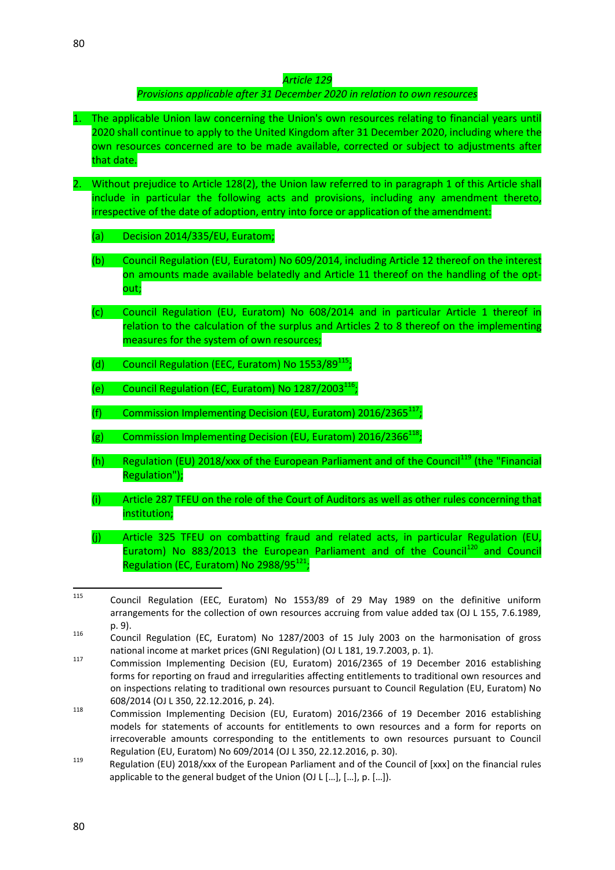#### *Article 129*

#### *Provisions applicable after 31 December 2020 in relation to own resources*

- 1. The applicable Union law concerning the Union's own resources relating to financial years until 2020 shall continue to apply to the United Kingdom after 31 December 2020, including where the own resources concerned are to be made available, corrected or subject to adjustments after that date.
- 2. Without prejudice to Article 128(2), the Union law referred to in paragraph 1 of this Article shall include in particular the following acts and provisions, including any amendment thereto, irrespective of the date of adoption, entry into force or application of the amendment:

#### (a) Decision 2014/335/EU, Euratom;

- (b) Council Regulation (EU, Euratom) No 609/2014, including Article 12 thereof on the interest on amounts made available belatedly and Article 11 thereof on the handling of the optout;
- (c) Council Regulation (EU, Euratom) No 608/2014 and in particular Article 1 thereof in relation to the calculation of the surplus and Articles 2 to 8 thereof on the implementing measures for the system of own resources;
- (d) Council Regulation (EEC, Euratom) No 1553/89<sup>115</sup>;
- (e) Council Regulation (EC, Euratom) No  $1287/2003^{116}$ ;
- (f) Commission Implementing Decision (EU, Euratom) 2016/2365 $^{117}$ ;
- (g) Commission Implementing Decision (EU, Euratom) 2016/2366 $^{118}$ ;
- (h) Regulation (EU) 2018/xxx of the European Parliament and of the Council<sup>119</sup> (the "Financial Regulation");
- (i) Article 287 TFEU on the role of the Court of Auditors as well as other rules concerning that institution;
- (j) Article 325 TFEU on combatting fraud and related acts, in particular Regulation (EU, Euratom) No 883/2013 the European Parliament and of the Council<sup>120</sup> and Council Regulation (EC, Euratom) No 2988/95 $^{121}$ ;

119 Regulation (EU) 2018/xxx of the European Parliament and of the Council of [xxx] on the financial rules applicable to the general budget of the Union (OJ L […], […], p. […]).

<sup>115</sup> <sup>115</sup> Council Regulation (EEC, Euratom) No 1553/89 of 29 May 1989 on the definitive uniform arrangements for the collection of own resources accruing from value added tax (OJ L 155, 7.6.1989, p. 9).

<sup>116</sup> Council Regulation (EC, Euratom) No 1287/2003 of 15 July 2003 on the harmonisation of gross national income at market prices (GNI Regulation) (OJ L 181, 19.7.2003, p. 1).

<sup>117</sup> Commission Implementing Decision (EU, Euratom) 2016/2365 of 19 December 2016 establishing forms for reporting on fraud and irregularities affecting entitlements to traditional own resources and on inspections relating to traditional own resources pursuant to Council Regulation (EU, Euratom) No 608/2014 (OJ L 350, 22.12.2016, p. 24).

<sup>118</sup> Commission Implementing Decision (EU, Euratom) 2016/2366 of 19 December 2016 establishing models for statements of accounts for entitlements to own resources and a form for reports on irrecoverable amounts corresponding to the entitlements to own resources pursuant to Council Regulation (EU, Euratom) No 609/2014 (OJ L 350, 22.12.2016, p. 30).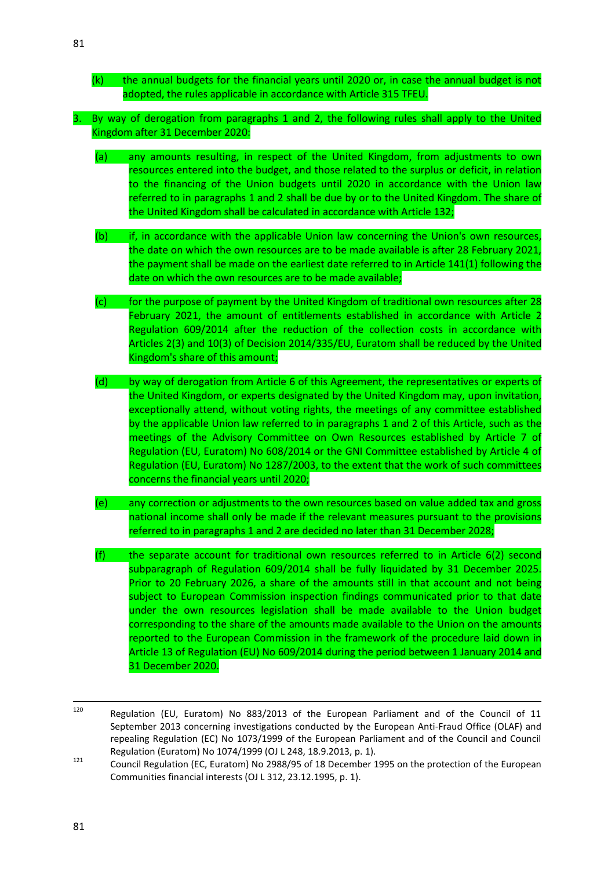- $(k)$  the annual budgets for the financial years until 2020 or, in case the annual budget is not adopted, the rules applicable in accordance with Article 315 TFEU.
- 3. By way of derogation from paragraphs 1 and 2, the following rules shall apply to the United Kingdom after 31 December 2020:
	- (a) any amounts resulting, in respect of the United Kingdom, from adjustments to own resources entered into the budget, and those related to the surplus or deficit, in relation to the financing of the Union budgets until 2020 in accordance with the Union law referred to in paragraphs 1 and 2 shall be due by or to the United Kingdom. The share of the United Kingdom shall be calculated in accordance with Article 132;
	- (b) if, in accordance with the applicable Union law concerning the Union's own resources, the date on which the own resources are to be made available is after 28 February 2021, the payment shall be made on the earliest date referred to in Article 141(1) following the date on which the own resources are to be made available;
	- (c) for the purpose of payment by the United Kingdom of traditional own resources after 28 February 2021, the amount of entitlements established in accordance with Article 2 Regulation 609/2014 after the reduction of the collection costs in accordance with Articles 2(3) and 10(3) of Decision 2014/335/EU, Euratom shall be reduced by the United Kingdom's share of this amount;
	- (d) by way of derogation from Article 6 of this Agreement, the representatives or experts of the United Kingdom, or experts designated by the United Kingdom may, upon invitation, exceptionally attend, without voting rights, the meetings of any committee established by the applicable Union law referred to in paragraphs 1 and 2 of this Article, such as the meetings of the Advisory Committee on Own Resources established by Article 7 of Regulation (EU, Euratom) No 608/2014 or the GNI Committee established by Article 4 of Regulation (EU, Euratom) No 1287/2003, to the extent that the work of such committees concerns the financial years until 2020;
	- (e) any correction or adjustments to the own resources based on value added tax and gross national income shall only be made if the relevant measures pursuant to the provisions referred to in paragraphs 1 and 2 are decided no later than 31 December 2028;
	- (f) the separate account for traditional own resources referred to in Article  $6(2)$  second subparagraph of Regulation 609/2014 shall be fully liquidated by 31 December 2025. Prior to 20 February 2026, a share of the amounts still in that account and not being subject to European Commission inspection findings communicated prior to that date under the own resources legislation shall be made available to the Union budget corresponding to the share of the amounts made available to the Union on the amounts reported to the European Commission in the framework of the procedure laid down in Article 13 of Regulation (EU) No 609/2014 during the period between 1 January 2014 and 31 December 2020.

<sup>120</sup> Regulation (EU, Euratom) No 883/2013 of the European Parliament and of the Council of 11 September 2013 concerning investigations conducted by the European Anti-Fraud Office (OLAF) and repealing Regulation (EC) No 1073/1999 of the European Parliament and of the Council and Council Regulation (Euratom) No 1074/1999 (OJ L 248, 18.9.2013, p. 1).

<sup>121</sup> Council Regulation (EC, Euratom) No 2988/95 of 18 December 1995 on the protection of the European Communities financial interests (OJ L 312, 23.12.1995, p. 1).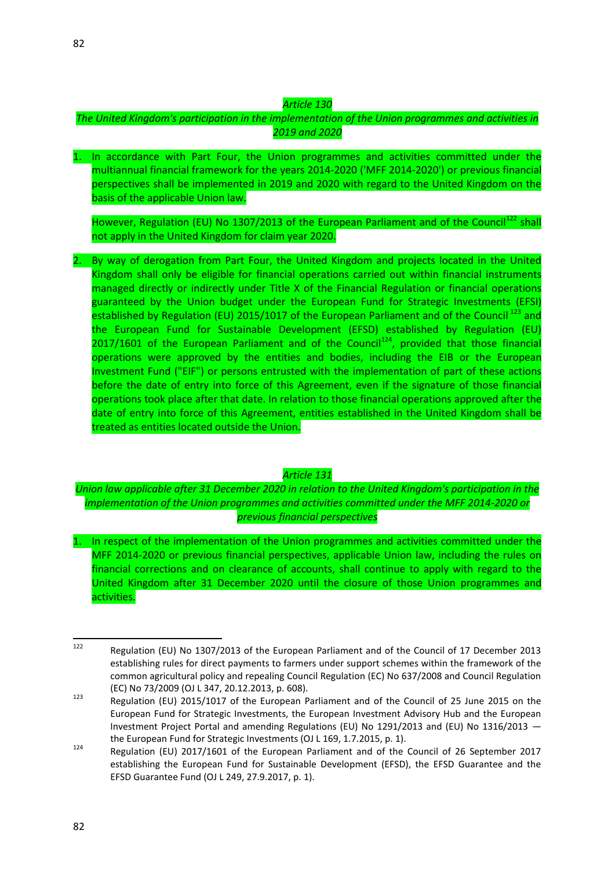### *Article 130*

## *The United Kingdom's participation in the implementation of the Union programmes and activities in 2019 and 2020*

1. In accordance with Part Four, the Union programmes and activities committed under the multiannual financial framework for the years 2014-2020 ('MFF 2014-2020') or previous financial perspectives shall be implemented in 2019 and 2020 with regard to the United Kingdom on the basis of the applicable Union law.

However, Regulation (EU) No 1307/2013 of the European Parliament and of the Council<sup>122</sup> shall not apply in the United Kingdom for claim year 2020.

2. By way of derogation from Part Four, the United Kingdom and projects located in the United Kingdom shall only be eligible for financial operations carried out within financial instruments managed directly or indirectly under Title X of the Financial Regulation or financial operations guaranteed by the Union budget under the European Fund for Strategic Investments (EFSI) established by Regulation (EU) 2015/1017 of the European Parliament and of the Council<sup>123</sup> and the European Fund for Sustainable Development (EFSD) established by Regulation (EU)  $2017/1601$  of the European Parliament and of the Council<sup>124</sup>, provided that those financial operations were approved by the entities and bodies, including the EIB or the European Investment Fund ("EIF") or persons entrusted with the implementation of part of these actions before the date of entry into force of this Agreement, even if the signature of those financial operations took place after that date. In relation to those financial operations approved after the date of entry into force of this Agreement, entities established in the United Kingdom shall be treated as entities located outside the Union.

#### *Article 131*

*Union law applicable after 31 December 2020 in relation to the United Kingdom's participation in the implementation of the Union programmes and activities committed under the MFF 2014-2020 or previous financial perspectives*

In respect of the implementation of the Union programmes and activities committed under the MFF 2014-2020 or previous financial perspectives, applicable Union law, including the rules on financial corrections and on clearance of accounts, shall continue to apply with regard to the United Kingdom after 31 December 2020 until the closure of those Union programmes and activities.

<sup>122</sup> Regulation (EU) No 1307/2013 of the European Parliament and of the Council of 17 December 2013 establishing rules for direct payments to farmers under support schemes within the framework of the common agricultural policy and repealing Council Regulation (EC) No 637/2008 and Council Regulation (EC) No 73/2009 (OJ L 347, 20.12.2013, p. 608).

<sup>123</sup> Regulation (EU) 2015/1017 of the European Parliament and of the Council of 25 June 2015 on the European Fund for Strategic Investments, the European Investment Advisory Hub and the European Investment Project Portal and amending Regulations (EU) No 1291/2013 and (EU) No 1316/2013 the European Fund for Strategic Investments (OJ L 169, 1.7.2015, p. 1).

<sup>124</sup> Regulation (EU) 2017/1601 of the European Parliament and of the Council of 26 September 2017 establishing the European Fund for Sustainable Development (EFSD), the EFSD Guarantee and the EFSD Guarantee Fund (OJ L 249, 27.9.2017, p. 1).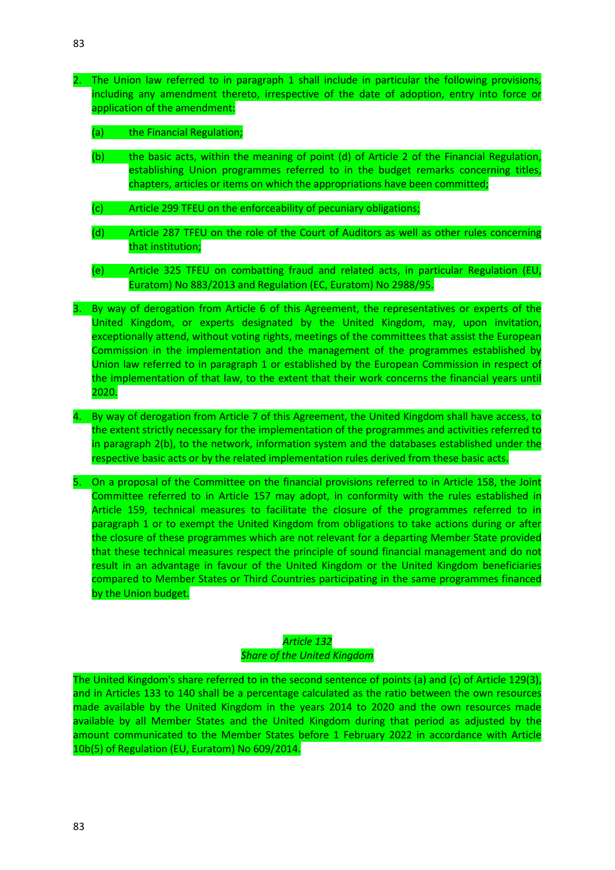2. The Union law referred to in paragraph 1 shall include in particular the following provisions, including any amendment thereto, irrespective of the date of adoption, entry into force or application of the amendment:

### (a) the Financial Regulation;

- (b) the basic acts, within the meaning of point (d) of Article 2 of the Financial Regulation, establishing Union programmes referred to in the budget remarks concerning titles, chapters, articles or items on which the appropriations have been committed;
- (c) Article 299 TFEU on the enforceability of pecuniary obligations;
- (d) Article 287 TFEU on the role of the Court of Auditors as well as other rules concerning that institution;
- (e) Article 325 TFEU on combatting fraud and related acts, in particular Regulation (EU, Euratom) No 883/2013 and Regulation (EC, Euratom) No 2988/95.
- 3. By way of derogation from Article 6 of this Agreement, the representatives or experts of the United Kingdom, or experts designated by the United Kingdom, may, upon invitation, exceptionally attend, without voting rights, meetings of the committees that assist the European Commission in the implementation and the management of the programmes established by Union law referred to in paragraph 1 or established by the European Commission in respect of the implementation of that law, to the extent that their work concerns the financial years until 2020.
- 4. By way of derogation from Article 7 of this Agreement, the United Kingdom shall have access, to the extent strictly necessary for the implementation of the programmes and activities referred to in paragraph 2(b), to the network, information system and the databases established under the respective basic acts or by the related implementation rules derived from these basic acts.
- 5. On a proposal of the Committee on the financial provisions referred to in Article 158, the Joint Committee referred to in Article 157 may adopt, in conformity with the rules established in Article 159, technical measures to facilitate the closure of the programmes referred to in paragraph 1 or to exempt the United Kingdom from obligations to take actions during or after the closure of these programmes which are not relevant for a departing Member State provided that these technical measures respect the principle of sound financial management and do not result in an advantage in favour of the United Kingdom or the United Kingdom beneficiaries compared to Member States or Third Countries participating in the same programmes financed by the Union budget.

## *Article 132 Share of the United Kingdom*

The United Kingdom's share referred to in the second sentence of points (a) and (c) of Article 129(3), and in Articles 133 to 140 shall be a percentage calculated as the ratio between the own resources made available by the United Kingdom in the years 2014 to 2020 and the own resources made available by all Member States and the United Kingdom during that period as adjusted by the amount communicated to the Member States before 1 February 2022 in accordance with Article 10b(5) of Regulation (EU, Euratom) No 609/2014.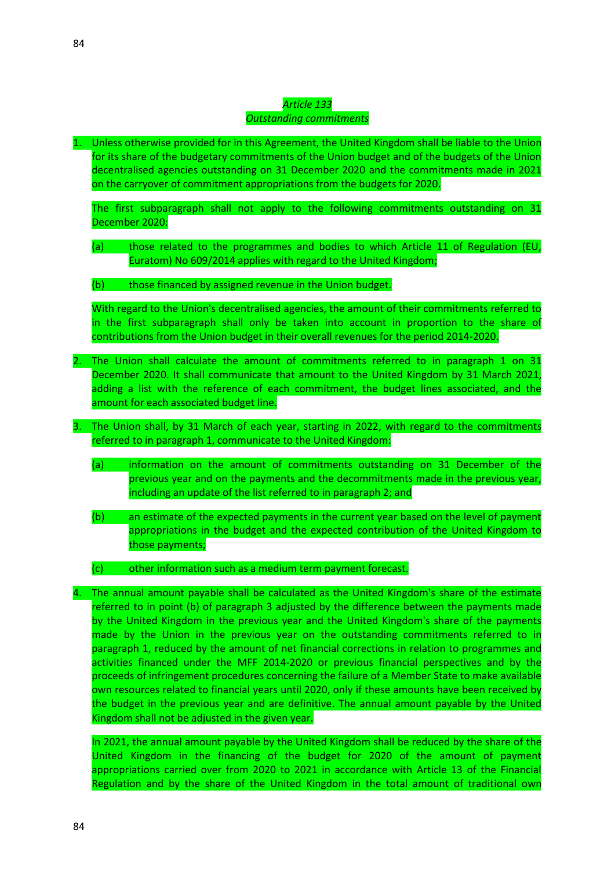#### *Article 133 Outstanding commitments*

1. Unless otherwise provided for in this Agreement, the United Kingdom shall be liable to the Union for its share of the budgetary commitments of the Union budget and of the budgets of the Union decentralised agencies outstanding on 31 December 2020 and the commitments made in 2021 on the carryover of commitment appropriations from the budgets for 2020.

The first subparagraph shall not apply to the following commitments outstanding on 31 December 2020:

(a) those related to the programmes and bodies to which Article 11 of Regulation (EU, Euratom) No 609/2014 applies with regard to the United Kingdom;

(b) those financed by assigned revenue in the Union budget.

With regard to the Union's decentralised agencies, the amount of their commitments referred to in the first subparagraph shall only be taken into account in proportion to the share of contributions from the Union budget in their overall revenues for the period 2014-2020.

- 2. The Union shall calculate the amount of commitments referred to in paragraph 1 on 31 December 2020. It shall communicate that amount to the United Kingdom by 31 March 2021, adding a list with the reference of each commitment, the budget lines associated, and the amount for each associated budget line.
- 3. The Union shall, by 31 March of each year, starting in 2022, with regard to the commitments referred to in paragraph 1, communicate to the United Kingdom:
	- (a) information on the amount of commitments outstanding on 31 December of the previous year and on the payments and the decommitments made in the previous year, including an update of the list referred to in paragraph 2; and
	- (b) an estimate of the expected payments in the current year based on the level of payment appropriations in the budget and the expected contribution of the United Kingdom to those payments;
	- (c) other information such as a medium term payment forecast.
- 4. The annual amount payable shall be calculated as the United Kingdom's share of the estimate referred to in point (b) of paragraph 3 adjusted by the difference between the payments made by the United Kingdom in the previous year and the United Kingdom's share of the payments made by the Union in the previous year on the outstanding commitments referred to in paragraph 1, reduced by the amount of net financial corrections in relation to programmes and activities financed under the MFF 2014-2020 or previous financial perspectives and by the proceeds of infringement procedures concerning the failure of a Member State to make available own resources related to financial years until 2020, only if these amounts have been received by the budget in the previous year and are definitive. The annual amount payable by the United Kingdom shall not be adjusted in the given year.

In 2021, the annual amount payable by the United Kingdom shall be reduced by the share of the United Kingdom in the financing of the budget for 2020 of the amount of payment appropriations carried over from 2020 to 2021 in accordance with Article 13 of the Financial Regulation and by the share of the United Kingdom in the total amount of traditional own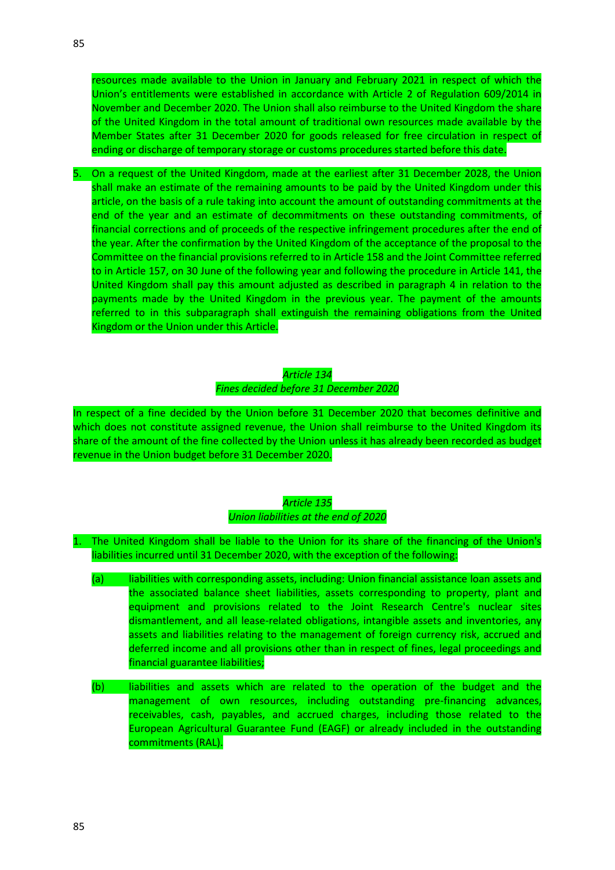resources made available to the Union in January and February 2021 in respect of which the Union's entitlements were established in accordance with Article 2 of Regulation 609/2014 in November and December 2020. The Union shall also reimburse to the United Kingdom the share of the United Kingdom in the total amount of traditional own resources made available by the Member States after 31 December 2020 for goods released for free circulation in respect of ending or discharge of temporary storage or customs procedures started before this date.

5. On a request of the United Kingdom, made at the earliest after 31 December 2028, the Union shall make an estimate of the remaining amounts to be paid by the United Kingdom under this article, on the basis of a rule taking into account the amount of outstanding commitments at the end of the year and an estimate of decommitments on these outstanding commitments, of financial corrections and of proceeds of the respective infringement procedures after the end of the year. After the confirmation by the United Kingdom of the acceptance of the proposal to the Committee on the financial provisions referred to in Article 158 and the Joint Committee referred to in Article 157, on 30 June of the following year and following the procedure in Article 141, the United Kingdom shall pay this amount adjusted as described in paragraph 4 in relation to the payments made by the United Kingdom in the previous year. The payment of the amounts referred to in this subparagraph shall extinguish the remaining obligations from the United Kingdom or the Union under this Article.

#### *Article 134*

#### *Fines decided before 31 December 2020*

In respect of a fine decided by the Union before 31 December 2020 that becomes definitive and which does not constitute assigned revenue, the Union shall reimburse to the United Kingdom its share of the amount of the fine collected by the Union unless it has already been recorded as budget revenue in the Union budget before 31 December 2020.

#### *Article 135*

#### *Union liabilities at the end of 2020*

The United Kingdom shall be liable to the Union for its share of the financing of the Union's liabilities incurred until 31 December 2020, with the exception of the following:

- (a) liabilities with corresponding assets, including: Union financial assistance loan assets and the associated balance sheet liabilities, assets corresponding to property, plant and equipment and provisions related to the Joint Research Centre's nuclear sites dismantlement, and all lease-related obligations, intangible assets and inventories, any assets and liabilities relating to the management of foreign currency risk, accrued and deferred income and all provisions other than in respect of fines, legal proceedings and financial guarantee liabilities;
- (b) liabilities and assets which are related to the operation of the budget and the management of own resources, including outstanding pre-financing advances, receivables, cash, payables, and accrued charges, including those related to the European Agricultural Guarantee Fund (EAGF) or already included in the outstanding commitments (RAL).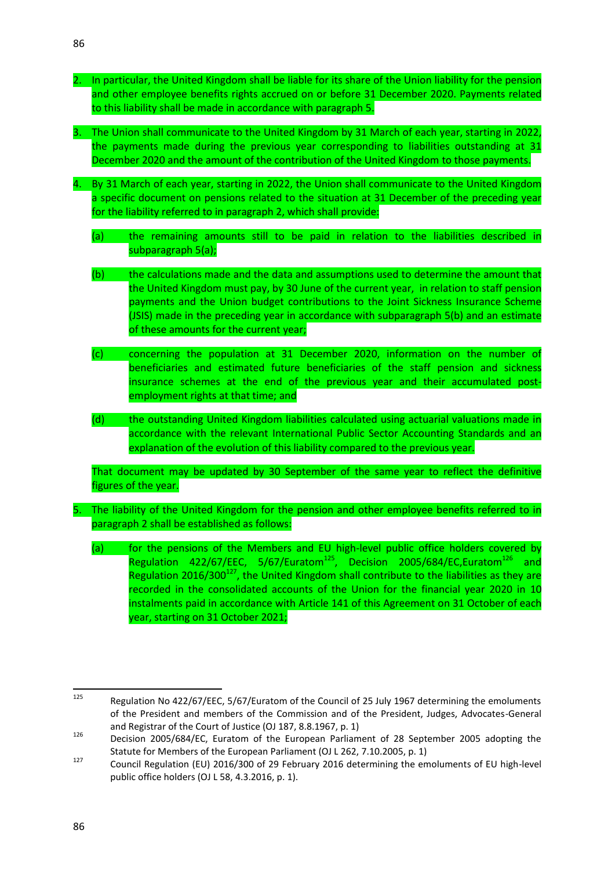- 2. In particular, the United Kingdom shall be liable for its share of the Union liability for the pension and other employee benefits rights accrued on or before 31 December 2020. Payments related to this liability shall be made in accordance with paragraph 5.
- 3. The Union shall communicate to the United Kingdom by 31 March of each year, starting in 2022, the payments made during the previous year corresponding to liabilities outstanding at 31 December 2020 and the amount of the contribution of the United Kingdom to those payments.
- 4. By 31 March of each year, starting in 2022, the Union shall communicate to the United Kingdom a specific document on pensions related to the situation at 31 December of the preceding year for the liability referred to in paragraph 2, which shall provide:
	- (a) the remaining amounts still to be paid in relation to the liabilities described in subparagraph 5(a);
	- (b) the calculations made and the data and assumptions used to determine the amount that the United Kingdom must pay, by 30 June of the current year, in relation to staff pension payments and the Union budget contributions to the Joint Sickness Insurance Scheme (JSIS) made in the preceding year in accordance with subparagraph 5(b) and an estimate of these amounts for the current year;
	- (c) concerning the population at 31 December 2020, information on the number of beneficiaries and estimated future beneficiaries of the staff pension and sickness insurance schemes at the end of the previous year and their accumulated postemployment rights at that time; and
	- (d) the outstanding United Kingdom liabilities calculated using actuarial valuations made in accordance with the relevant International Public Sector Accounting Standards and an explanation of the evolution of this liability compared to the previous year.

That document may be updated by 30 September of the same year to reflect the definitive figures of the year.

- 5. The liability of the United Kingdom for the pension and other employee benefits referred to in paragraph 2 shall be established as follows:
	- (a) for the pensions of the Members and EU high-level public office holders covered by Regulation 422/67/EEC, 5/67/Euratom<sup>125</sup>, Decision 2005/684/EC,Euratom<sup>126</sup> and Regulation 2016/300 $^{127}$ , the United Kingdom shall contribute to the liabilities as they are recorded in the consolidated accounts of the Union for the financial year 2020 in 10 instalments paid in accordance with Article 141 of this Agreement on 31 October of each year, starting on 31 October 2021;

<sup>125</sup> Regulation No 422/67/EEC, 5/67/Euratom of the Council of 25 July 1967 determining the emoluments of the President and members of the Commission and of the President, Judges, Advocates-General and Registrar of the Court of Justice (OJ 187, 8.8.1967, p. 1)

<sup>126</sup> Decision 2005/684/EC, Euratom of the European Parliament of 28 September 2005 adopting the Statute for Members of the European Parliament (OJ L 262, 7.10.2005, p. 1)

<sup>127</sup> Council Regulation (EU) 2016/300 of 29 February 2016 determining the emoluments of EU high-level public office holders (OJ L 58, 4.3.2016, p. 1).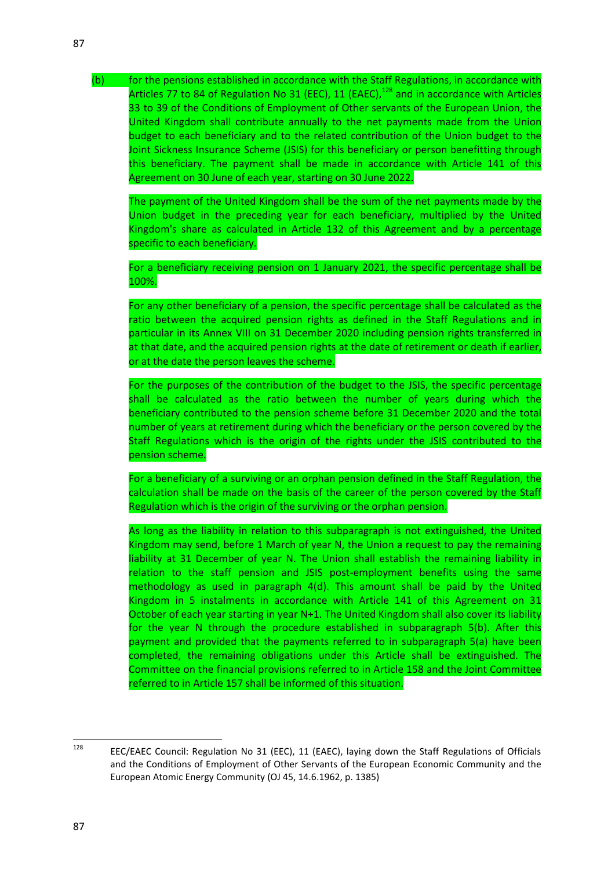(b) for the pensions established in accordance with the Staff Regulations, in accordance with Articles 77 to 84 of Regulation No 31 (EEC), 11 (EAEC),<sup>128</sup> and in accordance with Articles 33 to 39 of the Conditions of Employment of Other servants of the European Union, the United Kingdom shall contribute annually to the net payments made from the Union budget to each beneficiary and to the related contribution of the Union budget to the Joint Sickness Insurance Scheme (JSIS) for this beneficiary or person benefitting through this beneficiary. The payment shall be made in accordance with Article 141 of this Agreement on 30 June of each year, starting on 30 June 2022.

The payment of the United Kingdom shall be the sum of the net payments made by the Union budget in the preceding year for each beneficiary, multiplied by the United Kingdom's share as calculated in Article 132 of this Agreement and by a percentage specific to each beneficiary.

For a beneficiary receiving pension on 1 January 2021, the specific percentage shall be 100%.

For any other beneficiary of a pension, the specific percentage shall be calculated as the ratio between the acquired pension rights as defined in the Staff Regulations and in particular in its Annex VIII on 31 December 2020 including pension rights transferred in at that date, and the acquired pension rights at the date of retirement or death if earlier, or at the date the person leaves the scheme.

For the purposes of the contribution of the budget to the JSIS, the specific percentage shall be calculated as the ratio between the number of years during which the beneficiary contributed to the pension scheme before 31 December 2020 and the total number of years at retirement during which the beneficiary or the person covered by the Staff Regulations which is the origin of the rights under the JSIS contributed to the pension scheme.

For a beneficiary of a surviving or an orphan pension defined in the Staff Regulation, the calculation shall be made on the basis of the career of the person covered by the Staff Regulation which is the origin of the surviving or the orphan pension.

As long as the liability in relation to this subparagraph is not extinguished, the United Kingdom may send, before 1 March of year N, the Union a request to pay the remaining liability at 31 December of year N. The Union shall establish the remaining liability in relation to the staff pension and JSIS post-employment benefits using the same methodology as used in paragraph 4(d). This amount shall be paid by the United Kingdom in 5 instalments in accordance with Article 141 of this Agreement on 31 October of each year starting in year N+1. The United Kingdom shall also cover its liability for the year N through the procedure established in subparagraph 5(b). After this payment and provided that the payments referred to in subparagraph 5(a) have been completed, the remaining obligations under this Article shall be extinguished. The Committee on the financial provisions referred to in Article 158 and the Joint Committee referred to in Article 157 shall be informed of this situation.

<sup>128</sup> EEC/EAEC Council: Regulation No 31 (EEC), 11 (EAEC), laying down the Staff Regulations of Officials and the Conditions of Employment of Other Servants of the European Economic Community and the European Atomic Energy Community (OJ 45, 14.6.1962, p. 1385)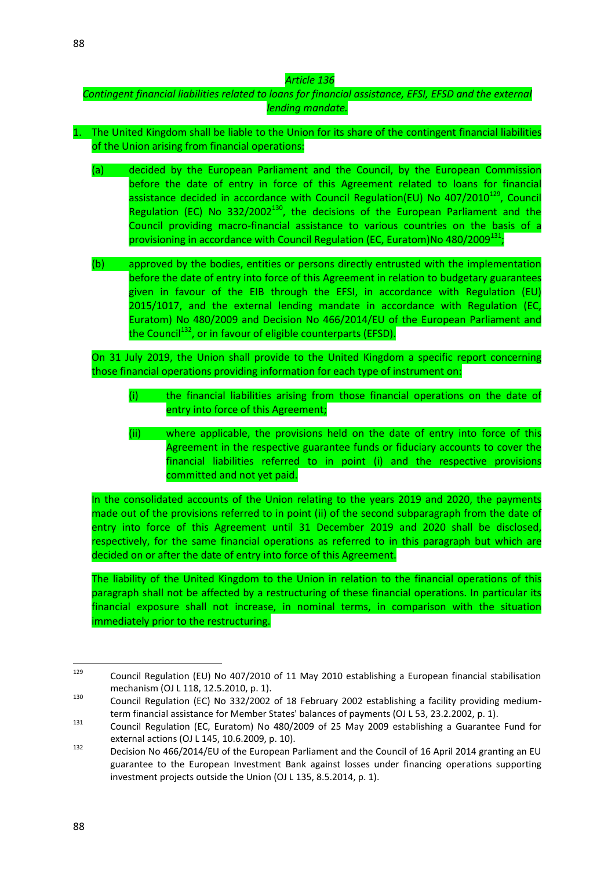*Contingent financial liabilities related to loans for financial assistance, EFSI, EFSD and the external lending mandate.* 

- 1. The United Kingdom shall be liable to the Union for its share of the contingent financial liabilities of the Union arising from financial operations:
	- (a) decided by the European Parliament and the Council, by the European Commission before the date of entry in force of this Agreement related to loans for financial assistance decided in accordance with Council Regulation(EU) No  $407/2010^{129}$ , Council Regulation (EC) No  $332/2002^{130}$ , the decisions of the European Parliament and the Council providing macro-financial assistance to various countries on the basis of a provisioning in accordance with Council Regulation (EC, Euratom)No 480/2009<sup>131</sup>;
	- (b) approved by the bodies, entities or persons directly entrusted with the implementation before the date of entry into force of this Agreement in relation to budgetary guarantees given in favour of the EIB through the EFSI, in accordance with Regulation (EU) 2015/1017, and the external lending mandate in accordance with Regulation (EC, Euratom) No 480/2009 and Decision No 466/2014/EU of the European Parliament and the Council<sup>132</sup>, or in favour of eligible counterparts (EFSD).

On 31 July 2019, the Union shall provide to the United Kingdom a specific report concerning those financial operations providing information for each type of instrument on:

- (i) the financial liabilities arising from those financial operations on the date of entry into force of this Agreement;
- (ii) where applicable, the provisions held on the date of entry into force of this Agreement in the respective guarantee funds or fiduciary accounts to cover the financial liabilities referred to in point (i) and the respective provisions committed and not yet paid.

In the consolidated accounts of the Union relating to the years 2019 and 2020, the payments made out of the provisions referred to in point (ii) of the second subparagraph from the date of entry into force of this Agreement until 31 December 2019 and 2020 shall be disclosed, respectively, for the same financial operations as referred to in this paragraph but which are decided on or after the date of entry into force of this Agreement.

The liability of the United Kingdom to the Union in relation to the financial operations of this paragraph shall not be affected by a restructuring of these financial operations. In particular its financial exposure shall not increase, in nominal terms, in comparison with the situation immediately prior to the restructuring.

<sup>129</sup> <sup>129</sup> Council Regulation (EU) No 407/2010 of 11 May 2010 establishing a European financial stabilisation mechanism (OJ L 118, 12.5.2010, p. 1).

<sup>130</sup> Council Regulation (EC) No 332/2002 of 18 February 2002 establishing a facility providing mediumterm financial assistance for Member States' balances of payments (OJ L 53, 23.2.2002, p. 1).

<sup>131</sup> Council Regulation (EC, Euratom) No 480/2009 of 25 May 2009 establishing a Guarantee Fund for external actions (OJ L 145, 10.6.2009, p. 10).

<sup>132</sup> Decision No 466/2014/EU of the European Parliament and the Council of 16 April 2014 granting an EU guarantee to the European Investment Bank against losses under financing operations supporting investment projects outside the Union (OJ L 135, 8.5.2014, p. 1).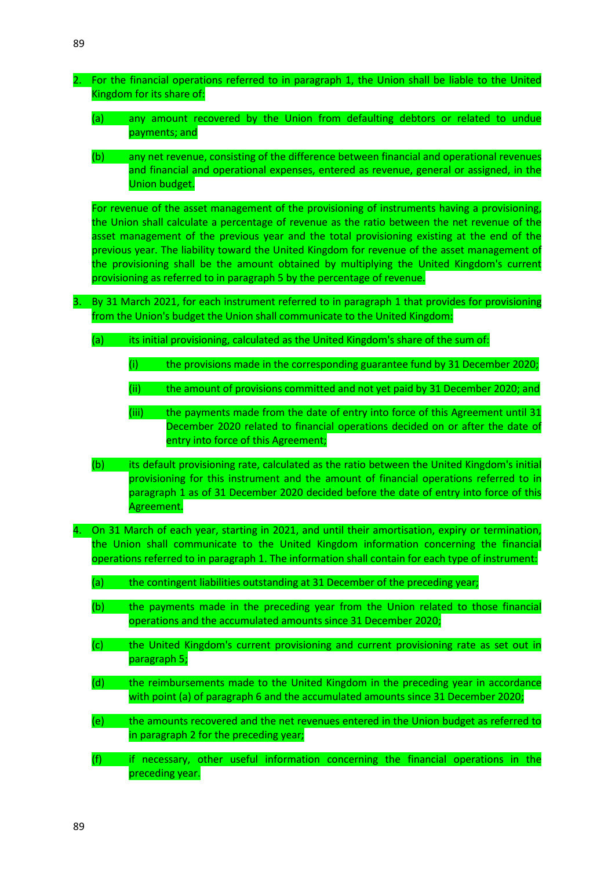- 2. For the financial operations referred to in paragraph 1, the Union shall be liable to the United Kingdom for its share of:
	- (a) any amount recovered by the Union from defaulting debtors or related to undue payments; and
	- (b) any net revenue, consisting of the difference between financial and operational revenues and financial and operational expenses, entered as revenue, general or assigned, in the Union budget.

For revenue of the asset management of the provisioning of instruments having a provisioning, the Union shall calculate a percentage of revenue as the ratio between the net revenue of the asset management of the previous year and the total provisioning existing at the end of the previous year. The liability toward the United Kingdom for revenue of the asset management of the provisioning shall be the amount obtained by multiplying the United Kingdom's current provisioning as referred to in paragraph 5 by the percentage of revenue.

- 3. By 31 March 2021, for each instrument referred to in paragraph 1 that provides for provisioning from the Union's budget the Union shall communicate to the United Kingdom:
	- (a) its initial provisioning, calculated as the United Kingdom's share of the sum of:
		- (i) the provisions made in the corresponding guarantee fund by 31 December 2020;
		- (ii) the amount of provisions committed and not yet paid by 31 December 2020; and
		- (iii) the payments made from the date of entry into force of this Agreement until 31 December 2020 related to financial operations decided on or after the date of entry into force of this Agreement;
	- (b) its default provisioning rate, calculated as the ratio between the United Kingdom's initial provisioning for this instrument and the amount of financial operations referred to in paragraph 1 as of 31 December 2020 decided before the date of entry into force of this Agreement.
- 4. On 31 March of each year, starting in 2021, and until their amortisation, expiry or termination, the Union shall communicate to the United Kingdom information concerning the financial operations referred to in paragraph 1. The information shall contain for each type of instrument:
	- (a) the contingent liabilities outstanding at 31 December of the preceding year;
	- (b) the payments made in the preceding year from the Union related to those financial operations and the accumulated amounts since 31 December 2020;
	- (c) the United Kingdom's current provisioning and current provisioning rate as set out in paragraph 5;
	- (d) the reimbursements made to the United Kingdom in the preceding year in accordance with point (a) of paragraph 6 and the accumulated amounts since 31 December 2020;
	- (e) the amounts recovered and the net revenues entered in the Union budget as referred to in paragraph 2 for the preceding year;
	- (f) if necessary, other useful information concerning the financial operations in the preceding year.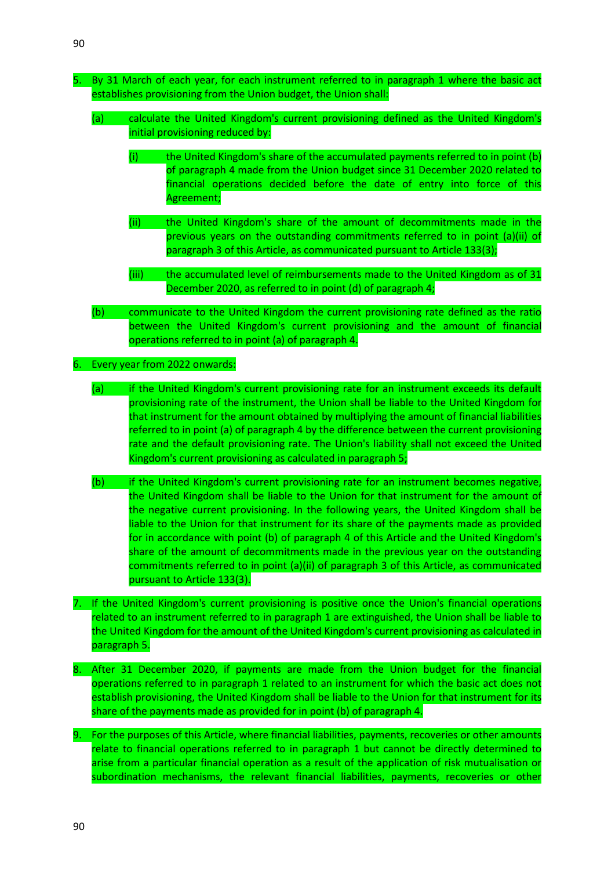- By 31 March of each year, for each instrument referred to in paragraph 1 where the basic act establishes provisioning from the Union budget, the Union shall:
	- (a) calculate the United Kingdom's current provisioning defined as the United Kingdom's initial provisioning reduced by:
		- $(i)$  the United Kingdom's share of the accumulated payments referred to in point  $(b)$ of paragraph 4 made from the Union budget since 31 December 2020 related to financial operations decided before the date of entry into force of this Agreement;
		- (ii) the United Kingdom's share of the amount of decommitments made in the previous years on the outstanding commitments referred to in point (a)(ii) of paragraph 3 of this Article, as communicated pursuant to Article 133(3);
		- (iii) the accumulated level of reimbursements made to the United Kingdom as of 31 December 2020, as referred to in point (d) of paragraph 4;
	- (b) communicate to the United Kingdom the current provisioning rate defined as the ratio between the United Kingdom's current provisioning and the amount of financial operations referred to in point (a) of paragraph 4.

#### 6. Every year from 2022 onwards:

- (a) if the United Kingdom's current provisioning rate for an instrument exceeds its default provisioning rate of the instrument, the Union shall be liable to the United Kingdom for that instrument for the amount obtained by multiplying the amount of financial liabilities referred to in point (a) of paragraph 4 by the difference between the current provisioning rate and the default provisioning rate. The Union's liability shall not exceed the United Kingdom's current provisioning as calculated in paragraph 5;
- (b) if the United Kingdom's current provisioning rate for an instrument becomes negative, the United Kingdom shall be liable to the Union for that instrument for the amount of the negative current provisioning. In the following years, the United Kingdom shall be liable to the Union for that instrument for its share of the payments made as provided for in accordance with point (b) of paragraph 4 of this Article and the United Kingdom's share of the amount of decommitments made in the previous year on the outstanding commitments referred to in point (a)(ii) of paragraph 3 of this Article, as communicated pursuant to Article 133(3).
- 7. If the United Kingdom's current provisioning is positive once the Union's financial operations related to an instrument referred to in paragraph 1 are extinguished, the Union shall be liable to the United Kingdom for the amount of the United Kingdom's current provisioning as calculated in paragraph 5.
- 8. After 31 December 2020, if payments are made from the Union budget for the financial operations referred to in paragraph 1 related to an instrument for which the basic act does not establish provisioning, the United Kingdom shall be liable to the Union for that instrument for its share of the payments made as provided for in point (b) of paragraph 4.
- 9. For the purposes of this Article, where financial liabilities, payments, recoveries or other amounts relate to financial operations referred to in paragraph 1 but cannot be directly determined to arise from a particular financial operation as a result of the application of risk mutualisation or subordination mechanisms, the relevant financial liabilities, payments, recoveries or other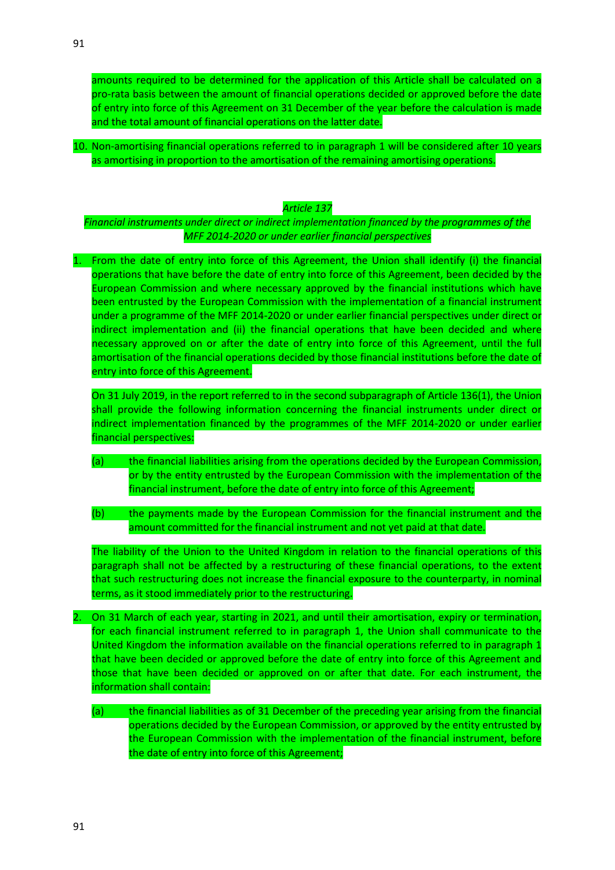amounts required to be determined for the application of this Article shall be calculated on a pro-rata basis between the amount of financial operations decided or approved before the date of entry into force of this Agreement on 31 December of the year before the calculation is made and the total amount of financial operations on the latter date.

10. Non-amortising financial operations referred to in paragraph 1 will be considered after 10 years as amortising in proportion to the amortisation of the remaining amortising operations.

#### *Article 137*

*Financial instruments under direct or indirect implementation financed by the programmes of the MFF 2014-2020 or under earlier financial perspectives* 

1. From the date of entry into force of this Agreement, the Union shall identify (i) the financial operations that have before the date of entry into force of this Agreement, been decided by the European Commission and where necessary approved by the financial institutions which have been entrusted by the European Commission with the implementation of a financial instrument under a programme of the MFF 2014-2020 or under earlier financial perspectives under direct or indirect implementation and (ii) the financial operations that have been decided and where necessary approved on or after the date of entry into force of this Agreement, until the full amortisation of the financial operations decided by those financial institutions before the date of entry into force of this Agreement.

On 31 July 2019, in the report referred to in the second subparagraph of Article 136(1), the Union shall provide the following information concerning the financial instruments under direct or indirect implementation financed by the programmes of the MFF 2014-2020 or under earlier financial perspectives:

- (a) the financial liabilities arising from the operations decided by the European Commission, or by the entity entrusted by the European Commission with the implementation of the financial instrument, before the date of entry into force of this Agreement;
- (b) the payments made by the European Commission for the financial instrument and the amount committed for the financial instrument and not yet paid at that date.

The liability of the Union to the United Kingdom in relation to the financial operations of this paragraph shall not be affected by a restructuring of these financial operations, to the extent that such restructuring does not increase the financial exposure to the counterparty, in nominal terms, as it stood immediately prior to the restructuring.

- 2. On 31 March of each year, starting in 2021, and until their amortisation, expiry or termination, for each financial instrument referred to in paragraph 1, the Union shall communicate to the United Kingdom the information available on the financial operations referred to in paragraph 1 that have been decided or approved before the date of entry into force of this Agreement and those that have been decided or approved on or after that date. For each instrument, the information shall contain:
	- (a) the financial liabilities as of 31 December of the preceding year arising from the financial operations decided by the European Commission, or approved by the entity entrusted by the European Commission with the implementation of the financial instrument, before the date of entry into force of this Agreement;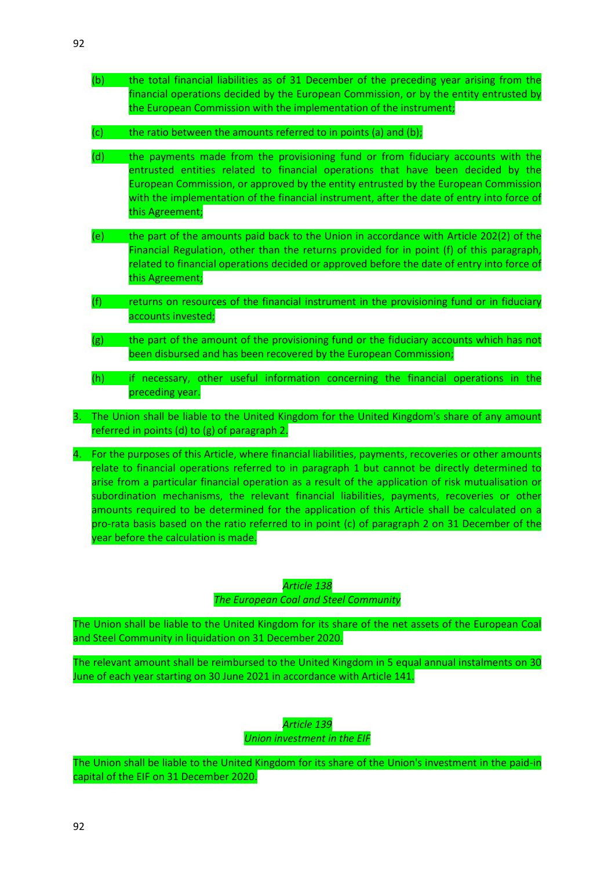- (b) the total financial liabilities as of 31 December of the preceding year arising from the financial operations decided by the European Commission, or by the entity entrusted by the European Commission with the implementation of the instrument;
- $(c)$  the ratio between the amounts referred to in points (a) and (b);
- (d) the payments made from the provisioning fund or from fiduciary accounts with the entrusted entities related to financial operations that have been decided by the European Commission, or approved by the entity entrusted by the European Commission with the implementation of the financial instrument, after the date of entry into force of this Agreement;
- (e) the part of the amounts paid back to the Union in accordance with Article 202(2) of the Financial Regulation, other than the returns provided for in point (f) of this paragraph, related to financial operations decided or approved before the date of entry into force of this Agreement;
- (f) returns on resources of the financial instrument in the provisioning fund or in fiduciary accounts invested;
- $(g)$  the part of the amount of the provisioning fund or the fiduciary accounts which has not been disbursed and has been recovered by the European Commission;
- (h) if necessary, other useful information concerning the financial operations in the preceding year.
- 3. The Union shall be liable to the United Kingdom for the United Kingdom's share of any amount referred in points (d) to (g) of paragraph 2.
- 4. For the purposes of this Article, where financial liabilities, payments, recoveries or other amounts relate to financial operations referred to in paragraph 1 but cannot be directly determined to arise from a particular financial operation as a result of the application of risk mutualisation or subordination mechanisms, the relevant financial liabilities, payments, recoveries or other amounts required to be determined for the application of this Article shall be calculated on a pro-rata basis based on the ratio referred to in point (c) of paragraph 2 on 31 December of the year before the calculation is made.

*Article 138 The European Coal and Steel Community* 

The Union shall be liable to the United Kingdom for its share of the net assets of the European Coal and Steel Community in liquidation on 31 December 2020.

The relevant amount shall be reimbursed to the United Kingdom in 5 equal annual instalments on 30 June of each year starting on 30 June 2021 in accordance with Article 141.

*Article 139*

*Union investment in the EIF* 

The Union shall be liable to the United Kingdom for its share of the Union's investment in the paid-in capital of the EIF on 31 December 2020.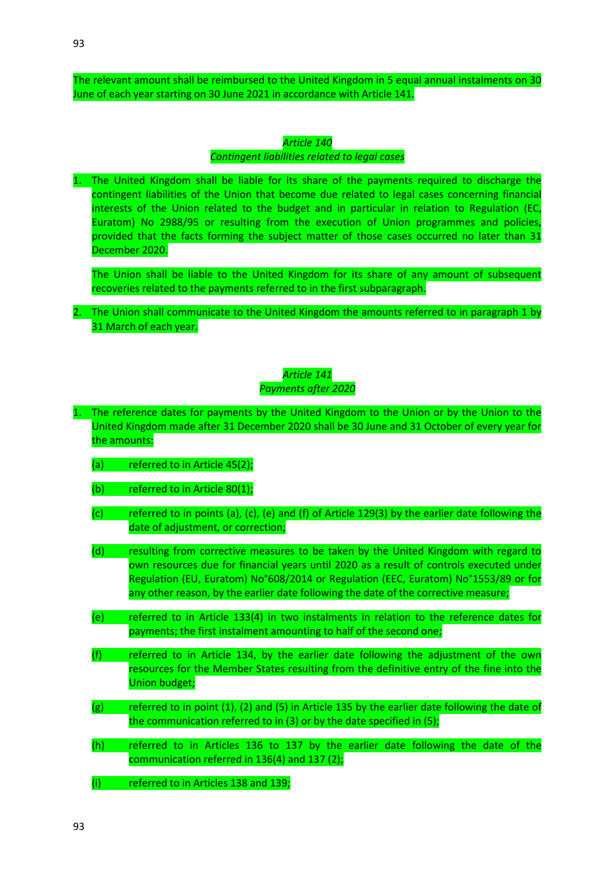The relevant amount shall be reimbursed to the United Kingdom in 5 equal annual instalments on 30 June of each year starting on 30 June 2021 in accordance with Article 141.

#### *Article 140*

#### *Contingent liabilities related to legal cases*

1. The United Kingdom shall be liable for its share of the payments required to discharge the contingent liabilities of the Union that become due related to legal cases concerning financial interests of the Union related to the budget and in particular in relation to Regulation (EC, Euratom) No 2988/95 or resulting from the execution of Union programmes and policies, provided that the facts forming the subject matter of those cases occurred no later than 31 December 2020.

The Union shall be liable to the United Kingdom for its share of any amount of subsequent recoveries related to the payments referred to in the first subparagraph.

2. The Union shall communicate to the United Kingdom the amounts referred to in paragraph 1 by 31 March of each year.

#### *Article 141 Payments after 2020*

- 1. The reference dates for payments by the United Kingdom to the Union or by the Union to the United Kingdom made after 31 December 2020 shall be 30 June and 31 October of every year for the amounts:
	- (a) referred to in Article 45(2);
	- (b) referred to in Article 80(1);
	- (c) referred to in points (a), (c), (e) and (f) of Article 129(3) by the earlier date following the date of adjustment, or correction;
	- (d) resulting from corrective measures to be taken by the United Kingdom with regard to own resources due for financial years until 2020 as a result of controls executed under Regulation (EU, Euratom) No°608/2014 or Regulation (EEC, Euratom) No°1553/89 or for any other reason, by the earlier date following the date of the corrective measure;
	- (e) referred to in Article 133(4) in two instalments in relation to the reference dates for payments; the first instalment amounting to half of the second one;
	- (f) referred to in Article 134, by the earlier date following the adjustment of the own resources for the Member States resulting from the definitive entry of the fine into the Union budget;
	- (g) referred to in point (1), (2) and (5) in Article 135 by the earlier date following the date of the communication referred to in (3) or by the date specified in (5);
	- (h) referred to in Articles 136 to 137 by the earlier date following the date of the communication referred in 136(4) and 137 (2);
	- (i) referred to in Articles 138 and 139;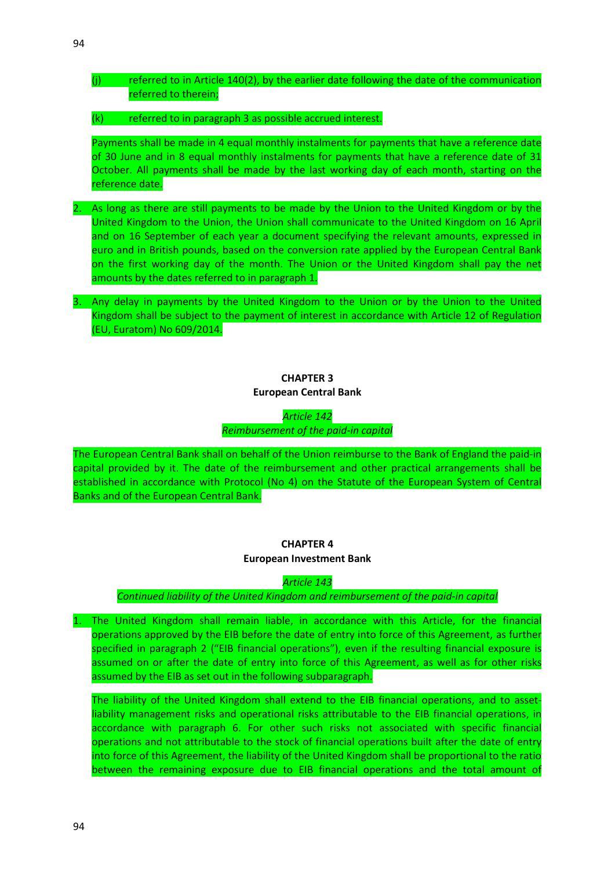(j) referred to in Article 140(2), by the earlier date following the date of the communication referred to therein;

 $(k)$  referred to in paragraph 3 as possible accrued interest.

Payments shall be made in 4 equal monthly instalments for payments that have a reference date of 30 June and in 8 equal monthly instalments for payments that have a reference date of 31 October. All payments shall be made by the last working day of each month, starting on the reference date.

- 2. As long as there are still payments to be made by the Union to the United Kingdom or by the United Kingdom to the Union, the Union shall communicate to the United Kingdom on 16 April and on 16 September of each year a document specifying the relevant amounts, expressed in euro and in British pounds, based on the conversion rate applied by the European Central Bank on the first working day of the month. The Union or the United Kingdom shall pay the net amounts by the dates referred to in paragraph 1.
- 3. Any delay in payments by the United Kingdom to the Union or by the Union to the United Kingdom shall be subject to the payment of interest in accordance with Article 12 of Regulation (EU, Euratom) No 609/2014.

## **CHAPTER 3 European Central Bank**

*Article 142 Reimbursement of the paid-in capital*

The European Central Bank shall on behalf of the Union reimburse to the Bank of England the paid-in capital provided by it. The date of the reimbursement and other practical arrangements shall be established in accordance with Protocol (No 4) on the Statute of the European System of Central Banks and of the European Central Bank.

#### **CHAPTER 4 European Investment Bank**

*Article 143*

## *Continued liability of the United Kingdom and reimbursement of the paid-in capital*

1. The United Kingdom shall remain liable, in accordance with this Article, for the financial operations approved by the EIB before the date of entry into force of this Agreement, as further specified in paragraph 2 ("EIB financial operations"), even if the resulting financial exposure is assumed on or after the date of entry into force of this Agreement, as well as for other risks assumed by the EIB as set out in the following subparagraph.

The liability of the United Kingdom shall extend to the EIB financial operations, and to assetliability management risks and operational risks attributable to the EIB financial operations, in accordance with paragraph 6. For other such risks not associated with specific financial operations and not attributable to the stock of financial operations built after the date of entry into force of this Agreement, the liability of the United Kingdom shall be proportional to the ratio between the remaining exposure due to EIB financial operations and the total amount of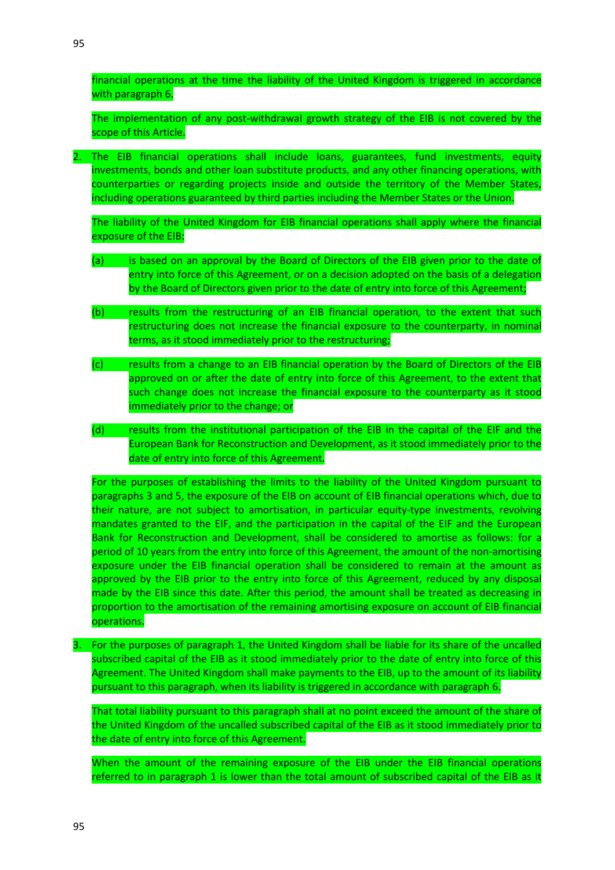financial operations at the time the liability of the United Kingdom is triggered in accordance with paragraph 6.

The implementation of any post-withdrawal growth strategy of the EIB is not covered by the scope of this Article.

2. The EIB financial operations shall include loans, guarantees, fund investments, equity investments, bonds and other loan substitute products, and any other financing operations, with counterparties or regarding projects inside and outside the territory of the Member States, including operations guaranteed by third parties including the Member States or the Union.

The liability of the United Kingdom for EIB financial operations shall apply where the financial exposure of the EIB:

- (a) is based on an approval by the Board of Directors of the EIB given prior to the date of entry into force of this Agreement, or on a decision adopted on the basis of a delegation by the Board of Directors given prior to the date of entry into force of this Agreement;
- (b) results from the restructuring of an EIB financial operation, to the extent that such restructuring does not increase the financial exposure to the counterparty, in nominal terms, as it stood immediately prior to the restructuring;
- (c) results from a change to an EIB financial operation by the Board of Directors of the EIB approved on or after the date of entry into force of this Agreement, to the extent that such change does not increase the financial exposure to the counterparty as it stood immediately prior to the change; or
- (d) results from the institutional participation of the EIB in the capital of the EIF and the European Bank for Reconstruction and Development, as it stood immediately prior to the date of entry into force of this Agreement.

For the purposes of establishing the limits to the liability of the United Kingdom pursuant to paragraphs 3 and 5, the exposure of the EIB on account of EIB financial operations which, due to their nature, are not subject to amortisation, in particular equity-type investments, revolving mandates granted to the EIF, and the participation in the capital of the EIF and the European Bank for Reconstruction and Development, shall be considered to amortise as follows: for a period of 10 years from the entry into force of this Agreement, the amount of the non-amortising exposure under the EIB financial operation shall be considered to remain at the amount as approved by the EIB prior to the entry into force of this Agreement, reduced by any disposal made by the EIB since this date. After this period, the amount shall be treated as decreasing in proportion to the amortisation of the remaining amortising exposure on account of EIB financial operations.

3. For the purposes of paragraph 1, the United Kingdom shall be liable for its share of the uncalled subscribed capital of the EIB as it stood immediately prior to the date of entry into force of this Agreement. The United Kingdom shall make payments to the EIB, up to the amount of its liability pursuant to this paragraph, when its liability is triggered in accordance with paragraph 6.

That total liability pursuant to this paragraph shall at no point exceed the amount of the share of the United Kingdom of the uncalled subscribed capital of the EIB as it stood immediately prior to the date of entry into force of this Agreement.

When the amount of the remaining exposure of the EIB under the EIB financial operations referred to in paragraph 1 is lower than the total amount of subscribed capital of the EIB as it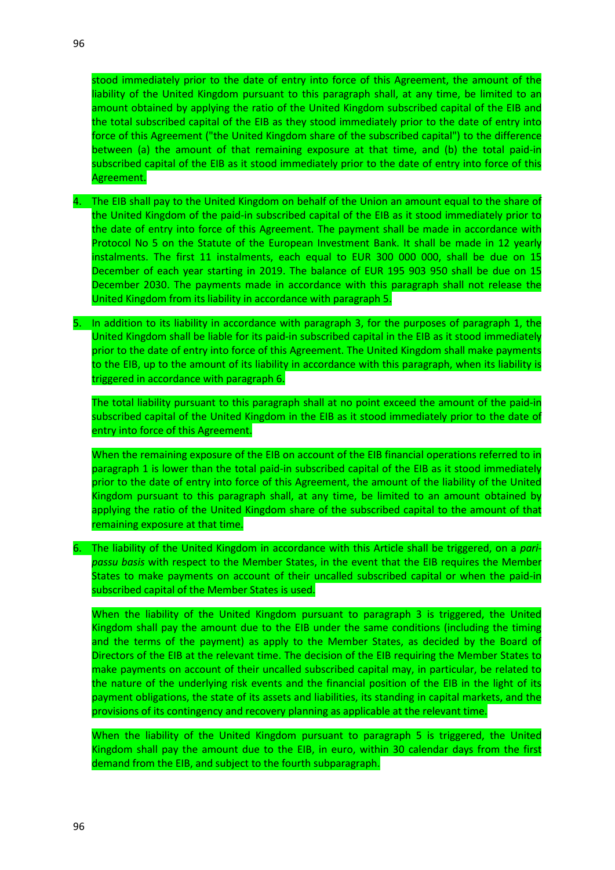stood immediately prior to the date of entry into force of this Agreement, the amount of the liability of the United Kingdom pursuant to this paragraph shall, at any time, be limited to an amount obtained by applying the ratio of the United Kingdom subscribed capital of the EIB and the total subscribed capital of the EIB as they stood immediately prior to the date of entry into force of this Agreement ("the United Kingdom share of the subscribed capital") to the difference between (a) the amount of that remaining exposure at that time, and (b) the total paid-in subscribed capital of the EIB as it stood immediately prior to the date of entry into force of this Agreement.

- 4. The EIB shall pay to the United Kingdom on behalf of the Union an amount equal to the share of the United Kingdom of the paid-in subscribed capital of the EIB as it stood immediately prior to the date of entry into force of this Agreement. The payment shall be made in accordance with Protocol No 5 on the Statute of the European Investment Bank. It shall be made in 12 yearly instalments. The first 11 instalments, each equal to EUR 300 000 000, shall be due on 15 December of each year starting in 2019. The balance of EUR 195 903 950 shall be due on 15 December 2030. The payments made in accordance with this paragraph shall not release the United Kingdom from its liability in accordance with paragraph 5.
- 5. In addition to its liability in accordance with paragraph 3, for the purposes of paragraph 1, the United Kingdom shall be liable for its paid-in subscribed capital in the EIB as it stood immediately prior to the date of entry into force of this Agreement. The United Kingdom shall make payments to the EIB, up to the amount of its liability in accordance with this paragraph, when its liability is triggered in accordance with paragraph 6.

The total liability pursuant to this paragraph shall at no point exceed the amount of the paid-in subscribed capital of the United Kingdom in the EIB as it stood immediately prior to the date of entry into force of this Agreement.

When the remaining exposure of the EIB on account of the EIB financial operations referred to in paragraph 1 is lower than the total paid-in subscribed capital of the EIB as it stood immediately prior to the date of entry into force of this Agreement, the amount of the liability of the United Kingdom pursuant to this paragraph shall, at any time, be limited to an amount obtained by applying the ratio of the United Kingdom share of the subscribed capital to the amount of that remaining exposure at that time.

6. The liability of the United Kingdom in accordance with this Article shall be triggered, on a *paripassu basis* with respect to the Member States, in the event that the EIB requires the Member States to make payments on account of their uncalled subscribed capital or when the paid-in subscribed capital of the Member States is used.

When the liability of the United Kingdom pursuant to paragraph 3 is triggered, the United Kingdom shall pay the amount due to the EIB under the same conditions (including the timing and the terms of the payment) as apply to the Member States, as decided by the Board of Directors of the EIB at the relevant time. The decision of the EIB requiring the Member States to make payments on account of their uncalled subscribed capital may, in particular, be related to the nature of the underlying risk events and the financial position of the EIB in the light of its payment obligations, the state of its assets and liabilities, its standing in capital markets, and the provisions of its contingency and recovery planning as applicable at the relevant time.

When the liability of the United Kingdom pursuant to paragraph 5 is triggered, the United Kingdom shall pay the amount due to the EIB, in euro, within 30 calendar days from the first demand from the EIB, and subject to the fourth subparagraph.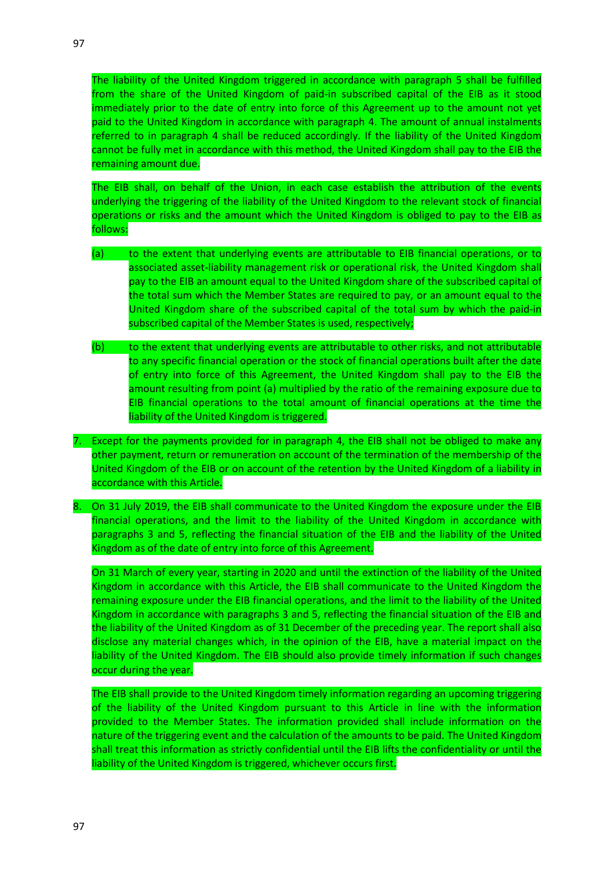The liability of the United Kingdom triggered in accordance with paragraph 5 shall be fulfilled from the share of the United Kingdom of paid-in subscribed capital of the EIB as it stood immediately prior to the date of entry into force of this Agreement up to the amount not yet paid to the United Kingdom in accordance with paragraph 4. The amount of annual instalments referred to in paragraph 4 shall be reduced accordingly. If the liability of the United Kingdom cannot be fully met in accordance with this method, the United Kingdom shall pay to the EIB the remaining amount due.

The EIB shall, on behalf of the Union, in each case establish the attribution of the events underlying the triggering of the liability of the United Kingdom to the relevant stock of financial operations or risks and the amount which the United Kingdom is obliged to pay to the EIB as follows:

- (a) to the extent that underlying events are attributable to EIB financial operations, or to associated asset-liability management risk or operational risk, the United Kingdom shall pay to the EIB an amount equal to the United Kingdom share of the subscribed capital of the total sum which the Member States are required to pay, or an amount equal to the United Kingdom share of the subscribed capital of the total sum by which the paid-in subscribed capital of the Member States is used, respectively;
- (b) to the extent that underlying events are attributable to other risks, and not attributable to any specific financial operation or the stock of financial operations built after the date of entry into force of this Agreement, the United Kingdom shall pay to the EIB the amount resulting from point (a) multiplied by the ratio of the remaining exposure due to EIB financial operations to the total amount of financial operations at the time the liability of the United Kingdom is triggered.
- 7. Except for the payments provided for in paragraph 4, the EIB shall not be obliged to make any other payment, return or remuneration on account of the termination of the membership of the United Kingdom of the EIB or on account of the retention by the United Kingdom of a liability in accordance with this Article.
- 8. On 31 July 2019, the EIB shall communicate to the United Kingdom the exposure under the EIB financial operations, and the limit to the liability of the United Kingdom in accordance with paragraphs 3 and 5, reflecting the financial situation of the EIB and the liability of the United Kingdom as of the date of entry into force of this Agreement.

On 31 March of every year, starting in 2020 and until the extinction of the liability of the United Kingdom in accordance with this Article, the EIB shall communicate to the United Kingdom the remaining exposure under the EIB financial operations, and the limit to the liability of the United Kingdom in accordance with paragraphs 3 and 5, reflecting the financial situation of the EIB and the liability of the United Kingdom as of 31 December of the preceding year. The report shall also disclose any material changes which, in the opinion of the EIB, have a material impact on the liability of the United Kingdom. The EIB should also provide timely information if such changes occur during the year.

The EIB shall provide to the United Kingdom timely information regarding an upcoming triggering of the liability of the United Kingdom pursuant to this Article in line with the information provided to the Member States. The information provided shall include information on the nature of the triggering event and the calculation of the amounts to be paid. The United Kingdom shall treat this information as strictly confidential until the EIB lifts the confidentiality or until the liability of the United Kingdom is triggered, whichever occurs first.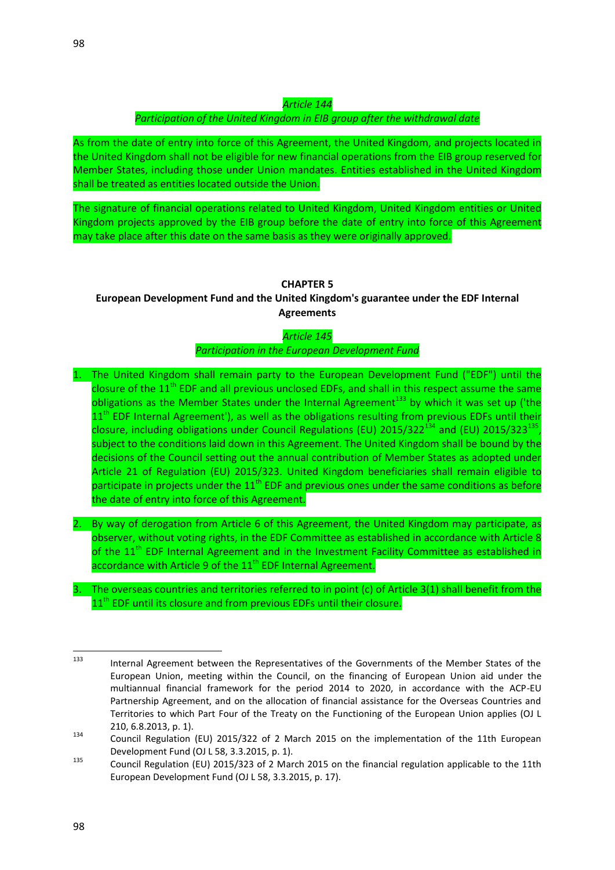## *Participation of the United Kingdom in EIB group after the withdrawal date*

As from the date of entry into force of this Agreement, the United Kingdom, and projects located in the United Kingdom shall not be eligible for new financial operations from the EIB group reserved for Member States, including those under Union mandates. Entities established in the United Kingdom shall be treated as entities located outside the Union.

The signature of financial operations related to United Kingdom, United Kingdom entities or United Kingdom projects approved by the EIB group before the date of entry into force of this Agreement may take place after this date on the same basis as they were originally approved.

### **CHAPTER 5**

**European Development Fund and the United Kingdom's guarantee under the EDF Internal Agreements**

## *Article 145*

#### *Participation in the European Development Fund*

- 1. The United Kingdom shall remain party to the European Development Fund ("EDF") until the closure of the  $11<sup>th</sup>$  EDF and all previous unclosed EDFs, and shall in this respect assume the same obligations as the Member States under the Internal Agreement<sup>133</sup> by which it was set up ('the  $11<sup>th</sup>$  EDF Internal Agreement'), as well as the obligations resulting from previous EDFs until their closure, including obligations under Council Regulations (EU) 2015/322 $^{134}$  and (EU) 2015/323 $^{135}$ , subject to the conditions laid down in this Agreement. The United Kingdom shall be bound by the decisions of the Council setting out the annual contribution of Member States as adopted under Article 21 of Regulation (EU) 2015/323. United Kingdom beneficiaries shall remain eligible to participate in projects under the 11<sup>th</sup> EDF and previous ones under the same conditions as before the date of entry into force of this Agreement.
- 2. By way of derogation from Article 6 of this Agreement, the United Kingdom may participate, as observer, without voting rights, in the EDF Committee as established in accordance with Article 8 of the 11<sup>th</sup> EDF Internal Agreement and in the Investment Facility Committee as established in accordance with Article 9 of the  $11<sup>th</sup>$  EDF Internal Agreement.
- 3. The overseas countries and territories referred to in point (c) of Article 3(1) shall benefit from the 11<sup>th</sup> EDF until its closure and from previous EDFs until their closure.

<sup>133</sup> <sup>133</sup> Internal Agreement between the Representatives of the Governments of the Member States of the European Union, meeting within the Council, on the financing of European Union aid under the multiannual financial framework for the period 2014 to 2020, in accordance with the ACP-EU Partnership Agreement, and on the allocation of financial assistance for the Overseas Countries and Territories to which Part Four of the Treaty on the Functioning of the European Union applies (OJ L 210, 6.8.2013, p. 1).

<sup>&</sup>lt;sup>134</sup> Council Regulation (EU) 2015/322 of 2 March 2015 on the implementation of the 11th European Development Fund (OJ L 58, 3.3.2015, p. 1).

<sup>135</sup> Council Regulation (EU) 2015/323 of 2 March 2015 on the financial regulation applicable to the 11th European Development Fund (OJ L 58, 3.3.2015, p. 17).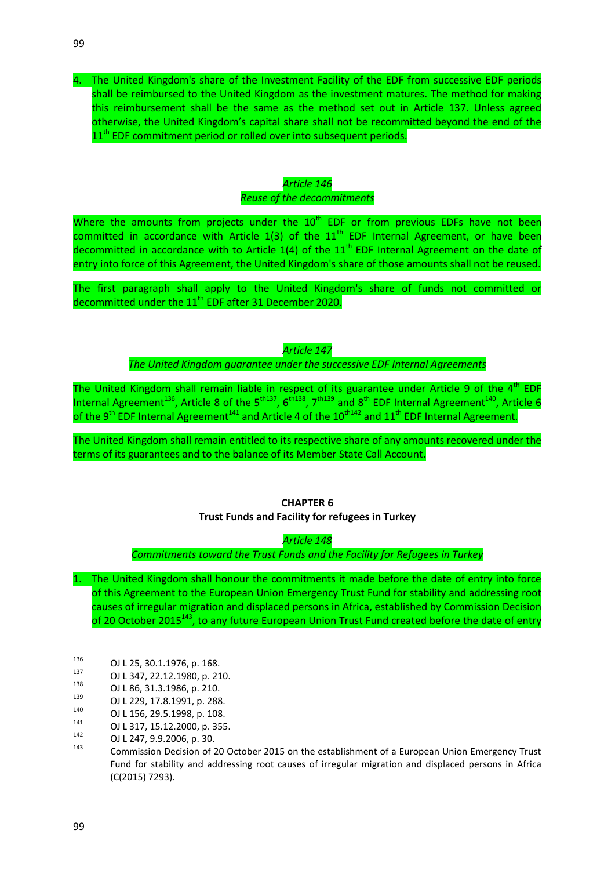4. The United Kingdom's share of the Investment Facility of the EDF from successive EDF periods shall be reimbursed to the United Kingdom as the investment matures. The method for making this reimbursement shall be the same as the method set out in Article 137. Unless agreed otherwise, the United Kingdom's capital share shall not be recommitted beyond the end of the  $11<sup>th</sup>$  EDF commitment period or rolled over into subsequent periods.

## *Article 146 Reuse of the decommitments*

Where the amounts from projects under the  $10<sup>th</sup>$  EDF or from previous EDFs have not been committed in accordance with Article 1(3) of the  $11<sup>th</sup>$  EDF Internal Agreement, or have been decommitted in accordance with to Article  $1(4)$  of the  $11<sup>th</sup>$  EDF Internal Agreement on the date of entry into force of this Agreement, the United Kingdom's share of those amounts shall not be reused.

The first paragraph shall apply to the United Kingdom's share of funds not committed or decommitted under the  $11<sup>th</sup>$  EDF after 31 December 2020.

*Article 147*

*The United Kingdom guarantee under the successive EDF Internal Agreements*

The United Kingdom shall remain liable in respect of its guarantee under Article 9 of the  $4^{\text{th}}$  EDF Internal Agreement<sup>136</sup>, Article 8 of the 5<sup>th137</sup>, 6<sup>th138</sup>, 7<sup>th139</sup> and 8<sup>th</sup> EDF Internal Agreement<sup>140</sup>, Article 6 of the 9<sup>th</sup> EDF Internal Agreement<sup>141</sup> and Article 4 of the  $10^{th142}$  and  $11^{th}$  EDF Internal Agreement.

The United Kingdom shall remain entitled to its respective share of any amounts recovered under the terms of its guarantees and to the balance of its Member State Call Account.

#### **CHAPTER 6**

**Trust Funds and Facility for refugees in Turkey**

#### *Article 148*

*Commitments toward the Trust Funds and the Facility for Refugees in Turkey*

1. The United Kingdom shall honour the commitments it made before the date of entry into force of this Agreement to the European Union Emergency Trust Fund for stability and addressing root causes of irregular migration and displaced persons in Africa, established by Commission Decision of 20 October 2015<sup>143</sup>, to any future European Union Trust Fund created before the date of entry

<sup>136</sup>  $136$  OJ L 25, 30.1.1976, p. 168.

 $137$  OJ L 347, 22.12.1980, p. 210.

 $138$  OJ L 86, 31.3.1986, p. 210.

 $1^{139}$  OJ L 229, 17.8.1991, p. 288.

 $140$  OJ L 156, 29.5.1998, p. 108.

 $141$  OJ L 317, 15.12.2000, p. 355.

 $142$  OJ L 247, 9.9.2006, p. 30.

Commission Decision of 20 October 2015 on the establishment of a European Union Emergency Trust Fund for stability and addressing root causes of irregular migration and displaced persons in Africa (C(2015) 7293).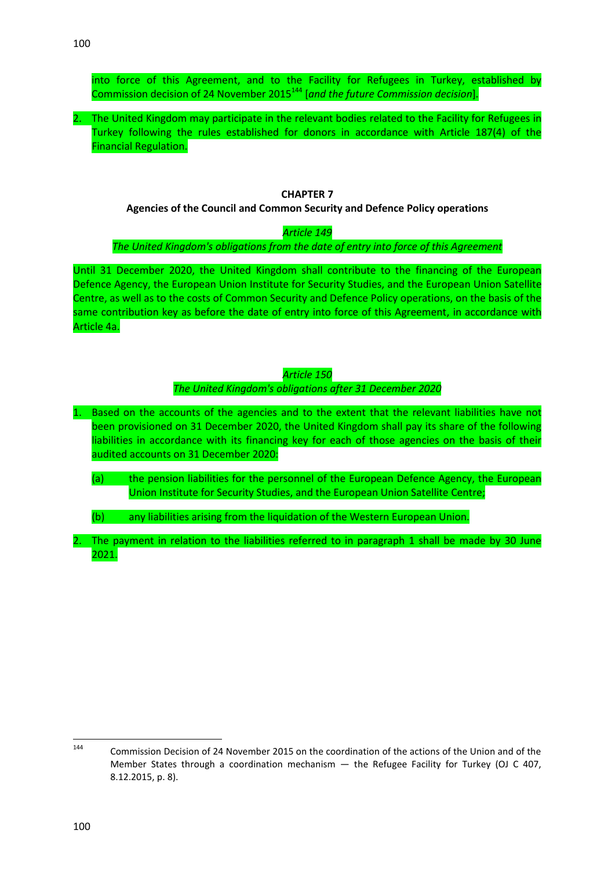into force of this Agreement, and to the Facility for Refugees in Turkey, established by Commission decision of 24 November 2015<sup>144</sup> [and the future Commission decision].

2. The United Kingdom may participate in the relevant bodies related to the Facility for Refugees in Turkey following the rules established for donors in accordance with Article 187(4) of the Financial Regulation.

## **CHAPTER 7**

### **Agencies of the Council and Common Security and Defence Policy operations**

### *Article 149*

### *The United Kingdom's obligations from the date of entry into force of this Agreement*

Until 31 December 2020, the United Kingdom shall contribute to the financing of the European Defence Agency, the European Union Institute for Security Studies, and the European Union Satellite Centre, as well as to the costs of Common Security and Defence Policy operations, on the basis of the same contribution key as before the date of entry into force of this Agreement, in accordance with Article 4a.

### *Article 150*

### *The United Kingdom's obligations after 31 December 2020*

- 1. Based on the accounts of the agencies and to the extent that the relevant liabilities have not been provisioned on 31 December 2020, the United Kingdom shall pay its share of the following liabilities in accordance with its financing key for each of those agencies on the basis of their audited accounts on 31 December 2020:
	- (a) the pension liabilities for the personnel of the European Defence Agency, the European Union Institute for Security Studies, and the European Union Satellite Centre;
	- (b) any liabilities arising from the liquidation of the Western European Union.
- The payment in relation to the liabilities referred to in paragraph 1 shall be made by 30 June 2021.

<sup>144</sup> <sup>144</sup> Commission Decision of 24 November 2015 on the coordination of the actions of the Union and of the Member States through a coordination mechanism  $-$  the Refugee Facility for Turkey (OJ C 407, 8.12.2015, p. 8).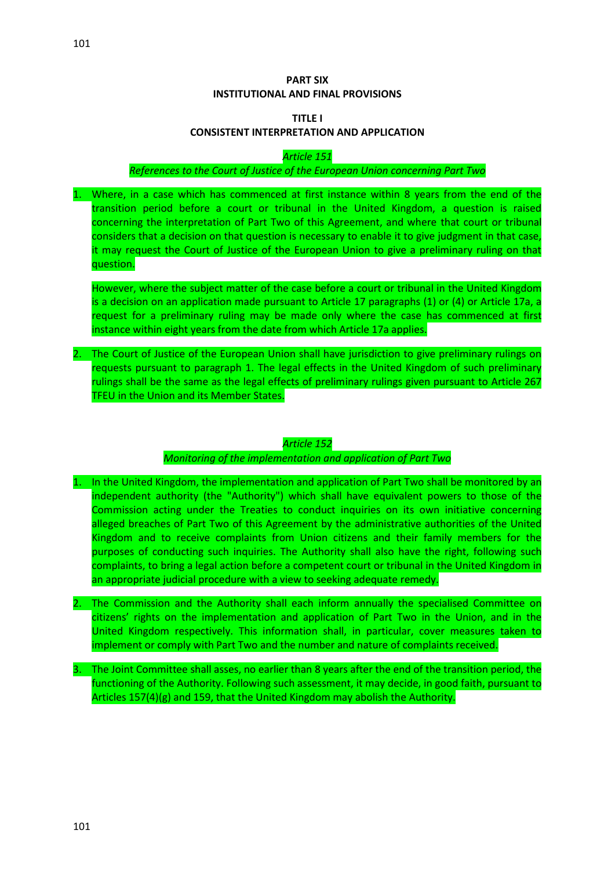### **PART SIX INSTITUTIONAL AND FINAL PROVISIONS**

## **TITLE I CONSISTENT INTERPRETATION AND APPLICATION**

## *Article 151*

## *References to the Court of Justice of the European Union concerning Part Two*

1. Where, in a case which has commenced at first instance within 8 years from the end of the transition period before a court or tribunal in the United Kingdom, a question is raised concerning the interpretation of Part Two of this Agreement, and where that court or tribunal considers that a decision on that question is necessary to enable it to give judgment in that case, it may request the Court of Justice of the European Union to give a preliminary ruling on that question.

However, where the subject matter of the case before a court or tribunal in the United Kingdom is a decision on an application made pursuant to Article 17 paragraphs (1) or (4) or Article 17a, a request for a preliminary ruling may be made only where the case has commenced at first instance within eight years from the date from which Article 17a applies.

2. The Court of Justice of the European Union shall have jurisdiction to give preliminary rulings on requests pursuant to paragraph 1. The legal effects in the United Kingdom of such preliminary rulings shall be the same as the legal effects of preliminary rulings given pursuant to Article 267 TFEU in the Union and its Member States.

### *Article 152*

#### *Monitoring of the implementation and application of Part Two*

- 1. In the United Kingdom, the implementation and application of Part Two shall be monitored by an independent authority (the "Authority") which shall have equivalent powers to those of the Commission acting under the Treaties to conduct inquiries on its own initiative concerning alleged breaches of Part Two of this Agreement by the administrative authorities of the United Kingdom and to receive complaints from Union citizens and their family members for the purposes of conducting such inquiries. The Authority shall also have the right, following such complaints, to bring a legal action before a competent court or tribunal in the United Kingdom in an appropriate judicial procedure with a view to seeking adequate remedy.
- 2. The Commission and the Authority shall each inform annually the specialised Committee on citizens' rights on the implementation and application of Part Two in the Union, and in the United Kingdom respectively. This information shall, in particular, cover measures taken to implement or comply with Part Two and the number and nature of complaints received.
- 3. The Joint Committee shall asses, no earlier than 8 years after the end of the transition period, the functioning of the Authority. Following such assessment, it may decide, in good faith, pursuant to Articles 157(4)(g) and 159, that the United Kingdom may abolish the Authority.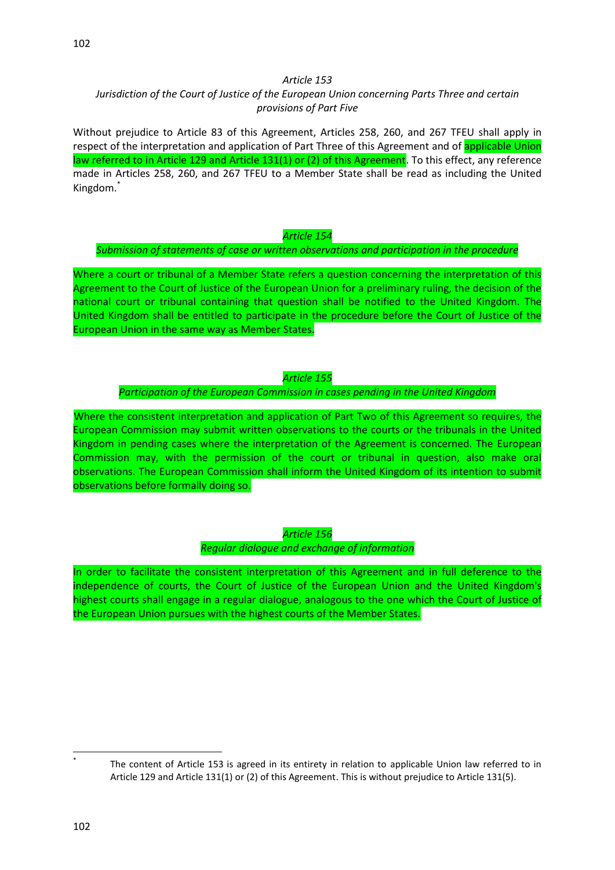# *Jurisdiction of the Court of Justice of the European Union concerning Parts Three and certain provisions of Part Five*

Without prejudice to Article 83 of this Agreement, Articles 258, 260, and 267 TFEU shall apply in respect of the interpretation and application of Part Three of this Agreement and of applicable Union law referred to in Article 129 and Article 131(1) or (2) of this Agreement. To this effect, any reference made in Articles 258, 260, and 267 TFEU to a Member State shall be read as including the United Kingdom.\*

### *Article 154*

## *Submission of statements of case or written observations and participation in the procedure*

Where a court or tribunal of a Member State refers a question concerning the interpretation of this Agreement to the Court of Justice of the European Union for a preliminary ruling, the decision of the national court or tribunal containing that question shall be notified to the United Kingdom. The United Kingdom shall be entitled to participate in the procedure before the Court of Justice of the European Union in the same way as Member States.

### *Article 155*

## *Participation of the European Commission in cases pending in the United Kingdom*

Where the consistent interpretation and application of Part Two of this Agreement so requires, the European Commission may submit written observations to the courts or the tribunals in the United Kingdom in pending cases where the interpretation of the Agreement is concerned. The European Commission may, with the permission of the court or tribunal in question, also make oral observations. The European Commission shall inform the United Kingdom of its intention to submit observations before formally doing so.

### *Article 156 Regular dialogue and exchange of information*

In order to facilitate the consistent interpretation of this Agreement and in full deference to the independence of courts, the Court of Justice of the European Union and the United Kingdom's highest courts shall engage in a regular dialogue, analogous to the one which the Court of Justice of the European Union pursues with the highest courts of the Member States.

 $\overline{a}$ \*

The content of Article 153 is agreed in its entirety in relation to applicable Union law referred to in Article 129 and Article 131(1) or (2) of this Agreement. This is without prejudice to Article 131(5).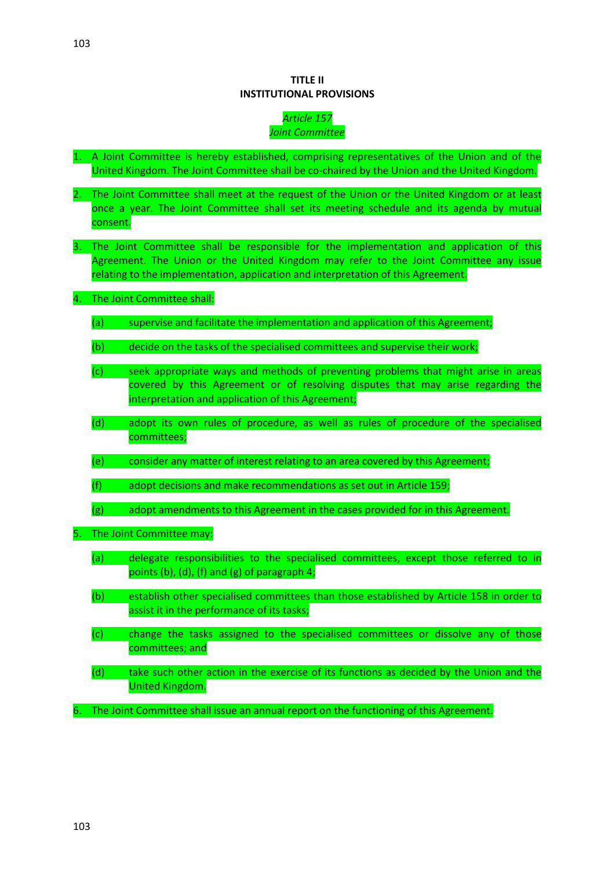### **TITLE II INSTITUTIONAL PROVISIONS**

# *Article 157 Joint Committee*

- 1. A Joint Committee is hereby established, comprising representatives of the Union and of the United Kingdom. The Joint Committee shall be co-chaired by the Union and the United Kingdom.
- 2. The Joint Committee shall meet at the request of the Union or the United Kingdom or at least once a year. The Joint Committee shall set its meeting schedule and its agenda by mutual consent.
- 3. The Joint Committee shall be responsible for the implementation and application of this Agreement. The Union or the United Kingdom may refer to the Joint Committee any issue relating to the implementation, application and interpretation of this Agreement.

## 4. The Joint Committee shall:

- (a) supervise and facilitate the implementation and application of this Agreement;
- (b) decide on the tasks of the specialised committees and supervise their work;
- (c) seek appropriate ways and methods of preventing problems that might arise in areas covered by this Agreement or of resolving disputes that may arise regarding the interpretation and application of this Agreement;
- (d) adopt its own rules of procedure, as well as rules of procedure of the specialised committees;
- (e) consider any matter of interest relating to an area covered by this Agreement;
- (f) adopt decisions and make recommendations as set out in Article 159;
- (g) adopt amendments to this Agreement in the cases provided for in this Agreement.
- 5. The Joint Committee may:
	- (a) delegate responsibilities to the specialised committees, except those referred to in points (b), (d), (f) and (g) of paragraph  $4$ ;
	- (b) establish other specialised committees than those established by Article 158 in order to assist it in the performance of its tasks;
	- (c) change the tasks assigned to the specialised committees or dissolve any of those committees; and
	- (d) take such other action in the exercise of its functions as decided by the Union and the United Kingdom.
- 6. The Joint Committee shall issue an annual report on the functioning of this Agreement.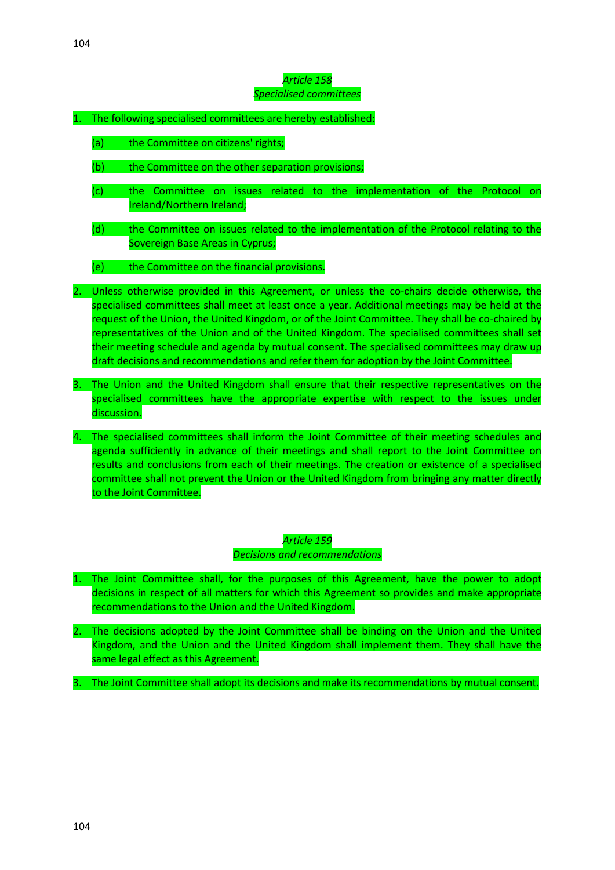## *Article 158 Specialised committees*

- 1. The following specialised committees are hereby established:
	- (a) the Committee on citizens' rights;
	- (b) the Committee on the other separation provisions;
	- (c) the Committee on issues related to the implementation of the Protocol on Ireland/Northern Ireland;
	- (d) the Committee on issues related to the implementation of the Protocol relating to the Sovereign Base Areas in Cyprus;
	- (e) the Committee on the financial provisions.
- 2. Unless otherwise provided in this Agreement, or unless the co-chairs decide otherwise, the specialised committees shall meet at least once a year. Additional meetings may be held at the request of the Union, the United Kingdom, or of the Joint Committee. They shall be co-chaired by representatives of the Union and of the United Kingdom. The specialised committees shall set their meeting schedule and agenda by mutual consent. The specialised committees may draw up draft decisions and recommendations and refer them for adoption by the Joint Committee.
- 3. The Union and the United Kingdom shall ensure that their respective representatives on the specialised committees have the appropriate expertise with respect to the issues under discussion.
- 4. The specialised committees shall inform the Joint Committee of their meeting schedules and agenda sufficiently in advance of their meetings and shall report to the Joint Committee on results and conclusions from each of their meetings. The creation or existence of a specialised committee shall not prevent the Union or the United Kingdom from bringing any matter directly to the Joint Committee.

#### *Article 159*

#### *Decisions and recommendations*

- 1. The Joint Committee shall, for the purposes of this Agreement, have the power to adopt decisions in respect of all matters for which this Agreement so provides and make appropriate recommendations to the Union and the United Kingdom.
- 2. The decisions adopted by the Joint Committee shall be binding on the Union and the United Kingdom, and the Union and the United Kingdom shall implement them. They shall have the same legal effect as this Agreement.
- 3. The Joint Committee shall adopt its decisions and make its recommendations by mutual consent.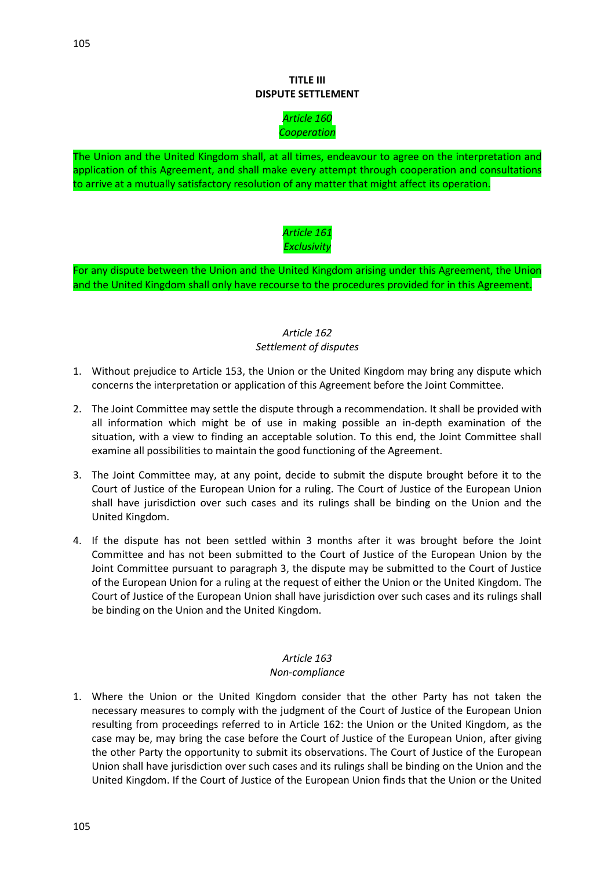### **TITLE III DISPUTE SETTLEMENT**

# *Article 160 Cooperation*

The Union and the United Kingdom shall, at all times, endeavour to agree on the interpretation and application of this Agreement, and shall make every attempt through cooperation and consultations to arrive at a mutually satisfactory resolution of any matter that might affect its operation.

# *Article 161 Exclusivity*

For any dispute between the Union and the United Kingdom arising under this Agreement, the Union and the United Kingdom shall only have recourse to the procedures provided for in this Agreement.

# *Article 162 Settlement of disputes*

- 1. Without prejudice to Article 153, the Union or the United Kingdom may bring any dispute which concerns the interpretation or application of this Agreement before the Joint Committee.
- 2. The Joint Committee may settle the dispute through a recommendation. It shall be provided with all information which might be of use in making possible an in-depth examination of the situation, with a view to finding an acceptable solution. To this end, the Joint Committee shall examine all possibilities to maintain the good functioning of the Agreement.
- 3. The Joint Committee may, at any point, decide to submit the dispute brought before it to the Court of Justice of the European Union for a ruling. The Court of Justice of the European Union shall have jurisdiction over such cases and its rulings shall be binding on the Union and the United Kingdom.
- 4. If the dispute has not been settled within 3 months after it was brought before the Joint Committee and has not been submitted to the Court of Justice of the European Union by the Joint Committee pursuant to paragraph 3, the dispute may be submitted to the Court of Justice of the European Union for a ruling at the request of either the Union or the United Kingdom. The Court of Justice of the European Union shall have jurisdiction over such cases and its rulings shall be binding on the Union and the United Kingdom.

# *Article 163*

## *Non-compliance*

1. Where the Union or the United Kingdom consider that the other Party has not taken the necessary measures to comply with the judgment of the Court of Justice of the European Union resulting from proceedings referred to in Article 162: the Union or the United Kingdom, as the case may be, may bring the case before the Court of Justice of the European Union, after giving the other Party the opportunity to submit its observations. The Court of Justice of the European Union shall have jurisdiction over such cases and its rulings shall be binding on the Union and the United Kingdom. If the Court of Justice of the European Union finds that the Union or the United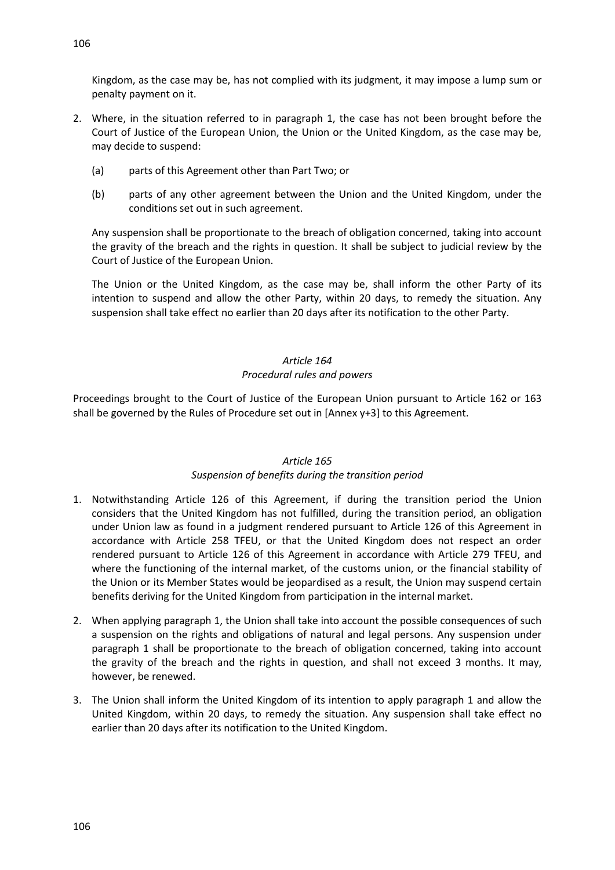Kingdom, as the case may be, has not complied with its judgment, it may impose a lump sum or penalty payment on it.

- 2. Where, in the situation referred to in paragraph 1, the case has not been brought before the Court of Justice of the European Union, the Union or the United Kingdom, as the case may be, may decide to suspend:
	- (a) parts of this Agreement other than Part Two; or
	- (b) parts of any other agreement between the Union and the United Kingdom, under the conditions set out in such agreement.

Any suspension shall be proportionate to the breach of obligation concerned, taking into account the gravity of the breach and the rights in question. It shall be subject to judicial review by the Court of Justice of the European Union.

The Union or the United Kingdom, as the case may be, shall inform the other Party of its intention to suspend and allow the other Party, within 20 days, to remedy the situation. Any suspension shall take effect no earlier than 20 days after its notification to the other Party.

## *Article 164 Procedural rules and powers*

Proceedings brought to the Court of Justice of the European Union pursuant to Article 162 or 163 shall be governed by the Rules of Procedure set out in [Annex y+3] to this Agreement.

#### *Article 165*

## *Suspension of benefits during the transition period*

- 1. Notwithstanding Article 126 of this Agreement, if during the transition period the Union considers that the United Kingdom has not fulfilled, during the transition period, an obligation under Union law as found in a judgment rendered pursuant to Article 126 of this Agreement in accordance with Article 258 TFEU, or that the United Kingdom does not respect an order rendered pursuant to Article 126 of this Agreement in accordance with Article 279 TFEU, and where the functioning of the internal market, of the customs union, or the financial stability of the Union or its Member States would be jeopardised as a result, the Union may suspend certain benefits deriving for the United Kingdom from participation in the internal market.
- 2. When applying paragraph 1, the Union shall take into account the possible consequences of such a suspension on the rights and obligations of natural and legal persons. Any suspension under paragraph 1 shall be proportionate to the breach of obligation concerned, taking into account the gravity of the breach and the rights in question, and shall not exceed 3 months. It may, however, be renewed.
- 3. The Union shall inform the United Kingdom of its intention to apply paragraph 1 and allow the United Kingdom, within 20 days, to remedy the situation. Any suspension shall take effect no earlier than 20 days after its notification to the United Kingdom.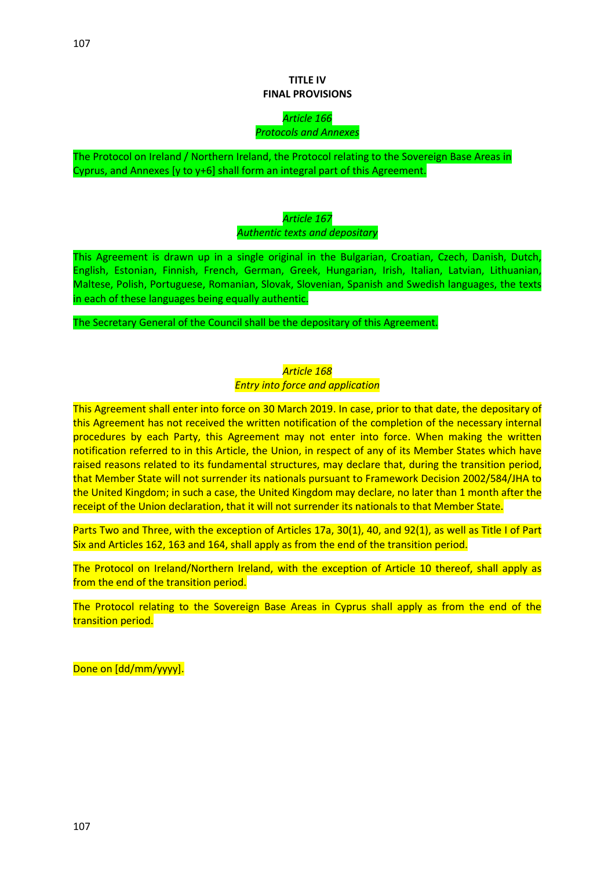## **TITLE IV FINAL PROVISIONS**

# *Article 166 Protocols and Annexes*

The Protocol on Ireland / Northern Ireland, the Protocol relating to the Sovereign Base Areas in Cyprus, and Annexes [y to y+6] shall form an integral part of this Agreement.

# *Article 167 Authentic texts and depositary*

This Agreement is drawn up in a single original in the Bulgarian, Croatian, Czech, Danish, Dutch, English, Estonian, Finnish, French, German, Greek, Hungarian, Irish, Italian, Latvian, Lithuanian, Maltese, Polish, Portuguese, Romanian, Slovak, Slovenian, Spanish and Swedish languages, the texts in each of these languages being equally authentic.

The Secretary General of the Council shall be the depositary of this Agreement.

# *Article 168 Entry into force and application*

This Agreement shall enter into force on 30 March 2019. In case, prior to that date, the depositary of this Agreement has not received the written notification of the completion of the necessary internal procedures by each Party, this Agreement may not enter into force. When making the written notification referred to in this Article, the Union, in respect of any of its Member States which have raised reasons related to its fundamental structures, may declare that, during the transition period, that Member State will not surrender its nationals pursuant to Framework Decision 2002/584/JHA to the United Kingdom; in such a case, the United Kingdom may declare, no later than 1 month after the receipt of the Union declaration, that it will not surrender its nationals to that Member State.

Parts Two and Three, with the exception of Articles 17a, 30(1), 40, and 92(1), as well as Title I of Part Six and Articles 162, 163 and 164, shall apply as from the end of the transition period.

The Protocol on Ireland/Northern Ireland, with the exception of Article 10 thereof, shall apply as from the end of the transition period.

The Protocol relating to the Sovereign Base Areas in Cyprus shall apply as from the end of the transition period.

Done on [dd/mm/yyyy].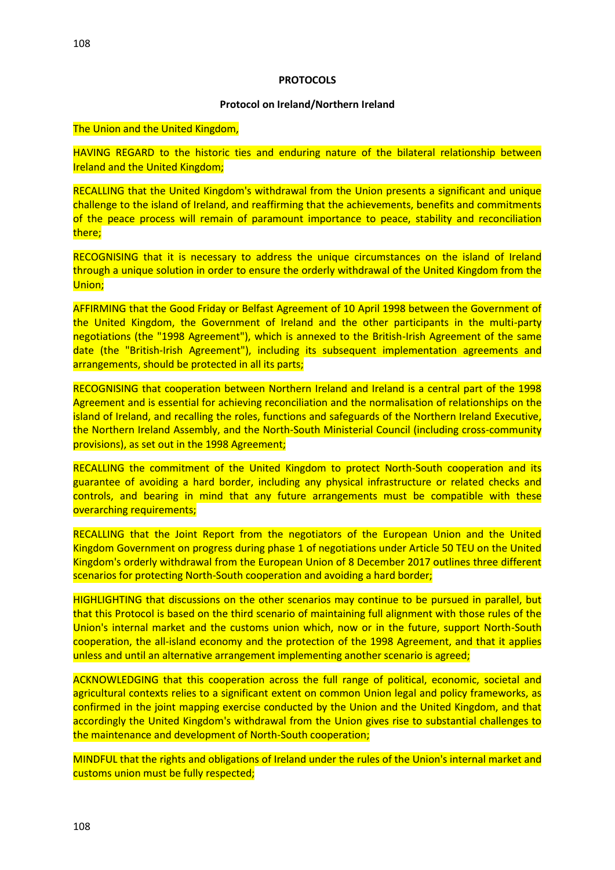#### **Protocol on Ireland/Northern Ireland**

#### <span id="page-108-1"></span><span id="page-108-0"></span>The Union and the United Kingdom,

HAVING REGARD to the historic ties and enduring nature of the bilateral relationship between Ireland and the United Kingdom;

RECALLING that the United Kingdom's withdrawal from the Union presents a significant and unique challenge to the island of Ireland, and reaffirming that the achievements, benefits and commitments of the peace process will remain of paramount importance to peace, stability and reconciliation there;

RECOGNISING that it is necessary to address the unique circumstances on the island of Ireland through a unique solution in order to ensure the orderly withdrawal of the United Kingdom from the Union;

AFFIRMING that the Good Friday or Belfast Agreement of 10 April 1998 between the Government of the United Kingdom, the Government of Ireland and the other participants in the multi-party negotiations (the "1998 Agreement"), which is annexed to the British-Irish Agreement of the same date (the "British-Irish Agreement"), including its subsequent implementation agreements and arrangements, should be protected in all its parts;

RECOGNISING that cooperation between Northern Ireland and Ireland is a central part of the 1998 Agreement and is essential for achieving reconciliation and the normalisation of relationships on the island of Ireland, and recalling the roles, functions and safeguards of the Northern Ireland Executive, the Northern Ireland Assembly, and the North-South Ministerial Council (including cross-community provisions), as set out in the 1998 Agreement;

RECALLING the commitment of the United Kingdom to protect North-South cooperation and its guarantee of avoiding a hard border, including any physical infrastructure or related checks and controls, and bearing in mind that any future arrangements must be compatible with these overarching requirements;

RECALLING that the Joint Report from the negotiators of the European Union and the United Kingdom Government on progress during phase 1 of negotiations under Article 50 TEU on the United Kingdom's orderly withdrawal from the European Union of 8 December 2017 outlines three different scenarios for protecting North-South cooperation and avoiding a hard border;

HIGHLIGHTING that discussions on the other scenarios may continue to be pursued in parallel, but that this Protocol is based on the third scenario of maintaining full alignment with those rules of the Union's internal market and the customs union which, now or in the future, support North-South cooperation, the all-island economy and the protection of the 1998 Agreement, and that it applies unless and until an alternative arrangement implementing another scenario is agreed;

ACKNOWLEDGING that this cooperation across the full range of political, economic, societal and agricultural contexts relies to a significant extent on common Union legal and policy frameworks, as confirmed in the joint mapping exercise conducted by the Union and the United Kingdom, and that accordingly the United Kingdom's withdrawal from the Union gives rise to substantial challenges to the maintenance and development of North-South cooperation;

MINDFUL that the rights and obligations of Ireland under the rules of the Union's internal market and customs union must be fully respected;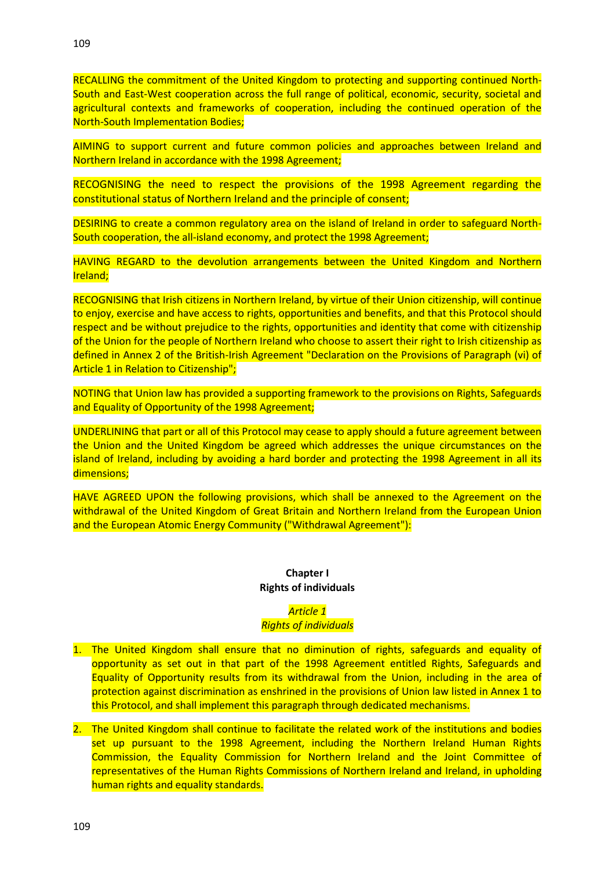RECALLING the commitment of the United Kingdom to protecting and supporting continued North-South and East-West cooperation across the full range of political, economic, security, societal and agricultural contexts and frameworks of cooperation, including the continued operation of the North-South Implementation Bodies;

AIMING to support current and future common policies and approaches between Ireland and Northern Ireland in accordance with the 1998 Agreement;

RECOGNISING the need to respect the provisions of the 1998 Agreement regarding the constitutional status of Northern Ireland and the principle of consent;

DESIRING to create a common regulatory area on the island of Ireland in order to safeguard North-South cooperation, the all-island economy, and protect the 1998 Agreement;

HAVING REGARD to the devolution arrangements between the United Kingdom and Northern Ireland;

RECOGNISING that Irish citizens in Northern Ireland, by virtue of their Union citizenship, will continue to enjoy, exercise and have access to rights, opportunities and benefits, and that this Protocol should respect and be without prejudice to the rights, opportunities and identity that come with citizenship of the Union for the people of Northern Ireland who choose to assert their right to Irish citizenship as defined in Annex 2 of the British-Irish Agreement "Declaration on the Provisions of Paragraph (vi) of Article 1 in Relation to Citizenship";

NOTING that Union law has provided a supporting framework to the provisions on Rights, Safeguards and Equality of Opportunity of the 1998 Agreement;

UNDERLINING that part or all of this Protocol may cease to apply should a future agreement between the Union and the United Kingdom be agreed which addresses the unique circumstances on the island of Ireland, including by avoiding a hard border and protecting the 1998 Agreement in all its dimensions;

<span id="page-109-0"></span>HAVE AGREED UPON the following provisions, which shall be annexed to the Agreement on the withdrawal of the United Kingdom of Great Britain and Northern Ireland from the European Union and the European Atomic Energy Community ("Withdrawal Agreement"):

#### **Chapter I Rights of individuals**

## *Article 1*

## *Rights of individuals*

- <span id="page-109-1"></span>1. The United Kingdom shall ensure that no diminution of rights, safeguards and equality of opportunity as set out in that part of the 1998 Agreement entitled Rights, Safeguards and Equality of Opportunity results from its withdrawal from the Union, including in the area of protection against discrimination as enshrined in the provisions of Union law listed in Annex 1 to this Protocol, and shall implement this paragraph through dedicated mechanisms.
- 2. The United Kingdom shall continue to facilitate the related work of the institutions and bodies set up pursuant to the 1998 Agreement, including the Northern Ireland Human Rights Commission, the Equality Commission for Northern Ireland and the Joint Committee of representatives of the Human Rights Commissions of Northern Ireland and Ireland, in upholding human rights and equality standards.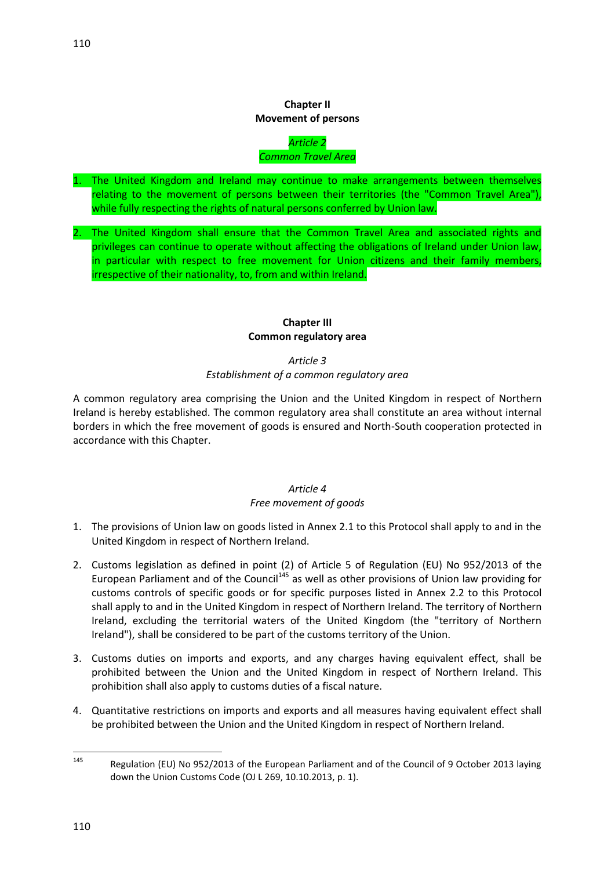## **Chapter II Movement of persons**

# *Article 2 Common Travel Area*

- <span id="page-110-1"></span><span id="page-110-0"></span>1. The United Kingdom and Ireland may continue to make arrangements between themselves relating to the movement of persons between their territories (the "Common Travel Area"), while fully respecting the rights of natural persons conferred by Union law.
- 2. The United Kingdom shall ensure that the Common Travel Area and associated rights and privileges can continue to operate without affecting the obligations of Ireland under Union law, in particular with respect to free movement for Union citizens and their family members, irrespective of their nationality, to, from and within Ireland.

### **Chapter III Common regulatory area**

## *Article 3 Establishment of a common regulatory area*

<span id="page-110-3"></span><span id="page-110-2"></span>A common regulatory area comprising the Union and the United Kingdom in respect of Northern Ireland is hereby established. The common regulatory area shall constitute an area without internal borders in which the free movement of goods is ensured and North-South cooperation protected in accordance with this Chapter.

## *Article 4 Free movement of goods*

- <span id="page-110-4"></span>1. The provisions of Union law on goods listed in Annex 2.1 to this Protocol shall apply to and in the United Kingdom in respect of Northern Ireland.
- 2. Customs legislation as defined in point (2) of Article 5 of Regulation (EU) No 952/2013 of the European Parliament and of the Council<sup>145</sup> as well as other provisions of Union law providing for customs controls of specific goods or for specific purposes listed in Annex 2.2 to this Protocol shall apply to and in the United Kingdom in respect of Northern Ireland. The territory of Northern Ireland, excluding the territorial waters of the United Kingdom (the "territory of Northern Ireland"), shall be considered to be part of the customs territory of the Union.
- 3. Customs duties on imports and exports, and any charges having equivalent effect, shall be prohibited between the Union and the United Kingdom in respect of Northern Ireland. This prohibition shall also apply to customs duties of a fiscal nature.
- 4. Quantitative restrictions on imports and exports and all measures having equivalent effect shall be prohibited between the Union and the United Kingdom in respect of Northern Ireland.

<sup>145</sup> Regulation (EU) No 952/2013 of the European Parliament and of the Council of 9 October 2013 laying down the Union Customs Code (OJ L 269, 10.10.2013, p. 1).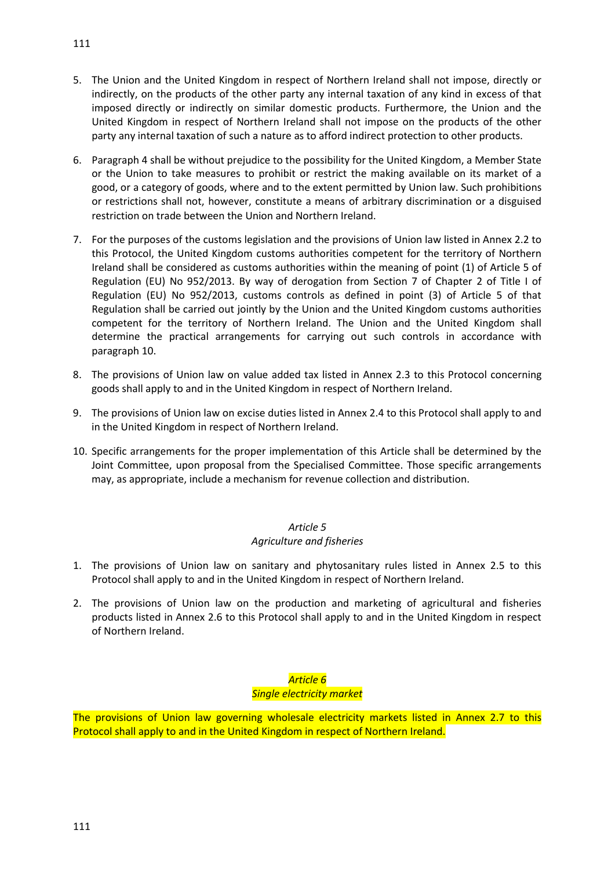- 5. The Union and the United Kingdom in respect of Northern Ireland shall not impose, directly or indirectly, on the products of the other party any internal taxation of any kind in excess of that imposed directly or indirectly on similar domestic products. Furthermore, the Union and the United Kingdom in respect of Northern Ireland shall not impose on the products of the other party any internal taxation of such a nature as to afford indirect protection to other products.
- 6. Paragraph 4 shall be without prejudice to the possibility for the United Kingdom, a Member State or the Union to take measures to prohibit or restrict the making available on its market of a good, or a category of goods, where and to the extent permitted by Union law. Such prohibitions or restrictions shall not, however, constitute a means of arbitrary discrimination or a disguised restriction on trade between the Union and Northern Ireland.
- 7. For the purposes of the customs legislation and the provisions of Union law listed in Annex 2.2 to this Protocol, the United Kingdom customs authorities competent for the territory of Northern Ireland shall be considered as customs authorities within the meaning of point (1) of Article 5 of Regulation (EU) No 952/2013. By way of derogation from Section 7 of Chapter 2 of Title I of Regulation (EU) No 952/2013, customs controls as defined in point (3) of Article 5 of that Regulation shall be carried out jointly by the Union and the United Kingdom customs authorities competent for the territory of Northern Ireland. The Union and the United Kingdom shall determine the practical arrangements for carrying out such controls in accordance with paragraph 10.
- 8. The provisions of Union law on value added tax listed in Annex 2.3 to this Protocol concerning goods shall apply to and in the United Kingdom in respect of Northern Ireland.
- 9. The provisions of Union law on excise duties listed in Annex 2.4 to this Protocol shall apply to and in the United Kingdom in respect of Northern Ireland.
- 10. Specific arrangements for the proper implementation of this Article shall be determined by the Joint Committee, upon proposal from the Specialised Committee. Those specific arrangements may, as appropriate, include a mechanism for revenue collection and distribution.

## *Article 5 Agriculture and fisheries*

- <span id="page-111-0"></span>1. The provisions of Union law on sanitary and phytosanitary rules listed in Annex 2.5 to this Protocol shall apply to and in the United Kingdom in respect of Northern Ireland.
- 2. The provisions of Union law on the production and marketing of agricultural and fisheries products listed in Annex 2.6 to this Protocol shall apply to and in the United Kingdom in respect of Northern Ireland.

## *Article 6 Single electricity market*

<span id="page-111-1"></span>The provisions of Union law governing wholesale electricity markets listed in Annex 2.7 to this Protocol shall apply to and in the United Kingdom in respect of Northern Ireland.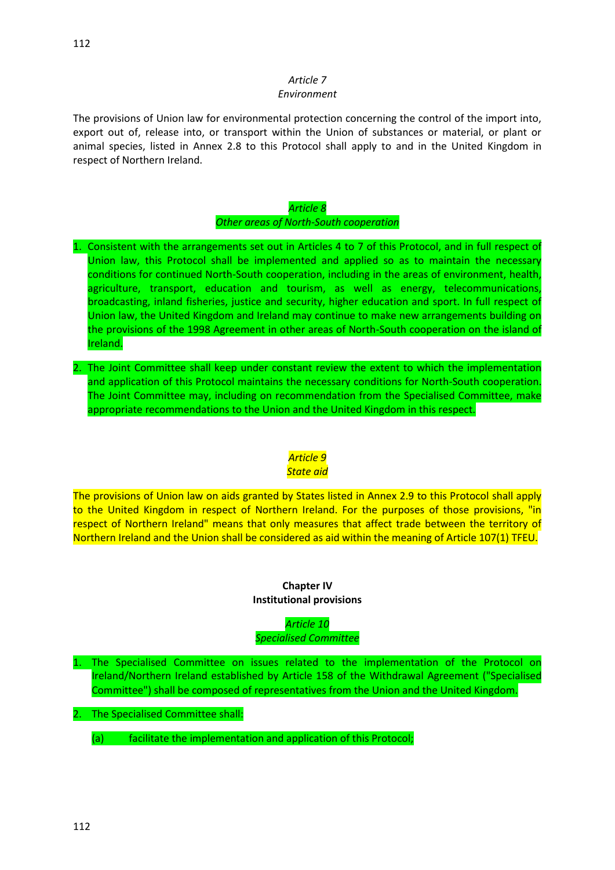#### *Article 7 Environment*

<span id="page-112-0"></span>The provisions of Union law for environmental protection concerning the control of the import into, export out of, release into, or transport within the Union of substances or material, or plant or animal species, listed in Annex 2.8 to this Protocol shall apply to and in the United Kingdom in respect of Northern Ireland.

## *Article 8 Other areas of North-South cooperation*

- <span id="page-112-1"></span>1. Consistent with the arrangements set out in Articles 4 to 7 of this Protocol, and in full respect of Union law, this Protocol shall be implemented and applied so as to maintain the necessary conditions for continued North-South cooperation, including in the areas of environment, health, agriculture, transport, education and tourism, as well as energy, telecommunications, broadcasting, inland fisheries, justice and security, higher education and sport. In full respect of Union law, the United Kingdom and Ireland may continue to make new arrangements building on the provisions of the 1998 Agreement in other areas of North-South cooperation on the island of Ireland.
- 2. The Joint Committee shall keep under constant review the extent to which the implementation and application of this Protocol maintains the necessary conditions for North-South cooperation. The Joint Committee may, including on recommendation from the Specialised Committee, make appropriate recommendations to the Union and the United Kingdom in this respect.

## *Article 9 State aid*

<span id="page-112-2"></span>The provisions of Union law on aids granted by States listed in Annex 2.9 to this Protocol shall apply to the United Kingdom in respect of Northern Ireland. For the purposes of those provisions, "in respect of Northern Ireland" means that only measures that affect trade between the territory of Northern Ireland and the Union shall be considered as aid within the meaning of Article 107(1) TFEU.

## **Chapter IV Institutional provisions**

#### *Article 10 Specialised Committee*

<span id="page-112-4"></span><span id="page-112-3"></span>1. The Specialised Committee on issues related to the implementation of the Protocol on Ireland/Northern Ireland established by Article 158 of the Withdrawal Agreement ("Specialised Committee") shall be composed of representatives from the Union and the United Kingdom.

2. The Specialised Committee shall:

(a) facilitate the implementation and application of this Protocol;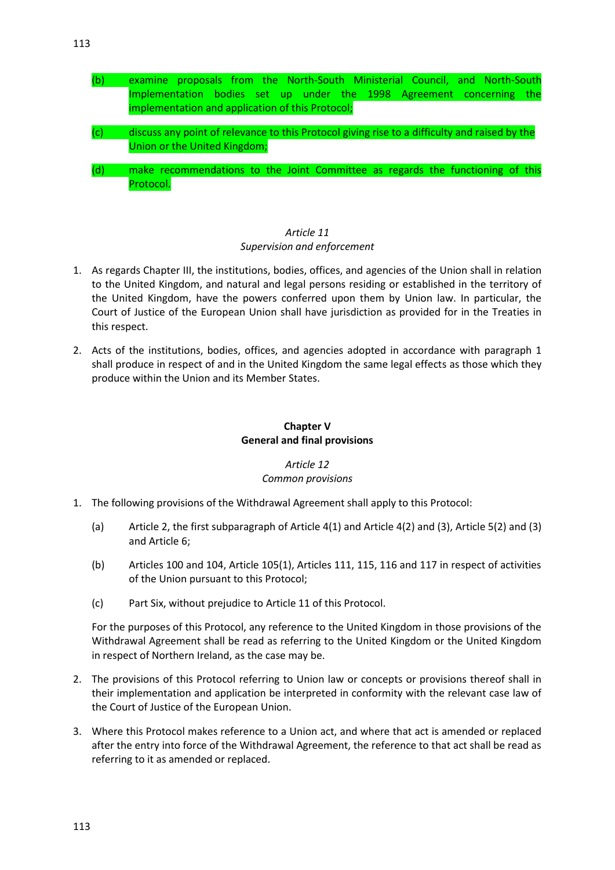(b) examine proposals from the North-South Ministerial Council, and North-South Implementation bodies set up under the 1998 Agreement concerning the implementation and application of this Protocol; (c) discuss any point of relevance to this Protocol giving rise to a difficulty and raised by the Union or the United Kingdom; (d) make recommendations to the Joint Committee as regards the functioning of this Protocol.

### *Article 11 Supervision and enforcement*

- <span id="page-113-0"></span>1. As regards Chapter III, the institutions, bodies, offices, and agencies of the Union shall in relation to the United Kingdom, and natural and legal persons residing or established in the territory of the United Kingdom, have the powers conferred upon them by Union law. In particular, the Court of Justice of the European Union shall have jurisdiction as provided for in the Treaties in this respect.
- 2. Acts of the institutions, bodies, offices, and agencies adopted in accordance with paragraph 1 shall produce in respect of and in the United Kingdom the same legal effects as those which they produce within the Union and its Member States.

## **Chapter V General and final provisions**

## *Article 12 Common provisions*

- <span id="page-113-2"></span><span id="page-113-1"></span>1. The following provisions of the Withdrawal Agreement shall apply to this Protocol:
	- (a) Article 2, the first subparagraph of Article 4(1) and Article 4(2) and (3), Article 5(2) and (3) and Article 6;
	- (b) Articles 100 and 104, Article 105(1), Articles 111, 115, 116 and 117 in respect of activities of the Union pursuant to this Protocol;
	- (c) Part Six, without prejudice to Article 11 of this Protocol.

For the purposes of this Protocol, any reference to the United Kingdom in those provisions of the Withdrawal Agreement shall be read as referring to the United Kingdom or the United Kingdom in respect of Northern Ireland, as the case may be.

- 2. The provisions of this Protocol referring to Union law or concepts or provisions thereof shall in their implementation and application be interpreted in conformity with the relevant case law of the Court of Justice of the European Union.
- 3. Where this Protocol makes reference to a Union act, and where that act is amended or replaced after the entry into force of the Withdrawal Agreement, the reference to that act shall be read as referring to it as amended or replaced.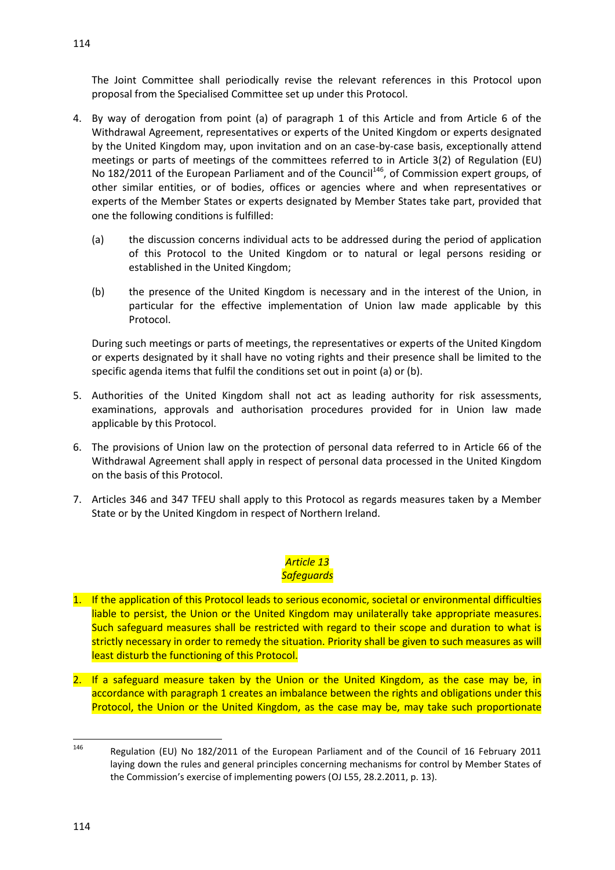The Joint Committee shall periodically revise the relevant references in this Protocol upon proposal from the Specialised Committee set up under this Protocol.

- 4. By way of derogation from point (a) of paragraph 1 of this Article and from Article 6 of the Withdrawal Agreement, representatives or experts of the United Kingdom or experts designated by the United Kingdom may, upon invitation and on an case-by-case basis, exceptionally attend meetings or parts of meetings of the committees referred to in Article 3(2) of Regulation (EU) No 182/2011 of the European Parliament and of the Council<sup>146</sup>, of Commission expert groups, of other similar entities, or of bodies, offices or agencies where and when representatives or experts of the Member States or experts designated by Member States take part, provided that one the following conditions is fulfilled:
	- (a) the discussion concerns individual acts to be addressed during the period of application of this Protocol to the United Kingdom or to natural or legal persons residing or established in the United Kingdom;
	- (b) the presence of the United Kingdom is necessary and in the interest of the Union, in particular for the effective implementation of Union law made applicable by this Protocol.

During such meetings or parts of meetings, the representatives or experts of the United Kingdom or experts designated by it shall have no voting rights and their presence shall be limited to the specific agenda items that fulfil the conditions set out in point (a) or (b).

- 5. Authorities of the United Kingdom shall not act as leading authority for risk assessments, examinations, approvals and authorisation procedures provided for in Union law made applicable by this Protocol.
- 6. The provisions of Union law on the protection of personal data referred to in Article 66 of the Withdrawal Agreement shall apply in respect of personal data processed in the United Kingdom on the basis of this Protocol.
- 7. Articles 346 and 347 TFEU shall apply to this Protocol as regards measures taken by a Member State or by the United Kingdom in respect of Northern Ireland.

## *Article 13 Safeguards*

- <span id="page-114-0"></span>1. If the application of this Protocol leads to serious economic, societal or environmental difficulties liable to persist, the Union or the United Kingdom may unilaterally take appropriate measures. Such safeguard measures shall be restricted with regard to their scope and duration to what is strictly necessary in order to remedy the situation. Priority shall be given to such measures as will least disturb the functioning of this Protocol.
- 2. If a safeguard measure taken by the Union or the United Kingdom, as the case may be, in accordance with paragraph 1 creates an imbalance between the rights and obligations under this Protocol, the Union or the United Kingdom, as the case may be, may take such proportionate

<sup>146</sup> Regulation (EU) No 182/2011 of the European Parliament and of the Council of 16 February 2011 laying down the rules and general principles concerning mechanisms for control by Member States of the Commission's exercise of implementing powers (OJ L55, 28.2.2011, p. 13).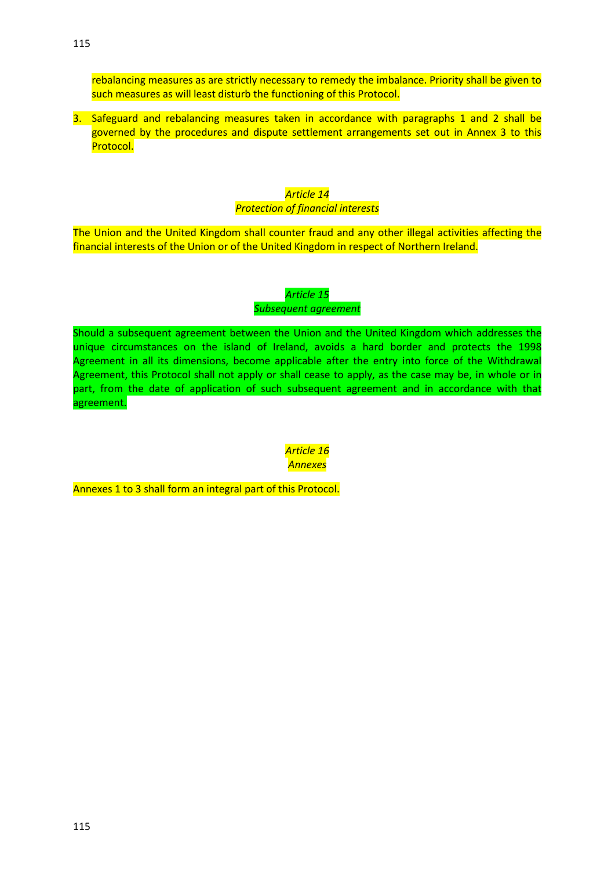rebalancing measures as are strictly necessary to remedy the imbalance. Priority shall be given to such measures as will least disturb the functioning of this Protocol.

3. Safeguard and rebalancing measures taken in accordance with paragraphs 1 and 2 shall be governed by the procedures and dispute settlement arrangements set out in Annex 3 to this Protocol.

#### *Article 14*

### *Protection of financial interests*

<span id="page-115-0"></span>The Union and the United Kingdom shall counter fraud and any other illegal activities affecting the financial interests of the Union or of the United Kingdom in respect of Northern Ireland.

## *Article 15 Subsequent agreement*

<span id="page-115-1"></span>Should a subsequent agreement between the Union and the United Kingdom which addresses the unique circumstances on the island of Ireland, avoids a hard border and protects the 1998 Agreement in all its dimensions, become applicable after the entry into force of the Withdrawal Agreement, this Protocol shall not apply or shall cease to apply, as the case may be, in whole or in part, from the date of application of such subsequent agreement and in accordance with that agreement.

> *Article 16 Annexes*

<span id="page-115-2"></span>Annexes 1 to 3 shall form an integral part of this Protocol.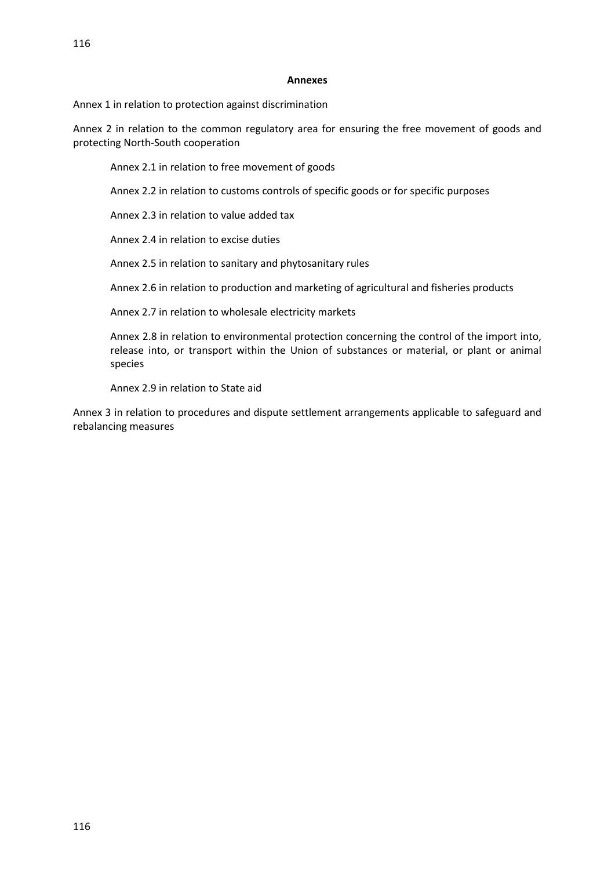#### **Annexes**

<span id="page-116-0"></span>Annex 1 in relation to protection against discrimination

Annex 2 in relation to the common regulatory area for ensuring the free movement of goods and protecting North-South cooperation

Annex 2.1 in relation to free movement of goods

Annex 2.2 in relation to customs controls of specific goods or for specific purposes

Annex 2.3 in relation to value added tax

Annex 2.4 in relation to excise duties

Annex 2.5 in relation to sanitary and phytosanitary rules

Annex 2.6 in relation to production and marketing of agricultural and fisheries products

Annex 2.7 in relation to wholesale electricity markets

Annex 2.8 in relation to environmental protection concerning the control of the import into, release into, or transport within the Union of substances or material, or plant or animal species

Annex 2.9 in relation to State aid

Annex 3 in relation to procedures and dispute settlement arrangements applicable to safeguard and rebalancing measures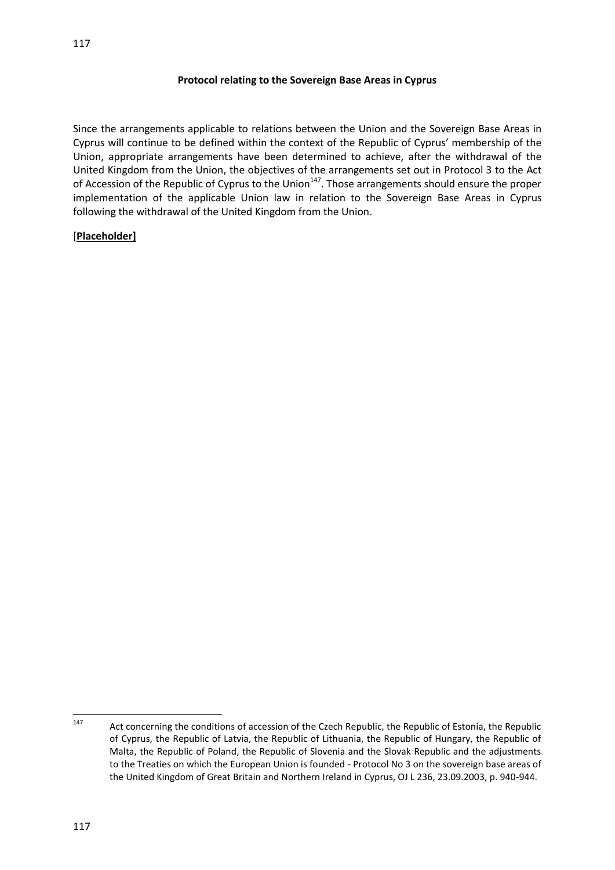#### **Protocol relating to the Sovereign Base Areas in Cyprus**

<span id="page-117-0"></span>Since the arrangements applicable to relations between the Union and the Sovereign Base Areas in Cyprus will continue to be defined within the context of the Republic of Cyprus' membership of the Union, appropriate arrangements have been determined to achieve, after the withdrawal of the United Kingdom from the Union, the objectives of the arrangements set out in Protocol 3 to the Act of Accession of the Republic of Cyprus to the Union<sup>147</sup>. Those arrangements should ensure the proper implementation of the applicable Union law in relation to the Sovereign Base Areas in Cyprus following the withdrawal of the United Kingdom from the Union.

#### [**Placeholder]**

<sup>147</sup> Act concerning the conditions of accession of the Czech Republic, the Republic of Estonia, the Republic of Cyprus, the Republic of Latvia, the Republic of Lithuania, the Republic of Hungary, the Republic of Malta, the Republic of Poland, the Republic of Slovenia and the Slovak Republic and the adjustments to the Treaties on which the European Union is founded - Protocol No 3 on the sovereign base areas of the United Kingdom of Great Britain and Northern Ireland in Cyprus, OJ L 236, 23.09.2003, p. 940-944.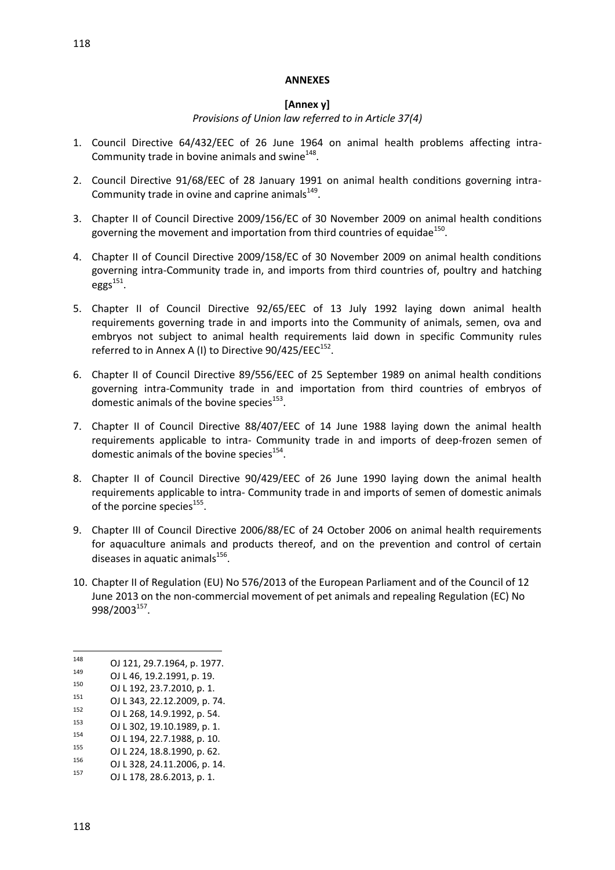#### **ANNEXES**

## **[Annex y]**

## *Provisions of Union law referred to in Article 37(4)*

- <span id="page-118-0"></span>1. Council Directive 64/432/EEC of 26 June 1964 on animal health problems affecting intra-Community trade in bovine animals and swine $^{148}$ .
- 2. Council Directive 91/68/EEC of 28 January 1991 on animal health conditions governing intra-Community trade in ovine and caprine animals $^{149}$ .
- 3. Chapter II of Council Directive 2009/156/EC of 30 November 2009 on animal health conditions governing the movement and importation from third countries of equidae $^{150}$ .
- 4. Chapter II of Council Directive 2009/158/EC of 30 November 2009 on animal health conditions governing intra-Community trade in, and imports from third countries of, poultry and hatching eggs<sup>151</sup>.
- 5. Chapter II of Council Directive 92/65/EEC of 13 July 1992 laying down animal health requirements governing trade in and imports into the Community of animals, semen, ova and embryos not subject to animal health requirements laid down in specific Community rules referred to in Annex A (I) to Directive 90/425/EEC $^{152}$ .
- 6. Chapter II of Council Directive 89/556/EEC of 25 September 1989 on animal health conditions governing intra-Community trade in and importation from third countries of embryos of domestic animals of the bovine species<sup>153</sup>.
- 7. Chapter II of Council Directive 88/407/EEC of 14 June 1988 laying down the animal health requirements applicable to intra- Community trade in and imports of deep-frozen semen of domestic animals of the bovine species<sup>154</sup>.
- 8. Chapter II of Council Directive 90/429/EEC of 26 June 1990 laying down the animal health requirements applicable to intra- Community trade in and imports of semen of domestic animals of the porcine species<sup>155</sup>.
- 9. Chapter III of Council Directive 2006/88/EC of 24 October 2006 on animal health requirements for aquaculture animals and products thereof, and on the prevention and control of certain diseases in aquatic animals<sup>156</sup>.
- 10. Chapter II of Regulation (EU) No 576/2013 of the European Parliament and of the Council of 12 June 2013 on the non-commercial movement of pet animals and repealing Regulation (EC) No 998/2003<sup>157</sup>.

<sup>148</sup>  $148$  OJ 121, 29.7.1964, p. 1977.

<sup>&</sup>lt;sup>149</sup> OJ L 46, 19.2.1991, p. 19.

 $150$  OJ L 192, 23.7.2010, p. 1.

 $151$  OJ L 343, 22.12.2009, p. 74.

 $152$  OJ L 268, 14.9.1992, p. 54.

 $153$  OJ L 302, 19.10.1989, p. 1.

 $154$  OJ L 194, 22.7.1988, p. 10.

 $155$  OJ L 224, 18.8.1990, p. 62.

 $156$  OJ L 328, 24.11.2006, p. 14.

<sup>0</sup>J L 178, 28.6.2013, p. 1.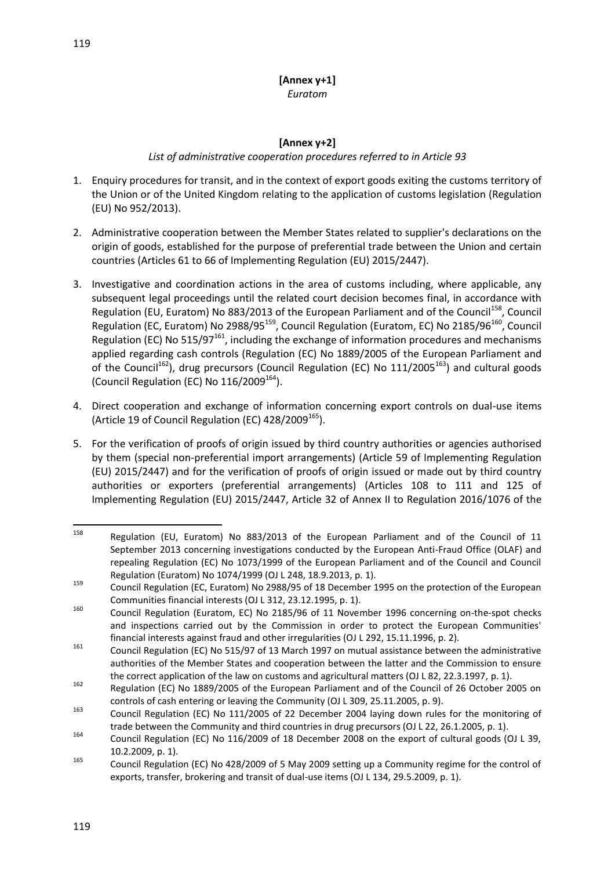#### **[Annex y+1]** *Euratom*

## **[Annex y+2]**

## *List of administrative cooperation procedures referred to in Article 93*

- 1. Enquiry procedures for transit, and in the context of export goods exiting the customs territory of the Union or of the United Kingdom relating to the application of customs legislation (Regulation (EU) No 952/2013).
- 2. Administrative cooperation between the Member States related to supplier's declarations on the origin of goods, established for the purpose of preferential trade between the Union and certain countries (Articles 61 to 66 of Implementing Regulation (EU) 2015/2447).
- 3. Investigative and coordination actions in the area of customs including, where applicable, any subsequent legal proceedings until the related court decision becomes final, in accordance with Regulation (EU, Euratom) No 883/2013 of the European Parliament and of the Council<sup>158</sup>, Council Regulation (EC, Euratom) No 2988/95<sup>159</sup>, Council Regulation (Euratom, EC) No 2185/96<sup>160</sup>, Council Regulation (EC) No 515/97<sup>161</sup>, including the exchange of information procedures and mechanisms applied regarding cash controls (Regulation (EC) No 1889/2005 of the European Parliament and of the Council<sup>162</sup>), drug precursors (Council Regulation (EC) No  $111/2005^{163}$ ) and cultural goods (Council Regulation (EC) No  $116/2009^{164}$ ).
- 4. Direct cooperation and exchange of information concerning export controls on dual-use items (Article 19 of Council Regulation (EC)  $428/2009^{165}$ ).
- 5. For the verification of proofs of origin issued by third country authorities or agencies authorised by them (special non-preferential import arrangements) (Article 59 of Implementing Regulation (EU) 2015/2447) and for the verification of proofs of origin issued or made out by third country authorities or exporters (preferential arrangements) (Articles 108 to 111 and 125 of Implementing Regulation (EU) 2015/2447, Article 32 of Annex II to Regulation 2016/1076 of the

<sup>158</sup> Regulation (EU, Euratom) No 883/2013 of the European Parliament and of the Council of 11 September 2013 concerning investigations conducted by the European Anti-Fraud Office (OLAF) and repealing Regulation (EC) No 1073/1999 of the European Parliament and of the Council and Council Regulation (Euratom) No 1074/1999 (OJ L 248, 18.9.2013, p. 1).

<sup>159</sup> Council Regulation (EC, Euratom) No 2988/95 of 18 December 1995 on the protection of the European Communities financial interests (OJ L 312, 23.12.1995, p. 1).

<sup>160</sup> Council Regulation (Euratom, EC) No 2185/96 of 11 November 1996 concerning on-the-spot checks and inspections carried out by the Commission in order to protect the European Communities' financial interests against fraud and other irregularities (OJ L 292, 15.11.1996, p. 2).

<sup>161</sup> Council Regulation (EC) No 515/97 of 13 March 1997 on mutual assistance between the administrative authorities of the Member States and cooperation between the latter and the Commission to ensure the correct application of the law on customs and agricultural matters (OJ L 82, 22.3.1997, p. 1).

<sup>162</sup> Regulation (EC) No 1889/2005 of the European Parliament and of the Council of 26 October 2005 on controls of cash entering or leaving the Community (OJ L 309, 25.11.2005, p. 9).

<sup>163</sup> Council Regulation (EC) No 111/2005 of 22 December 2004 laying down rules for the monitoring of trade between the Community and third countries in drug precursors (OJ L 22, 26.1.2005, p. 1).

<sup>164</sup> Council Regulation (EC) No 116/2009 of 18 December 2008 on the export of cultural goods (OJ L 39, 10.2.2009, p. 1).

<sup>165</sup> Council Regulation (EC) No 428/2009 of 5 May 2009 setting up a Community regime for the control of exports, transfer, brokering and transit of dual-use items (OJ L 134, 29.5.2009, p. 1).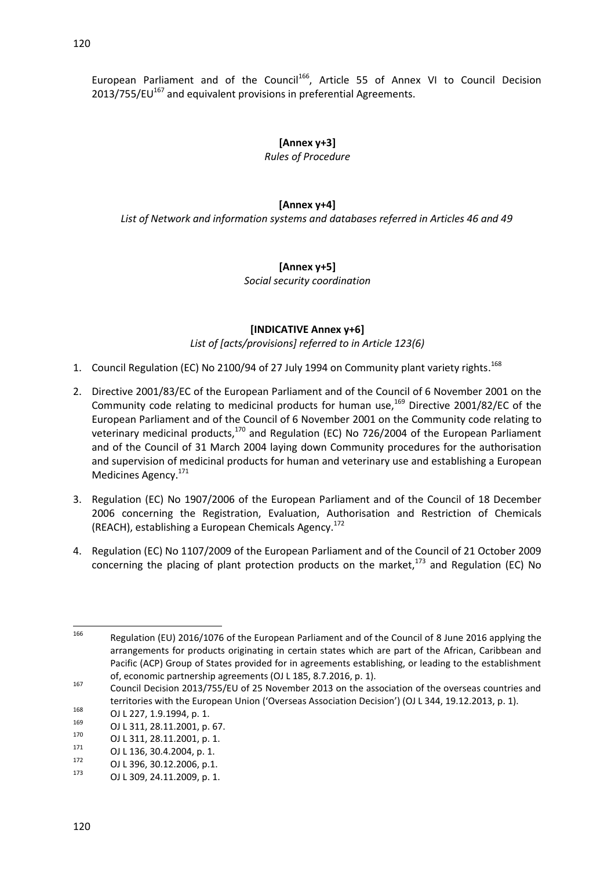European Parliament and of the Council<sup>166</sup>, Article 55 of Annex VI to Council Decision  $2013/755/EU<sup>167</sup>$  and equivalent provisions in preferential Agreements.

## **[Annex y+3]**

*Rules of Procedure*

## **[Annex y+4]**

*List of Network and information systems and databases referred in Articles 46 and 49*

## **[Annex y+5]**

*Social security coordination*

## **[INDICATIVE Annex y+6]**

*List of [acts/provisions] referred to in Article 123(6)*

- 1. Council Regulation (EC) No 2100/94 of 27 July 1994 on Community plant variety rights.<sup>168</sup>
- 2. Directive 2001/83/EC of the European Parliament and of the Council of 6 November 2001 on the Community code relating to medicinal products for human use.<sup>169</sup> Directive 2001/82/EC of the European Parliament and of the Council of 6 November 2001 on the Community code relating to veterinary medicinal products, $170$  and Regulation (EC) No 726/2004 of the European Parliament and of the Council of 31 March 2004 laying down Community procedures for the authorisation and supervision of medicinal products for human and veterinary use and establishing a European Medicines Agency.<sup>171</sup>
- 3. Regulation (EC) No 1907/2006 of the European Parliament and of the Council of 18 December 2006 concerning the Registration, Evaluation, Authorisation and Restriction of Chemicals (REACH), establishing a European Chemicals Agency. 172
- 4. Regulation (EC) No 1107/2009 of the European Parliament and of the Council of 21 October 2009 concerning the placing of plant protection products on the market, $173$  and Regulation (EC) No

<sup>166</sup> Regulation (EU) 2016/1076 of the European Parliament and of the Council of 8 June 2016 applying the arrangements for products originating in certain states which are part of the African, Caribbean and Pacific (ACP) Group of States provided for in agreements establishing, or leading to the establishment of, economic partnership agreements (OJ L 185, 8.7.2016, p. 1).

<sup>167</sup> Council Decision 2013/755/EU of 25 November 2013 on the association of the overseas countries and territories with the European Union ('Overseas Association Decision') (OJ L 344, 19.12.2013, p. 1).

 $^{168}$  OJ L 227, 1.9.1994, p. 1.

 $^{169}$  OJ L 311, 28.11.2001, p. 67.

 $1^{170}$  OJ L 311, 28.11.2001, p. 1.<br> $1^{171}$  OJ 1.126, 28.1.2001, p. 1.

 $171$  OJ L 136, 30.4.2004, p. 1.

 $^{1/2}$  OJ L 396, 30.12.2006, p.1.

<sup>0</sup>J L 309, 24.11.2009, p. 1.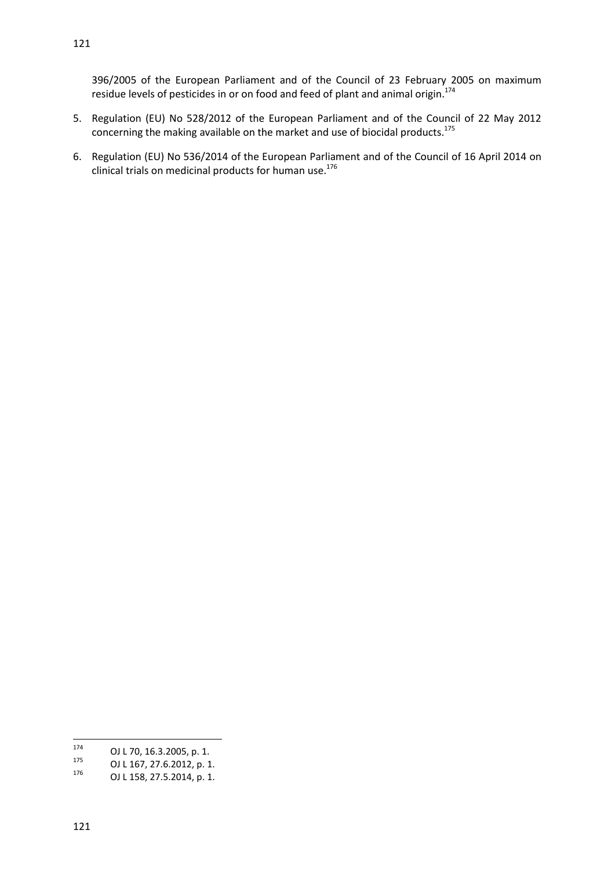396/2005 of the European Parliament and of the Council of 23 February 2005 on maximum residue levels of pesticides in or on food and feed of plant and animal origin.<sup>174</sup>

- 5. Regulation (EU) No 528/2012 of the European Parliament and of the Council of 22 May 2012 concerning the making available on the market and use of biocidal products.<sup>175</sup>
- 6. Regulation (EU) No 536/2014 of the European Parliament and of the Council of 16 April 2014 on clinical trials on medicinal products for human use.<sup>176</sup>

<sup>174</sup>  $1^{174}$  OJ L 70, 16.3.2005, p. 1.<br> $1^{175}$  OJ L 167, 27.6.2012, p. 1.

 $^{175}$  OJ L 167, 27.6.2012, p. 1.<br> $^{176}$  OJ L 158, 27.5.2014, p. 1.

<sup>0</sup>J L 158, 27.5.2014, p. 1.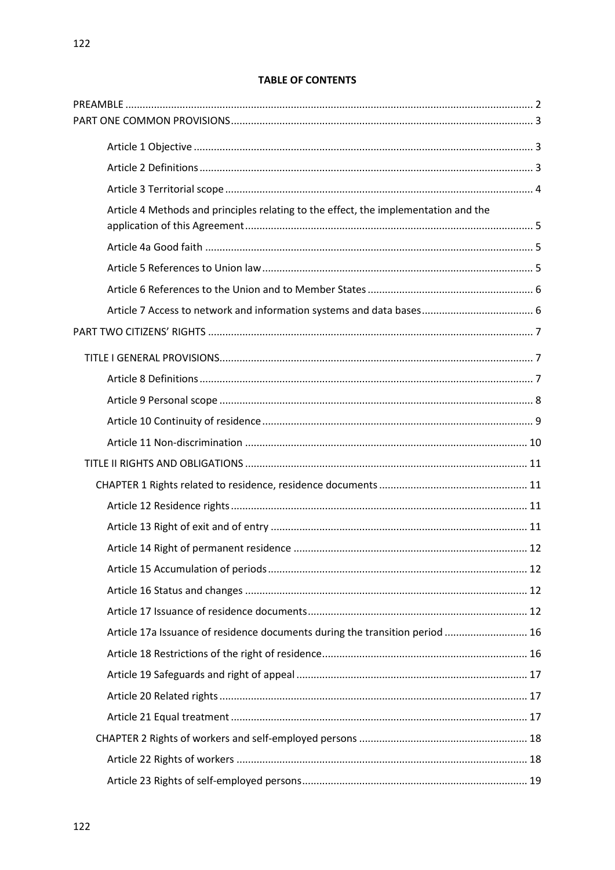### **TABLE OF CONTENTS**

<span id="page-122-0"></span>

| Article 4 Methods and principles relating to the effect, the implementation and the |  |
|-------------------------------------------------------------------------------------|--|
|                                                                                     |  |
|                                                                                     |  |
|                                                                                     |  |
|                                                                                     |  |
|                                                                                     |  |
|                                                                                     |  |
|                                                                                     |  |
|                                                                                     |  |
|                                                                                     |  |
|                                                                                     |  |
|                                                                                     |  |
|                                                                                     |  |
|                                                                                     |  |
|                                                                                     |  |
|                                                                                     |  |
|                                                                                     |  |
|                                                                                     |  |
|                                                                                     |  |
| Article 17a Issuance of residence documents during the transition period  16        |  |
|                                                                                     |  |
|                                                                                     |  |
|                                                                                     |  |
|                                                                                     |  |
|                                                                                     |  |
|                                                                                     |  |
|                                                                                     |  |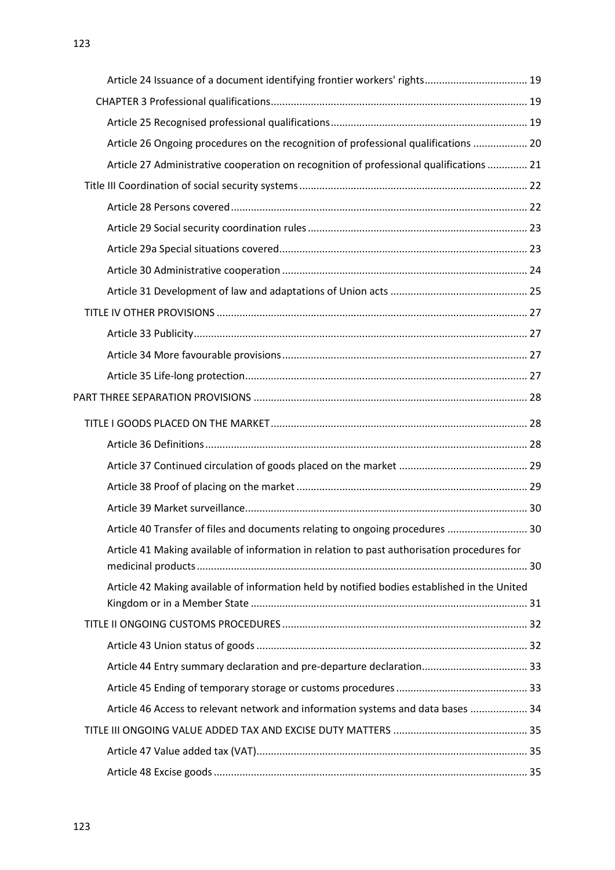| Article 24 Issuance of a document identifying frontier workers' rights 19                    |  |
|----------------------------------------------------------------------------------------------|--|
|                                                                                              |  |
|                                                                                              |  |
| Article 26 Ongoing procedures on the recognition of professional qualifications  20          |  |
| Article 27 Administrative cooperation on recognition of professional qualifications  21      |  |
|                                                                                              |  |
|                                                                                              |  |
|                                                                                              |  |
|                                                                                              |  |
|                                                                                              |  |
|                                                                                              |  |
|                                                                                              |  |
|                                                                                              |  |
|                                                                                              |  |
|                                                                                              |  |
|                                                                                              |  |
|                                                                                              |  |
|                                                                                              |  |
|                                                                                              |  |
|                                                                                              |  |
|                                                                                              |  |
| Article 40 Transfer of files and documents relating to ongoing procedures  30                |  |
| Article 41 Making available of information in relation to past authorisation procedures for  |  |
| Article 42 Making available of information held by notified bodies established in the United |  |
|                                                                                              |  |
|                                                                                              |  |
|                                                                                              |  |
|                                                                                              |  |
| Article 46 Access to relevant network and information systems and data bases  34             |  |
|                                                                                              |  |
|                                                                                              |  |
|                                                                                              |  |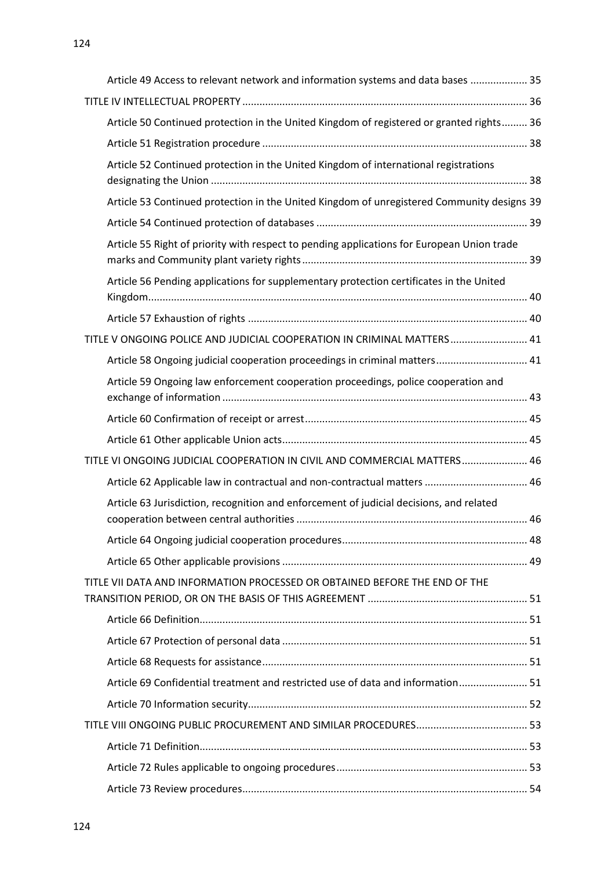| Article 49 Access to relevant network and information systems and data bases  35           |  |
|--------------------------------------------------------------------------------------------|--|
|                                                                                            |  |
| Article 50 Continued protection in the United Kingdom of registered or granted rights 36   |  |
|                                                                                            |  |
| Article 52 Continued protection in the United Kingdom of international registrations       |  |
| Article 53 Continued protection in the United Kingdom of unregistered Community designs 39 |  |
|                                                                                            |  |
| Article 55 Right of priority with respect to pending applications for European Union trade |  |
| Article 56 Pending applications for supplementary protection certificates in the United    |  |
|                                                                                            |  |
| TITLE V ONGOING POLICE AND JUDICIAL COOPERATION IN CRIMINAL MATTERS 41                     |  |
| Article 58 Ongoing judicial cooperation proceedings in criminal matters 41                 |  |
| Article 59 Ongoing law enforcement cooperation proceedings, police cooperation and         |  |
|                                                                                            |  |
|                                                                                            |  |
| TITLE VI ONGOING JUDICIAL COOPERATION IN CIVIL AND COMMERCIAL MATTERS 46                   |  |
| Article 62 Applicable law in contractual and non-contractual matters  46                   |  |
| Article 63 Jurisdiction, recognition and enforcement of judicial decisions, and related    |  |
|                                                                                            |  |
|                                                                                            |  |
| TITLE VII DATA AND INFORMATION PROCESSED OR OBTAINED BEFORE THE END OF THE                 |  |
|                                                                                            |  |
|                                                                                            |  |
|                                                                                            |  |
| Article 69 Confidential treatment and restricted use of data and information 51            |  |
|                                                                                            |  |
|                                                                                            |  |
|                                                                                            |  |
|                                                                                            |  |
|                                                                                            |  |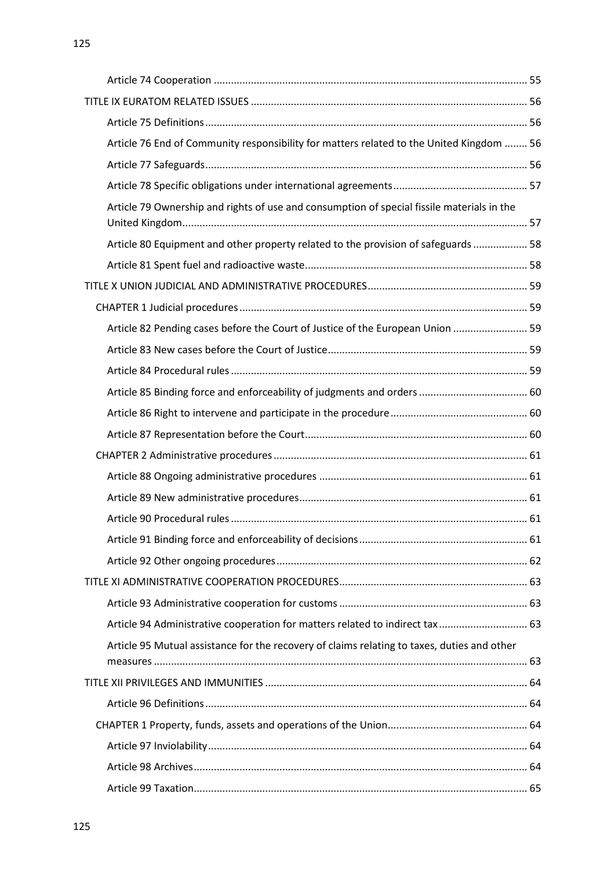| Article 76 End of Community responsibility for matters related to the United Kingdom  56    |  |
|---------------------------------------------------------------------------------------------|--|
|                                                                                             |  |
|                                                                                             |  |
| Article 79 Ownership and rights of use and consumption of special fissile materials in the  |  |
| Article 80 Equipment and other property related to the provision of safeguards  58          |  |
|                                                                                             |  |
|                                                                                             |  |
|                                                                                             |  |
| Article 82 Pending cases before the Court of Justice of the European Union  59              |  |
|                                                                                             |  |
|                                                                                             |  |
|                                                                                             |  |
|                                                                                             |  |
|                                                                                             |  |
|                                                                                             |  |
|                                                                                             |  |
|                                                                                             |  |
|                                                                                             |  |
|                                                                                             |  |
|                                                                                             |  |
|                                                                                             |  |
|                                                                                             |  |
| Article 94 Administrative cooperation for matters related to indirect tax 63                |  |
| Article 95 Mutual assistance for the recovery of claims relating to taxes, duties and other |  |
|                                                                                             |  |
|                                                                                             |  |
|                                                                                             |  |
|                                                                                             |  |
|                                                                                             |  |
|                                                                                             |  |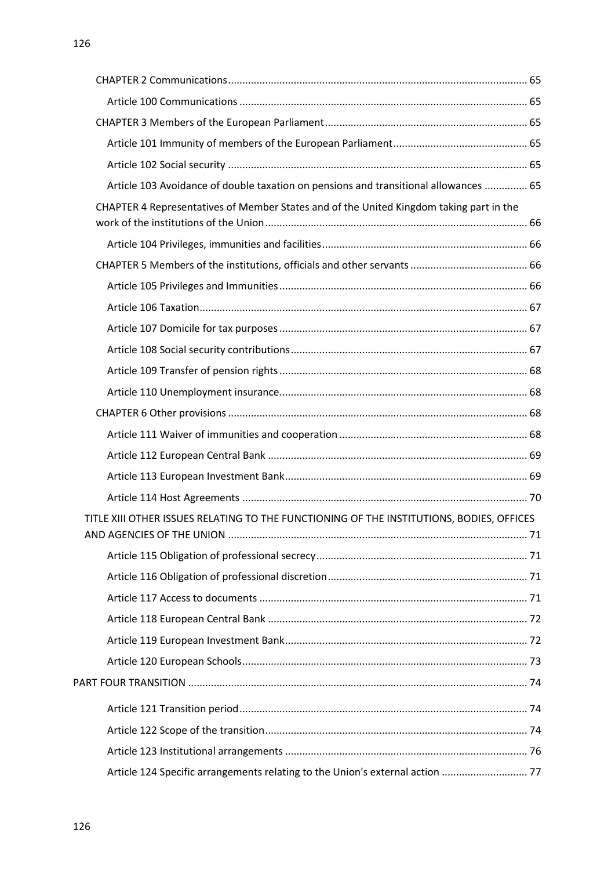| Article 103 Avoidance of double taxation on pensions and transitional allowances  65     |    |
|------------------------------------------------------------------------------------------|----|
| CHAPTER 4 Representatives of Member States and of the United Kingdom taking part in the  |    |
|                                                                                          |    |
|                                                                                          |    |
|                                                                                          |    |
|                                                                                          |    |
|                                                                                          |    |
|                                                                                          |    |
|                                                                                          |    |
|                                                                                          |    |
|                                                                                          |    |
|                                                                                          |    |
|                                                                                          |    |
|                                                                                          |    |
|                                                                                          |    |
| TITLE XIII OTHER ISSUES RELATING TO THE FUNCTIONING OF THE INSTITUTIONS, BODIES, OFFICES | 71 |
|                                                                                          |    |
|                                                                                          |    |
|                                                                                          |    |
|                                                                                          |    |
|                                                                                          |    |
|                                                                                          |    |
|                                                                                          |    |
|                                                                                          |    |
|                                                                                          |    |
|                                                                                          |    |
| Article 124 Specific arrangements relating to the Union's external action  77            |    |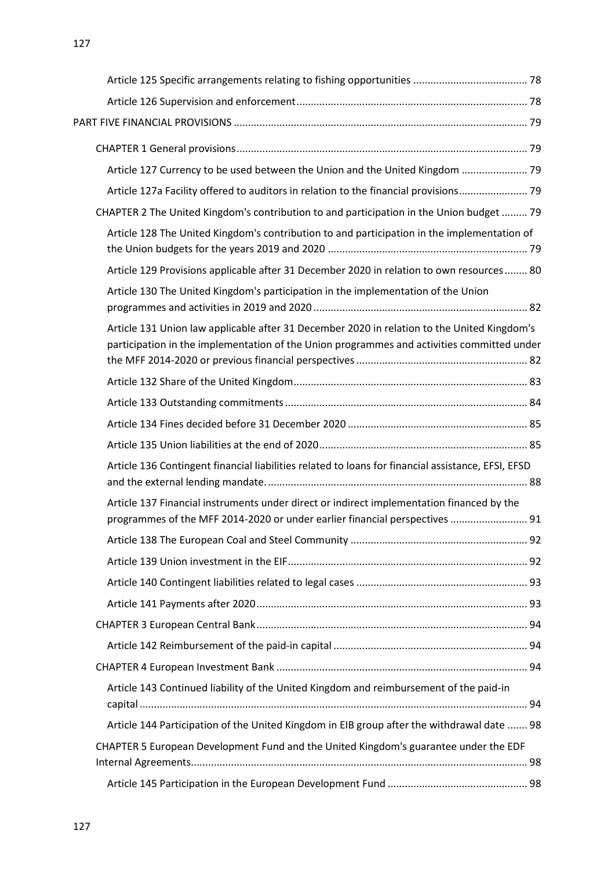| Article 127 Currency to be used between the Union and the United Kingdom  79                                                                                                              |  |
|-------------------------------------------------------------------------------------------------------------------------------------------------------------------------------------------|--|
| Article 127a Facility offered to auditors in relation to the financial provisions 79                                                                                                      |  |
| CHAPTER 2 The United Kingdom's contribution to and participation in the Union budget  79                                                                                                  |  |
| Article 128 The United Kingdom's contribution to and participation in the implementation of                                                                                               |  |
| Article 129 Provisions applicable after 31 December 2020 in relation to own resources  80                                                                                                 |  |
| Article 130 The United Kingdom's participation in the implementation of the Union                                                                                                         |  |
| Article 131 Union law applicable after 31 December 2020 in relation to the United Kingdom's<br>participation in the implementation of the Union programmes and activities committed under |  |
|                                                                                                                                                                                           |  |
|                                                                                                                                                                                           |  |
|                                                                                                                                                                                           |  |
|                                                                                                                                                                                           |  |
| Article 136 Contingent financial liabilities related to loans for financial assistance, EFSI, EFSD                                                                                        |  |
| Article 137 Financial instruments under direct or indirect implementation financed by the<br>programmes of the MFF 2014-2020 or under earlier financial perspectives  91                  |  |
|                                                                                                                                                                                           |  |
|                                                                                                                                                                                           |  |
|                                                                                                                                                                                           |  |
|                                                                                                                                                                                           |  |
|                                                                                                                                                                                           |  |
|                                                                                                                                                                                           |  |
|                                                                                                                                                                                           |  |
| Article 143 Continued liability of the United Kingdom and reimbursement of the paid-in                                                                                                    |  |
| Article 144 Participation of the United Kingdom in EIB group after the withdrawal date  98                                                                                                |  |
| CHAPTER 5 European Development Fund and the United Kingdom's guarantee under the EDF                                                                                                      |  |
|                                                                                                                                                                                           |  |
|                                                                                                                                                                                           |  |